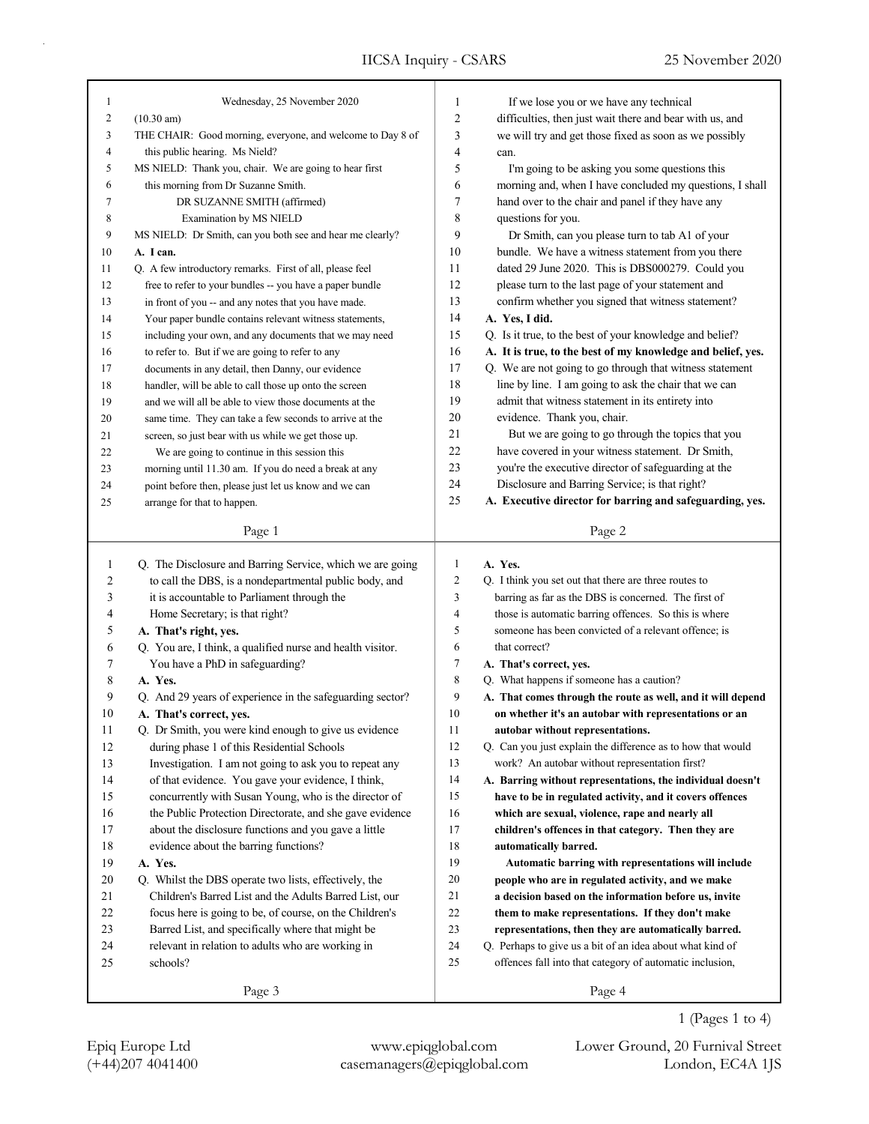| 1      | Wednesday, 25 November 2020                                | 1              | If we lose you or we have any technical                     |
|--------|------------------------------------------------------------|----------------|-------------------------------------------------------------|
| 2      | $(10.30 \text{ am})$                                       | $\overline{c}$ | difficulties, then just wait there and bear with us, and    |
| 3      | THE CHAIR: Good morning, everyone, and welcome to Day 8 of | 3              | we will try and get those fixed as soon as we possibly      |
| 4      | this public hearing. Ms Nield?                             | 4              | can.                                                        |
| 5      | MS NIELD: Thank you, chair. We are going to hear first     | 5              | I'm going to be asking you some questions this              |
| 6      | this morning from Dr Suzanne Smith.                        | 6              | morning and, when I have concluded my questions, I shall    |
| 7      | DR SUZANNE SMITH (affirmed)                                | 7              | hand over to the chair and panel if they have any           |
| 8      | Examination by MS NIELD                                    | 8              | questions for you.                                          |
| 9      | MS NIELD: Dr Smith, can you both see and hear me clearly?  | 9              | Dr Smith, can you please turn to tab A1 of your             |
| 10     | A. I can.                                                  | 10             | bundle. We have a witness statement from you there          |
| 11     | Q. A few introductory remarks. First of all, please feel   | 11             | dated 29 June 2020. This is DBS000279. Could you            |
| 12     | free to refer to your bundles -- you have a paper bundle   | 12             | please turn to the last page of your statement and          |
| 13     | in front of you -- and any notes that you have made.       | 13             | confirm whether you signed that witness statement?          |
| 14     | Your paper bundle contains relevant witness statements,    | 14             | A. Yes, I did.                                              |
| 15     | including your own, and any documents that we may need     | 15             | Q. Is it true, to the best of your knowledge and belief?    |
| 16     | to refer to. But if we are going to refer to any           | 16             | A. It is true, to the best of my knowledge and belief, yes. |
| 17     | documents in any detail, then Danny, our evidence          | 17             | Q. We are not going to go through that witness statement    |
| 18     | handler, will be able to call those up onto the screen     | 18             | line by line. I am going to ask the chair that we can       |
| 19     | and we will all be able to view those documents at the     | 19             | admit that witness statement in its entirety into           |
| 20     | same time. They can take a few seconds to arrive at the    | 20             | evidence. Thank you, chair.                                 |
| 21     | screen, so just bear with us while we get those up.        | 21             | But we are going to go through the topics that you          |
| 22     | We are going to continue in this session this              | 22             | have covered in your witness statement. Dr Smith,           |
| 23     | morning until 11.30 am. If you do need a break at any      | 23             | you're the executive director of safeguarding at the        |
| 24     | point before then, please just let us know and we can      | 24             | Disclosure and Barring Service; is that right?              |
| 25     | arrange for that to happen.                                | 25             | A. Executive director for barring and safeguarding, yes.    |
|        |                                                            |                |                                                             |
|        | Page 1                                                     |                | Page 2                                                      |
|        |                                                            |                |                                                             |
|        |                                                            |                |                                                             |
| 1      | Q. The Disclosure and Barring Service, which we are going  | 1              | A. Yes.                                                     |
| 2      | to call the DBS, is a nondepartmental public body, and     | $\overline{2}$ | Q. I think you set out that there are three routes to       |
| 3      | it is accountable to Parliament through the                | 3              | barring as far as the DBS is concerned. The first of        |
| 4      | Home Secretary; is that right?                             | 4              | those is automatic barring offences. So this is where       |
| 5      | A. That's right, yes.                                      | 5              | someone has been convicted of a relevant offence; is        |
| 6      | Q. You are, I think, a qualified nurse and health visitor. | 6              | that correct?                                               |
| 7      | You have a PhD in safeguarding?                            | 7              | A. That's correct, yes.                                     |
| 8      | A. Yes.                                                    | 8              | Q. What happens if someone has a caution?                   |
| 9      | Q. And 29 years of experience in the safeguarding sector?  | 9              | A. That comes through the route as well, and it will depend |
| 10     | A. That's correct, ves.                                    | 10             | on whether it's an autobar with representations or an       |
| 11     | Q. Dr Smith, you were kind enough to give us evidence      | 11             | autobar without representations.                            |
| 12     | during phase 1 of this Residential Schools                 | 12             | Q. Can you just explain the difference as to how that would |
| 13     | Investigation. I am not going to ask you to repeat any     | 13             | work? An autobar without representation first?              |
| 14     | of that evidence. You gave your evidence, I think,         | 14             | A. Barring without representations, the individual doesn't  |
| 15     | concurrently with Susan Young, who is the director of      | 15             | have to be in regulated activity, and it covers offences    |
| 16     | the Public Protection Directorate, and she gave evidence   | 16             | which are sexual, violence, rape and nearly all             |
| 17     | about the disclosure functions and you gave a little       | 17             | children's offences in that category. Then they are         |
| $18\,$ | evidence about the barring functions?                      | 18             | automatically barred.                                       |
| 19     | A. Yes.                                                    | 19             | Automatic barring with representations will include         |
| 20     | Q. Whilst the DBS operate two lists, effectively, the      | 20             | people who are in regulated activity, and we make           |
| 21     | Children's Barred List and the Adults Barred List, our     | 21             | a decision based on the information before us, invite       |
| $22\,$ | focus here is going to be, of course, on the Children's    | 22             | them to make representations. If they don't make            |
| 23     | Barred List, and specifically where that might be          | 23             | representations, then they are automatically barred.        |
| 24     | relevant in relation to adults who are working in          | 24             | Q. Perhaps to give us a bit of an idea about what kind of   |
| 25     | schools?                                                   | 25             | offences fall into that category of automatic inclusion,    |
|        | Page 3                                                     |                | Page 4                                                      |

÷.

(+44)207 4041400 casemanagers@epiqglobal.com London, EC4A 1JS Epiq Europe Ltd www.epiqglobal.com Lower Ground, 20 Furnival Street

1 (Pages 1 to 4)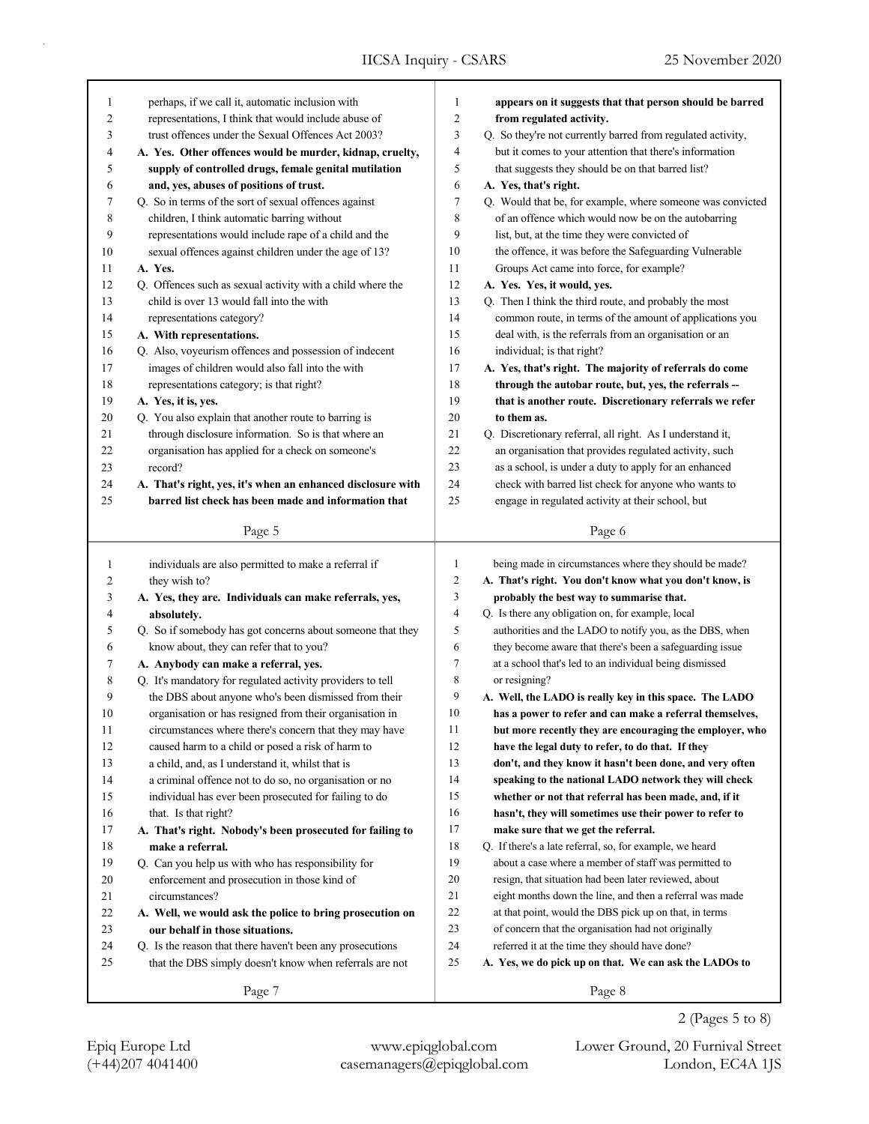| 1            | perhaps, if we call it, automatic inclusion with                                                        | 1              |                                                                                                                        |
|--------------|---------------------------------------------------------------------------------------------------------|----------------|------------------------------------------------------------------------------------------------------------------------|
| 2            | representations, I think that would include abuse of                                                    | 2              | appears on it suggests that that person should be barred<br>from regulated activity.                                   |
| 3            | trust offences under the Sexual Offences Act 2003?                                                      | 3              |                                                                                                                        |
| 4            | A. Yes. Other offences would be murder, kidnap, cruelty,                                                | 4              | Q. So they're not currently barred from regulated activity,<br>but it comes to your attention that there's information |
| 5            | supply of controlled drugs, female genital mutilation                                                   | 5              | that suggests they should be on that barred list?                                                                      |
| 6            |                                                                                                         | 6              |                                                                                                                        |
| 7            | and, yes, abuses of positions of trust.                                                                 | 7              | A. Yes, that's right.                                                                                                  |
| 8            | Q. So in terms of the sort of sexual offences against                                                   | 8              | Q. Would that be, for example, where someone was convicted<br>of an offence which would now be on the autobarring      |
| 9            | children, I think automatic barring without<br>representations would include rape of a child and the    | 9              | list, but, at the time they were convicted of                                                                          |
| 10           | sexual offences against children under the age of 13?                                                   | 10             | the offence, it was before the Safeguarding Vulnerable                                                                 |
| 11           | A. Yes.                                                                                                 | 11             | Groups Act came into force, for example?                                                                               |
| 12           |                                                                                                         | 12             |                                                                                                                        |
| 13           | Q. Offences such as sexual activity with a child where the<br>child is over 13 would fall into the with | 13             | A. Yes. Yes, it would, yes.                                                                                            |
| 14           |                                                                                                         | 14             | Q. Then I think the third route, and probably the most                                                                 |
| 15           | representations category?                                                                               | 15             | common route, in terms of the amount of applications you                                                               |
| 16           | A. With representations.                                                                                | 16             | deal with, is the referrals from an organisation or an                                                                 |
|              | Q. Also, voyeurism offences and possession of indecent                                                  | 17             | individual; is that right?                                                                                             |
| 17           | images of children would also fall into the with                                                        |                | A. Yes, that's right. The majority of referrals do come                                                                |
| 18           | representations category; is that right?                                                                | 18<br>19       | through the autobar route, but, yes, the referrals --                                                                  |
| 19<br>20     | A. Yes, it is, yes.                                                                                     | 20             | that is another route. Discretionary referrals we refer<br>to them as.                                                 |
| 21           | Q. You also explain that another route to barring is                                                    | 21             |                                                                                                                        |
| 22           | through disclosure information. So is that where an                                                     | 22             | Q. Discretionary referral, all right. As I understand it,                                                              |
|              | organisation has applied for a check on someone's<br>record?                                            | 23             | an organisation that provides regulated activity, such                                                                 |
| 23           |                                                                                                         | 24             | as a school, is under a duty to apply for an enhanced                                                                  |
| 24           | A. That's right, yes, it's when an enhanced disclosure with                                             | 25             | check with barred list check for anyone who wants to                                                                   |
| 25           | barred list check has been made and information that                                                    |                | engage in regulated activity at their school, but                                                                      |
|              | Page 5                                                                                                  |                | Page 6                                                                                                                 |
|              |                                                                                                         |                |                                                                                                                        |
|              |                                                                                                         |                |                                                                                                                        |
| $\mathbf{1}$ | individuals are also permitted to make a referral if                                                    | 1              | being made in circumstances where they should be made?                                                                 |
| 2            | they wish to?                                                                                           | $\overline{c}$ | A. That's right. You don't know what you don't know, is                                                                |
| 3            | A. Yes, they are. Individuals can make referrals, yes,                                                  | 3              | probably the best way to summarise that.                                                                               |
| 4            | absolutely.                                                                                             | $\overline{4}$ | Q. Is there any obligation on, for example, local                                                                      |
| 5            | Q. So if somebody has got concerns about someone that they                                              | 5              | authorities and the LADO to notify you, as the DBS, when                                                               |
| 6            | know about, they can refer that to you?                                                                 | 6              | they become aware that there's been a safeguarding issue                                                               |
| 7            | A. Anybody can make a referral, yes.                                                                    | 7              | at a school that's led to an individual being dismissed                                                                |
| 8            | Q. It's mandatory for regulated activity providers to tell                                              | 8              | or resigning?                                                                                                          |
| 9            | the DBS about anyone who's been dismissed from their                                                    | 9              | A. Well, the LADO is really key in this space. The LADO                                                                |
| 10           | organisation or has resigned from their organisation in                                                 | 10             | has a power to refer and can make a referral themselves,                                                               |
| 11           | circumstances where there's concern that they may have                                                  | 11             | but more recently they are encouraging the employer, who                                                               |
| 12           | caused harm to a child or posed a risk of harm to                                                       | 12             | have the legal duty to refer, to do that. If they                                                                      |
| 13           | a child, and, as I understand it, whilst that is                                                        | 13             | don't, and they know it hasn't been done, and very often                                                               |
| 14           | a criminal offence not to do so, no organisation or no                                                  | 14             | speaking to the national LADO network they will check                                                                  |
| 15           | individual has ever been prosecuted for failing to do                                                   | 15             | whether or not that referral has been made, and, if it                                                                 |
| 16           | that. Is that right?                                                                                    | 16             | hasn't, they will sometimes use their power to refer to                                                                |
| $17\,$       | A. That's right. Nobody's been prosecuted for failing to                                                | 17             | make sure that we get the referral.                                                                                    |
| 18           | make a referral.                                                                                        | 18             | Q. If there's a late referral, so, for example, we heard                                                               |
| 19           | Q. Can you help us with who has responsibility for                                                      | 19             | about a case where a member of staff was permitted to                                                                  |
| 20           | enforcement and prosecution in those kind of                                                            | $20\,$         | resign, that situation had been later reviewed, about                                                                  |
| 21           | circumstances?                                                                                          | 21             | eight months down the line, and then a referral was made                                                               |
| $22\,$       | A. Well, we would ask the police to bring prosecution on                                                | $22\,$         | at that point, would the DBS pick up on that, in terms                                                                 |
| 23           | our behalf in those situations.                                                                         | 23             | of concern that the organisation had not originally                                                                    |
| 24           | Q. Is the reason that there haven't been any prosecutions                                               | 24             | referred it at the time they should have done?                                                                         |
| 25           | that the DBS simply doesn't know when referrals are not                                                 | 25             | A. Yes, we do pick up on that. We can ask the LADOs to                                                                 |

2 (Pages 5 to 8)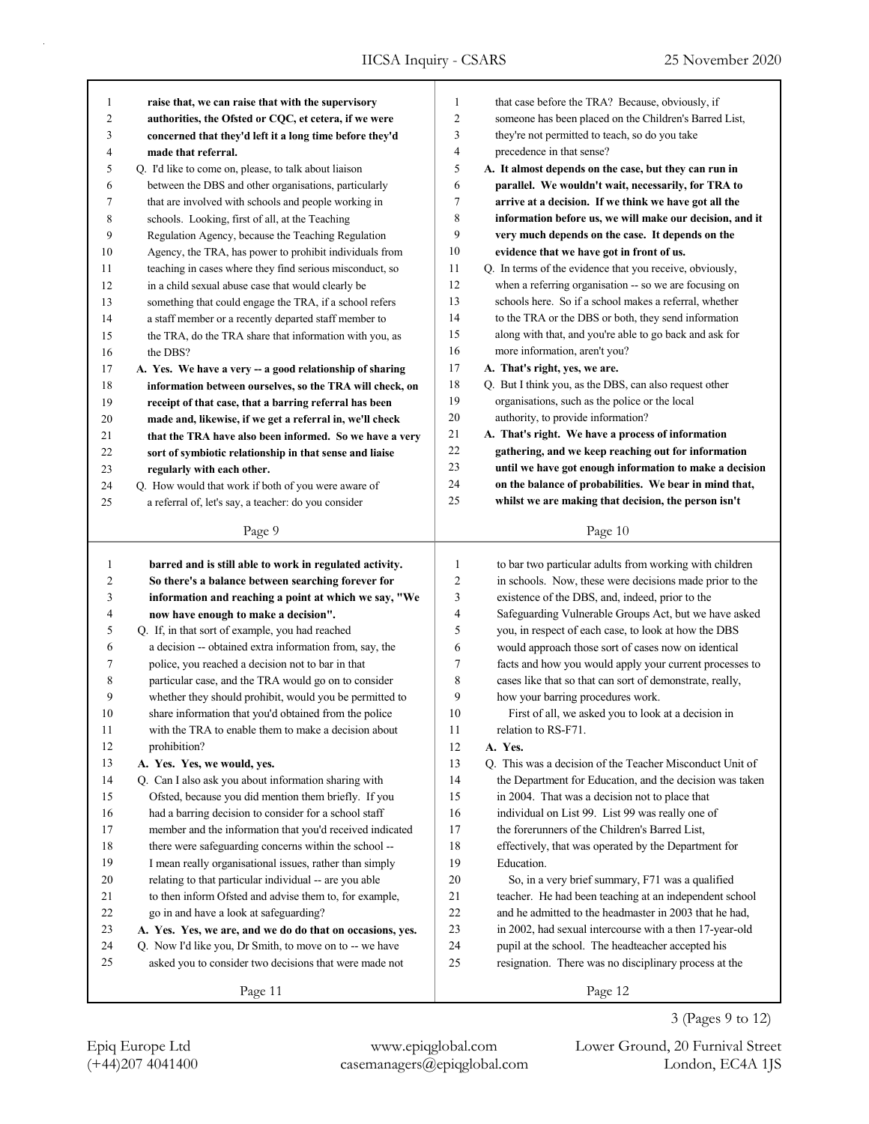| 1              | raise that, we can raise that with the supervisory        | 1              | that case before the TRA? Because, obviously, if         |
|----------------|-----------------------------------------------------------|----------------|----------------------------------------------------------|
| $\overline{c}$ | authorities, the Ofsted or CQC, et cetera, if we were     | $\overline{c}$ | someone has been placed on the Children's Barred List,   |
| 3              | concerned that they'd left it a long time before they'd   | 3              | they're not permitted to teach, so do you take           |
| $\overline{4}$ | made that referral.                                       | $\overline{4}$ | precedence in that sense?                                |
| 5              | Q. I'd like to come on, please, to talk about liaison     | 5              | A. It almost depends on the case, but they can run in    |
| 6              | between the DBS and other organisations, particularly     | 6              | parallel. We wouldn't wait, necessarily, for TRA to      |
| 7              | that are involved with schools and people working in      | $\tau$         | arrive at a decision. If we think we have got all the    |
| 8              | schools. Looking, first of all, at the Teaching           | 8              | information before us, we will make our decision, and it |
| 9              | Regulation Agency, because the Teaching Regulation        | 9              | very much depends on the case. It depends on the         |
| 10             | Agency, the TRA, has power to prohibit individuals from   | 10             | evidence that we have got in front of us.                |
| 11             | teaching in cases where they find serious misconduct, so  | 11             | Q. In terms of the evidence that you receive, obviously, |
| 12             | in a child sexual abuse case that would clearly be        | 12             | when a referring organisation -- so we are focusing on   |
| 13             | something that could engage the TRA, if a school refers   | 13             | schools here. So if a school makes a referral, whether   |
| 14             | a staff member or a recently departed staff member to     | 14             | to the TRA or the DBS or both, they send information     |
| 15             | the TRA, do the TRA share that information with you, as   | 15             | along with that, and you're able to go back and ask for  |
| 16             | the DBS?                                                  | 16             | more information, aren't you?                            |
| 17             | A. Yes. We have a very -- a good relationship of sharing  | 17             | A. That's right, yes, we are.                            |
| 18             | information between ourselves, so the TRA will check, on  | 18             | Q. But I think you, as the DBS, can also request other   |
| 19             | receipt of that case, that a barring referral has been    | 19             | organisations, such as the police or the local           |
| 20             | made and, likewise, if we get a referral in, we'll check  | 20             | authority, to provide information?                       |
| 21             | that the TRA have also been informed. So we have a very   | 21             | A. That's right. We have a process of information        |
| 22             | sort of symbiotic relationship in that sense and liaise   | 22             | gathering, and we keep reaching out for information      |
| 23             | regularly with each other.                                | 23             | until we have got enough information to make a decision  |
| 24             | Q. How would that work if both of you were aware of       | 24             | on the balance of probabilities. We bear in mind that,   |
| 25             | a referral of, let's say, a teacher: do you consider      | 25             | whilst we are making that decision, the person isn't     |
|                | Page 9                                                    |                | Page 10                                                  |
|                |                                                           |                |                                                          |
|                |                                                           |                |                                                          |
|                |                                                           |                |                                                          |
| 1              | barred and is still able to work in regulated activity.   | 1              | to bar two particular adults from working with children  |
| 2              | So there's a balance between searching forever for        | $\overline{c}$ | in schools. Now, these were decisions made prior to the  |
| 3              | information and reaching a point at which we say, "We     | 3              | existence of the DBS, and, indeed, prior to the          |
| 4              | now have enough to make a decision".                      | 4<br>5         | Safeguarding Vulnerable Groups Act, but we have asked    |
| 5              | Q. If, in that sort of example, you had reached           |                | you, in respect of each case, to look at how the DBS     |
| 6              | a decision -- obtained extra information from, say, the   | 6              | would approach those sort of cases now on identical      |
| 7              | police, you reached a decision not to bar in that         | 7              | facts and how you would apply your current processes to  |
| 8              | particular case, and the TRA would go on to consider      | 8              | cases like that so that can sort of demonstrate, really, |
| 9<br>10        | whether they should prohibit, would you be permitted to   | 9<br>10        | how your barring procedures work.                        |
|                | share information that you'd obtained from the police     |                | First of all, we asked you to look at a decision in      |
| 11             | with the TRA to enable them to make a decision about      | 11             | relation to RS-F71.                                      |
| 12             | prohibition?                                              | 12             | A. Yes.                                                  |
| 13             | A. Yes. Yes, we would, yes.                               | 13             | Q. This was a decision of the Teacher Misconduct Unit of |
| 14             | Q. Can I also ask you about information sharing with      | 14             | the Department for Education, and the decision was taken |
| 15             | Ofsted, because you did mention them briefly. If you      | 15             | in 2004. That was a decision not to place that           |
| 16             | had a barring decision to consider for a school staff     | 16             | individual on List 99. List 99 was really one of         |
| 17             | member and the information that you'd received indicated  | 17             | the forerunners of the Children's Barred List,           |
| $18\,$         | there were safeguarding concerns within the school --     | 18             | effectively, that was operated by the Department for     |
| 19             | I mean really organisational issues, rather than simply   | 19             | Education.                                               |
| 20             | relating to that particular individual -- are you able    | $20\,$         | So, in a very brief summary, F71 was a qualified         |
| 21             | to then inform Ofsted and advise them to, for example,    | 21             | teacher. He had been teaching at an independent school   |
| 22             | go in and have a look at safeguarding?                    | 22             | and he admitted to the headmaster in 2003 that he had,   |
| 23             | A. Yes. Yes, we are, and we do do that on occasions, yes. | 23             | in 2002, had sexual intercourse with a then 17-year-old  |
| 24             | Q. Now I'd like you, Dr Smith, to move on to -- we have   | 24             | pupil at the school. The headteacher accepted his        |
| 25             | asked you to consider two decisions that were made not    | 25             | resignation. There was no disciplinary process at the    |

3 (Pages 9 to 12)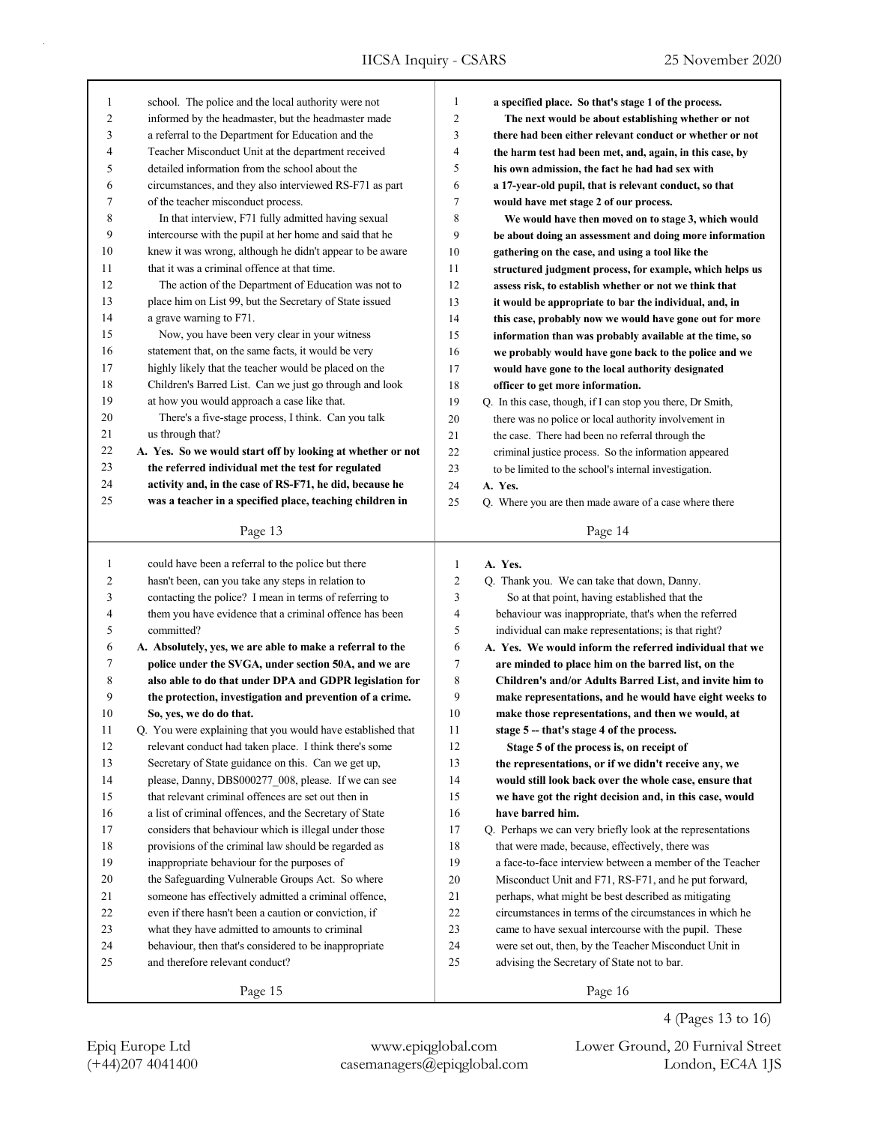| $\mathbf{1}$   | school. The police and the local authority were not                                                      | 1              | a specified place. So that's stage 1 of the process.                                                        |
|----------------|----------------------------------------------------------------------------------------------------------|----------------|-------------------------------------------------------------------------------------------------------------|
| $\mathfrak{2}$ | informed by the headmaster, but the headmaster made                                                      | $\overline{c}$ | The next would be about establishing whether or not                                                         |
| 3              | a referral to the Department for Education and the                                                       | 3              | there had been either relevant conduct or whether or not                                                    |
| 4              | Teacher Misconduct Unit at the department received                                                       | 4              | the harm test had been met, and, again, in this case, by                                                    |
| 5              | detailed information from the school about the                                                           | 5              | his own admission, the fact he had had sex with                                                             |
| 6              | circumstances, and they also interviewed RS-F71 as part                                                  | 6              | a 17-year-old pupil, that is relevant conduct, so that                                                      |
| 7              | of the teacher misconduct process.                                                                       | 7              | would have met stage 2 of our process.                                                                      |
| 8              | In that interview, F71 fully admitted having sexual                                                      | 8              | We would have then moved on to stage 3, which would                                                         |
| 9              | intercourse with the pupil at her home and said that he                                                  | 9              | be about doing an assessment and doing more information                                                     |
| 10             | knew it was wrong, although he didn't appear to be aware                                                 | 10             | gathering on the case, and using a tool like the                                                            |
| 11             | that it was a criminal offence at that time.                                                             | 11             | structured judgment process, for example, which helps us                                                    |
| 12             | The action of the Department of Education was not to                                                     | 12             | assess risk, to establish whether or not we think that                                                      |
| 13             | place him on List 99, but the Secretary of State issued                                                  | 13             | it would be appropriate to bar the individual, and, in                                                      |
| 14             | a grave warning to F71.                                                                                  | 14             | this case, probably now we would have gone out for more                                                     |
| 15             | Now, you have been very clear in your witness                                                            | 15             | information than was probably available at the time, so                                                     |
| 16             | statement that, on the same facts, it would be very                                                      | 16             | we probably would have gone back to the police and we                                                       |
| 17             | highly likely that the teacher would be placed on the                                                    | 17             | would have gone to the local authority designated                                                           |
| 18             | Children's Barred List. Can we just go through and look                                                  | 18             | officer to get more information.                                                                            |
| 19             | at how you would approach a case like that.                                                              | 19             | Q. In this case, though, if I can stop you there, Dr Smith,                                                 |
| 20             | There's a five-stage process, I think. Can you talk                                                      | 20             | there was no police or local authority involvement in                                                       |
| 21             | us through that?                                                                                         | 21             | the case. There had been no referral through the                                                            |
| 22             | A. Yes. So we would start off by looking at whether or not                                               | 22             | criminal justice process. So the information appeared                                                       |
| 23             | the referred individual met the test for regulated                                                       | 23             | to be limited to the school's internal investigation.                                                       |
| 24             | activity and, in the case of RS-F71, he did, because he                                                  | 24             | A. Yes.                                                                                                     |
| 25             | was a teacher in a specified place, teaching children in                                                 | 25             | Q. Where you are then made aware of a case where there                                                      |
|                | Page 13                                                                                                  |                | Page 14                                                                                                     |
|                |                                                                                                          |                |                                                                                                             |
|                |                                                                                                          |                |                                                                                                             |
| $\mathbf{1}$   | could have been a referral to the police but there                                                       | $\mathbf{1}$   | A. Yes.                                                                                                     |
| 2              | hasn't been, can you take any steps in relation to                                                       | $\overline{c}$ | Q. Thank you. We can take that down, Danny.                                                                 |
| 3              | contacting the police? I mean in terms of referring to                                                   | 3              | So at that point, having established that the                                                               |
| 4              | them you have evidence that a criminal offence has been                                                  | $\overline{4}$ | behaviour was inappropriate, that's when the referred                                                       |
| 5              | committed?                                                                                               | 5              | individual can make representations; is that right?                                                         |
| 6              | A. Absolutely, yes, we are able to make a referral to the                                                | 6              | A. Yes. We would inform the referred individual that we                                                     |
| 7              | police under the SVGA, under section 50A, and we are                                                     | $\tau$         | are minded to place him on the barred list, on the                                                          |
| 8              | also able to do that under DPA and GDPR legislation for                                                  | 8              | Children's and/or Adults Barred List, and invite him to                                                     |
| 9              | the protection, investigation and prevention of a crime.                                                 | 9              | make representations, and he would have eight weeks to                                                      |
| 10             | So, yes, we do do that.                                                                                  | 10             | make those representations, and then we would, at                                                           |
| 11             | Q. You were explaining that you would have established that                                              | 11             | stage 5 -- that's stage 4 of the process.                                                                   |
| 12             | relevant conduct had taken place. I think there's some                                                   | 12             | Stage 5 of the process is, on receipt of                                                                    |
| 13             | Secretary of State guidance on this. Can we get up,                                                      | 13             | the representations, or if we didn't receive any, we                                                        |
| 14             | please, Danny, DBS000277_008, please. If we can see                                                      | 14             | would still look back over the whole case, ensure that                                                      |
| 15             | that relevant criminal offences are set out then in                                                      | 15             | we have got the right decision and, in this case, would                                                     |
| 16             | a list of criminal offences, and the Secretary of State                                                  | 16             | have barred him.                                                                                            |
| 17             | considers that behaviour which is illegal under those                                                    | 17             | Q. Perhaps we can very briefly look at the representations                                                  |
| 18             | provisions of the criminal law should be regarded as                                                     | 18<br>19       | that were made, because, effectively, there was<br>a face-to-face interview between a member of the Teacher |
| 19<br>20       | inappropriate behaviour for the purposes of                                                              | 20             | Misconduct Unit and F71, RS-F71, and he put forward,                                                        |
| 21             | the Safeguarding Vulnerable Groups Act. So where<br>someone has effectively admitted a criminal offence, | 21             | perhaps, what might be best described as mitigating                                                         |
| 22             | even if there hasn't been a caution or conviction, if                                                    | 22             | circumstances in terms of the circumstances in which he                                                     |
| 23             | what they have admitted to amounts to criminal                                                           | 23             | came to have sexual intercourse with the pupil. These                                                       |
| 24             | behaviour, then that's considered to be inappropriate                                                    | 24             | were set out, then, by the Teacher Misconduct Unit in                                                       |
| 25             | and therefore relevant conduct?                                                                          | 25             | advising the Secretary of State not to bar.                                                                 |
|                | Page 15                                                                                                  |                | Page 16                                                                                                     |

(+44)207 4041400 casemanagers@epiqglobal.com London, EC4A 1JS Epiq Europe Ltd www.epiqglobal.com Lower Ground, 20 Furnival Street

4 (Pages 13 to 16)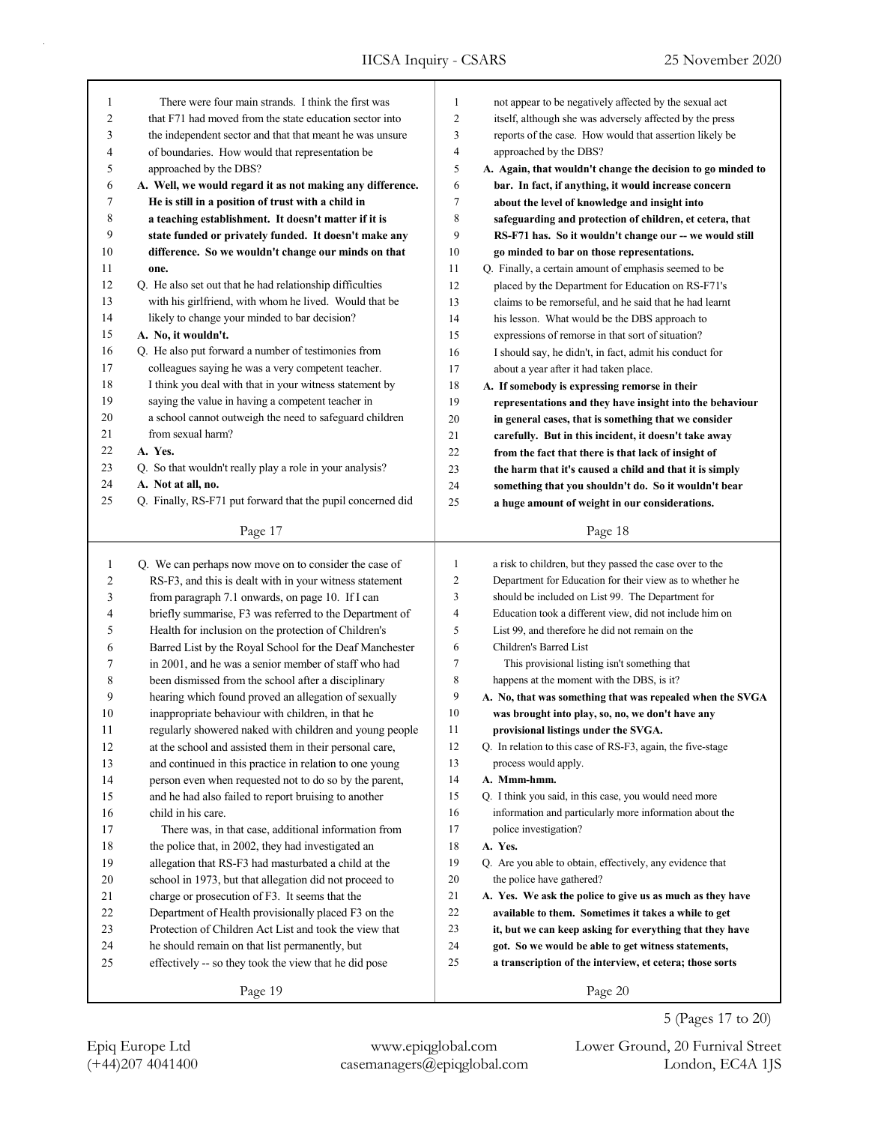| 1            | There were four main strands. I think the first was         | 1              | not appear to be negatively affected by the sexual act      |
|--------------|-------------------------------------------------------------|----------------|-------------------------------------------------------------|
| 2            | that F71 had moved from the state education sector into     | 2              | itself, although she was adversely affected by the press    |
| 3            | the independent sector and that that meant he was unsure    | 3              | reports of the case. How would that assertion likely be     |
| 4            | of boundaries. How would that representation be             | 4              | approached by the DBS?                                      |
| 5            | approached by the DBS?                                      | 5              | A. Again, that wouldn't change the decision to go minded to |
| 6            | A. Well, we would regard it as not making any difference.   | 6              | bar. In fact, if anything, it would increase concern        |
| 7            | He is still in a position of trust with a child in          | 7              | about the level of knowledge and insight into               |
| 8            | a teaching establishment. It doesn't matter if it is        | 8              | safeguarding and protection of children, et cetera, that    |
| 9            | state funded or privately funded. It doesn't make any       | 9              | RS-F71 has. So it wouldn't change our -- we would still     |
| 10           | difference. So we wouldn't change our minds on that         | 10             | go minded to bar on those representations.                  |
| 11           | one.                                                        | 11             | Q. Finally, a certain amount of emphasis seemed to be       |
| 12           | Q. He also set out that he had relationship difficulties    | 12             | placed by the Department for Education on RS-F71's          |
| 13           | with his girlfriend, with whom he lived. Would that be      | 13             | claims to be remorseful, and he said that he had learnt     |
| 14           | likely to change your minded to bar decision?               | 14             | his lesson. What would be the DBS approach to               |
| 15           | A. No, it wouldn't.                                         | 15             | expressions of remorse in that sort of situation?           |
| 16           | Q. He also put forward a number of testimonies from         | 16             | I should say, he didn't, in fact, admit his conduct for     |
| 17           | colleagues saying he was a very competent teacher.          | 17             | about a year after it had taken place.                      |
| 18           | I think you deal with that in your witness statement by     | 18             | A. If somebody is expressing remorse in their               |
| 19           | saying the value in having a competent teacher in           | 19             | representations and they have insight into the behaviour    |
| 20           | a school cannot outweigh the need to safeguard children     | $20\,$         | in general cases, that is something that we consider        |
| 21           | from sexual harm?                                           | 21             | carefully. But in this incident, it doesn't take away       |
| 22           | A. Yes.                                                     | 22             | from the fact that there is that lack of insight of         |
| 23           | Q. So that wouldn't really play a role in your analysis?    | 23             | the harm that it's caused a child and that it is simply     |
| 24           | A. Not at all, no.                                          | 24             | something that you shouldn't do. So it wouldn't bear        |
| 25           | Q. Finally, RS-F71 put forward that the pupil concerned did | 25             | a huge amount of weight in our considerations.              |
|              |                                                             |                |                                                             |
|              | Page 17                                                     |                | Page 18                                                     |
|              |                                                             |                |                                                             |
|              |                                                             |                |                                                             |
| $\mathbf{1}$ | Q. We can perhaps now move on to consider the case of       | 1              | a risk to children, but they passed the case over to the    |
| 2            | RS-F3, and this is dealt with in your witness statement     | $\overline{c}$ | Department for Education for their view as to whether he    |
| 3            | from paragraph 7.1 onwards, on page 10. If I can            | 3              | should be included on List 99. The Department for           |
| 4            | briefly summarise, F3 was referred to the Department of     | 4              | Education took a different view, did not include him on     |
| 5            | Health for inclusion on the protection of Children's        | 5              | List 99, and therefore he did not remain on the             |
| 6            | Barred List by the Royal School for the Deaf Manchester     | 6              | Children's Barred List                                      |
| 7            | in 2001, and he was a senior member of staff who had        | $\overline{7}$ | This provisional listing isn't something that               |
| 8            | been dismissed from the school after a disciplinary         | 8              | happens at the moment with the DBS, is it?                  |
| 9            | hearing which found proved an allegation of sexually        | 9              | A. No, that was something that was repealed when the SVGA   |
| 10           | inappropriate behaviour with children, in that he           | 10             | was brought into play, so, no, we don't have any            |
| 11           | regularly showered naked with children and young people     | 11             | provisional listings under the SVGA.                        |
| 12           | at the school and assisted them in their personal care,     | 12             | Q. In relation to this case of RS-F3, again, the five-stage |
| 13           | and continued in this practice in relation to one young     | 13             | process would apply.                                        |
| 14           | person even when requested not to do so by the parent,      | 14             | A. Mmm-hmm.                                                 |
| 15           | and he had also failed to report bruising to another        | 15             | Q. I think you said, in this case, you would need more      |
| 16           | child in his care.                                          | 16             | information and particularly more information about the     |
| 17           | There was, in that case, additional information from        | 17             | police investigation?                                       |
| 18           | the police that, in 2002, they had investigated an          | 18             | A. Yes.                                                     |
| 19           | allegation that RS-F3 had masturbated a child at the        | 19             | Q. Are you able to obtain, effectively, any evidence that   |
| 20           | school in 1973, but that allegation did not proceed to      | 20             | the police have gathered?                                   |
| 21           | charge or prosecution of F3. It seems that the              | 21             | A. Yes. We ask the police to give us as much as they have   |
| 22           | Department of Health provisionally placed F3 on the         | $22\,$         | available to them. Sometimes it takes a while to get        |
| 23           | Protection of Children Act List and took the view that      | 23             | it, but we can keep asking for everything that they have    |
| $24\,$       | he should remain on that list permanently, but              | 24             | got. So we would be able to get witness statements,         |
| 25           | effectively -- so they took the view that he did pose       | 25             | a transcription of the interview, et cetera; those sorts    |

5 (Pages 17 to 20)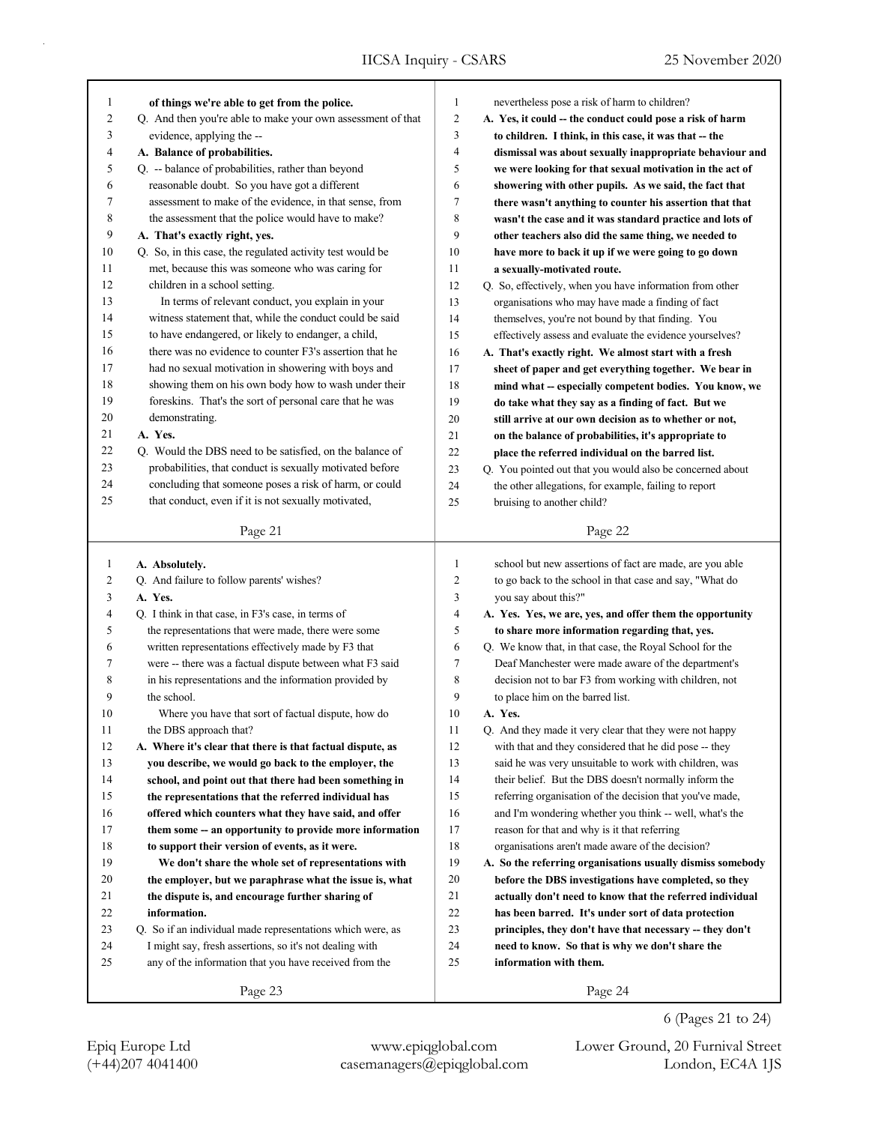| 1              | of things we're able to get from the police.                | 1  | nevertheless pose a risk of harm to children?              |
|----------------|-------------------------------------------------------------|----|------------------------------------------------------------|
| 2              | Q. And then you're able to make your own assessment of that | 2  | A. Yes, it could -- the conduct could pose a risk of harm  |
| 3              | evidence, applying the --                                   | 3  | to children. I think, in this case, it was that -- the     |
| 4              | A. Balance of probabilities.                                | 4  | dismissal was about sexually inappropriate behaviour and   |
| 5              | Q. -- balance of probabilities, rather than beyond          | 5  | we were looking for that sexual motivation in the act of   |
| 6              | reasonable doubt. So you have got a different               | 6  | showering with other pupils. As we said, the fact that     |
| 7              | assessment to make of the evidence, in that sense, from     | 7  | there wasn't anything to counter his assertion that that   |
| 8              | the assessment that the police would have to make?          | 8  | wasn't the case and it was standard practice and lots of   |
| 9              | A. That's exactly right, yes.                               | 9  | other teachers also did the same thing, we needed to       |
| 10             | Q. So, in this case, the regulated activity test would be   | 10 | have more to back it up if we were going to go down        |
| 11             | met, because this was someone who was caring for            | 11 | a sexually-motivated route.                                |
| 12             | children in a school setting.                               | 12 | Q. So, effectively, when you have information from other   |
| 13             | In terms of relevant conduct, you explain in your           | 13 | organisations who may have made a finding of fact          |
| 14             | witness statement that, while the conduct could be said     | 14 | themselves, you're not bound by that finding. You          |
| 15             | to have endangered, or likely to endanger, a child,         | 15 | effectively assess and evaluate the evidence yourselves?   |
| 16             | there was no evidence to counter F3's assertion that he     | 16 | A. That's exactly right. We almost start with a fresh      |
| 17             | had no sexual motivation in showering with boys and         | 17 | sheet of paper and get everything together. We bear in     |
| 18             | showing them on his own body how to wash under their        | 18 | mind what -- especially competent bodies. You know, we     |
| 19             | foreskins. That's the sort of personal care that he was     | 19 | do take what they say as a finding of fact. But we         |
| 20             | demonstrating.                                              | 20 | still arrive at our own decision as to whether or not,     |
| 21             | A. Yes.                                                     | 21 | on the balance of probabilities, it's appropriate to       |
| 22             | Q. Would the DBS need to be satisfied, on the balance of    | 22 | place the referred individual on the barred list.          |
| 23             | probabilities, that conduct is sexually motivated before    | 23 | Q. You pointed out that you would also be concerned about  |
| 24             | concluding that someone poses a risk of harm, or could      | 24 | the other allegations, for example, failing to report      |
| 25             | that conduct, even if it is not sexually motivated,         | 25 | bruising to another child?                                 |
|                |                                                             |    |                                                            |
|                | Page 21                                                     |    | Page 22                                                    |
| $\mathbf{1}$   | A. Absolutely.                                              |    |                                                            |
|                |                                                             |    |                                                            |
|                |                                                             | 1  | school but new assertions of fact are made, are you able   |
| $\overline{c}$ | Q. And failure to follow parents' wishes?                   | 2  | to go back to the school in that case and say, "What do    |
| 3              | A. Yes.                                                     | 3  | you say about this?"                                       |
| 4              | Q. I think in that case, in F3's case, in terms of          | 4  | A. Yes. Yes, we are, yes, and offer them the opportunity   |
| 5              | the representations that were made, there were some         | 5  | to share more information regarding that, yes.             |
| 6              | written representations effectively made by F3 that         | 6  | Q. We know that, in that case, the Royal School for the    |
| 7              | were -- there was a factual dispute between what F3 said    | 7  | Deaf Manchester were made aware of the department's        |
| 8              | in his representations and the information provided by      | 8  | decision not to bar F3 from working with children, not     |
| 9              | the school.                                                 | 9  | to place him on the barred list.                           |
| 10             | Where you have that sort of factual dispute, how do         | 10 | A. Yes.                                                    |
| 11             | the DBS approach that?                                      | 11 | Q. And they made it very clear that they were not happy    |
| 12             | A. Where it's clear that there is that factual dispute, as  | 12 | with that and they considered that he did pose -- they     |
| 13             | you describe, we would go back to the employer, the         | 13 | said he was very unsuitable to work with children, was     |
| 14             | school, and point out that there had been something in      | 14 | their belief. But the DBS doesn't normally inform the      |
| 15             | the representations that the referred individual has        | 15 | referring organisation of the decision that you've made,   |
| 16             | offered which counters what they have said, and offer       | 16 | and I'm wondering whether you think -- well, what's the    |
| 17             | them some -- an opportunity to provide more information     | 17 | reason for that and why is it that referring               |
| $18\,$         | to support their version of events, as it were.             | 18 | organisations aren't made aware of the decision?           |
| 19             | We don't share the whole set of representations with        | 19 | A. So the referring organisations usually dismiss somebody |
| 20             | the employer, but we paraphrase what the issue is, what     | 20 | before the DBS investigations have completed, so they      |
| 21             | the dispute is, and encourage further sharing of            | 21 | actually don't need to know that the referred individual   |
| 22             | information.                                                | 22 | has been barred. It's under sort of data protection        |
| 23             | Q. So if an individual made representations which were, as  | 23 | principles, they don't have that necessary -- they don't   |
| 24             | I might say, fresh assertions, so it's not dealing with     | 24 | need to know. So that is why we don't share the            |
| 25             | any of the information that you have received from the      | 25 | information with them.                                     |
|                | Page 23                                                     |    | Page 24                                                    |

6 (Pages 21 to 24)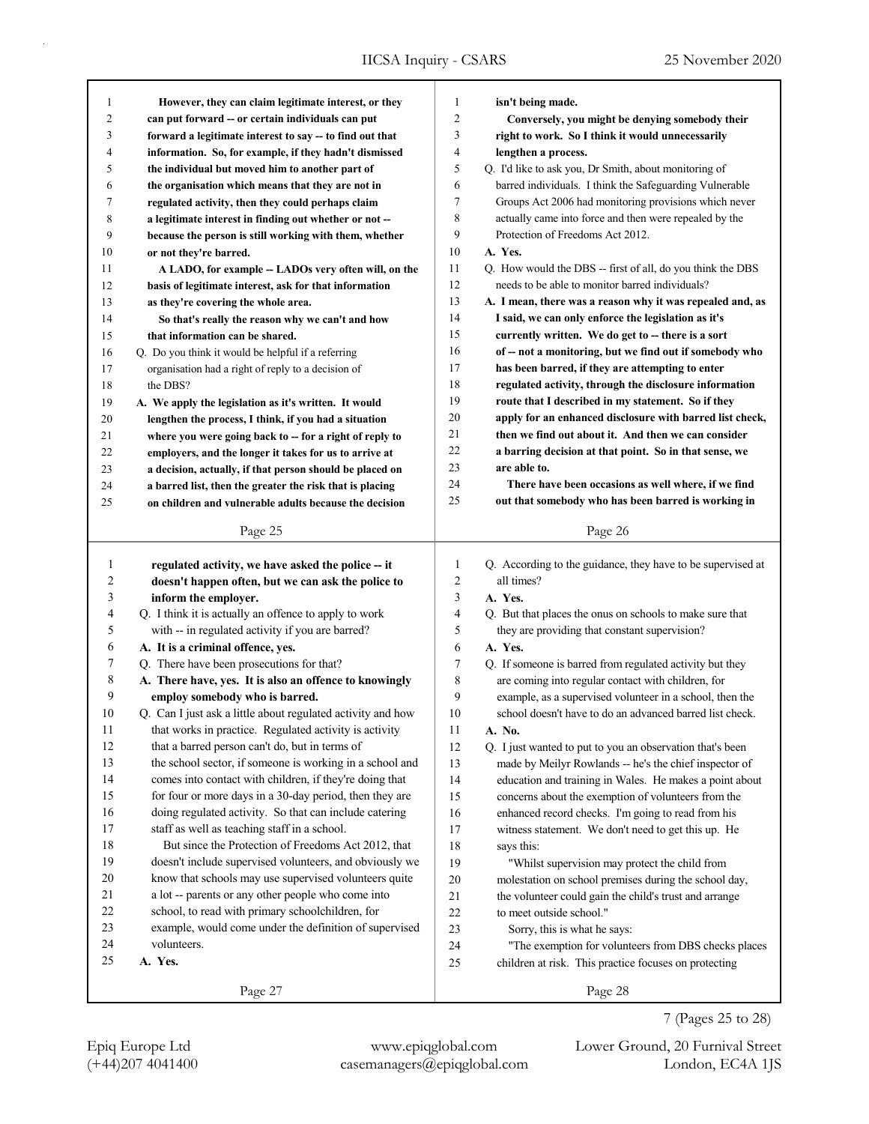| 1  | However, they can claim legitimate interest, or they        | 1                        | isn't being made.                                           |
|----|-------------------------------------------------------------|--------------------------|-------------------------------------------------------------|
| 2  | can put forward -- or certain individuals can put           | 2                        | Conversely, you might be denying somebody their             |
| 3  | forward a legitimate interest to say -- to find out that    | 3                        | right to work. So I think it would unnecessarily            |
| 4  | information. So, for example, if they hadn't dismissed      | $\overline{\mathcal{L}}$ | lengthen a process.                                         |
| 5  | the individual but moved him to another part of             | 5                        | Q. I'd like to ask you, Dr Smith, about monitoring of       |
| 6  | the organisation which means that they are not in           | 6                        | barred individuals. I think the Safeguarding Vulnerable     |
| 7  | regulated activity, then they could perhaps claim           | $\tau$                   | Groups Act 2006 had monitoring provisions which never       |
| 8  | a legitimate interest in finding out whether or not --      | 8                        | actually came into force and then were repealed by the      |
| 9  | because the person is still working with them, whether      | 9                        | Protection of Freedoms Act 2012.                            |
| 10 | or not they're barred.                                      | 10                       | A. Yes.                                                     |
| 11 | A LADO, for example -- LADOs very often will, on the        | 11                       | Q. How would the DBS -- first of all, do you think the DBS  |
| 12 | basis of legitimate interest, ask for that information      | 12                       | needs to be able to monitor barred individuals?             |
| 13 | as they're covering the whole area.                         | 13                       | A. I mean, there was a reason why it was repealed and, as   |
| 14 | So that's really the reason why we can't and how            | 14                       | I said, we can only enforce the legislation as it's         |
| 15 | that information can be shared.                             | 15                       | currently written. We do get to -- there is a sort          |
| 16 | Q. Do you think it would be helpful if a referring          | 16                       | of -- not a monitoring, but we find out if somebody who     |
| 17 | organisation had a right of reply to a decision of          | 17                       | has been barred, if they are attempting to enter            |
| 18 | the DBS?                                                    | 18                       | regulated activity, through the disclosure information      |
| 19 | A. We apply the legislation as it's written. It would       | 19                       | route that I described in my statement. So if they          |
| 20 | lengthen the process, I think, if you had a situation       | 20                       | apply for an enhanced disclosure with barred list check,    |
| 21 | where you were going back to -- for a right of reply to     | 21                       | then we find out about it. And then we can consider         |
| 22 | employers, and the longer it takes for us to arrive at      | 22                       | a barring decision at that point. So in that sense, we      |
|    |                                                             | 23                       | are able to.                                                |
| 23 | a decision, actually, if that person should be placed on    | 24                       | There have been occasions as well where, if we find         |
| 24 | a barred list, then the greater the risk that is placing    | 25                       | out that somebody who has been barred is working in         |
| 25 | on children and vulnerable adults because the decision      |                          |                                                             |
|    | Page 25                                                     |                          | Page 26                                                     |
|    |                                                             |                          |                                                             |
|    |                                                             |                          |                                                             |
| 1  | regulated activity, we have asked the police -- it          | $\mathbf{1}$             | Q. According to the guidance, they have to be supervised at |
| 2  | doesn't happen often, but we can ask the police to          | $\overline{c}$           | all times?                                                  |
| 3  | inform the employer.                                        | 3                        | A. Yes.                                                     |
| 4  | Q. I think it is actually an offence to apply to work       | 4                        | Q. But that places the onus on schools to make sure that    |
| 5  | with -- in regulated activity if you are barred?            | 5                        | they are providing that constant supervision?               |
| 6  | A. It is a criminal offence, yes.                           | 6                        | A. Yes.                                                     |
| 7  | Q. There have been prosecutions for that?                   | 7                        | Q. If someone is barred from regulated activity but they    |
| 8  | A. There have, yes. It is also an offence to knowingly      | 8                        | are coming into regular contact with children, for          |
| 9  | employ somebody who is barred.                              | 9                        | example, as a supervised volunteer in a school, then the    |
| 10 | Q. Can I just ask a little about regulated activity and how | 10                       | school doesn't have to do an advanced barred list check.    |
| 11 | that works in practice. Regulated activity is activity      | 11                       | A. No.                                                      |
| 12 | that a barred person can't do, but in terms of              | 12                       | Q. I just wanted to put to you an observation that's been   |
| 13 | the school sector, if someone is working in a school and    | 13                       | made by Meilyr Rowlands -- he's the chief inspector of      |
| 14 | comes into contact with children, if they're doing that     | 14                       | education and training in Wales. He makes a point about     |
| 15 | for four or more days in a 30-day period, then they are     | 15                       | concerns about the exemption of volunteers from the         |
| 16 | doing regulated activity. So that can include catering      | 16                       | enhanced record checks. I'm going to read from his          |
| 17 | staff as well as teaching staff in a school.                | 17                       | witness statement. We don't need to get this up. He         |
| 18 | But since the Protection of Freedoms Act 2012, that         | 18                       | says this:                                                  |
| 19 | doesn't include supervised volunteers, and obviously we     | 19                       | "Whilst supervision may protect the child from              |
| 20 | know that schools may use supervised volunteers quite       | 20                       | molestation on school premises during the school day,       |
| 21 | a lot -- parents or any other people who come into          | 21                       | the volunteer could gain the child's trust and arrange      |
| 22 | school, to read with primary schoolchildren, for            | 22                       | to meet outside school."                                    |
| 23 | example, would come under the definition of supervised      | 23                       | Sorry, this is what he says:                                |
| 24 | volunteers.                                                 | 24                       | "The exemption for volunteers from DBS checks places        |
| 25 | A. Yes.                                                     | 25                       | children at risk. This practice focuses on protecting       |
|    | Page 27                                                     |                          | Page 28                                                     |

(+44)207 4041400 casemanagers@epiqglobal.com London, EC4A 1JS

Epiq Europe Ltd www.epiqglobal.com Lower Ground, 20 Furnival Street

7 (Pages 25 to 28)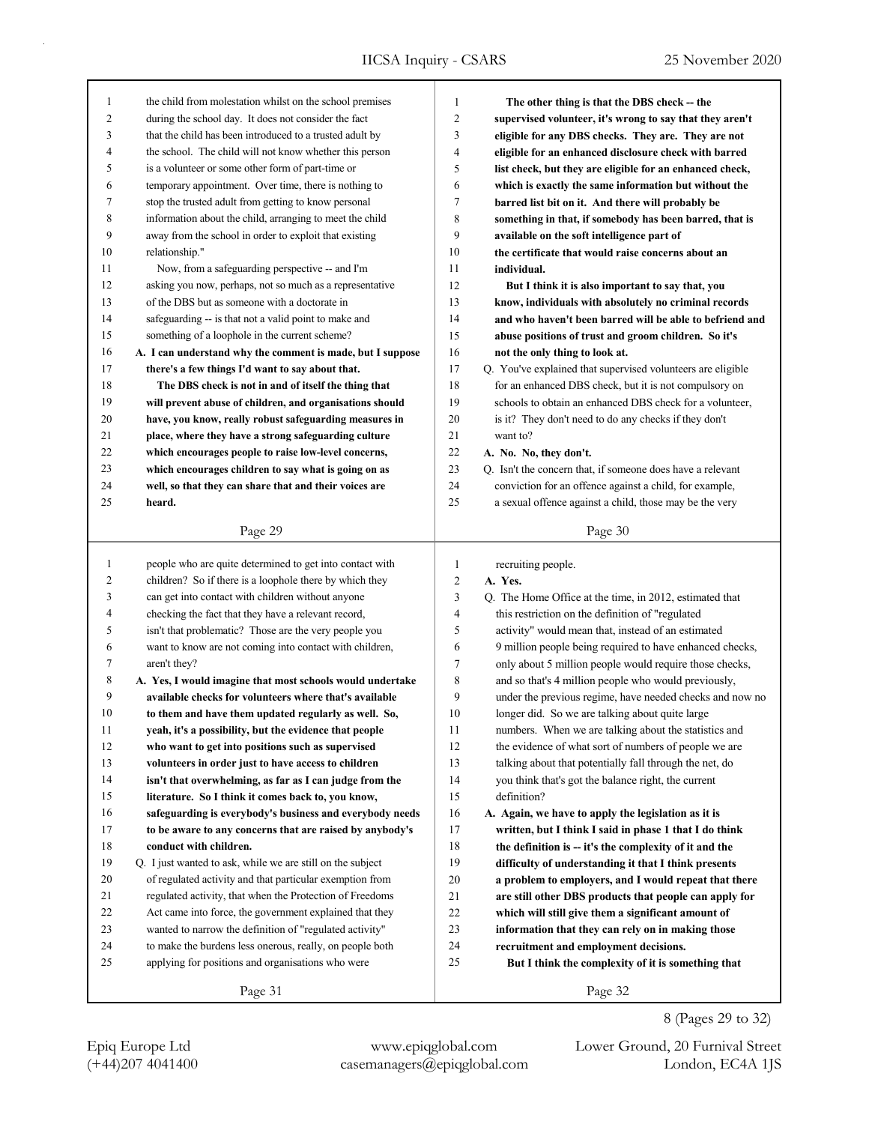| 1  | the child from molestation whilst on the school premises   | 1              | The other thing is that the DBS check – the                 |
|----|------------------------------------------------------------|----------------|-------------------------------------------------------------|
| 2  | during the school day. It does not consider the fact       | 2              | supervised volunteer, it's wrong to say that they aren't    |
| 3  | that the child has been introduced to a trusted adult by   | 3              | eligible for any DBS checks. They are. They are not         |
| 4  | the school. The child will not know whether this person    | 4              | eligible for an enhanced disclosure check with barred       |
| 5  | is a volunteer or some other form of part-time or          | 5              | list check, but they are eligible for an enhanced check,    |
| 6  | temporary appointment. Over time, there is nothing to      | 6              | which is exactly the same information but without the       |
| 7  | stop the trusted adult from getting to know personal       | 7              | barred list bit on it. And there will probably be           |
| 8  | information about the child, arranging to meet the child   | 8              | something in that, if somebody has been barred, that is     |
| 9  | away from the school in order to exploit that existing     | 9              | available on the soft intelligence part of                  |
| 10 | relationship."                                             | 10             | the certificate that would raise concerns about an          |
| 11 | Now, from a safeguarding perspective -- and I'm            | 11             | individual.                                                 |
| 12 | asking you now, perhaps, not so much as a representative   | 12             | But I think it is also important to say that, you           |
| 13 | of the DBS but as someone with a doctorate in              | 13             | know, individuals with absolutely no criminal records       |
| 14 | safeguarding -- is that not a valid point to make and      | 14             | and who haven't been barred will be able to befriend and    |
| 15 | something of a loophole in the current scheme?             | 15             | abuse positions of trust and groom children. So it's        |
| 16 | A. I can understand why the comment is made, but I suppose | 16             | not the only thing to look at.                              |
| 17 | there's a few things I'd want to say about that.           | 17             | Q. You've explained that supervised volunteers are eligible |
| 18 | The DBS check is not in and of itself the thing that       | 18             | for an enhanced DBS check, but it is not compulsory on      |
| 19 | will prevent abuse of children, and organisations should   | 19             | schools to obtain an enhanced DBS check for a volunteer,    |
| 20 | have, you know, really robust safeguarding measures in     | 20             | is it? They don't need to do any checks if they don't       |
| 21 | place, where they have a strong safeguarding culture       | 21             | want to?                                                    |
| 22 | which encourages people to raise low-level concerns,       | 22             | A. No. No, they don't.                                      |
| 23 | which encourages children to say what is going on as       | 23             | Q. Isn't the concern that, if someone does have a relevant  |
| 24 | well, so that they can share that and their voices are     | 24             | conviction for an offence against a child, for example,     |
| 25 | heard.                                                     | 25             | a sexual offence against a child, those may be the very     |
|    |                                                            |                |                                                             |
|    | Page 29                                                    |                | Page 30                                                     |
|    |                                                            |                |                                                             |
|    |                                                            |                |                                                             |
| 1  | people who are quite determined to get into contact with   | 1              | recruiting people.                                          |
| 2  | children? So if there is a loophole there by which they    | $\overline{c}$ | A. Yes.                                                     |
| 3  | can get into contact with children without anyone          | 3              | Q. The Home Office at the time, in 2012, estimated that     |
| 4  | checking the fact that they have a relevant record,        | 4              | this restriction on the definition of "regulated            |
| 5  | isn't that problematic? Those are the very people you      | 5              | activity" would mean that, instead of an estimated          |
| 6  | want to know are not coming into contact with children,    | 6              | 9 million people being required to have enhanced checks,    |
| 7  | aren't they?                                               | 7              | only about 5 million people would require those checks,     |
| 8  | A. Yes, I would imagine that most schools would undertake  | 8              | and so that's 4 million people who would previously,        |
| 9  | available checks for volunteers where that's available     | 9              | under the previous regime, have needed checks and now no    |
| 10 | to them and have them updated regularly as well. So,       | 10             | longer did. So we are talking about quite large             |
| 11 | yeah, it's a possibility, but the evidence that people     | 11             | numbers. When we are talking about the statistics and       |
| 12 | who want to get into positions such as supervised          | 12             | the evidence of what sort of numbers of people we are       |
| 13 | volunteers in order just to have access to children        | 13             | talking about that potentially fall through the net, do     |
| 14 | isn't that overwhelming, as far as I can judge from the    | 14             | you think that's got the balance right, the current         |
| 15 | literature. So I think it comes back to, you know,         | 15             | definition?                                                 |
| 16 | safeguarding is everybody's business and everybody needs   | 16             | A. Again, we have to apply the legislation as it is         |
| 17 | to be aware to any concerns that are raised by anybody's   | 17             | written, but I think I said in phase 1 that I do think      |
| 18 | conduct with children.                                     | 18             | the definition is -- it's the complexity of it and the      |
| 19 | Q. I just wanted to ask, while we are still on the subject | 19             | difficulty of understanding it that I think presents        |
| 20 | of regulated activity and that particular exemption from   | 20             | a problem to employers, and I would repeat that there       |
| 21 | regulated activity, that when the Protection of Freedoms   | 21             | are still other DBS products that people can apply for      |
| 22 | Act came into force, the government explained that they    | 22             | which will still give them a significant amount of          |
| 23 | wanted to narrow the definition of "regulated activity"    | 23             | information that they can rely on in making those           |
| 24 | to make the burdens less onerous, really, on people both   | 24             | recruitment and employment decisions.                       |
| 25 | applying for positions and organisations who were          | 25             | But I think the complexity of it is something that          |

8 (Pages 29 to 32)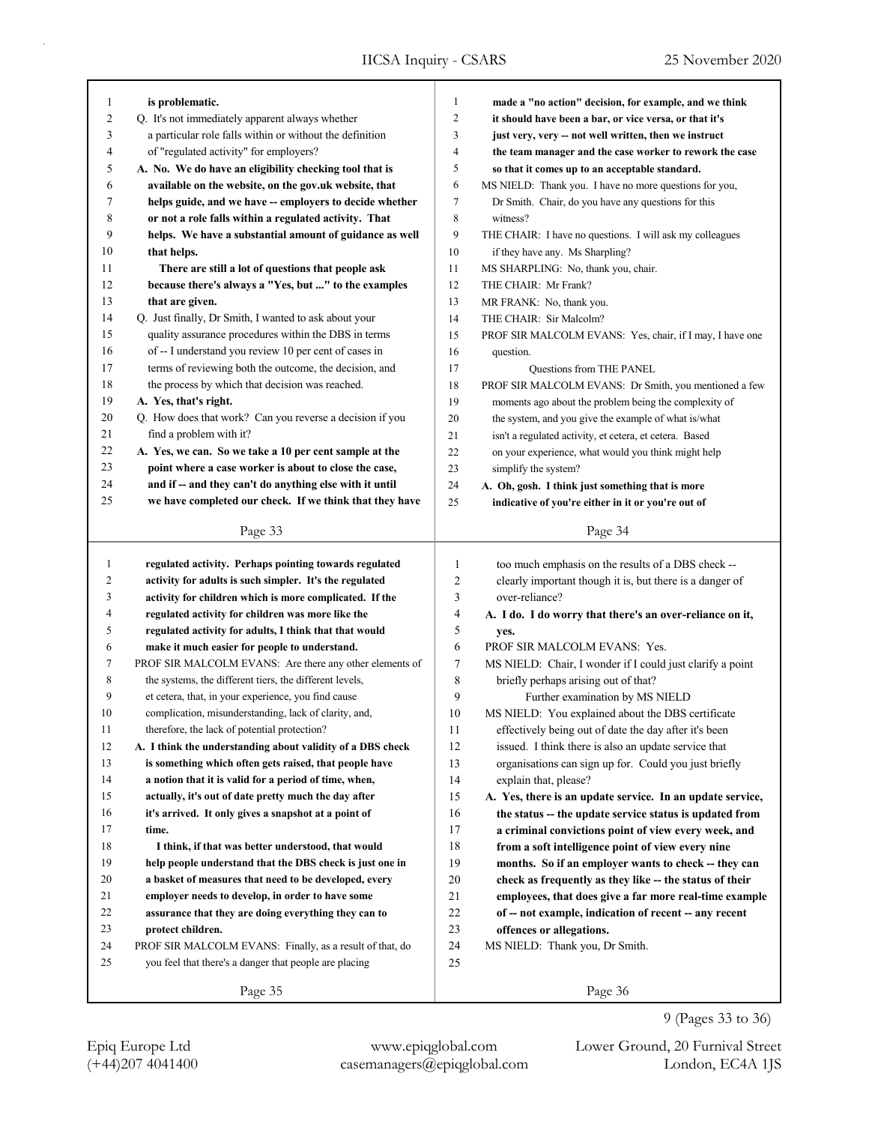| 1<br>$\overline{c}$ | is problematic.                                                                                             | $\mathbf{1}$<br>$\overline{2}$ | made a "no action" decision, for example, and we think    |
|---------------------|-------------------------------------------------------------------------------------------------------------|--------------------------------|-----------------------------------------------------------|
|                     | Q. It's not immediately apparent always whether<br>a particular role falls within or without the definition | 3                              | it should have been a bar, or vice versa, or that it's    |
| 3                   |                                                                                                             | 4                              | just very, very -- not well written, then we instruct     |
| 4                   | of "regulated activity" for employers?                                                                      | 5                              | the team manager and the case worker to rework the case   |
| 5                   | A. No. We do have an eligibility checking tool that is                                                      |                                | so that it comes up to an acceptable standard.            |
| 6                   | available on the website, on the gov.uk website, that                                                       | 6                              | MS NIELD: Thank you. I have no more questions for you,    |
| 7                   | helps guide, and we have -- employers to decide whether                                                     | $\tau$                         | Dr Smith. Chair, do you have any questions for this       |
| 8                   | or not a role falls within a regulated activity. That                                                       | 8                              | witness?                                                  |
| 9                   | helps. We have a substantial amount of guidance as well                                                     | 9                              | THE CHAIR: I have no questions. I will ask my colleagues  |
| 10                  | that helps.                                                                                                 | 10                             | if they have any. Ms Sharpling?                           |
| 11                  | There are still a lot of questions that people ask                                                          | 11                             | MS SHARPLING: No, thank you, chair.                       |
| 12                  | because there's always a "Yes, but " to the examples                                                        | 12                             | THE CHAIR: Mr Frank?                                      |
| 13                  | that are given.                                                                                             | 13                             | MR FRANK: No, thank you.                                  |
| 14                  | Q. Just finally, Dr Smith, I wanted to ask about your                                                       | 14                             | THE CHAIR: Sir Malcolm?                                   |
| 15                  | quality assurance procedures within the DBS in terms                                                        | 15                             | PROF SIR MALCOLM EVANS: Yes, chair, if I may, I have one  |
| 16                  | of -- I understand you review 10 per cent of cases in                                                       | 16                             | question.                                                 |
| 17                  | terms of reviewing both the outcome, the decision, and                                                      | 17                             | <b>Questions from THE PANEL</b>                           |
| 18                  | the process by which that decision was reached.                                                             | 18                             | PROF SIR MALCOLM EVANS: Dr Smith, you mentioned a few     |
| 19                  | A. Yes, that's right.                                                                                       | 19                             | moments ago about the problem being the complexity of     |
| 20                  | Q. How does that work? Can you reverse a decision if you                                                    | 20                             | the system, and you give the example of what is/what      |
| 21                  | find a problem with it?                                                                                     | 21                             | isn't a regulated activity, et cetera, et cetera. Based   |
| 22                  | A. Yes, we can. So we take a 10 per cent sample at the                                                      | 22                             | on your experience, what would you think might help       |
| 23                  | point where a case worker is about to close the case,                                                       | 23                             | simplify the system?                                      |
| 24                  | and if -- and they can't do anything else with it until                                                     | 24                             | A. Oh, gosh. I think just something that is more          |
| 25                  | we have completed our check. If we think that they have                                                     | 25                             | indicative of you're either in it or you're out of        |
|                     |                                                                                                             |                                |                                                           |
|                     | Page 33                                                                                                     |                                | Page 34                                                   |
|                     |                                                                                                             |                                |                                                           |
|                     |                                                                                                             |                                |                                                           |
| $\mathbf{1}$        | regulated activity. Perhaps pointing towards regulated                                                      | 1                              | too much emphasis on the results of a DBS check --        |
| 2                   | activity for adults is such simpler. It's the regulated                                                     | 2                              | clearly important though it is, but there is a danger of  |
| 3                   | activity for children which is more complicated. If the                                                     | 3                              | over-reliance?                                            |
| 4                   | regulated activity for children was more like the                                                           | 4                              | A. I do. I do worry that there's an over-reliance on it,  |
| 5                   | regulated activity for adults, I think that that would                                                      | 5                              | yes.                                                      |
| 6                   | make it much easier for people to understand.                                                               | 6                              | PROF SIR MALCOLM EVANS: Yes.                              |
| 7                   | PROF SIR MALCOLM EVANS: Are there any other elements of                                                     | 7                              | MS NIELD: Chair, I wonder if I could just clarify a point |
| 8                   | the systems, the different tiers, the different levels,                                                     | 8                              | briefly perhaps arising out of that?                      |
| 9                   | et cetera, that, in your experience, you find cause                                                         | 9                              | Further examination by MS NIELD                           |
| 10                  | complication, misunderstanding, lack of clarity, and,                                                       | 10                             | MS NIELD: You explained about the DBS certificate         |
| 11                  | therefore, the lack of potential protection?                                                                | 11                             | effectively being out of date the day after it's been     |
| 12                  | A. I think the understanding about validity of a DBS check                                                  | 12                             | issued. I think there is also an update service that      |
| 13                  | is something which often gets raised, that people have                                                      | 13                             | organisations can sign up for. Could you just briefly     |
| 14                  | a notion that it is valid for a period of time, when,                                                       | 14                             | explain that, please?                                     |
| 15                  | actually, it's out of date pretty much the day after                                                        | 15                             | A. Yes, there is an update service. In an update service, |
| 16                  | it's arrived. It only gives a snapshot at a point of                                                        | 16                             | the status -- the update service status is updated from   |
| 17                  | time.                                                                                                       | 17                             | a criminal convictions point of view every week, and      |
| 18                  | I think, if that was better understood, that would                                                          | 18                             | from a soft intelligence point of view every nine         |
| 19                  | help people understand that the DBS check is just one in                                                    | 19                             | months. So if an employer wants to check -- they can      |
| 20                  | a basket of measures that need to be developed, every                                                       | 20                             | check as frequently as they like -- the status of their   |
| 21                  | employer needs to develop, in order to have some                                                            | 21                             | employees, that does give a far more real-time example    |
| 22                  | assurance that they are doing everything they can to                                                        | $22\,$                         | of -- not example, indication of recent -- any recent     |
| 23                  | protect children.                                                                                           | 23                             | offences or allegations.                                  |
| 24                  | PROF SIR MALCOLM EVANS: Finally, as a result of that, do                                                    | 24                             | MS NIELD: Thank you, Dr Smith.                            |
| 25                  | you feel that there's a danger that people are placing                                                      | 25                             |                                                           |
|                     | Page 35                                                                                                     |                                | Page 36                                                   |

9 (Pages 33 to 36)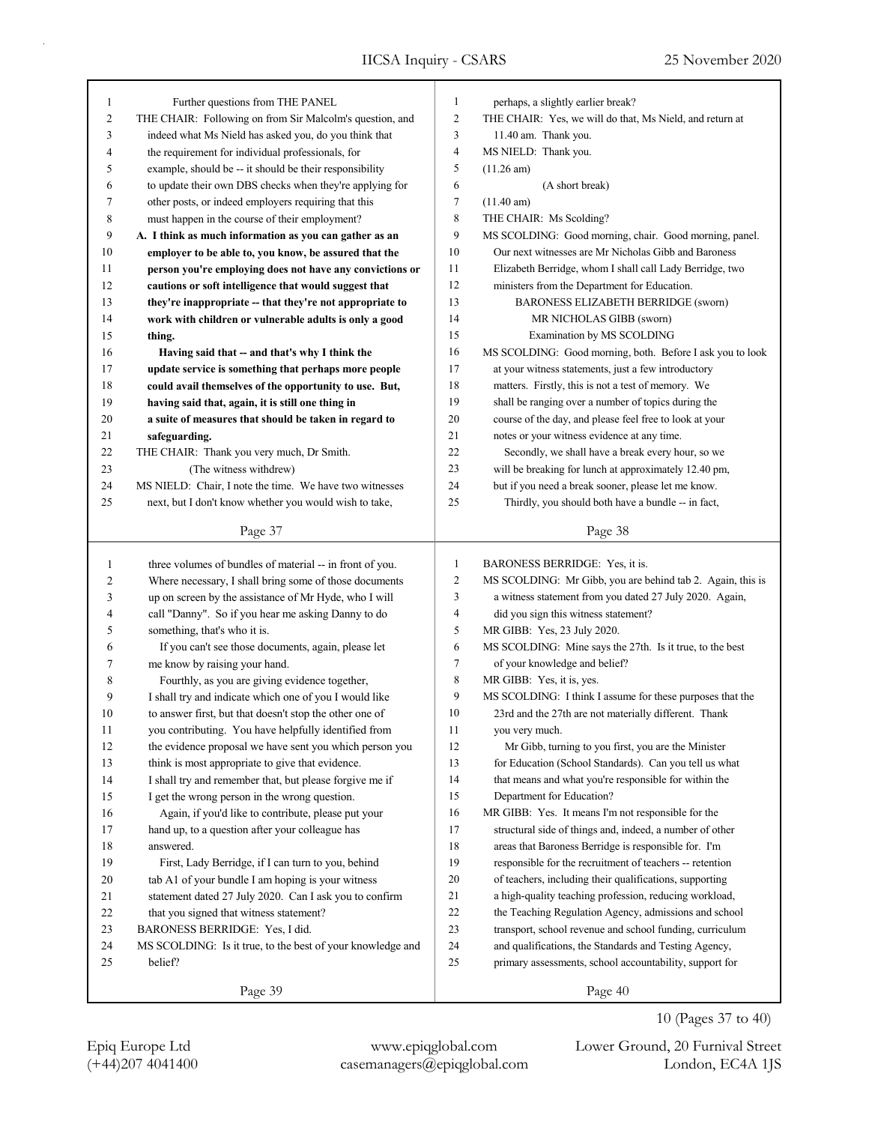| 1  | Further questions from THE PANEL                           | $\mathbf{1}$ | perhaps, a slightly earlier break?                         |
|----|------------------------------------------------------------|--------------|------------------------------------------------------------|
| 2  | THE CHAIR: Following on from Sir Malcolm's question, and   | 2            | THE CHAIR: Yes, we will do that, Ms Nield, and return at   |
| 3  | indeed what Ms Nield has asked you, do you think that      | 3            | 11.40 am. Thank you.                                       |
| 4  | the requirement for individual professionals, for          | 4            | MS NIELD: Thank you.                                       |
| 5  | example, should be -- it should be their responsibility    | 5            | $(11.26 \text{ am})$                                       |
| 6  | to update their own DBS checks when they're applying for   | 6            | (A short break)                                            |
| 7  | other posts, or indeed employers requiring that this       | 7            | $(11.40 \text{ am})$                                       |
| 8  | must happen in the course of their employment?             | 8            | THE CHAIR: Ms Scolding?                                    |
| 9  | A. I think as much information as you can gather as an     | 9            | MS SCOLDING: Good morning, chair. Good morning, panel.     |
| 10 | employer to be able to, you know, be assured that the      | 10           | Our next witnesses are Mr Nicholas Gibb and Baroness       |
| 11 | person you're employing does not have any convictions or   | 11           | Elizabeth Berridge, whom I shall call Lady Berridge, two   |
| 12 | cautions or soft intelligence that would suggest that      | 12           | ministers from the Department for Education.               |
| 13 | they're inappropriate -- that they're not appropriate to   | 13           | BARONESS ELIZABETH BERRIDGE (sworn)                        |
| 14 | work with children or vulnerable adults is only a good     | 14           | MR NICHOLAS GIBB (sworn)                                   |
| 15 | thing.                                                     | 15           | Examination by MS SCOLDING                                 |
| 16 | Having said that -- and that's why I think the             | 16           | MS SCOLDING: Good morning, both. Before I ask you to look  |
| 17 | update service is something that perhaps more people       | 17           | at your witness statements, just a few introductory        |
| 18 | could avail themselves of the opportunity to use. But,     | 18           | matters. Firstly, this is not a test of memory. We         |
| 19 | having said that, again, it is still one thing in          | 19           | shall be ranging over a number of topics during the        |
| 20 | a suite of measures that should be taken in regard to      | 20           | course of the day, and please feel free to look at your    |
| 21 | safeguarding.                                              | 21           | notes or your witness evidence at any time.                |
| 22 | THE CHAIR: Thank you very much, Dr Smith.                  | 22           | Secondly, we shall have a break every hour, so we          |
| 23 | (The witness withdrew)                                     | 23           | will be breaking for lunch at approximately 12.40 pm,      |
| 24 | MS NIELD: Chair, I note the time. We have two witnesses    | 24           | but if you need a break sooner, please let me know.        |
| 25 | next, but I don't know whether you would wish to take,     | 25           | Thirdly, you should both have a bundle -- in fact,         |
|    |                                                            |              |                                                            |
|    | Page 37                                                    |              | Page 38                                                    |
| 1  | three volumes of bundles of material -- in front of you.   | $\mathbf{1}$ | BARONESS BERRIDGE: Yes, it is.                             |
|    |                                                            |              |                                                            |
|    |                                                            |              |                                                            |
| 2  | Where necessary, I shall bring some of those documents     | 2            | MS SCOLDING: Mr Gibb, you are behind tab 2. Again, this is |
| 3  | up on screen by the assistance of Mr Hyde, who I will      | 3            | a witness statement from you dated 27 July 2020. Again,    |
| 4  | call "Danny". So if you hear me asking Danny to do         | 4            | did you sign this witness statement?                       |
| 5  | something, that's who it is.                               | 5            | MR GIBB: Yes, 23 July 2020.                                |
| 6  | If you can't see those documents, again, please let        | 6            | MS SCOLDING: Mine says the 27th. Is it true, to the best   |
| 7  | me know by raising your hand.                              | 7            | of your knowledge and belief?                              |
| 8  | Fourthly, as you are giving evidence together,             | 8            | MR GIBB: Yes, it is, yes.                                  |
| 9  | I shall try and indicate which one of you I would like     | 9            | MS SCOLDING: I think I assume for these purposes that the  |
| 10 | to answer first, but that doesn't stop the other one of    | 10           | 23rd and the 27th are not materially different. Thank      |
| 11 | you contributing. You have helpfully identified from       | 11           | you very much.                                             |
| 12 | the evidence proposal we have sent you which person you    | 12           | Mr Gibb, turning to you first, you are the Minister        |
| 13 | think is most appropriate to give that evidence.           | 13           | for Education (School Standards). Can you tell us what     |
| 14 | I shall try and remember that, but please forgive me if    | 14           | that means and what you're responsible for within the      |
| 15 | I get the wrong person in the wrong question.              | 15           | Department for Education?                                  |
| 16 | Again, if you'd like to contribute, please put your        | 16           | MR GIBB: Yes. It means I'm not responsible for the         |
| 17 | hand up, to a question after your colleague has            | 17           | structural side of things and, indeed, a number of other   |
| 18 | answered.                                                  | 18           | areas that Baroness Berridge is responsible for. I'm       |
| 19 | First, Lady Berridge, if I can turn to you, behind         | 19           | responsible for the recruitment of teachers -- retention   |
| 20 | tab A1 of your bundle I am hoping is your witness          | 20           | of teachers, including their qualifications, supporting    |
| 21 | statement dated 27 July 2020. Can I ask you to confirm     | 21           | a high-quality teaching profession, reducing workload,     |
| 22 | that you signed that witness statement?                    | 22           | the Teaching Regulation Agency, admissions and school      |
| 23 | BARONESS BERRIDGE: Yes, I did.                             | 23           | transport, school revenue and school funding, curriculum   |
| 24 | MS SCOLDING: Is it true, to the best of your knowledge and | 24           | and qualifications, the Standards and Testing Agency,      |
| 25 | belief?                                                    | 25           | primary assessments, school accountability, support for    |
|    | Page 39                                                    |              | Page 40                                                    |

10 (Pages 37 to 40)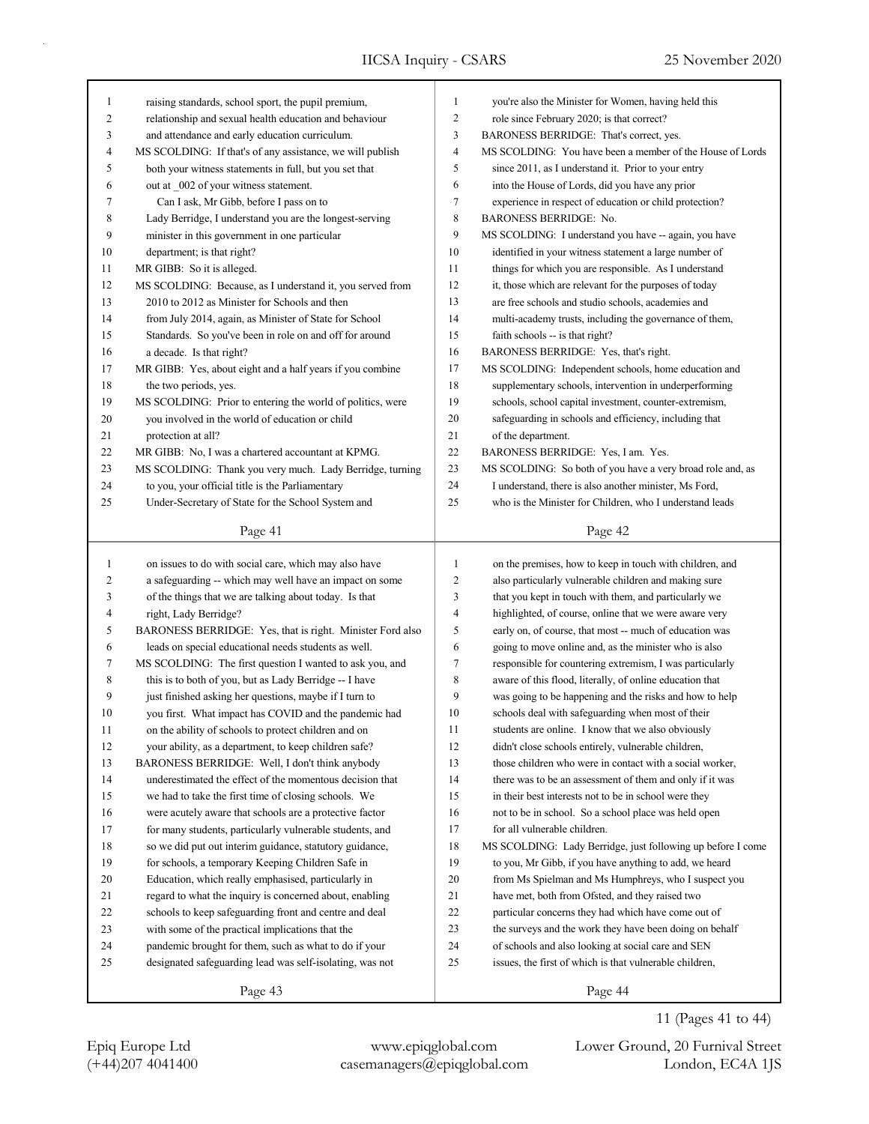| 1      | raising standards, school sport, the pupil premium,        | $\mathbf{1}$   | you're also the Minister for Women, having held this        |
|--------|------------------------------------------------------------|----------------|-------------------------------------------------------------|
| 2      | relationship and sexual health education and behaviour     | 2              | role since February 2020; is that correct?                  |
| 3      | and attendance and early education curriculum.             | 3              | BARONESS BERRIDGE: That's correct, yes.                     |
| 4      | MS SCOLDING: If that's of any assistance, we will publish  | $\overline{4}$ | MS SCOLDING: You have been a member of the House of Lords   |
| 5      | both your witness statements in full, but you set that     | 5              | since 2011, as I understand it. Prior to your entry         |
| 6      | out at _002 of your witness statement.                     | 6              | into the House of Lords, did you have any prior             |
| 7      | Can I ask, Mr Gibb, before I pass on to                    | $\tau$         | experience in respect of education or child protection?     |
| 8      | Lady Berridge, I understand you are the longest-serving    | 8              | <b>BARONESS BERRIDGE: No.</b>                               |
| 9      | minister in this government in one particular              | 9              | MS SCOLDING: I understand you have -- again, you have       |
| 10     | department; is that right?                                 | 10             | identified in your witness statement a large number of      |
| 11     | MR GIBB: So it is alleged.                                 | 11             | things for which you are responsible. As I understand       |
| 12     | MS SCOLDING: Because, as I understand it, you served from  | 12             | it, those which are relevant for the purposes of today      |
| 13     | 2010 to 2012 as Minister for Schools and then              | 13             | are free schools and studio schools, academies and          |
| 14     | from July 2014, again, as Minister of State for School     | 14             | multi-academy trusts, including the governance of them,     |
| 15     | Standards. So you've been in role on and off for around    | 15             | faith schools -- is that right?                             |
| 16     | a decade. Is that right?                                   | 16             | BARONESS BERRIDGE: Yes, that's right.                       |
| 17     | MR GIBB: Yes, about eight and a half years if you combine  | 17             | MS SCOLDING: Independent schools, home education and        |
| 18     | the two periods, yes.                                      | 18             | supplementary schools, intervention in underperforming      |
| 19     | MS SCOLDING: Prior to entering the world of politics, were | 19             | schools, school capital investment, counter-extremism,      |
| 20     | you involved in the world of education or child            | 20             | safeguarding in schools and efficiency, including that      |
| 21     | protection at all?                                         | 21             | of the department.                                          |
| 22     | MR GIBB: No, I was a chartered accountant at KPMG.         | 22             | BARONESS BERRIDGE: Yes, I am. Yes.                          |
| 23     | MS SCOLDING: Thank you very much. Lady Berridge, turning   | 23             | MS SCOLDING: So both of you have a very broad role and, as  |
| 24     | to you, your official title is the Parliamentary           | 24             | I understand, there is also another minister, Ms Ford,      |
| 25     | Under-Secretary of State for the School System and         | 25             | who is the Minister for Children, who I understand leads    |
|        |                                                            |                |                                                             |
|        | Page 41                                                    |                | Page 42                                                     |
|        |                                                            |                |                                                             |
|        |                                                            |                |                                                             |
| 1      | on issues to do with social care, which may also have      | $\mathbf{1}$   | on the premises, how to keep in touch with children, and    |
| 2      | a safeguarding -- which may well have an impact on some    | $\overline{c}$ | also particularly vulnerable children and making sure       |
| 3      | of the things that we are talking about today. Is that     | 3              | that you kept in touch with them, and particularly we       |
| 4      | right, Lady Berridge?                                      | 4              | highlighted, of course, online that we were aware very      |
| 5      | BARONESS BERRIDGE: Yes, that is right. Minister Ford also  | 5              | early on, of course, that most -- much of education was     |
| 6      | leads on special educational needs students as well.       | 6              | going to move online and, as the minister who is also       |
| 7      | MS SCOLDING: The first question I wanted to ask you, and   | 7              | responsible for countering extremism, I was particularly    |
| 8      | this is to both of you, but as Lady Berridge -- I have     | 8              | aware of this flood, literally, of online education that    |
| 9      | just finished asking her questions, maybe if I turn to     | 9              | was going to be happening and the risks and how to help     |
| 10     | you first. What impact has COVID and the pandemic had      | 10             | schools deal with safeguarding when most of their           |
| 11     | on the ability of schools to protect children and on       | 11             | students are online. I know that we also obviously          |
| 12     | your ability, as a department, to keep children safe?      | 12             | didn't close schools entirely, vulnerable children,         |
| 13     | BARONESS BERRIDGE: Well, I don't think anybody             | 13             | those children who were in contact with a social worker,    |
| 14     | underestimated the effect of the momentous decision that   | 14             | there was to be an assessment of them and only if it was    |
| 15     | we had to take the first time of closing schools. We       | 15             | in their best interests not to be in school were they       |
| 16     | were acutely aware that schools are a protective factor    | 16             | not to be in school. So a school place was held open        |
| 17     | for many students, particularly vulnerable students, and   | 17             | for all vulnerable children.                                |
| $18\,$ | so we did put out interim guidance, statutory guidance,    | 18             | MS SCOLDING: Lady Berridge, just following up before I come |
| 19     | for schools, a temporary Keeping Children Safe in          | 19             | to you, Mr Gibb, if you have anything to add, we heard      |
| $20\,$ | Education, which really emphasised, particularly in        | 20             | from Ms Spielman and Ms Humphreys, who I suspect you        |
| 21     | regard to what the inquiry is concerned about, enabling    | 21             | have met, both from Ofsted, and they raised two             |
| 22     | schools to keep safeguarding front and centre and deal     | 22             | particular concerns they had which have come out of         |
| 23     | with some of the practical implications that the           | 23             | the surveys and the work they have been doing on behalf     |
| 24     | pandemic brought for them, such as what to do if your      | 24             | of schools and also looking at social care and SEN          |
| 25     | designated safeguarding lead was self-isolating, was not   | 25             | issues, the first of which is that vulnerable children,     |

Page 44

(+44)207 4041400 casemanagers@epiqglobal.com London, EC4A 1JS Epiq Europe Ltd www.epiqglobal.com Lower Ground, 20 Furnival Street

11 (Pages 41 to 44)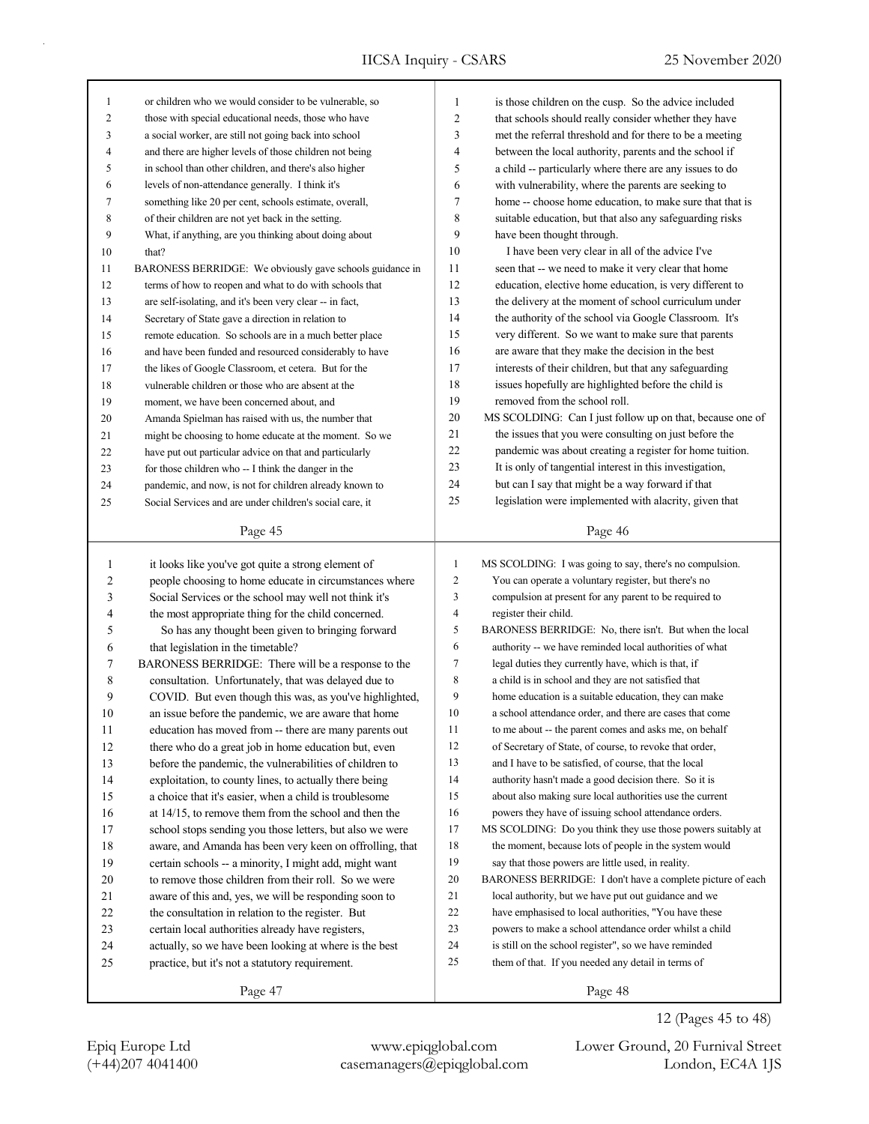| 1              | or children who we would consider to be vulnerable, so   | $\mathbf{1}$            | is those children on the cusp. So the advice included       |
|----------------|----------------------------------------------------------|-------------------------|-------------------------------------------------------------|
| 2              | those with special educational needs, those who have     | $\overline{c}$          | that schools should really consider whether they have       |
| 3              | a social worker, are still not going back into school    | 3                       | met the referral threshold and for there to be a meeting    |
| 4              | and there are higher levels of those children not being  | $\overline{4}$          | between the local authority, parents and the school if      |
| 5              | in school than other children, and there's also higher   | 5                       | a child -- particularly where there are any issues to do    |
| 6              | levels of non-attendance generally. I think it's         | 6                       | with vulnerability, where the parents are seeking to        |
| 7              | something like 20 per cent, schools estimate, overall,   | 7                       | home -- choose home education, to make sure that that is    |
| 8              | of their children are not yet back in the setting.       | 8                       | suitable education, but that also any safeguarding risks    |
| 9              | What, if anything, are you thinking about doing about    | 9                       | have been thought through.                                  |
| 10             | that?                                                    | 10                      | I have been very clear in all of the advice I've            |
| 11             | BARONESS BERRIDGE: We obviously gave schools guidance in | 11                      | seen that -- we need to make it very clear that home        |
| 12             | terms of how to reopen and what to do with schools that  | 12                      | education, elective home education, is very different to    |
| 13             | are self-isolating, and it's been very clear -- in fact, | 13                      | the delivery at the moment of school curriculum under       |
| 14             | Secretary of State gave a direction in relation to       | 14                      | the authority of the school via Google Classroom. It's      |
| 15             | remote education. So schools are in a much better place  | 15                      | very different. So we want to make sure that parents        |
| 16             | and have been funded and resourced considerably to have  | 16                      | are aware that they make the decision in the best           |
| 17             | the likes of Google Classroom, et cetera. But for the    | 17                      | interests of their children, but that any safeguarding      |
| 18             | vulnerable children or those who are absent at the       | 18                      | issues hopefully are highlighted before the child is        |
| 19             | moment, we have been concerned about, and                | 19                      | removed from the school roll.                               |
| 20             | Amanda Spielman has raised with us, the number that      | $20\,$                  | MS SCOLDING: Can I just follow up on that, because one of   |
| 21             | might be choosing to home educate at the moment. So we   | 21                      | the issues that you were consulting on just before the      |
| 22             | have put out particular advice on that and particularly  | 22                      | pandemic was about creating a register for home tuition.    |
| 23             | for those children who -- I think the danger in the      | 23                      | It is only of tangential interest in this investigation,    |
| 24             | pandemic, and now, is not for children already known to  | 24                      | but can I say that might be a way forward if that           |
| 25             | Social Services and are under children's social care, it | 25                      | legislation were implemented with alacrity, given that      |
|                |                                                          |                         |                                                             |
|                | Page 45                                                  |                         | Page 46                                                     |
|                |                                                          |                         |                                                             |
|                |                                                          |                         |                                                             |
| $\mathbf{1}$   | it looks like you've got quite a strong element of       | $\mathbf{1}$            | MS SCOLDING: I was going to say, there's no compulsion.     |
| $\overline{c}$ | people choosing to home educate in circumstances where   | $\boldsymbol{2}$        | You can operate a voluntary register, but there's no        |
| $\mathfrak{Z}$ | Social Services or the school may well not think it's    | 3                       | compulsion at present for any parent to be required to      |
| 4              | the most appropriate thing for the child concerned.      | $\overline{\mathbf{4}}$ | register their child.                                       |
| 5              | So has any thought been given to bringing forward        | 5                       | BARONESS BERRIDGE: No, there isn't. But when the local      |
| 6              | that legislation in the timetable?                       | 6                       | authority -- we have reminded local authorities of what     |
| 7              | BARONESS BERRIDGE: There will be a response to the       | 7                       | legal duties they currently have, which is that, if         |
| 8              | consultation. Unfortunately, that was delayed due to     | 8                       | a child is in school and they are not satisfied that        |
| 9              | COVID. But even though this was, as you've highlighted,  | 9                       | home education is a suitable education, they can make       |
| 10             | an issue before the pandemic, we are aware that home     | 10                      | a school attendance order, and there are cases that come    |
| 11             | education has moved from -- there are many parents out   | 11                      | to me about -- the parent comes and asks me, on behalf      |
| 12             | there who do a great job in home education but, even     | 12                      | of Secretary of State, of course, to revoke that order,     |
| 13             | before the pandemic, the vulnerabilities of children to  | 13                      | and I have to be satisfied, of course, that the local       |
| 14             | exploitation, to county lines, to actually there being   | 14                      | authority hasn't made a good decision there. So it is       |
| 15             | a choice that it's easier, when a child is troublesome   | 15                      | about also making sure local authorities use the current    |
| 16             | at 14/15, to remove them from the school and then the    | 16                      | powers they have of issuing school attendance orders.       |
| 17             | school stops sending you those letters, but also we were | 17                      | MS SCOLDING: Do you think they use those powers suitably at |
| 18             | aware, and Amanda has been very keen on offrolling, that | 18                      | the moment, because lots of people in the system would      |
| 19             | certain schools -- a minority, I might add, might want   | 19                      | say that those powers are little used, in reality.          |
| 20             | to remove those children from their roll. So we were     | 20                      | BARONESS BERRIDGE: I don't have a complete picture of each  |
| 21             | aware of this and, yes, we will be responding soon to    | 21                      | local authority, but we have put out guidance and we        |
| 22             | the consultation in relation to the register. But        | 22                      | have emphasised to local authorities, "You have these       |
| 23             | certain local authorities already have registers,        | 23                      | powers to make a school attendance order whilst a child     |
| 24             | actually, so we have been looking at where is the best   | 24                      | is still on the school register", so we have reminded       |
| 25             | practice, but it's not a statutory requirement.          | 25                      | them of that. If you needed any detail in terms of          |

(+44)207 4041400 casemanagers@epiqglobal.com London, EC4A 1JS Epiq Europe Ltd www.epiqglobal.com Lower Ground, 20 Furnival Street

12 (Pages 45 to 48)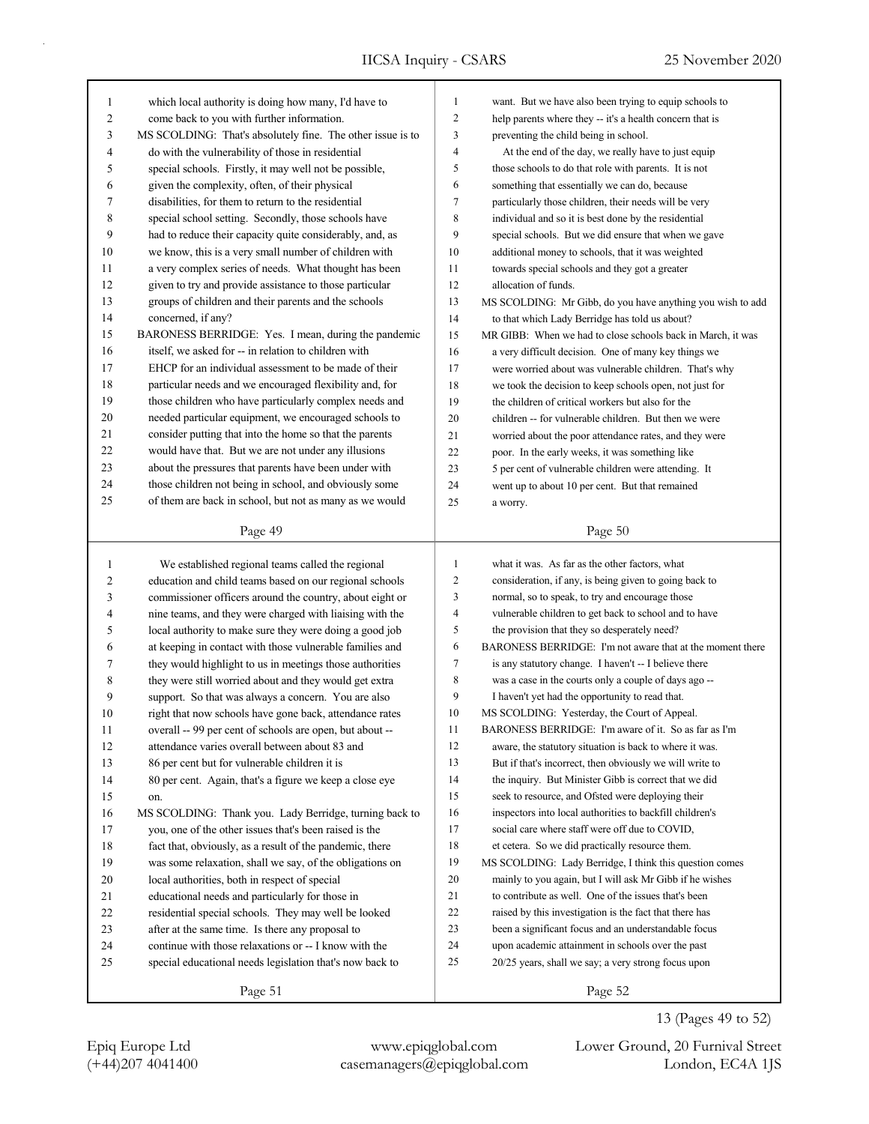| $\mathbf{1}$     | which local authority is doing how many, I'd have to                                                     | $\mathbf{1}$   | want. But we have also been trying to equip schools to                                                          |
|------------------|----------------------------------------------------------------------------------------------------------|----------------|-----------------------------------------------------------------------------------------------------------------|
| $\boldsymbol{2}$ | come back to you with further information.                                                               | $\overline{c}$ | help parents where they -- it's a health concern that is                                                        |
| 3                | MS SCOLDING: That's absolutely fine. The other issue is to                                               | 3              | preventing the child being in school.                                                                           |
| 4                | do with the vulnerability of those in residential                                                        | 4              | At the end of the day, we really have to just equip                                                             |
| 5                | special schools. Firstly, it may well not be possible,                                                   | 5              | those schools to do that role with parents. It is not                                                           |
| 6                | given the complexity, often, of their physical                                                           | 6              | something that essentially we can do, because                                                                   |
| 7                | disabilities, for them to return to the residential                                                      | 7              | particularly those children, their needs will be very                                                           |
| 8                | special school setting. Secondly, those schools have                                                     | 8              | individual and so it is best done by the residential                                                            |
| 9                | had to reduce their capacity quite considerably, and, as                                                 | 9              | special schools. But we did ensure that when we gave                                                            |
| 10               | we know, this is a very small number of children with                                                    | 10             | additional money to schools, that it was weighted                                                               |
| 11               | a very complex series of needs. What thought has been                                                    | 11             | towards special schools and they got a greater                                                                  |
| 12               | given to try and provide assistance to those particular                                                  | 12             | allocation of funds.                                                                                            |
| 13               | groups of children and their parents and the schools                                                     | 13             | MS SCOLDING: Mr Gibb, do you have anything you wish to add                                                      |
| 14               | concerned, if any?                                                                                       | 14             | to that which Lady Berridge has told us about?                                                                  |
| 15               | BARONESS BERRIDGE: Yes. I mean, during the pandemic                                                      | 15             | MR GIBB: When we had to close schools back in March, it was                                                     |
| 16               | itself, we asked for -- in relation to children with                                                     | 16             | a very difficult decision. One of many key things we                                                            |
| 17               | EHCP for an individual assessment to be made of their                                                    | 17             | were worried about was vulnerable children. That's why                                                          |
| 18               | particular needs and we encouraged flexibility and, for                                                  | 18             | we took the decision to keep schools open, not just for                                                         |
| 19               | those children who have particularly complex needs and                                                   | 19             | the children of critical workers but also for the                                                               |
| 20               | needed particular equipment, we encouraged schools to                                                    | 20             | children -- for vulnerable children. But then we were                                                           |
| 21               | consider putting that into the home so that the parents                                                  | 21             | worried about the poor attendance rates, and they were                                                          |
| 22               | would have that. But we are not under any illusions                                                      | $22\,$         | poor. In the early weeks, it was something like                                                                 |
| 23               | about the pressures that parents have been under with                                                    | 23             | 5 per cent of vulnerable children were attending. It                                                            |
| 24               | those children not being in school, and obviously some                                                   | 24             | went up to about 10 per cent. But that remained                                                                 |
| 25               | of them are back in school, but not as many as we would                                                  | 25             |                                                                                                                 |
|                  |                                                                                                          |                | a worry.                                                                                                        |
|                  |                                                                                                          |                |                                                                                                                 |
|                  | Page 49                                                                                                  |                | Page 50                                                                                                         |
|                  |                                                                                                          |                |                                                                                                                 |
| 1                | We established regional teams called the regional                                                        | $\mathbf{1}$   | what it was. As far as the other factors, what                                                                  |
| $\overline{2}$   | education and child teams based on our regional schools                                                  | $\sqrt{2}$     | consideration, if any, is being given to going back to                                                          |
| 3                | commissioner officers around the country, about eight or                                                 | 3              | normal, so to speak, to try and encourage those                                                                 |
| 4                | nine teams, and they were charged with liaising with the                                                 | 4              | vulnerable children to get back to school and to have                                                           |
| 5                | local authority to make sure they were doing a good job                                                  | 5              | the provision that they so desperately need?                                                                    |
| 6                | at keeping in contact with those vulnerable families and                                                 | 6              | BARONESS BERRIDGE: I'm not aware that at the moment there                                                       |
| 7                | they would highlight to us in meetings those authorities                                                 | $\tau$         | is any statutory change. I haven't -- I believe there                                                           |
| 8                | they were still worried about and they would get extra                                                   | 8              | was a case in the courts only a couple of days ago --                                                           |
| 9                | support. So that was always a concern. You are also                                                      | 9              | I haven't yet had the opportunity to read that.                                                                 |
| 10               | right that now schools have gone back, attendance rates                                                  | 10             | MS SCOLDING: Yesterday, the Court of Appeal.                                                                    |
| 11               | overall -- 99 per cent of schools are open, but about --                                                 | 11             | BARONESS BERRIDGE: I'm aware of it. So as far as I'm                                                            |
| 12               | attendance varies overall between about 83 and                                                           | 12             | aware, the statutory situation is back to where it was.                                                         |
| 13               | 86 per cent but for vulnerable children it is                                                            | 13             | But if that's incorrect, then obviously we will write to                                                        |
| 14               | 80 per cent. Again, that's a figure we keep a close eye                                                  | 14             | the inquiry. But Minister Gibb is correct that we did                                                           |
| 15               | on.                                                                                                      | 15             | seek to resource, and Ofsted were deploying their                                                               |
| 16               | MS SCOLDING: Thank you. Lady Berridge, turning back to                                                   | 16             | inspectors into local authorities to backfill children's                                                        |
| 17               | you, one of the other issues that's been raised is the                                                   | 17             | social care where staff were off due to COVID,                                                                  |
| 18               | fact that, obviously, as a result of the pandemic, there                                                 | $18\,$         | et cetera. So we did practically resource them.                                                                 |
| 19               | was some relaxation, shall we say, of the obligations on                                                 | 19             | MS SCOLDING: Lady Berridge, I think this question comes                                                         |
| 20               | local authorities, both in respect of special                                                            | 20             | mainly to you again, but I will ask Mr Gibb if he wishes                                                        |
| 21               | educational needs and particularly for those in                                                          | 21             | to contribute as well. One of the issues that's been                                                            |
| 22<br>23         | residential special schools. They may well be looked<br>after at the same time. Is there any proposal to | $22\,$<br>23   | raised by this investigation is the fact that there has<br>been a significant focus and an understandable focus |

24 upon academic attainment in schools over the past 25 20/25 years, shall we say; a very strong focus upon

Page 51

24 continue with those relaxations or -- I know with the 25 special educational needs legislation that's now back to

(+44)207 4041400 casemanagers@epiqglobal.com London, EC4A 1JS Epiq Europe Ltd www.epiqglobal.com Lower Ground, 20 Furnival Street

13 (Pages 49 to 52)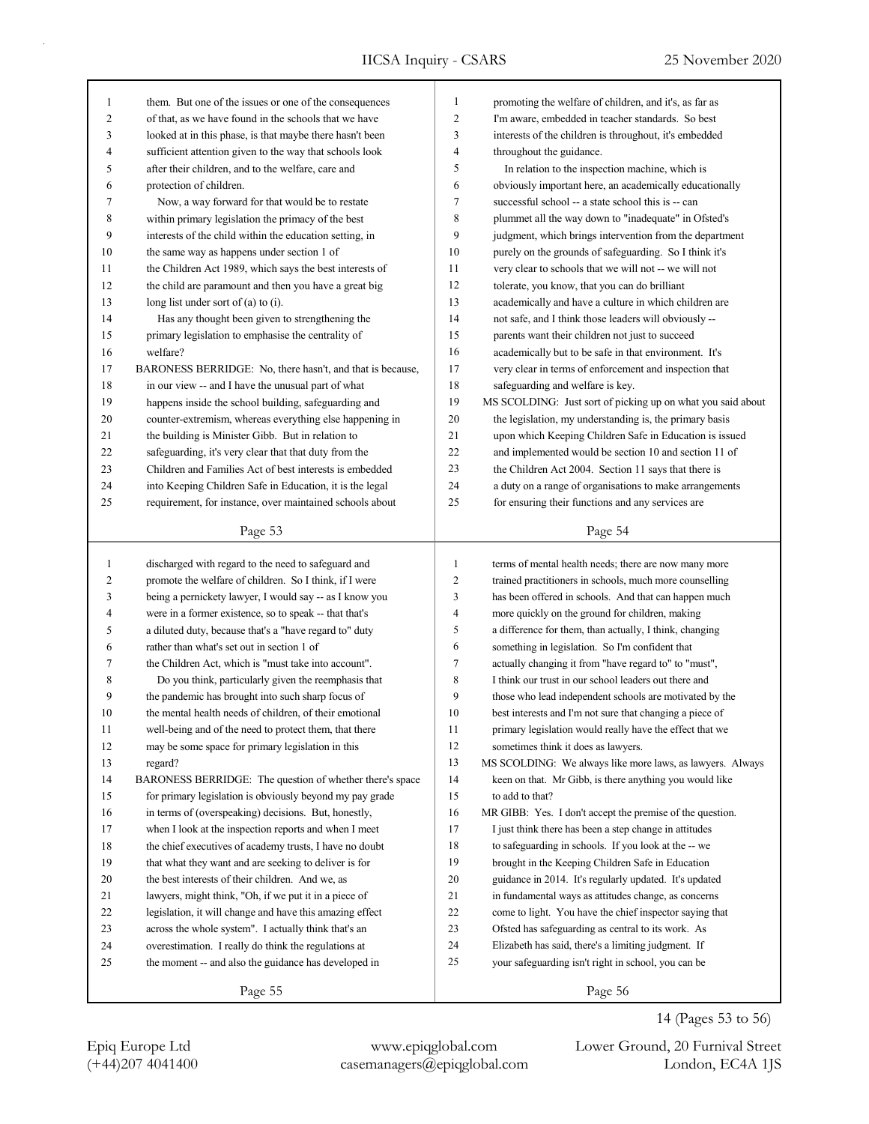|        |                                                                                                                 | $\mathbf{1}$   |                                                             |
|--------|-----------------------------------------------------------------------------------------------------------------|----------------|-------------------------------------------------------------|
| 1<br>2 | them. But one of the issues or one of the consequences<br>of that, as we have found in the schools that we have | 2              | promoting the welfare of children, and it's, as far as      |
|        |                                                                                                                 | 3              | I'm aware, embedded in teacher standards. So best           |
| 3      | looked at in this phase, is that maybe there hasn't been                                                        | 4              | interests of the children is throughout, it's embedded      |
| 4      | sufficient attention given to the way that schools look                                                         |                | throughout the guidance.                                    |
| 5      | after their children, and to the welfare, care and                                                              | 5              | In relation to the inspection machine, which is             |
| 6      | protection of children.                                                                                         | 6              | obviously important here, an academically educationally     |
| 7      | Now, a way forward for that would be to restate                                                                 | 7              | successful school -- a state school this is -- can          |
| 8      | within primary legislation the primacy of the best                                                              | 8              | plummet all the way down to "inadequate" in Ofsted's        |
| 9      | interests of the child within the education setting, in                                                         | 9              | judgment, which brings intervention from the department     |
| 10     | the same way as happens under section 1 of                                                                      | 10             | purely on the grounds of safeguarding. So I think it's      |
| 11     | the Children Act 1989, which says the best interests of                                                         | 11             | very clear to schools that we will not -- we will not       |
| 12     | the child are paramount and then you have a great big                                                           | 12             | tolerate, you know, that you can do brilliant               |
| 13     | long list under sort of (a) to (i).                                                                             | 13             | academically and have a culture in which children are       |
| 14     | Has any thought been given to strengthening the                                                                 | 14             | not safe, and I think those leaders will obviously --       |
| 15     | primary legislation to emphasise the centrality of                                                              | 15             | parents want their children not just to succeed             |
| 16     | welfare?                                                                                                        | 16             | academically but to be safe in that environment. It's       |
| 17     | BARONESS BERRIDGE: No, there hasn't, and that is because,                                                       | 17             | very clear in terms of enforcement and inspection that      |
| $18\,$ | in our view -- and I have the unusual part of what                                                              | 18             | safeguarding and welfare is key.                            |
| 19     | happens inside the school building, safeguarding and                                                            | 19             | MS SCOLDING: Just sort of picking up on what you said about |
| 20     | counter-extremism, whereas everything else happening in                                                         | 20             | the legislation, my understanding is, the primary basis     |
| 21     | the building is Minister Gibb. But in relation to                                                               | 21             | upon which Keeping Children Safe in Education is issued     |
| 22     | safeguarding, it's very clear that that duty from the                                                           | 22             | and implemented would be section 10 and section 11 of       |
| 23     | Children and Families Act of best interests is embedded                                                         | 23             | the Children Act 2004. Section 11 says that there is        |
| 24     | into Keeping Children Safe in Education, it is the legal                                                        | 24             | a duty on a range of organisations to make arrangements     |
| 25     | requirement, for instance, over maintained schools about                                                        | 25             | for ensuring their functions and any services are           |
|        | Page 53                                                                                                         |                | Page 54                                                     |
|        |                                                                                                                 |                |                                                             |
| 1      | discharged with regard to the need to safeguard and                                                             | $\mathbf{1}$   | terms of mental health needs; there are now many more       |
| 2      | promote the welfare of children. So I think, if I were                                                          | $\overline{c}$ | trained practitioners in schools, much more counselling     |
| 3      | being a pernickety lawyer, I would say -- as I know you                                                         | 3              | has been offered in schools. And that can happen much       |
| 4      | were in a former existence, so to speak -- that that's                                                          | 4              | more quickly on the ground for children, making             |
| 5      | a diluted duty, because that's a "have regard to" duty                                                          | 5              | a difference for them, than actually, I think, changing     |
| 6      | rather than what's set out in section 1 of                                                                      | 6              | something in legislation. So I'm confident that             |
| 7      | the Children Act, which is "must take into account".                                                            | 7              | actually changing it from "have regard to" to "must",       |
| 8      | Do you think, particularly given the reemphasis that                                                            | 8              | I think our trust in our school leaders out there and       |
| 9      | the pandemic has brought into such sharp focus of                                                               | 9              | those who lead independent schools are motivated by the     |
| 10     | the mental health needs of children, of their emotional                                                         | 10             | best interests and I'm not sure that changing a piece of    |
| 11     | well-being and of the need to protect them, that there                                                          | 11             | primary legislation would really have the effect that we    |
| 12     | may be some space for primary legislation in this                                                               | 12             | sometimes think it does as lawyers.                         |
| 13     | regard?                                                                                                         | 13             | MS SCOLDING: We always like more laws, as lawyers. Always   |
| 14     | BARONESS BERRIDGE: The question of whether there's space                                                        | 14             | keen on that. Mr Gibb, is there anything you would like     |
| 15     | for primary legislation is obviously beyond my pay grade                                                        | 15             | to add to that?                                             |
| 16     | in terms of (overspeaking) decisions. But, honestly,                                                            | 16             | MR GIBB: Yes. I don't accept the premise of the question.   |
| 17     | when I look at the inspection reports and when I meet                                                           | 17             | I just think there has been a step change in attitudes      |
| $18\,$ | the chief executives of academy trusts, I have no doubt                                                         | 18             | to safeguarding in schools. If you look at the -- we        |
| 19     | that what they want and are seeking to deliver is for                                                           | 19             | brought in the Keeping Children Safe in Education           |
| $20\,$ | the best interests of their children. And we, as                                                                | 20             | guidance in 2014. It's regularly updated. It's updated      |
| 21     | lawyers, might think, "Oh, if we put it in a piece of                                                           | 21             | in fundamental ways as attitudes change, as concerns        |
| 22     | legislation, it will change and have this amazing effect                                                        | 22             | come to light. You have the chief inspector saying that     |
| 23     | across the whole system". I actually think that's an                                                            | 23             | Ofsted has safeguarding as central to its work. As          |
| 24     | overestimation. I really do think the regulations at                                                            | 24             | Elizabeth has said, there's a limiting judgment. If         |
|        |                                                                                                                 |                |                                                             |
|        |                                                                                                                 |                |                                                             |
| 25     | the moment -- and also the guidance has developed in                                                            | 25             | your safeguarding isn't right in school, you can be         |

(+44)207 4041400 casemanagers@epiqglobal.com London, EC4A 1JS Epiq Europe Ltd www.epiqglobal.com Lower Ground, 20 Furnival Street

14 (Pages 53 to 56)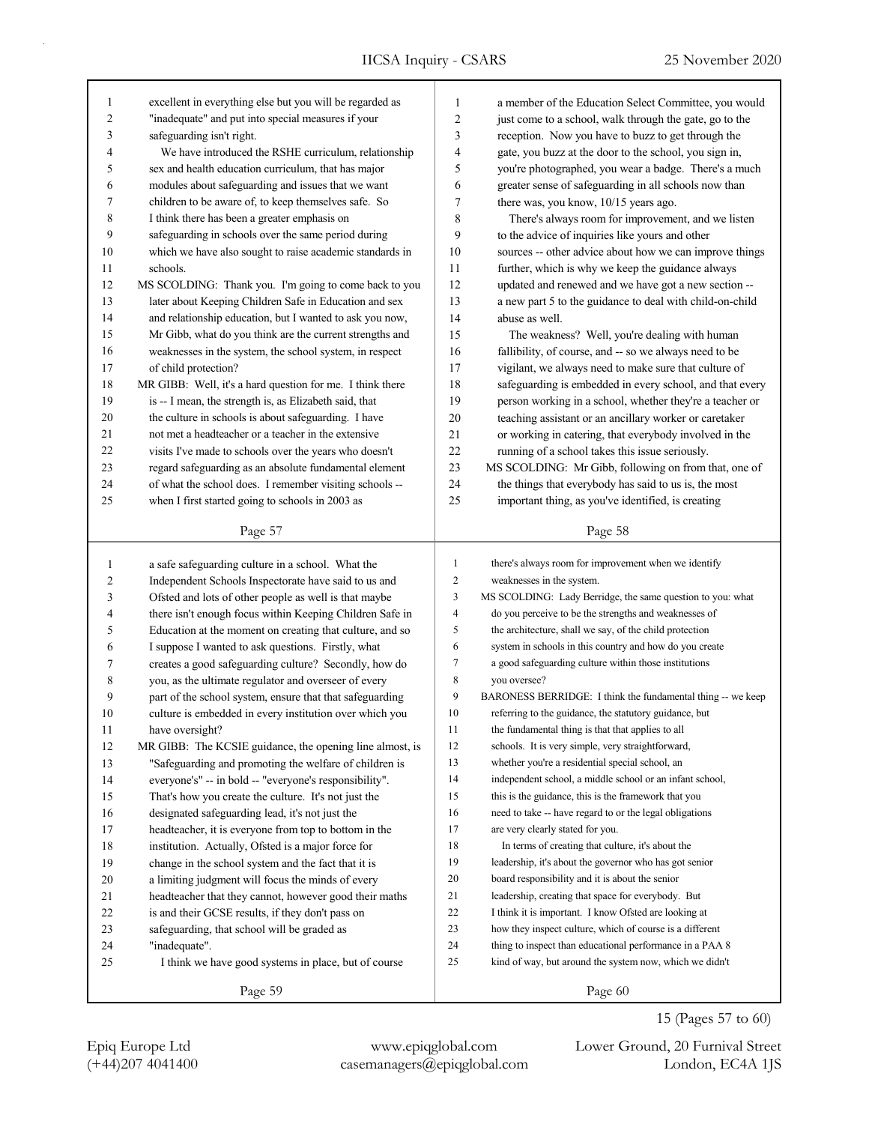| 1            | excellent in everything else but you will be regarded as  | 1            | a member of the Education Select Committee, you would       |
|--------------|-----------------------------------------------------------|--------------|-------------------------------------------------------------|
| 2            | "inadequate" and put into special measures if your        | $\sqrt{2}$   | just come to a school, walk through the gate, go to the     |
| 3            | safeguarding isn't right.                                 | 3            | reception. Now you have to buzz to get through the          |
| 4            | We have introduced the RSHE curriculum, relationship      | 4            | gate, you buzz at the door to the school, you sign in,      |
| 5            | sex and health education curriculum, that has major       | 5            | you're photographed, you wear a badge. There's a much       |
| 6            | modules about safeguarding and issues that we want        | 6            | greater sense of safeguarding in all schools now than       |
| 7            | children to be aware of, to keep themselves safe. So      | 7            | there was, you know, 10/15 years ago.                       |
| 8            | I think there has been a greater emphasis on              | 8            | There's always room for improvement, and we listen          |
| 9            | safeguarding in schools over the same period during       | 9            | to the advice of inquiries like yours and other             |
| 10           | which we have also sought to raise academic standards in  | 10           | sources -- other advice about how we can improve things     |
| 11           | schools.                                                  | 11           | further, which is why we keep the guidance always           |
| 12           | MS SCOLDING: Thank you. I'm going to come back to you     | 12           | updated and renewed and we have got a new section --        |
| 13           | later about Keeping Children Safe in Education and sex    | 13           | a new part 5 to the guidance to deal with child-on-child    |
| 14           | and relationship education, but I wanted to ask you now,  | 14           | abuse as well.                                              |
| 15           | Mr Gibb, what do you think are the current strengths and  | 15           | The weakness? Well, you're dealing with human               |
| 16           | weaknesses in the system, the school system, in respect   | 16           | fallibility, of course, and -- so we always need to be      |
| 17           | of child protection?                                      | 17           | vigilant, we always need to make sure that culture of       |
| 18           | MR GIBB: Well, it's a hard question for me. I think there | 18           | safeguarding is embedded in every school, and that every    |
| 19           | is -- I mean, the strength is, as Elizabeth said, that    | 19           | person working in a school, whether they're a teacher or    |
| 20           | the culture in schools is about safeguarding. I have      | 20           | teaching assistant or an ancillary worker or caretaker      |
| 21           | not met a headteacher or a teacher in the extensive       | 21           | or working in catering, that everybody involved in the      |
| 22           | visits I've made to schools over the years who doesn't    | 22           | running of a school takes this issue seriously.             |
| 23           | regard safeguarding as an absolute fundamental element    | 23           | MS SCOLDING: Mr Gibb, following on from that, one of        |
| 24           | of what the school does. I remember visiting schools --   | 24           | the things that everybody has said to us is, the most       |
| 25           | when I first started going to schools in 2003 as          | 25           | important thing, as you've identified, is creating          |
|              |                                                           |              |                                                             |
|              | Page 57                                                   |              | Page 58                                                     |
|              |                                                           |              |                                                             |
|              |                                                           |              |                                                             |
| $\mathbf{1}$ | a safe safeguarding culture in a school. What the         | $\mathbf{1}$ | there's always room for improvement when we identify        |
| 2            | Independent Schools Inspectorate have said to us and      | 2            | weaknesses in the system.                                   |
| 3            | Ofsted and lots of other people as well is that maybe     | 3            | MS SCOLDING: Lady Berridge, the same question to you: what  |
| 4            | there isn't enough focus within Keeping Children Safe in  | 4            | do you perceive to be the strengths and weaknesses of       |
| 5            | Education at the moment on creating that culture, and so  | 5            | the architecture, shall we say, of the child protection     |
| 6            | I suppose I wanted to ask questions. Firstly, what        | 6            | system in schools in this country and how do you create     |
| 7            | creates a good safeguarding culture? Secondly, how do     | 7            | a good safeguarding culture within those institutions       |
| 8            | you, as the ultimate regulator and overseer of every      | 8            | you oversee?                                                |
| 9            | part of the school system, ensure that that safeguarding  | 9            | BARONESS BERRIDGE: I think the fundamental thing -- we keep |
| 10           | culture is embedded in every institution over which you   | 10           | referring to the guidance, the statutory guidance, but      |
| $1\,1$       | have oversight?                                           | 11           | the fundamental thing is that that applies to all           |
| 12           | MR GIBB: The KCSIE guidance, the opening line almost, is  | 12           | schools. It is very simple, very straightforward,           |
| 13           | "Safeguarding and promoting the welfare of children is    | 13           | whether you're a residential special school, an             |
| 14           | everyone's" -- in bold -- "everyone's responsibility".    | 14           | independent school, a middle school or an infant school,    |
| 15           | That's how you create the culture. It's not just the      | 15           | this is the guidance, this is the framework that you        |
| 16           | designated safeguarding lead, it's not just the           | 16           | need to take -- have regard to or the legal obligations     |
| 17           | headteacher, it is everyone from top to bottom in the     | 17           | are very clearly stated for you.                            |
| 18           | institution. Actually, Ofsted is a major force for        | 18           | In terms of creating that culture, it's about the           |
| 19           | change in the school system and the fact that it is       | 19           | leadership, it's about the governor who has got senior      |
| 20           | a limiting judgment will focus the minds of every         | 20           | board responsibility and it is about the senior             |
| 21           | headteacher that they cannot, however good their maths    | 21           | leadership, creating that space for everybody. But          |
| 22           | is and their GCSE results, if they don't pass on          | 22           | I think it is important. I know Ofsted are looking at       |
| 23           | safeguarding, that school will be graded as               | 23           | how they inspect culture, which of course is a different    |
| 24           | "inadequate".                                             | 24           | thing to inspect than educational performance in a PAA 8    |
| 25           | I think we have good systems in place, but of course      | 25           | kind of way, but around the system now, which we didn't     |
|              | Page 59                                                   |              | Page 60                                                     |

15 (Pages 57 to 60)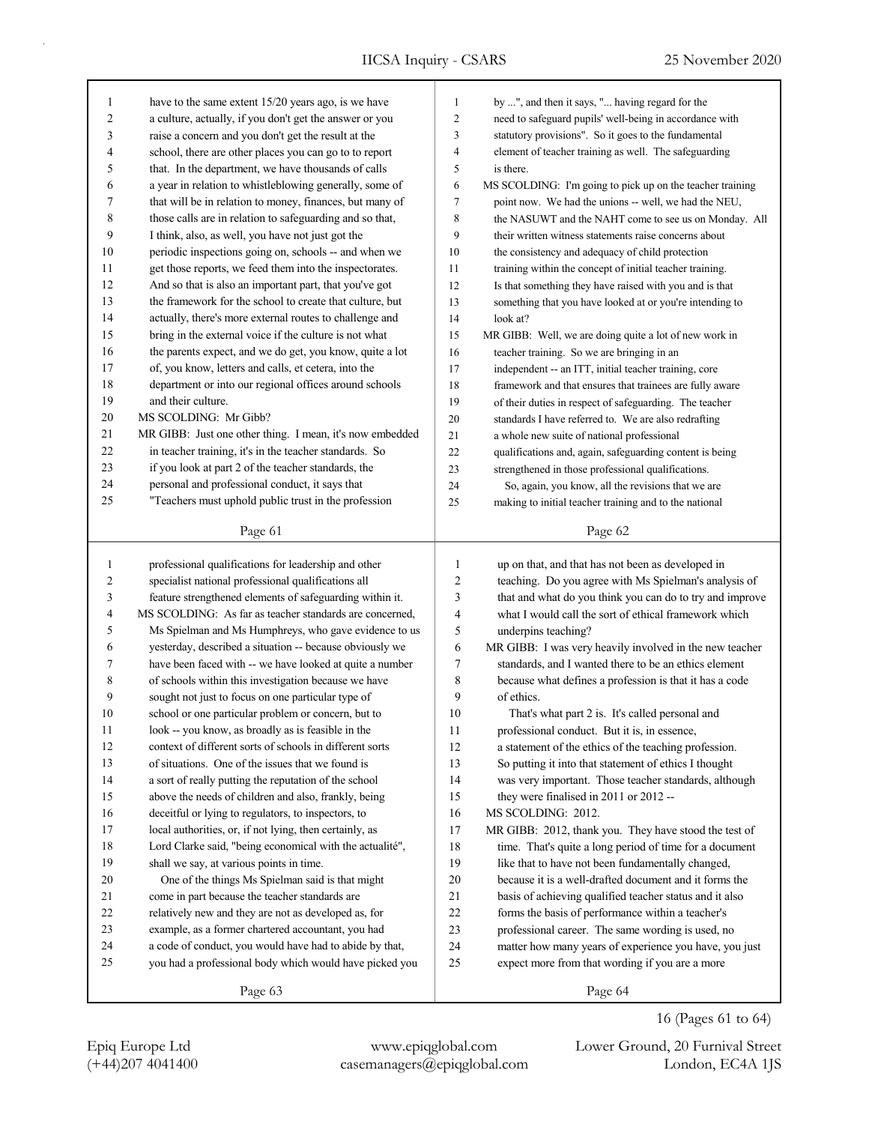| $\mathbf{1}$   | have to the same extent 15/20 years ago, is we have      | $\mathbf{1}$     | by ", and then it says, " having regard for the           |
|----------------|----------------------------------------------------------|------------------|-----------------------------------------------------------|
| $\overline{c}$ | a culture, actually, if you don't get the answer or you  | $\overline{c}$   | need to safeguard pupils' well-being in accordance with   |
| 3              | raise a concern and you don't get the result at the      | 3                | statutory provisions". So it goes to the fundamental      |
| 4              | school, there are other places you can go to to report   | 4                | element of teacher training as well. The safeguarding     |
| 5              | that. In the department, we have thousands of calls      | 5                | is there.                                                 |
| 6              | a year in relation to whistleblowing generally, some of  | 6                | MS SCOLDING: I'm going to pick up on the teacher training |
| 7              | that will be in relation to money, finances, but many of | 7                | point now. We had the unions -- well, we had the NEU,     |
| 8              | those calls are in relation to safeguarding and so that, | 8                | the NASUWT and the NAHT come to see us on Monday. All     |
| 9              | I think, also, as well, you have not just got the        | 9                | their written witness statements raise concerns about     |
| 10             | periodic inspections going on, schools -- and when we    | 10               | the consistency and adequacy of child protection          |
| 11             | get those reports, we feed them into the inspectorates.  | 11               | training within the concept of initial teacher training.  |
| 12             | And so that is also an important part, that you've got   | 12               | Is that something they have raised with you and is that   |
| 13             | the framework for the school to create that culture, but | 13               | something that you have looked at or you're intending to  |
| 14             | actually, there's more external routes to challenge and  | 14               | look at?                                                  |
| 15             | bring in the external voice if the culture is not what   | 15               | MR GIBB: Well, we are doing quite a lot of new work in    |
| 16             | the parents expect, and we do get, you know, quite a lot | 16               | teacher training. So we are bringing in an                |
| 17             | of, you know, letters and calls, et cetera, into the     | 17               | independent -- an ITT, initial teacher training, core     |
| 18             | department or into our regional offices around schools   | 18               | framework and that ensures that trainees are fully aware  |
| 19             | and their culture.                                       | 19               | of their duties in respect of safeguarding. The teacher   |
| $20\,$         | MS SCOLDING: Mr Gibb?                                    | 20               | standards I have referred to. We are also redrafting      |
| 21             | MR GIBB: Just one other thing. I mean, it's now embedded | 21               | a whole new suite of national professional                |
| 22             | in teacher training, it's in the teacher standards. So   | 22               | qualifications and, again, safeguarding content is being  |
| 23             | if you look at part 2 of the teacher standards, the      | 23               | strengthened in those professional qualifications.        |
| 24             | personal and professional conduct, it says that          | 24               | So, again, you know, all the revisions that we are        |
| 25             | "Teachers must uphold public trust in the profession     | 25               | making to initial teacher training and to the national    |
|                |                                                          |                  |                                                           |
|                | Page 61                                                  |                  | Page 62                                                   |
|                |                                                          |                  |                                                           |
|                |                                                          |                  |                                                           |
| 1              | professional qualifications for leadership and other     | $\mathbf{1}$     | up on that, and that has not been as developed in         |
| 2              | specialist national professional qualifications all      | $\boldsymbol{2}$ | teaching. Do you agree with Ms Spielman's analysis of     |
| 3              | feature strengthened elements of safeguarding within it. | 3                | that and what do you think you can do to try and improve  |
| 4              | MS SCOLDING: As far as teacher standards are concerned,  | $\overline{4}$   | what I would call the sort of ethical framework which     |
| 5              | Ms Spielman and Ms Humphreys, who gave evidence to us    | 5                | underpins teaching?                                       |
| 6              | yesterday, described a situation -- because obviously we | 6                | MR GIBB: I was very heavily involved in the new teacher   |
| 7              | have been faced with -- we have looked at quite a number | 7                | standards, and I wanted there to be an ethics element     |
| 8              | of schools within this investigation because we have     | $\,$ 8 $\,$      | because what defines a profession is that it has a code   |
| 9              | sought not just to focus on one particular type of       | 9                | of ethics.                                                |
| 10             | school or one particular problem or concern, but to      | 10               | That's what part 2 is. It's called personal and           |
| 11             | look -- you know, as broadly as is feasible in the       | 11               | professional conduct. But it is, in essence,              |
| 12             | context of different sorts of schools in different sorts | 12               | a statement of the ethics of the teaching profession.     |
| 13             | of situations. One of the issues that we found is        | 13               | So putting it into that statement of ethics I thought     |
| 14             | a sort of really putting the reputation of the school    | 14               | was very important. Those teacher standards, although     |
| 15             | above the needs of children and also, frankly, being     | 15               | they were finalised in 2011 or 2012 --                    |
| 16             | deceitful or lying to regulators, to inspectors, to      | 16               | MS SCOLDING: 2012.                                        |
| 17             | local authorities, or, if not lying, then certainly, as  | 17               | MR GIBB: 2012, thank you. They have stood the test of     |
| 18             | Lord Clarke said, "being economical with the actualité", | 18               | time. That's quite a long period of time for a document   |
| 19             | shall we say, at various points in time.                 | 19               | like that to have not been fundamentally changed,         |
| 20             | One of the things Ms Spielman said is that might         | 20               | because it is a well-drafted document and it forms the    |
| 21             | come in part because the teacher standards are           | 21               | basis of achieving qualified teacher status and it also   |
| 22             | relatively new and they are not as developed as, for     | 22               | forms the basis of performance within a teacher's         |
| 23             | example, as a former chartered accountant, you had       | 23               | professional career. The same wording is used, no         |
| 24             | a code of conduct, you would have had to abide by that,  | 24               | matter how many years of experience you have, you just    |
| 25             | you had a professional body which would have picked you  | 25               | expect more from that wording if you are a more           |
|                | Page 63                                                  |                  | Page 64                                                   |

(+44)207 4041400 casemanagers@epiqglobal.com London, EC4A 1JS Epiq Europe Ltd www.epiqglobal.com Lower Ground, 20 Furnival Street

16 (Pages 61 to 64)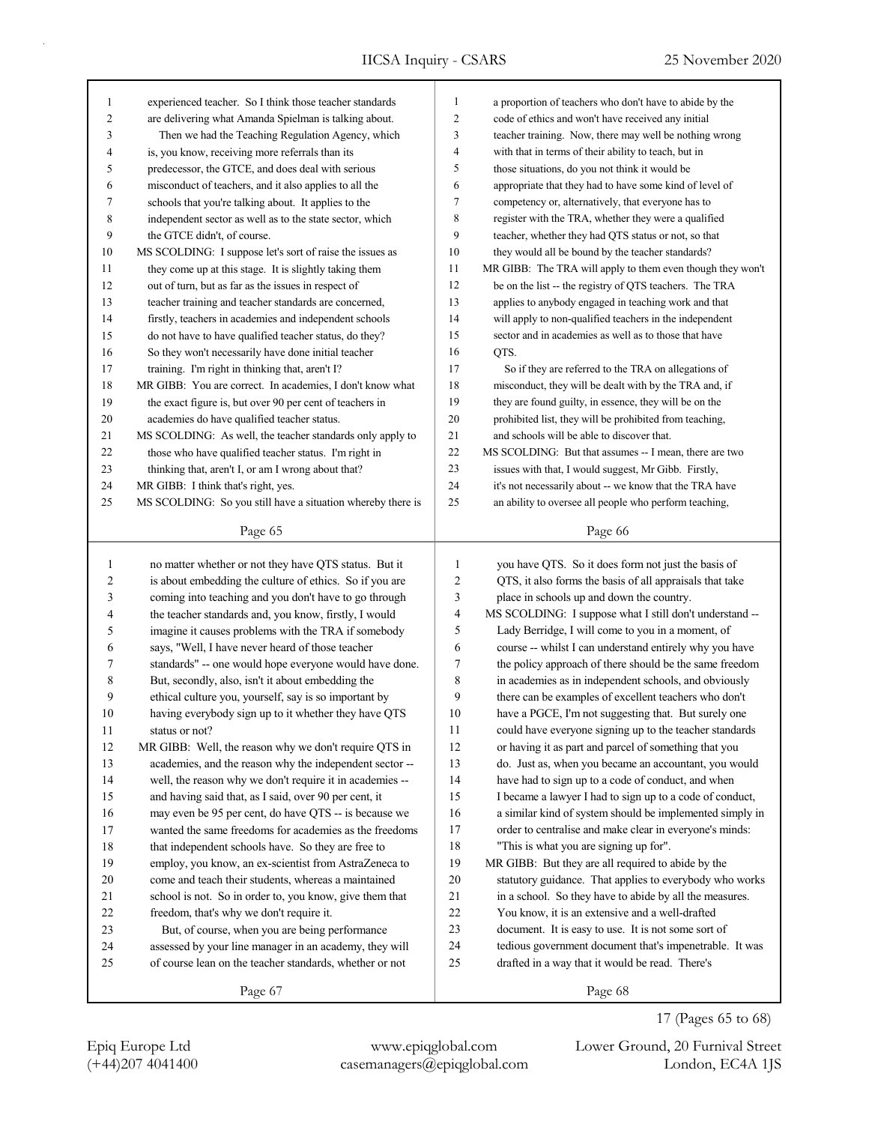| $\mathbf{1}$   | experienced teacher. So I think those teacher standards                                                           | $\mathbf{1}$             | a proportion of teachers who don't have to abide by the                                                    |
|----------------|-------------------------------------------------------------------------------------------------------------------|--------------------------|------------------------------------------------------------------------------------------------------------|
| $\overline{c}$ | are delivering what Amanda Spielman is talking about.                                                             | $\overline{c}$           | code of ethics and won't have received any initial                                                         |
| 3              | Then we had the Teaching Regulation Agency, which                                                                 | 3                        | teacher training. Now, there may well be nothing wrong                                                     |
| 4              | is, you know, receiving more referrals than its                                                                   | $\overline{4}$           | with that in terms of their ability to teach, but in                                                       |
| 5              | predecessor, the GTCE, and does deal with serious                                                                 | 5                        | those situations, do you not think it would be                                                             |
| 6              | misconduct of teachers, and it also applies to all the                                                            | 6                        | appropriate that they had to have some kind of level of                                                    |
| 7              | schools that you're talking about. It applies to the                                                              | $\tau$                   | competency or, alternatively, that everyone has to                                                         |
| $\,$ 8 $\,$    | independent sector as well as to the state sector, which                                                          | 8                        | register with the TRA, whether they were a qualified                                                       |
| 9              | the GTCE didn't, of course.                                                                                       | 9                        | teacher, whether they had QTS status or not, so that                                                       |
| 10             | MS SCOLDING: I suppose let's sort of raise the issues as                                                          | 10                       | they would all be bound by the teacher standards?                                                          |
| 11             | they come up at this stage. It is slightly taking them                                                            | 11                       | MR GIBB: The TRA will apply to them even though they won't                                                 |
| 12             | out of turn, but as far as the issues in respect of                                                               | 12                       | be on the list -- the registry of QTS teachers. The TRA                                                    |
| 13             | teacher training and teacher standards are concerned,                                                             | 13                       | applies to anybody engaged in teaching work and that                                                       |
| 14             | firstly, teachers in academies and independent schools                                                            | 14                       | will apply to non-qualified teachers in the independent                                                    |
| 15             | do not have to have qualified teacher status, do they?                                                            | 15                       | sector and in academies as well as to those that have                                                      |
| 16             | So they won't necessarily have done initial teacher                                                               | 16                       | QTS.                                                                                                       |
| 17             | training. I'm right in thinking that, aren't I?                                                                   | 17                       | So if they are referred to the TRA on allegations of                                                       |
| 18             | MR GIBB: You are correct. In academies, I don't know what                                                         | 18                       | misconduct, they will be dealt with by the TRA and, if                                                     |
| 19             | the exact figure is, but over 90 per cent of teachers in                                                          | 19                       | they are found guilty, in essence, they will be on the                                                     |
| 20             | academies do have qualified teacher status.                                                                       | 20                       | prohibited list, they will be prohibited from teaching,                                                    |
| 21             | MS SCOLDING: As well, the teacher standards only apply to                                                         | 21                       | and schools will be able to discover that.                                                                 |
| 22             | those who have qualified teacher status. I'm right in                                                             | 22                       | MS SCOLDING: But that assumes -- I mean, there are two                                                     |
| 23             | thinking that, aren't I, or am I wrong about that?                                                                | 23                       | issues with that, I would suggest, Mr Gibb. Firstly,                                                       |
| 24             | MR GIBB: I think that's right, yes.                                                                               | 24                       | it's not necessarily about -- we know that the TRA have                                                    |
| 25             | MS SCOLDING: So you still have a situation whereby there is                                                       | $25\,$                   | an ability to oversee all people who perform teaching,                                                     |
|                |                                                                                                                   |                          |                                                                                                            |
|                | Page 65                                                                                                           |                          |                                                                                                            |
|                |                                                                                                                   |                          | Page 66                                                                                                    |
|                |                                                                                                                   |                          |                                                                                                            |
| $\mathbf{1}$   | no matter whether or not they have QTS status. But it                                                             | $\mathbf{1}$             | you have QTS. So it does form not just the basis of                                                        |
| 2              | is about embedding the culture of ethics. So if you are                                                           | $\overline{c}$           | QTS, it also forms the basis of all appraisals that take                                                   |
| 3              | coming into teaching and you don't have to go through                                                             | $\mathfrak{Z}$           | place in schools up and down the country.                                                                  |
| 4              | the teacher standards and, you know, firstly, I would                                                             | $\overline{\mathcal{A}}$ | MS SCOLDING: I suppose what I still don't understand --                                                    |
| 5              | imagine it causes problems with the TRA if somebody                                                               | $\sqrt{5}$               | Lady Berridge, I will come to you in a moment, of                                                          |
| 6              | says, "Well, I have never heard of those teacher                                                                  | 6                        | course -- whilst I can understand entirely why you have                                                    |
| 7              | standards" -- one would hope everyone would have done.                                                            | $\boldsymbol{7}$         | the policy approach of there should be the same freedom                                                    |
| 8              | But, secondly, also, isn't it about embedding the                                                                 | $\,$ 8 $\,$              | in academies as in independent schools, and obviously                                                      |
| 9              | ethical culture you, yourself, say is so important by                                                             | 9                        | there can be examples of excellent teachers who don't                                                      |
| 10             | having everybody sign up to it whether they have QTS                                                              | 10                       | have a PGCE, I'm not suggesting that. But surely one                                                       |
| 11             | status or not?                                                                                                    | 11                       | could have everyone signing up to the teacher standards                                                    |
| 12             | MR GIBB: Well, the reason why we don't require QTS in                                                             | 12                       | or having it as part and parcel of something that you                                                      |
| 13             | academies, and the reason why the independent sector --                                                           | 13                       | do. Just as, when you became an accountant, you would                                                      |
| 14             | well, the reason why we don't require it in academies --                                                          | 14                       | have had to sign up to a code of conduct, and when                                                         |
| 15             | and having said that, as I said, over 90 per cent, it                                                             | 15                       | I became a lawyer I had to sign up to a code of conduct,                                                   |
| 16             | may even be 95 per cent, do have QTS -- is because we                                                             | 16                       | a similar kind of system should be implemented simply in                                                   |
| 17             | wanted the same freedoms for academies as the freedoms                                                            | 17                       | order to centralise and make clear in everyone's minds:                                                    |
| 18             | that independent schools have. So they are free to                                                                | 18                       | "This is what you are signing up for".                                                                     |
| 19             | employ, you know, an ex-scientist from AstraZeneca to                                                             | 19                       | MR GIBB: But they are all required to abide by the                                                         |
| 20             | come and teach their students, whereas a maintained                                                               | 20                       | statutory guidance. That applies to everybody who works                                                    |
| 21             | school is not. So in order to, you know, give them that                                                           | 21                       | in a school. So they have to abide by all the measures.                                                    |
| 22             | freedom, that's why we don't require it.                                                                          | 22                       | You know, it is an extensive and a well-drafted                                                            |
| 23             | But, of course, when you are being performance                                                                    | 23                       | document. It is easy to use. It is not some sort of                                                        |
| 24<br>25       | assessed by your line manager in an academy, they will<br>of course lean on the teacher standards, whether or not | 24<br>25                 | tedious government document that's impenetrable. It was<br>drafted in a way that it would be read. There's |

Page 68

17 (Pages 65 to 68)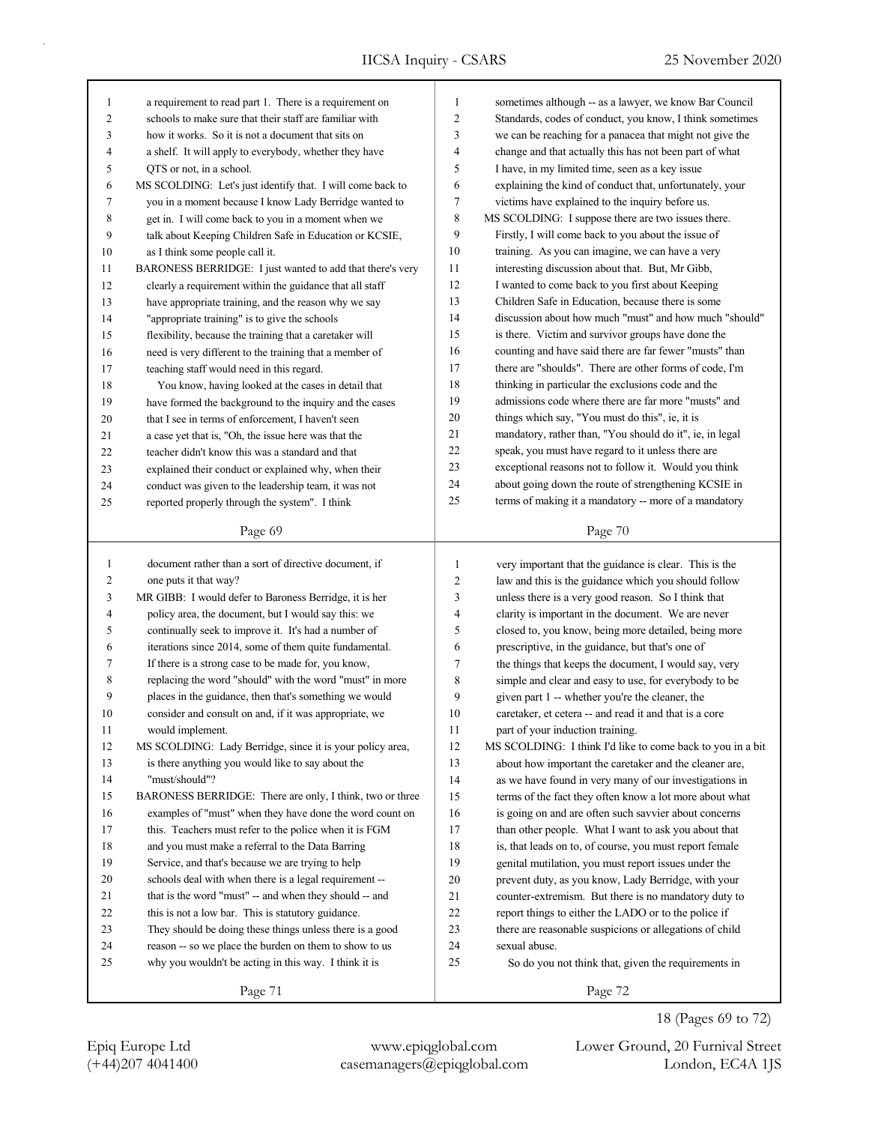| 1                 | a requirement to read part 1. There is a requirement on                                                          | 1              | sometimes although -- as a lawyer, we know Bar Council                                                      |
|-------------------|------------------------------------------------------------------------------------------------------------------|----------------|-------------------------------------------------------------------------------------------------------------|
| 2                 | schools to make sure that their staff are familiar with                                                          | $\overline{2}$ | Standards, codes of conduct, you know, I think sometimes                                                    |
| 3                 | how it works. So it is not a document that sits on                                                               | 3              | we can be reaching for a panacea that might not give the                                                    |
| 4                 | a shelf. It will apply to everybody, whether they have                                                           | 4              | change and that actually this has not been part of what                                                     |
| 5                 | QTS or not, in a school.                                                                                         | 5              | I have, in my limited time, seen as a key issue                                                             |
| 6                 | MS SCOLDING: Let's just identify that. I will come back to                                                       | 6              | explaining the kind of conduct that, unfortunately, your                                                    |
| 7                 | you in a moment because I know Lady Berridge wanted to                                                           | 7              | victims have explained to the inquiry before us.                                                            |
| 8                 | get in. I will come back to you in a moment when we                                                              | 8              | MS SCOLDING: I suppose there are two issues there.                                                          |
| 9                 | talk about Keeping Children Safe in Education or KCSIE,                                                          | 9              | Firstly, I will come back to you about the issue of                                                         |
| 10                | as I think some people call it.                                                                                  | 10             | training. As you can imagine, we can have a very                                                            |
| 11                | BARONESS BERRIDGE: I just wanted to add that there's very                                                        | 11             | interesting discussion about that. But, Mr Gibb,                                                            |
| 12                | clearly a requirement within the guidance that all staff                                                         | 12             | I wanted to come back to you first about Keeping                                                            |
| 13                | have appropriate training, and the reason why we say                                                             | 13             | Children Safe in Education, because there is some                                                           |
| 14                | "appropriate training" is to give the schools                                                                    | 14             | discussion about how much "must" and how much "should"                                                      |
| 15                | flexibility, because the training that a caretaker will                                                          | 15             | is there. Victim and survivor groups have done the                                                          |
| 16                | need is very different to the training that a member of                                                          | 16             | counting and have said there are far fewer "musts" than                                                     |
| 17                | teaching staff would need in this regard.                                                                        | 17             | there are "shoulds". There are other forms of code, I'm                                                     |
| 18                | You know, having looked at the cases in detail that                                                              | 18             | thinking in particular the exclusions code and the                                                          |
| 19                | have formed the background to the inquiry and the cases                                                          | 19             | admissions code where there are far more "musts" and                                                        |
| 20                | that I see in terms of enforcement, I haven't seen                                                               | 20             | things which say, "You must do this", ie, it is                                                             |
| 21                | a case yet that is, "Oh, the issue here was that the                                                             | 21             | mandatory, rather than, "You should do it", ie, in legal                                                    |
| 22                | teacher didn't know this was a standard and that                                                                 | 22             | speak, you must have regard to it unless there are                                                          |
| 23                | explained their conduct or explained why, when their                                                             | 23             | exceptional reasons not to follow it. Would you think                                                       |
| 24                | conduct was given to the leadership team, it was not                                                             | 24             | about going down the route of strengthening KCSIE in                                                        |
| 25                | reported properly through the system". I think                                                                   | 25             | terms of making it a mandatory -- more of a mandatory                                                       |
|                   |                                                                                                                  |                |                                                                                                             |
|                   | Page 69                                                                                                          |                | Page 70                                                                                                     |
|                   |                                                                                                                  |                |                                                                                                             |
|                   |                                                                                                                  | $\mathbf{1}$   |                                                                                                             |
| $\mathbf{1}$<br>2 | document rather than a sort of directive document, if                                                            |                | very important that the guidance is clear. This is the                                                      |
| 3                 | one puts it that way?<br>MR GIBB: I would defer to Baroness Berridge, it is her                                  | 2<br>3         | law and this is the guidance which you should follow                                                        |
| 4                 |                                                                                                                  | 4              | unless there is a very good reason. So I think that                                                         |
| 5                 | policy area, the document, but I would say this: we                                                              | 5              | clarity is important in the document. We are never                                                          |
| 6                 | continually seek to improve it. It's had a number of<br>iterations since 2014, some of them quite fundamental.   | 6              | closed to, you know, being more detailed, being more                                                        |
| 7                 | If there is a strong case to be made for, you know,                                                              | 7              | prescriptive, in the guidance, but that's one of                                                            |
| 8                 |                                                                                                                  | 8              | the things that keeps the document, I would say, very                                                       |
| 9                 | replacing the word "should" with the word "must" in more                                                         | 9              | simple and clear and easy to use, for everybody to be                                                       |
| 10                | places in the guidance, then that's something we would<br>consider and consult on and, if it was appropriate, we | 10             | given part 1 -- whether you're the cleaner, the<br>caretaker, et cetera -- and read it and that is a core   |
| 11                | would implement.                                                                                                 | 11             | part of your induction training.                                                                            |
| 12                | MS SCOLDING: Lady Berridge, since it is your policy area,                                                        | 12             |                                                                                                             |
| 13                | is there anything you would like to say about the                                                                | 13             | MS SCOLDING: I think I'd like to come back to you in a bit                                                  |
| 14                | "must/should"?                                                                                                   |                | about how important the caretaker and the cleaner are,                                                      |
| 15                | BARONESS BERRIDGE: There are only, I think, two or three                                                         | 14<br>15       | as we have found in very many of our investigations in                                                      |
| 16                | examples of "must" when they have done the word count on                                                         | 16             | terms of the fact they often know a lot more about what                                                     |
| 17                | this. Teachers must refer to the police when it is FGM                                                           | 17             | is going on and are often such savvier about concerns                                                       |
| 18                |                                                                                                                  | 18             | than other people. What I want to ask you about that                                                        |
| 19                | and you must make a referral to the Data Barring<br>Service, and that's because we are trying to help            | 19             | is, that leads on to, of course, you must report female                                                     |
| 20                | schools deal with when there is a legal requirement --                                                           | 20             | genital mutilation, you must report issues under the                                                        |
| 21                | that is the word "must" -- and when they should -- and                                                           | 21             | prevent duty, as you know, Lady Berridge, with your<br>counter-extremism. But there is no mandatory duty to |
| 22                | this is not a low bar. This is statutory guidance.                                                               | 22             | report things to either the LADO or to the police if                                                        |
| 23                | They should be doing these things unless there is a good                                                         | 23             | there are reasonable suspicions or allegations of child                                                     |
| 24                | reason -- so we place the burden on them to show to us                                                           | 24             | sexual abuse.                                                                                               |
| 25                | why you wouldn't be acting in this way. I think it is                                                            | 25             | So do you not think that, given the requirements in                                                         |

18 (Pages 69 to 72)

Page 72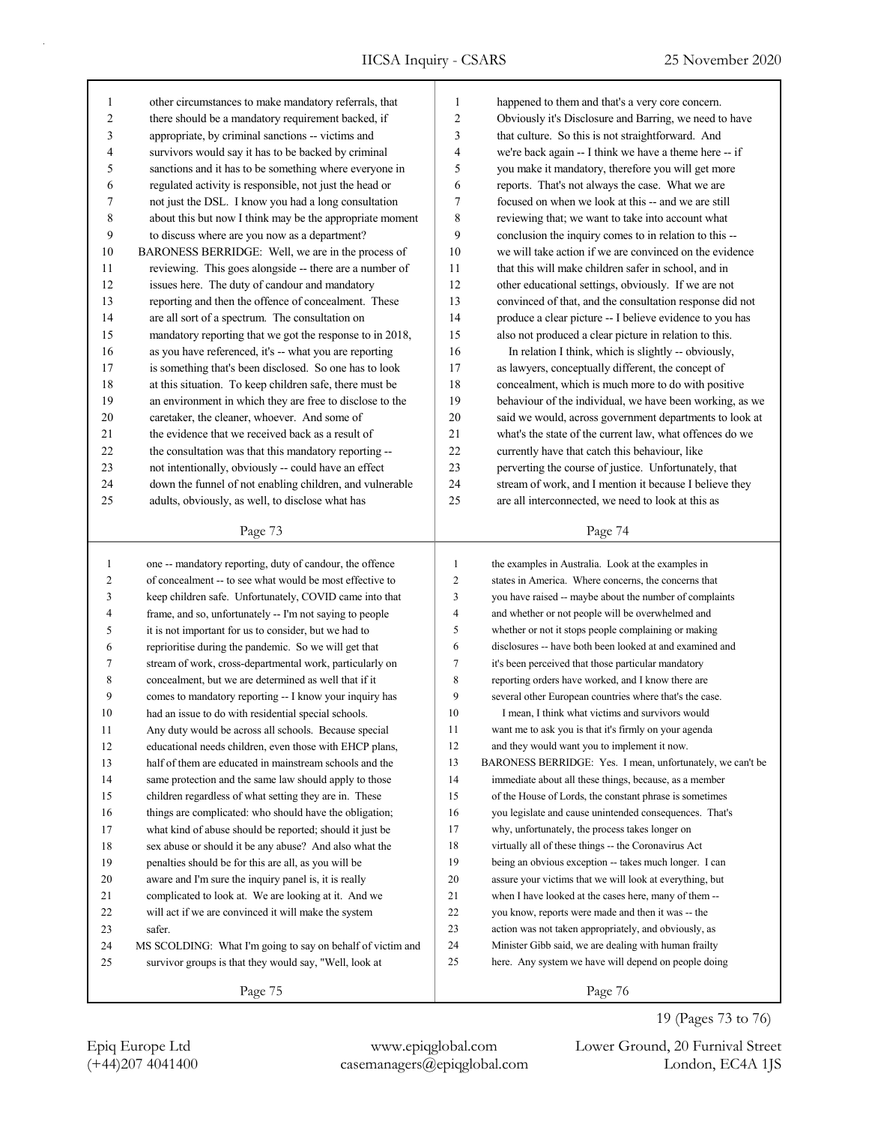| $\mathbf{1}$ | other circumstances to make mandatory referrals, that    | 1              |
|--------------|----------------------------------------------------------|----------------|
| 2            | there should be a mandatory requirement backed, if       | $\mathfrak{2}$ |
| 3            | appropriate, by criminal sanctions -- victims and        | 3              |
| 4            | survivors would say it has to be backed by criminal      | 4              |
| 5            | sanctions and it has to be something where everyone in   | 5              |
| 6            | regulated activity is responsible, not just the head or  | 6              |
| 7            | not just the DSL. I know you had a long consultation     | 7              |
| 8            | about this but now I think may be the appropriate moment | 8              |
| 9            | to discuss where are you now as a department?            | 9              |
| 10           | BARONESS BERRIDGE: Well, we are in the process of        | 10             |
| 11           | reviewing. This goes alongside -- there are a number of  | 11             |
| 12           | issues here. The duty of candour and mandatory           | 12             |
| 13           | reporting and then the offence of concealment. These     | 13             |
| 14           | are all sort of a spectrum. The consultation on          | 14             |
| 15           | mandatory reporting that we got the response to in 2018, | 15             |
| 16           | as you have referenced, it's -- what you are reporting   | 16             |
| 17           | is something that's been disclosed. So one has to look   | 17             |
| 18           | at this situation. To keep children safe, there must be  | 18             |
| 19           | an environment in which they are free to disclose to the | 19             |
| 20           | caretaker, the cleaner, whoever. And some of             | 20             |
| 21           | the evidence that we received back as a result of        | 21             |
| 22           | the consultation was that this mandatory reporting --    | 22             |
| 23           | not intentionally, obviously -- could have an effect     | 23             |
| 24           | down the funnel of not enabling children, and vulnerable | 24             |
| 25           | adults, obviously, as well, to disclose what has         | 25             |
|              | Page 73                                                  |                |

| 1              | one -- mandatory reporting, duty of candour, the offence   | 1              | the examples in Australia. Look at the examples in         |
|----------------|------------------------------------------------------------|----------------|------------------------------------------------------------|
| $\overline{c}$ | of concealment -- to see what would be most effective to   | 2              | states in America. Where concerns, the concerns that       |
| 3              | keep children safe. Unfortunately, COVID came into that    | 3              | you have raised -- maybe about the number of complaints    |
| 4              | frame, and so, unfortunately -- I'm not saying to people   | 4              | and whether or not people will be overwhelmed and          |
| 5              | it is not important for us to consider, but we had to      | 5              | whether or not it stops people complaining or making       |
| 6              | reprioritise during the pandemic. So we will get that      | 6              | disclosures -- have both been looked at and examined and   |
| 7              | stream of work, cross-departmental work, particularly on   | $\overline{7}$ | it's been perceived that those particular mandatory        |
| 8              | concealment, but we are determined as well that if it      | 8              | reporting orders have worked, and I know there are         |
| 9              | comes to mandatory reporting -- I know your inquiry has    | 9              | several other European countries where that's the case.    |
| 10             | had an issue to do with residential special schools.       | 10             | I mean. I think what victims and survivors would           |
| 11             | Any duty would be across all schools. Because special      | 11             | want me to ask you is that it's firmly on your agenda      |
| 12             | educational needs children, even those with EHCP plans,    | 12             | and they would want you to implement it now.               |
| 13             | half of them are educated in mainstream schools and the    | 13             | BARONESS BERRIDGE: Yes. I mean, unfortunately, we can't be |
| 14             | same protection and the same law should apply to those     | 14             | immediate about all these things, because, as a member     |
| 15             | children regardless of what setting they are in. These     | 15             | of the House of Lords, the constant phrase is sometimes    |
| 16             | things are complicated: who should have the obligation;    | 16             | you legislate and cause unintended consequences. That's    |
| 17             | what kind of abuse should be reported; should it just be   | 17             | why, unfortunately, the process takes longer on            |
| 18             | sex abuse or should it be any abuse? And also what the     | 18             | virtually all of these things -- the Coronavirus Act       |
| 19             | penalties should be for this are all, as you will be       | 19             | being an obvious exception -- takes much longer. I can     |
| 20             | aware and I'm sure the inquiry panel is, it is really      | 20             | assure your victims that we will look at everything, but   |
| 21             | complicated to look at. We are looking at it. And we       | 21             | when I have looked at the cases here, many of them --      |
| 22             | will act if we are convinced it will make the system       | 22             | you know, reports were made and then it was -- the         |
| 23             | safer.                                                     | 23             | action was not taken appropriately, and obviously, as      |
| 24             | MS SCOLDING: What I'm going to say on behalf of victim and | 24             | Minister Gibb said, we are dealing with human frailty      |
| 25             | survivor groups is that they would say, "Well, look at     | 25             | here. Any system we have will depend on people doing       |
|                |                                                            |                |                                                            |

Page 76

Page 74

currently have that catch this behaviour, like perverting the course of justice. Unfortunately, that stream of work, and I mention it because I believe they are all interconnected, we need to look at this as

happened to them and that's a very core concern. Obviously it's Disclosure and Barring, we need to have that culture. So this is not straightforward. And we're back again -- I think we have a theme here -- if you make it mandatory, therefore you will get more reports. That's not always the case. What we are focused on when we look at this -- and we are still reviewing that; we want to take into account what conclusion the inquiry comes to in relation to this -we will take action if we are convinced on the evidence that this will make children safer in school, and in other educational settings, obviously. If we are not convinced of that, and the consultation response did not produce a clear picture -- I believe evidence to you has also not produced a clear picture in relation to this. In relation I think, which is slightly -- obviously, as lawyers, conceptually different, the concept of concealment, which is much more to do with positive behaviour of the individual, we have been working, as we said we would, across government departments to look at what's the state of the current law, what offences do we

(+44)207 4041400 casemanagers@epiqglobal.com London, EC4A 1JS Epiq Europe Ltd www.epiqglobal.com Lower Ground, 20 Furnival Street

19 (Pages 73 to 76)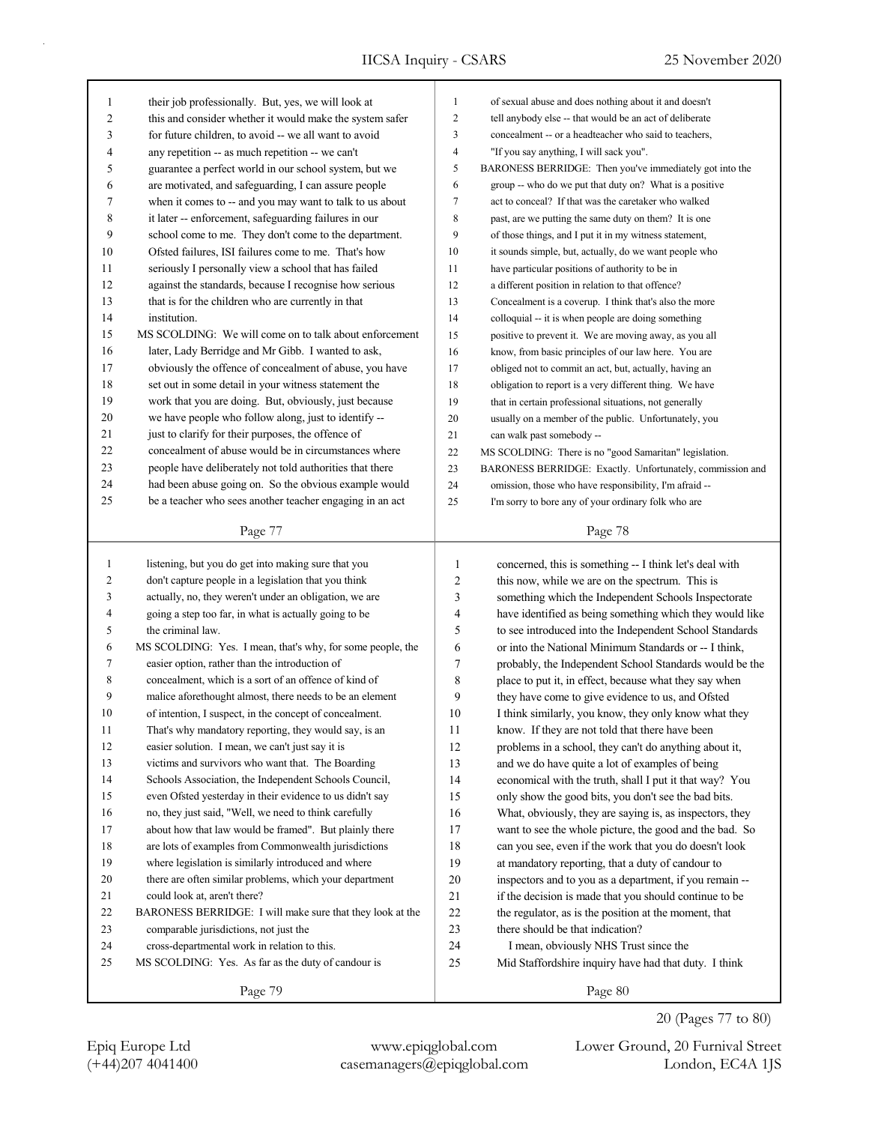| 1              | their job professionally. But, yes, we will look at        | $\mathbf{1}$            | of sexual abuse and does nothing about it and doesn't     |
|----------------|------------------------------------------------------------|-------------------------|-----------------------------------------------------------|
| $\overline{c}$ | this and consider whether it would make the system safer   | $\mathbf{2}$            | tell anybody else -- that would be an act of deliberate   |
| 3              | for future children, to avoid -- we all want to avoid      | 3                       | concealment -- or a headteacher who said to teachers,     |
| 4              | any repetition -- as much repetition -- we can't           | $\overline{\mathbf{4}}$ | "If you say anything, I will sack you".                   |
| 5              | guarantee a perfect world in our school system, but we     | 5                       | BARONESS BERRIDGE: Then you've immediately got into the   |
| 6              | are motivated, and safeguarding, I can assure people       | 6                       | group -- who do we put that duty on? What is a positive   |
| 7              | when it comes to -- and you may want to talk to us about   | 7                       | act to conceal? If that was the caretaker who walked      |
| 8              | it later -- enforcement, safeguarding failures in our      | 8                       | past, are we putting the same duty on them? It is one     |
| 9              | school come to me. They don't come to the department.      | 9                       | of those things, and I put it in my witness statement,    |
| 10             | Ofsted failures, ISI failures come to me. That's how       | 10                      | it sounds simple, but, actually, do we want people who    |
| 11             | seriously I personally view a school that has failed       | 11                      | have particular positions of authority to be in           |
| 12             | against the standards, because I recognise how serious     | 12                      | a different position in relation to that offence?         |
| 13             | that is for the children who are currently in that         | 13                      | Concealment is a coverup. I think that's also the more    |
| 14             | institution.                                               | 14                      | colloquial -- it is when people are doing something       |
| 15             | MS SCOLDING: We will come on to talk about enforcement     | 15                      | positive to prevent it. We are moving away, as you all    |
| 16             | later, Lady Berridge and Mr Gibb. I wanted to ask,         | 16                      | know, from basic principles of our law here. You are      |
| 17             | obviously the offence of concealment of abuse, you have    | 17                      | obliged not to commit an act, but, actually, having an    |
| 18             | set out in some detail in your witness statement the       | 18                      | obligation to report is a very different thing. We have   |
| 19             | work that you are doing. But, obviously, just because      | 19                      | that in certain professional situations, not generally    |
| 20             | we have people who follow along, just to identify --       | 20                      | usually on a member of the public. Unfortunately, you     |
| 21             | just to clarify for their purposes, the offence of         | 21                      | can walk past somebody --                                 |
| 22             | concealment of abuse would be in circumstances where       | 22                      | MS SCOLDING: There is no "good Samaritan" legislation.    |
| 23             | people have deliberately not told authorities that there   | 23                      | BARONESS BERRIDGE: Exactly. Unfortunately, commission and |
| 24             | had been abuse going on. So the obvious example would      | 24                      | omission, those who have responsibility, I'm afraid --    |
| 25             | be a teacher who sees another teacher engaging in an act   | 25                      | I'm sorry to bore any of your ordinary folk who are       |
|                |                                                            |                         |                                                           |
|                | Page 77                                                    |                         | Page 78                                                   |
|                |                                                            |                         |                                                           |
|                |                                                            |                         |                                                           |
| $\mathbf{1}$   | listening, but you do get into making sure that you        | $\mathbf{1}$            | concerned, this is something -- I think let's deal with   |
| 2              | don't capture people in a legislation that you think       | 2                       | this now, while we are on the spectrum. This is           |
| 3              | actually, no, they weren't under an obligation, we are     | 3                       | something which the Independent Schools Inspectorate      |
| 4              | going a step too far, in what is actually going to be      | 4                       | have identified as being something which they would like  |
| 5              | the criminal law.                                          | 5                       | to see introduced into the Independent School Standards   |
| 6              | MS SCOLDING: Yes. I mean, that's why, for some people, the | 6                       | or into the National Minimum Standards or -- I think,     |
| 7              | easier option, rather than the introduction of             | $\boldsymbol{7}$        | probably, the Independent School Standards would be the   |
| 8              | concealment, which is a sort of an offence of kind of      | 8                       | place to put it, in effect, because what they say when    |
| 9              | malice aforethought almost, there needs to be an element   | 9                       | they have come to give evidence to us, and Ofsted         |
| 10             | of intention, I suspect, in the concept of concealment.    | 10                      | I think similarly, you know, they only know what they     |
| 11             | That's why mandatory reporting, they would say, is an      | 11                      | know. If they are not told that there have been           |
| 12             | easier solution. I mean, we can't just say it is           | 12                      | problems in a school, they can't do anything about it,    |
| 13             | victims and survivors who want that. The Boarding          | 13                      | and we do have quite a lot of examples of being           |
| 14             | Schools Association, the Independent Schools Council,      | 14                      | economical with the truth, shall I put it that way? You   |
| 15             | even Ofsted yesterday in their evidence to us didn't say   | 15                      | only show the good bits, you don't see the bad bits.      |
| 16             | no, they just said, "Well, we need to think carefully      | 16                      | What, obviously, they are saying is, as inspectors, they  |
| 17             | about how that law would be framed". But plainly there     | 17                      | want to see the whole picture, the good and the bad. So   |
| $18\,$         | are lots of examples from Commonwealth jurisdictions       | 18                      | can you see, even if the work that you do doesn't look    |
| 19             | where legislation is similarly introduced and where        | 19                      | at mandatory reporting, that a duty of candour to         |
| 20             | there are often similar problems, which your department    | 20                      | inspectors and to you as a department, if you remain --   |
| 21             | could look at, aren't there?                               | 21                      | if the decision is made that you should continue to be    |
| 22             | BARONESS BERRIDGE: I will make sure that they look at the  | 22                      | the regulator, as is the position at the moment, that     |
| 23             | comparable jurisdictions, not just the                     | 23                      | there should be that indication?                          |
| 24             | cross-departmental work in relation to this.               | 24                      | I mean, obviously NHS Trust since the                     |
| 25             | MS SCOLDING: Yes. As far as the duty of candour is         | 25                      | Mid Staffordshire inquiry have had that duty. I think     |

(+44)207 4041400 casemanagers@epiqglobal.com London, EC4A 1JS Epiq Europe Ltd www.epiqglobal.com Lower Ground, 20 Furnival Street

20 (Pages 77 to 80)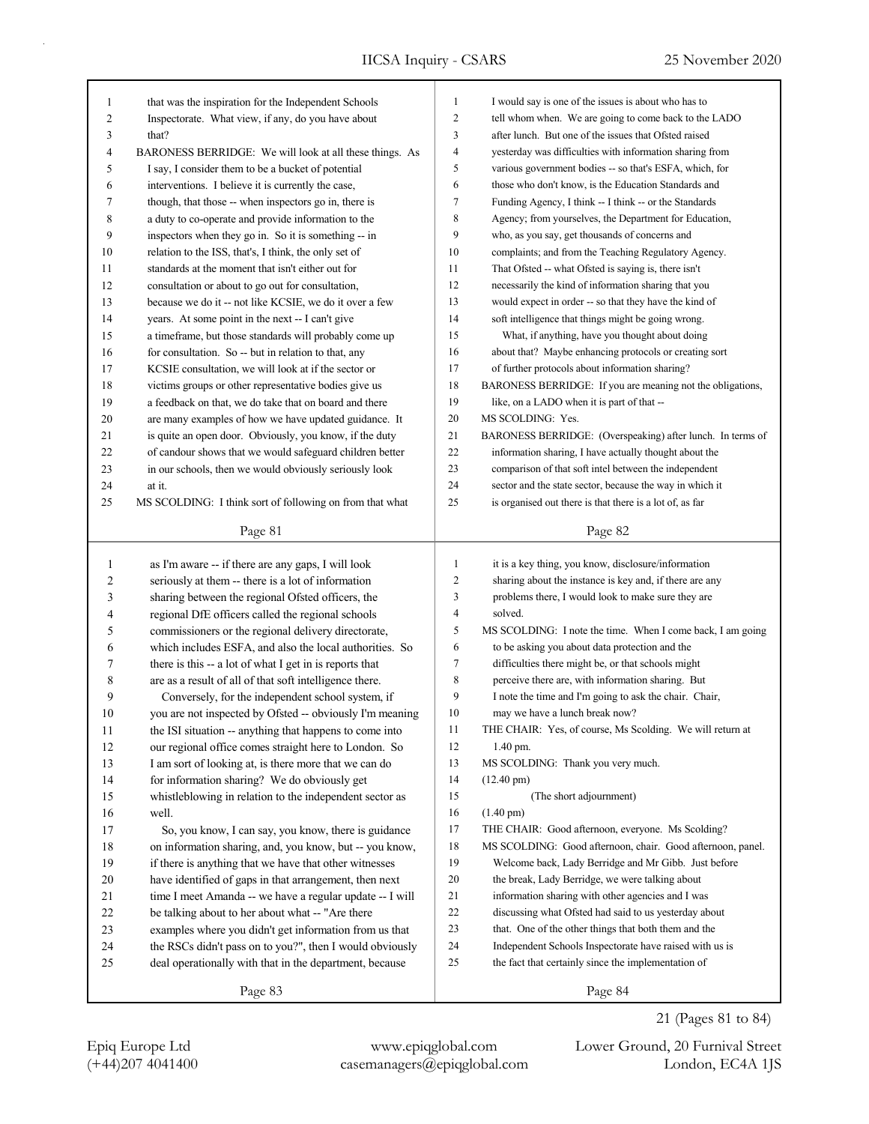| 1              | that was the inspiration for the Independent Schools     | $\mathbf{1}$   | I would say is one of the issues is about who has to       |
|----------------|----------------------------------------------------------|----------------|------------------------------------------------------------|
| 2              | Inspectorate. What view, if any, do you have about       | $\overline{2}$ | tell whom when. We are going to come back to the LADO      |
| 3              | that?                                                    | 3              | after lunch. But one of the issues that Ofsted raised      |
| 4              | BARONESS BERRIDGE: We will look at all these things. As  | $\overline{4}$ | yesterday was difficulties with information sharing from   |
| 5              | I say, I consider them to be a bucket of potential       | 5              | various government bodies -- so that's ESFA, which, for    |
| 6              | interventions. I believe it is currently the case,       | 6              | those who don't know, is the Education Standards and       |
| 7              | though, that those -- when inspectors go in, there is    | $\tau$         | Funding Agency, I think -- I think -- or the Standards     |
| 8              | a duty to co-operate and provide information to the      | 8              | Agency; from yourselves, the Department for Education,     |
| 9              | inspectors when they go in. So it is something -- in     | 9              | who, as you say, get thousands of concerns and             |
| 10             | relation to the ISS, that's, I think, the only set of    | 10             | complaints; and from the Teaching Regulatory Agency.       |
| 11             | standards at the moment that isn't either out for        | 11             | That Ofsted -- what Ofsted is saying is, there isn't       |
| 12             | consultation or about to go out for consultation,        | 12             | necessarily the kind of information sharing that you       |
| 13             | because we do it -- not like KCSIE, we do it over a few  | 13             | would expect in order -- so that they have the kind of     |
| 14             | years. At some point in the next -- I can't give         | 14             | soft intelligence that things might be going wrong.        |
| 15             | a timeframe, but those standards will probably come up   | 15             | What, if anything, have you thought about doing            |
| 16             | for consultation. So -- but in relation to that, any     | 16             | about that? Maybe enhancing protocols or creating sort     |
| 17             | KCSIE consultation, we will look at if the sector or     | 17             | of further protocols about information sharing?            |
| 18             | victims groups or other representative bodies give us    | 18             | BARONESS BERRIDGE: If you are meaning not the obligations, |
| 19             | a feedback on that, we do take that on board and there   | 19             | like, on a LADO when it is part of that --                 |
| 20             | are many examples of how we have updated guidance. It    | 20             | MS SCOLDING: Yes.                                          |
| 21             | is quite an open door. Obviously, you know, if the duty  | 21             | BARONESS BERRIDGE: (Overspeaking) after lunch. In terms of |
| 22             | of candour shows that we would safeguard children better | 22             | information sharing, I have actually thought about the     |
| 23             | in our schools, then we would obviously seriously look   | 23             | comparison of that soft intel between the independent      |
| 24             | at it.                                                   | 24             | sector and the state sector, because the way in which it   |
| 25             |                                                          | 25             | is organised out there is that there is a lot of, as far   |
|                | MS SCOLDING: I think sort of following on from that what |                |                                                            |
|                | Page 81                                                  |                | Page 82                                                    |
|                |                                                          |                |                                                            |
|                |                                                          |                |                                                            |
| $\mathbf{1}$   | as I'm aware -- if there are any gaps, I will look       | $\mathbf{1}$   | it is a key thing, you know, disclosure/information        |
| $\overline{c}$ | seriously at them -- there is a lot of information       | $\overline{c}$ | sharing about the instance is key and, if there are any    |
| 3              | sharing between the regional Ofsted officers, the        | 3              | problems there, I would look to make sure they are         |
| 4              | regional DfE officers called the regional schools        | 4              | solved.                                                    |
| 5              | commissioners or the regional delivery directorate,      | 5              | MS SCOLDING: I note the time. When I come back, I am going |
| 6              | which includes ESFA, and also the local authorities. So  | 6              | to be asking you about data protection and the             |
| 7              | there is this -- a lot of what I get in is reports that  | $\tau$         | difficulties there might be, or that schools might         |
| 8              | are as a result of all of that soft intelligence there.  | 8              | perceive there are, with information sharing. But          |
| 9              | Conversely, for the independent school system, if        | 9              | I note the time and I'm going to ask the chair. Chair,     |
| 10             | you are not inspected by Ofsted -- obviously I'm meaning | 10             | may we have a lunch break now?                             |
| 11             | the ISI situation -- anything that happens to come into  | 11             | THE CHAIR: Yes, of course, Ms Scolding. We will return at  |
| 12             | our regional office comes straight here to London. So    | 12             | 1.40 pm.                                                   |
| 13             | I am sort of looking at, is there more that we can do    | 13             | MS SCOLDING: Thank you very much.                          |
| 14             | for information sharing? We do obviously get             | 14             | $(12.40 \text{ pm})$                                       |
| 15             | whistleblowing in relation to the independent sector as  | 15             | (The short adjournment)                                    |
| 16             | well.                                                    | 16             | $(1.40 \text{ pm})$                                        |
| 17             | So, you know, I can say, you know, there is guidance     | 17             | THE CHAIR: Good afternoon, everyone. Ms Scolding?          |
| $18\,$         | on information sharing, and, you know, but -- you know,  | 18             | MS SCOLDING: Good afternoon, chair. Good afternoon, panel. |
| 19             | if there is anything that we have that other witnesses   | 19             | Welcome back, Lady Berridge and Mr Gibb. Just before       |
| 20             | have identified of gaps in that arrangement, then next   | 20             | the break, Lady Berridge, we were talking about            |
| 21             | time I meet Amanda -- we have a regular update -- I will | 21             | information sharing with other agencies and I was          |
| 22             | be talking about to her about what -- "Are there         | 22             | discussing what Ofsted had said to us yesterday about      |
| 23             | examples where you didn't get information from us that   | 23             | that. One of the other things that both them and the       |
| 24             | the RSCs didn't pass on to you?", then I would obviously | 24             | Independent Schools Inspectorate have raised with us is    |
| 25             | deal operationally with that in the department, because  | 25             | the fact that certainly since the implementation of        |

21 (Pages 81 to 84)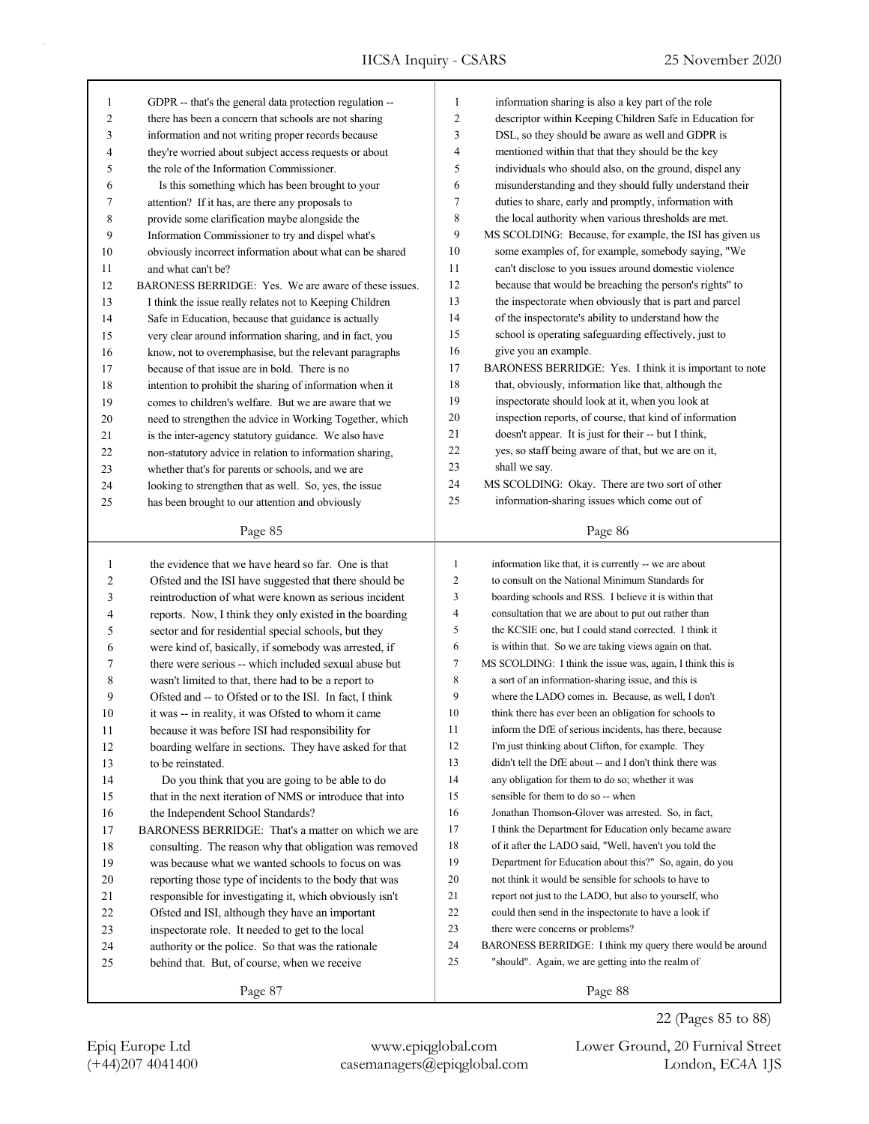| $\mathbf{1}$ | GDPR -- that's the general data protection regulation --                                                     | 1              | information sharing is also a key part of the role                                                        |
|--------------|--------------------------------------------------------------------------------------------------------------|----------------|-----------------------------------------------------------------------------------------------------------|
| 2            | there has been a concern that schools are not sharing                                                        | 2              | descriptor within Keeping Children Safe in Education for                                                  |
| 3            | information and not writing proper records because                                                           | 3              | DSL, so they should be aware as well and GDPR is                                                          |
| 4            | they're worried about subject access requests or about                                                       | 4              | mentioned within that that they should be the key                                                         |
| 5            | the role of the Information Commissioner.                                                                    | 5              | individuals who should also, on the ground, dispel any                                                    |
| 6            | Is this something which has been brought to your                                                             | 6              | misunderstanding and they should fully understand their                                                   |
| 7            | attention? If it has, are there any proposals to                                                             | 7              | duties to share, early and promptly, information with                                                     |
| 8            | provide some clarification maybe alongside the                                                               | 8              | the local authority when various thresholds are met.                                                      |
| 9            | Information Commissioner to try and dispel what's                                                            | 9              | MS SCOLDING: Because, for example, the ISI has given us                                                   |
| 10           | obviously incorrect information about what can be shared                                                     | 10             | some examples of, for example, somebody saying, "We                                                       |
| 11           | and what can't be?                                                                                           | 11             | can't disclose to you issues around domestic violence                                                     |
| 12           | BARONESS BERRIDGE: Yes. We are aware of these issues.                                                        | 12             | because that would be breaching the person's rights" to                                                   |
| 13           | I think the issue really relates not to Keeping Children                                                     | 13             | the inspectorate when obviously that is part and parcel                                                   |
| 14           | Safe in Education, because that guidance is actually                                                         | 14             | of the inspectorate's ability to understand how the                                                       |
| 15           | very clear around information sharing, and in fact, you                                                      | 15             | school is operating safeguarding effectively, just to                                                     |
| 16           | know, not to overemphasise, but the relevant paragraphs                                                      | 16             | give you an example.                                                                                      |
| 17           | because of that issue are in bold. There is no                                                               | 17             | BARONESS BERRIDGE: Yes. I think it is important to note                                                   |
| 18           | intention to prohibit the sharing of information when it                                                     | 18             | that, obviously, information like that, although the                                                      |
| 19           | comes to children's welfare. But we are aware that we                                                        | 19             | inspectorate should look at it, when you look at                                                          |
| 20           | need to strengthen the advice in Working Together, which                                                     | 20             | inspection reports, of course, that kind of information                                                   |
| 21           | is the inter-agency statutory guidance. We also have                                                         | 21             | doesn't appear. It is just for their -- but I think,                                                      |
| 22           | non-statutory advice in relation to information sharing,                                                     | 22             | yes, so staff being aware of that, but we are on it,                                                      |
| 23           | whether that's for parents or schools, and we are                                                            | 23             | shall we say.                                                                                             |
| 24           | looking to strengthen that as well. So, yes, the issue                                                       | 24             | MS SCOLDING: Okay. There are two sort of other                                                            |
| 25           | has been brought to our attention and obviously                                                              | 25             | information-sharing issues which come out of                                                              |
|              |                                                                                                              |                |                                                                                                           |
|              | Page 85                                                                                                      |                | Page 86                                                                                                   |
| $\mathbf{1}$ | the evidence that we have heard so far. One is that                                                          | $\mathbf{1}$   | information like that, it is currently -- we are about                                                    |
| 2            | Ofsted and the ISI have suggested that there should be                                                       | $\overline{2}$ | to consult on the National Minimum Standards for                                                          |
| 3            | reintroduction of what were known as serious incident                                                        | 3              | boarding schools and RSS. I believe it is within that                                                     |
| 4            | reports. Now, I think they only existed in the boarding                                                      | 4              | consultation that we are about to put out rather than                                                     |
| 5            | sector and for residential special schools, but they                                                         | 5              | the KCSIE one, but I could stand corrected. I think it                                                    |
| 6            | were kind of, basically, if somebody was arrested, if                                                        | 6              | is within that. So we are taking views again on that.                                                     |
| 7            | there were serious -- which included sexual abuse but                                                        | $\tau$         | MS SCOLDING: I think the issue was, again, I think this is                                                |
| 8            | wasn't limited to that, there had to be a report to                                                          | $\,$ 8 $\,$    |                                                                                                           |
| 9            |                                                                                                              |                |                                                                                                           |
|              | Ofsted and -- to Ofsted or to the ISI. In fact, I think                                                      | 9              | a sort of an information-sharing issue, and this is<br>where the LADO comes in. Because, as well, I don't |
| 10           | it was -- in reality, it was Ofsted to whom it came                                                          | 10             | think there has ever been an obligation for schools to                                                    |
| 11           | because it was before ISI had responsibility for                                                             | 11             | inform the DfE of serious incidents, has there, because                                                   |
| 12           |                                                                                                              | 12             | I'm just thinking about Clifton, for example. They                                                        |
| 13           | boarding welfare in sections. They have asked for that<br>to be reinstated.                                  | 13             | didn't tell the DfE about -- and I don't think there was                                                  |
| 14           |                                                                                                              | 14             | any obligation for them to do so; whether it was                                                          |
| 15           | Do you think that you are going to be able to do<br>that in the next iteration of NMS or introduce that into | 15             | sensible for them to do so -- when                                                                        |
| 16           | the Independent School Standards?                                                                            | 16             | Jonathan Thomson-Glover was arrested. So, in fact,                                                        |
| 17           | BARONESS BERRIDGE: That's a matter on which we are                                                           | 17             | I think the Department for Education only became aware                                                    |
| 18           | consulting. The reason why that obligation was removed                                                       | 18             | of it after the LADO said, "Well, haven't you told the                                                    |
| 19           | was because what we wanted schools to focus on was                                                           | 19             | Department for Education about this?" So, again, do you                                                   |
| $20\,$       | reporting those type of incidents to the body that was                                                       | 20             | not think it would be sensible for schools to have to                                                     |
| 21           | responsible for investigating it, which obviously isn't                                                      | 21             | report not just to the LADO, but also to yourself, who                                                    |
| 22           | Ofsted and ISI, although they have an important                                                              | 22             | could then send in the inspectorate to have a look if                                                     |
| 23           | inspectorate role. It needed to get to the local                                                             | 23             | there were concerns or problems?                                                                          |
| 24           | authority or the police. So that was the rationale                                                           | 24             | BARONESS BERRIDGE: I think my query there would be around                                                 |
| 25           | behind that. But, of course, when we receive                                                                 | 25             | "should". Again, we are getting into the realm of                                                         |

Page 88

(+44)207 4041400 casemanagers@epiqglobal.com London, EC4A 1JS Epiq Europe Ltd www.epiqglobal.com Lower Ground, 20 Furnival Street

22 (Pages 85 to 88)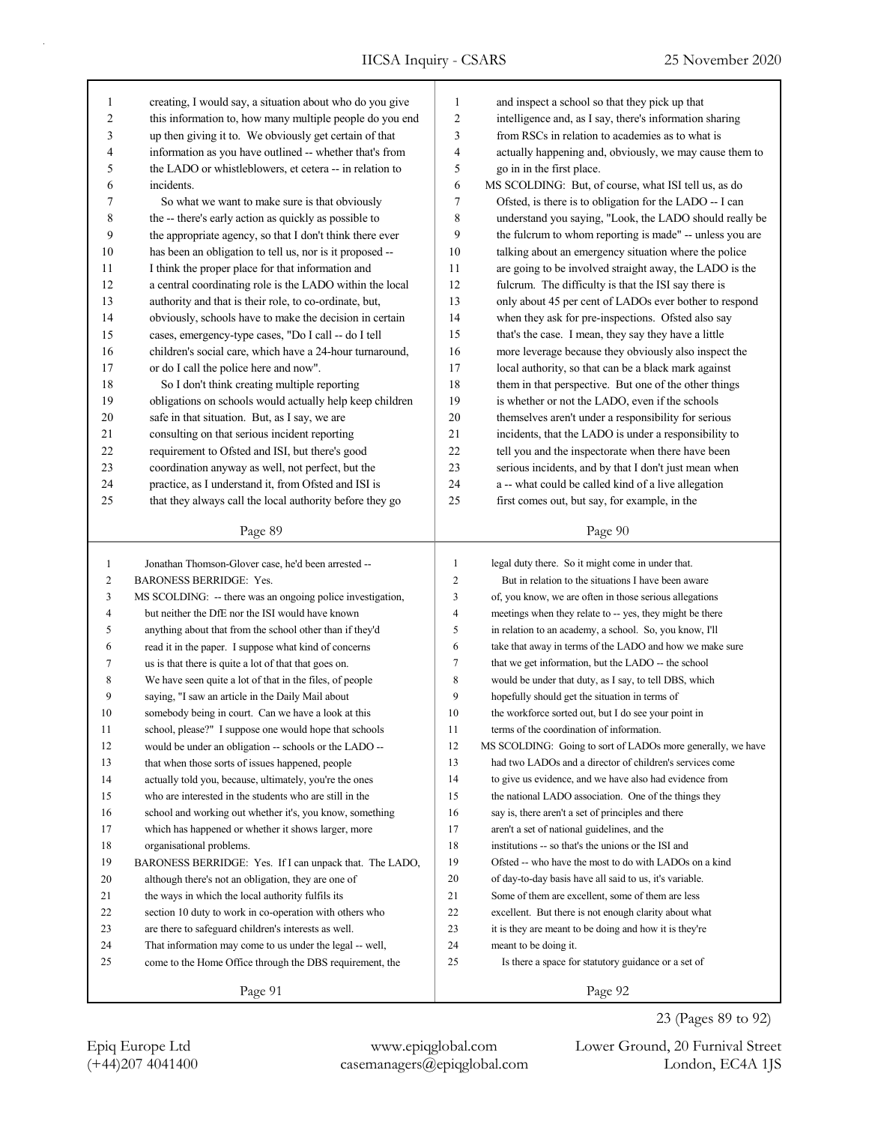IICSA Inquiry - CSARS 25 November 2020

| $\mathbf{1}$ | creating, I would say, a situation about who do you give   | $\mathbf{1}$   | and inspect a school so that they pick up that              |
|--------------|------------------------------------------------------------|----------------|-------------------------------------------------------------|
| 2            | this information to, how many multiple people do you end   | $\overline{c}$ | intelligence and, as I say, there's information sharing     |
| 3            | up then giving it to. We obviously get certain of that     | 3              | from RSCs in relation to academies as to what is            |
| 4            | information as you have outlined -- whether that's from    | 4              | actually happening and, obviously, we may cause them to     |
| 5            | the LADO or whistleblowers, et cetera -- in relation to    | 5              | go in in the first place.                                   |
| 6            | incidents.                                                 | 6              | MS SCOLDING: But, of course, what ISI tell us, as do        |
| 7            | So what we want to make sure is that obviously             | $\tau$         | Ofsted, is there is to obligation for the LADO -- I can     |
| 8            | the -- there's early action as quickly as possible to      | 8              | understand you saying, "Look, the LADO should really be     |
| 9            | the appropriate agency, so that I don't think there ever   | 9              | the fulcrum to whom reporting is made" -- unless you are    |
| 10           | has been an obligation to tell us, nor is it proposed --   | 10             | talking about an emergency situation where the police       |
| 11           | I think the proper place for that information and          | 11             | are going to be involved straight away, the LADO is the     |
| 12           | a central coordinating role is the LADO within the local   | 12             | fulcrum. The difficulty is that the ISI say there is        |
| 13           | authority and that is their role, to co-ordinate, but,     | 13             | only about 45 per cent of LADOs ever bother to respond      |
| 14           | obviously, schools have to make the decision in certain    | 14             | when they ask for pre-inspections. Ofsted also say          |
| 15           | cases, emergency-type cases, "Do I call -- do I tell       | 15             | that's the case. I mean, they say they have a little        |
| 16           | children's social care, which have a 24-hour turnaround,   | 16             | more leverage because they obviously also inspect the       |
| 17           | or do I call the police here and now".                     | 17             | local authority, so that can be a black mark against        |
| 18           | So I don't think creating multiple reporting               | 18             | them in that perspective. But one of the other things       |
| 19           | obligations on schools would actually help keep children   | 19             | is whether or not the LADO, even if the schools             |
| 20           | safe in that situation. But, as I say, we are              | 20             | themselves aren't under a responsibility for serious        |
| 21           | consulting on that serious incident reporting              | 21             | incidents, that the LADO is under a responsibility to       |
| 22           | requirement to Ofsted and ISI, but there's good            | 22             | tell you and the inspectorate when there have been          |
| 23           | coordination anyway as well, not perfect, but the          | 23             | serious incidents, and by that I don't just mean when       |
| 24           | practice, as I understand it, from Ofsted and ISI is       | 24             | a -- what could be called kind of a live allegation         |
| 25           | that they always call the local authority before they go   | 25             | first comes out, but say, for example, in the               |
|              |                                                            |                |                                                             |
|              | Page 89                                                    |                | Page 90                                                     |
|              |                                                            |                |                                                             |
|              |                                                            |                |                                                             |
| $\mathbf{1}$ | Jonathan Thomson-Glover case, he'd been arrested --        | $\mathbf{1}$   | legal duty there. So it might come in under that.           |
| 2            | <b>BARONESS BERRIDGE: Yes.</b>                             | $\mathfrak{2}$ | But in relation to the situations I have been aware         |
| 3            | MS SCOLDING: -- there was an ongoing police investigation, | 3              | of, you know, we are often in those serious allegations     |
| 4            | but neither the DfE nor the ISI would have known           | 4              | meetings when they relate to -- yes, they might be there    |
| 5            | anything about that from the school other than if they'd   | 5              | in relation to an academy, a school. So, you know, I'll     |
| 6            | read it in the paper. I suppose what kind of concerns      | 6              | take that away in terms of the LADO and how we make sure    |
| 7            | us is that there is quite a lot of that that goes on.      | 7              | that we get information, but the LADO -- the school         |
| 8            | We have seen quite a lot of that in the files, of people   | $\,$ 8 $\,$    | would be under that duty, as I say, to tell DBS, which      |
| 9            | saying, "I saw an article in the Daily Mail about          | 9              | hopefully should get the situation in terms of              |
| 10           | somebody being in court. Can we have a look at this        | 10             | the workforce sorted out, but I do see your point in        |
| 11           | school, please?" I suppose one would hope that schools     | 11             | terms of the coordination of information.                   |
| 12           | would be under an obligation -- schools or the LADO --     | 12             | MS SCOLDING: Going to sort of LADOs more generally, we have |
| 13           | that when those sorts of issues happened, people           | 13             | had two LADOs and a director of children's services come    |
| 14           | actually told you, because, ultimately, you're the ones    | 14             | to give us evidence, and we have also had evidence from     |
| 15           | who are interested in the students who are still in the    | 15             | the national LADO association. One of the things they       |
| 16           | school and working out whether it's, you know, something   | 16             | say is, there aren't a set of principles and there          |
| 17           | which has happened or whether it shows larger, more        | 17             | aren't a set of national guidelines, and the                |
| 18           | organisational problems.                                   | 18             | institutions -- so that's the unions or the ISI and         |
| 19           | BARONESS BERRIDGE: Yes. If I can unpack that. The LADO,    | 19             | Ofsted -- who have the most to do with LADOs on a kind      |
| 20           | although there's not an obligation, they are one of        | 20             | of day-to-day basis have all said to us, it's variable.     |
| 21           | the ways in which the local authority fulfils its          | 21             | Some of them are excellent, some of them are less           |
| 22           | section 10 duty to work in co-operation with others who    | 22             | excellent. But there is not enough clarity about what       |
| 23           | are there to safeguard children's interests as well.       | 23             | it is they are meant to be doing and how it is they're      |
| 24           | That information may come to us under the legal -- well,   | 24             | meant to be doing it.                                       |
| 25           | come to the Home Office through the DBS requirement, the   | 25             | Is there a space for statutory guidance or a set of         |

Page 92

23 (Pages 89 to 92)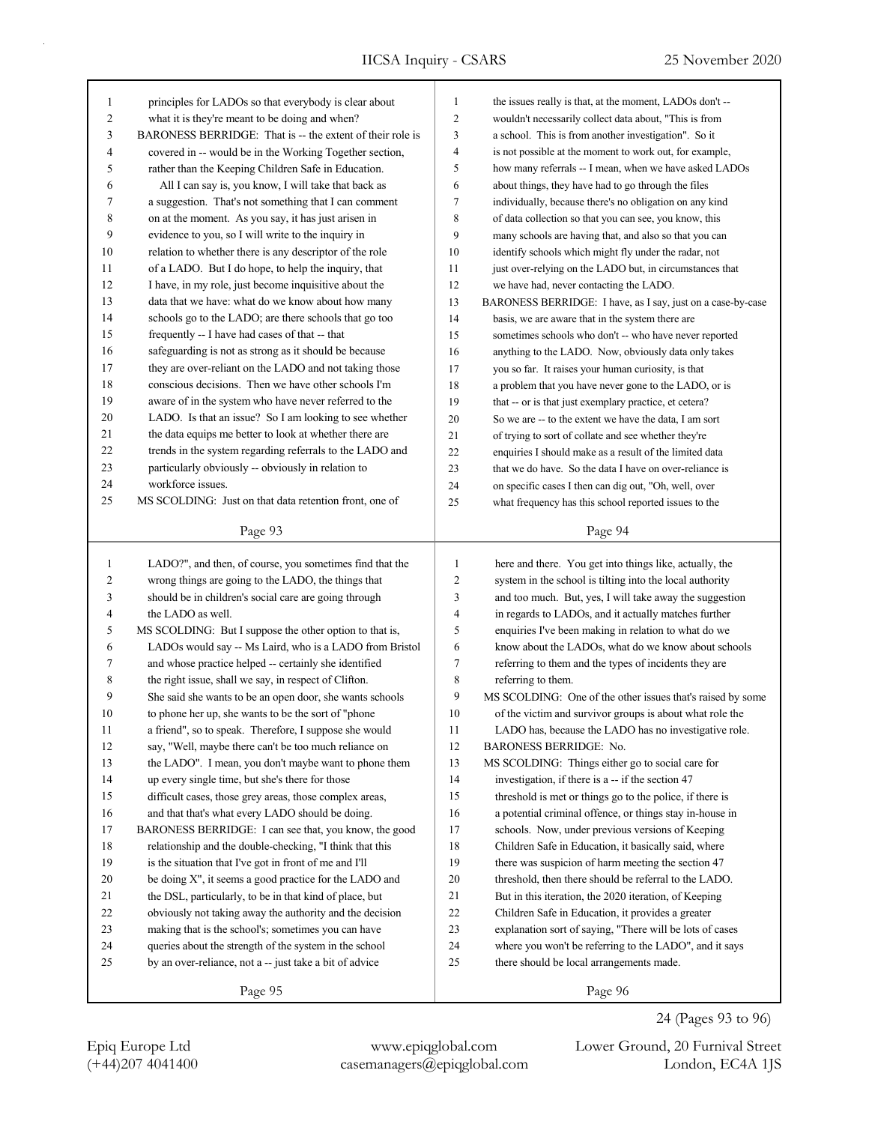| 1      | principles for LADOs so that everybody is clear about     | $\mathbf{1}$   | the issues really is that, at the moment, LADOs don't --    |
|--------|-----------------------------------------------------------|----------------|-------------------------------------------------------------|
| 2      | what it is they're meant to be doing and when?            | 2              | wouldn't necessarily collect data about, "This is from      |
| 3      | BARONESS BERRIDGE: That is -- the extent of their role is | 3              | a school. This is from another investigation". So it        |
| 4      | covered in -- would be in the Working Together section,   | 4              | is not possible at the moment to work out, for example,     |
| 5      | rather than the Keeping Children Safe in Education.       | 5              | how many referrals -- I mean, when we have asked LADOs      |
| 6      | All I can say is, you know, I will take that back as      | 6              | about things, they have had to go through the files         |
| 7      | a suggestion. That's not something that I can comment     | 7              | individually, because there's no obligation on any kind     |
| 8      | on at the moment. As you say, it has just arisen in       | 8              | of data collection so that you can see, you know, this      |
| 9      | evidence to you, so I will write to the inquiry in        | 9              | many schools are having that, and also so that you can      |
| 10     | relation to whether there is any descriptor of the role   | 10             | identify schools which might fly under the radar, not       |
| 11     | of a LADO. But I do hope, to help the inquiry, that       | 11             | just over-relying on the LADO but, in circumstances that    |
| 12     | I have, in my role, just become inquisitive about the     | 12             | we have had, never contacting the LADO.                     |
| 13     | data that we have: what do we know about how many         | 13             | BARONESS BERRIDGE: I have, as I say, just on a case-by-case |
| 14     | schools go to the LADO; are there schools that go too     | 14             | basis, we are aware that in the system there are            |
| 15     | frequently -- I have had cases of that -- that            | 15             | sometimes schools who don't -- who have never reported      |
| 16     | safeguarding is not as strong as it should be because     | 16             | anything to the LADO. Now, obviously data only takes        |
| 17     | they are over-reliant on the LADO and not taking those    | 17             | you so far. It raises your human curiosity, is that         |
| 18     | conscious decisions. Then we have other schools I'm       | 18             | a problem that you have never gone to the LADO, or is       |
| 19     | aware of in the system who have never referred to the     | 19             | that -- or is that just exemplary practice, et cetera?      |
| 20     | LADO. Is that an issue? So I am looking to see whether    | 20             | So we are -- to the extent we have the data, I am sort      |
| 21     | the data equips me better to look at whether there are    | 21             | of trying to sort of collate and see whether they're        |
| 22     | trends in the system regarding referrals to the LADO and  | 22             | enquiries I should make as a result of the limited data     |
| 23     | particularly obviously -- obviously in relation to        | 23             | that we do have. So the data I have on over-reliance is     |
| 24     | workforce issues.                                         | 24             | on specific cases I then can dig out, "Oh, well, over       |
| 25     | MS SCOLDING: Just on that data retention front, one of    | 25             | what frequency has this school reported issues to the       |
|        |                                                           |                |                                                             |
|        | Page 93                                                   |                | Page 94                                                     |
|        |                                                           |                |                                                             |
|        |                                                           |                |                                                             |
| 1      | LADO?", and then, of course, you sometimes find that the  | 1              | here and there. You get into things like, actually, the     |
| 2      | wrong things are going to the LADO, the things that       | $\overline{2}$ | system in the school is tilting into the local authority    |
| 3      | should be in children's social care are going through     | 3              | and too much. But, yes, I will take away the suggestion     |
| 4      | the LADO as well.                                         | $\overline{4}$ | in regards to LADOs, and it actually matches further        |
| 5      | MS SCOLDING: But I suppose the other option to that is,   | 5              | enquiries I've been making in relation to what do we        |
| 6      | LADOs would say -- Ms Laird, who is a LADO from Bristol   | 6              | know about the LADOs, what do we know about schools         |
| 7      | and whose practice helped -- certainly she identified     | 7              | referring to them and the types of incidents they are       |
| 8      | the right issue, shall we say, in respect of Clifton.     | 8              | referring to them.                                          |
| 9      | She said she wants to be an open door, she wants schools  | 9              | MS SCOLDING: One of the other issues that's raised by some  |
| 10     | to phone her up, she wants to be the sort of "phone       | 10             | of the victim and survivor groups is about what role the    |
| 11     | a friend", so to speak. Therefore, I suppose she would    | 11             | LADO has, because the LADO has no investigative role.       |
| 12     | say, "Well, maybe there can't be too much reliance on     | 12             | BARONESS BERRIDGE: No.                                      |
| 13     | the LADO". I mean, you don't maybe want to phone them     | 13             | MS SCOLDING: Things either go to social care for            |
| 14     | up every single time, but she's there for those           | 14             | investigation, if there is a -- if the section 47           |
| 15     | difficult cases, those grey areas, those complex areas,   | 15             | threshold is met or things go to the police, if there is    |
| 16     | and that that's what every LADO should be doing.          | 16             | a potential criminal offence, or things stay in-house in    |
| 17     | BARONESS BERRIDGE: I can see that, you know, the good     | 17             | schools. Now, under previous versions of Keeping            |
| $18\,$ | relationship and the double-checking, "I think that this  | 18             | Children Safe in Education, it basically said, where        |
| 19     | is the situation that I've got in front of me and I'll    | 19             | there was suspicion of harm meeting the section 47          |
| 20     | be doing X", it seems a good practice for the LADO and    | 20             | threshold, then there should be referral to the LADO.       |
| 21     | the DSL, particularly, to be in that kind of place, but   | 21             | But in this iteration, the 2020 iteration, of Keeping       |
| $22\,$ | obviously not taking away the authority and the decision  | 22             | Children Safe in Education, it provides a greater           |
| 23     | making that is the school's; sometimes you can have       | 23             | explanation sort of saying, "There will be lots of cases    |
| 24     | queries about the strength of the system in the school    | 24             | where you won't be referring to the LADO", and it says      |
| 25     | by an over-reliance, not a -- just take a bit of advice   | 25             | there should be local arrangements made.                    |

Page 96

24 (Pages 93 to 96)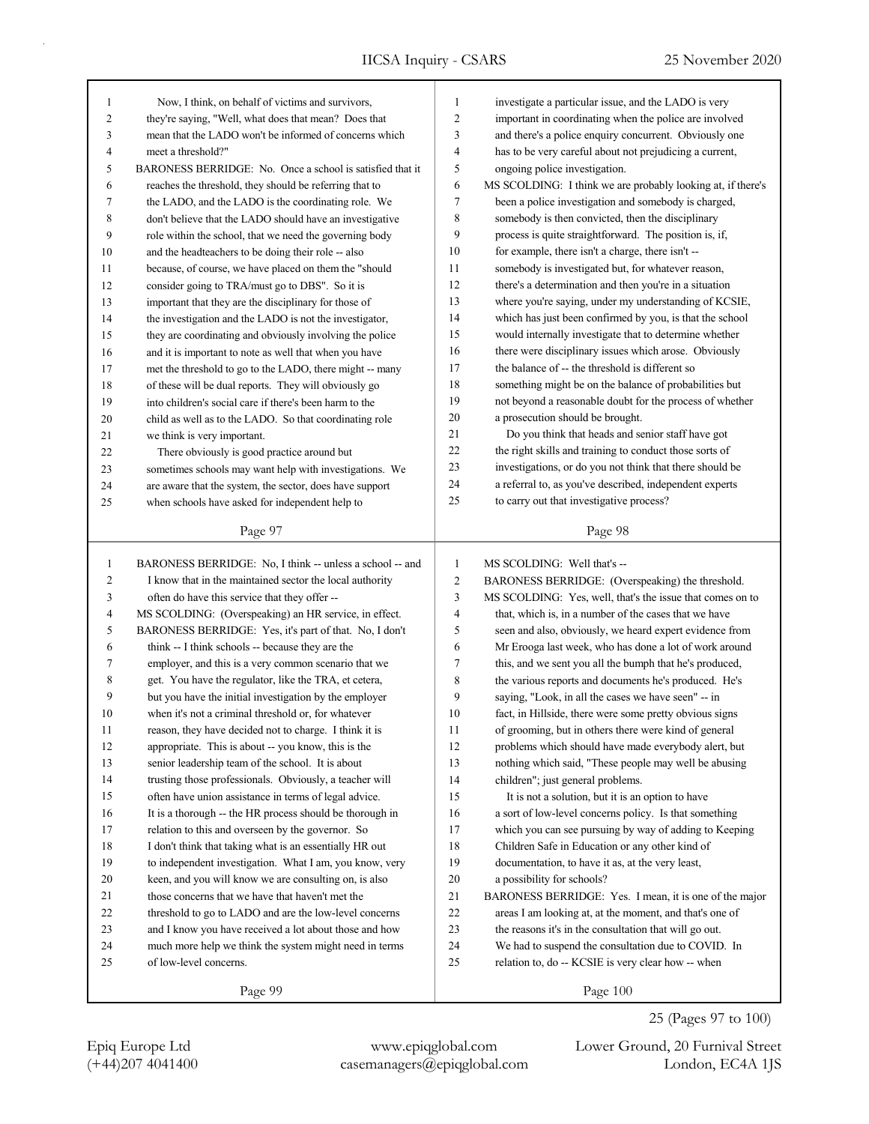| $\mathbf{1}$   | Now, I think, on behalf of victims and survivors,         | 1              | investigate a particular issue, and the LADO is very        |
|----------------|-----------------------------------------------------------|----------------|-------------------------------------------------------------|
| 2              | they're saying, "Well, what does that mean? Does that     | 2              | important in coordinating when the police are involved      |
| 3              | mean that the LADO won't be informed of concerns which    | 3              | and there's a police enquiry concurrent. Obviously one      |
| 4              | meet a threshold?"                                        | 4              | has to be very careful about not prejudicing a current,     |
| 5              | BARONESS BERRIDGE: No. Once a school is satisfied that it | 5              | ongoing police investigation.                               |
| 6              | reaches the threshold, they should be referring that to   | 6              | MS SCOLDING: I think we are probably looking at, if there's |
| 7              | the LADO, and the LADO is the coordinating role. We       | 7              | been a police investigation and somebody is charged,        |
| 8              | don't believe that the LADO should have an investigative  | 8              | somebody is then convicted, then the disciplinary           |
| 9              | role within the school, that we need the governing body   | 9              | process is quite straightforward. The position is, if,      |
| 10             | and the headteachers to be doing their role -- also       | 10             | for example, there isn't a charge, there isn't --           |
| 11             | because, of course, we have placed on them the "should    | 11             | somebody is investigated but, for whatever reason,          |
| 12             | consider going to TRA/must go to DBS". So it is           | 12             | there's a determination and then you're in a situation      |
| 13             | important that they are the disciplinary for those of     | 13             | where you're saying, under my understanding of KCSIE,       |
| 14             | the investigation and the LADO is not the investigator,   | 14             | which has just been confirmed by you, is that the school    |
| 15             | they are coordinating and obviously involving the police  | 15             | would internally investigate that to determine whether      |
| 16             | and it is important to note as well that when you have    | 16             | there were disciplinary issues which arose. Obviously       |
| 17             | met the threshold to go to the LADO, there might -- many  | 17             | the balance of -- the threshold is different so             |
| 18             | of these will be dual reports. They will obviously go     | 18             | something might be on the balance of probabilities but      |
| 19             | into children's social care if there's been harm to the   | 19             | not beyond a reasonable doubt for the process of whether    |
| 20             | child as well as to the LADO. So that coordinating role   | 20             | a prosecution should be brought.                            |
| 21             | we think is very important.                               | 21             | Do you think that heads and senior staff have got           |
| 22             | There obviously is good practice around but               | 22             | the right skills and training to conduct those sorts of     |
| 23             | sometimes schools may want help with investigations. We   | 23             | investigations, or do you not think that there should be    |
| 24             | are aware that the system, the sector, does have support  | 24             | a referral to, as you've described, independent experts     |
| 25             | when schools have asked for independent help to           | 25             | to carry out that investigative process?                    |
|                |                                                           |                |                                                             |
|                | Page 97                                                   |                | Page 98                                                     |
|                |                                                           |                |                                                             |
|                |                                                           |                |                                                             |
| $\mathbf{1}$   | BARONESS BERRIDGE: No, I think -- unless a school -- and  | 1              | MS SCOLDING: Well that's --                                 |
| $\mathbf{2}$   | I know that in the maintained sector the local authority  | $\overline{c}$ | BARONESS BERRIDGE: (Overspeaking) the threshold.            |
| 3              | often do have this service that they offer --             | 3              | MS SCOLDING: Yes, well, that's the issue that comes on to   |
| $\overline{4}$ | MS SCOLDING: (Overspeaking) an HR service, in effect.     | $\overline{4}$ | that, which is, in a number of the cases that we have       |
| 5              | BARONESS BERRIDGE: Yes, it's part of that. No, I don't    | 5              | seen and also, obviously, we heard expert evidence from     |
| 6              | think -- I think schools -- because they are the          | 6              | Mr Erooga last week, who has done a lot of work around      |
| 7              | employer, and this is a very common scenario that we      | 7              | this, and we sent you all the bumph that he's produced,     |
| 8              | get. You have the regulator, like the TRA, et cetera,     | 8              | the various reports and documents he's produced. He's       |
| 9              | but you have the initial investigation by the employer    | 9              | saying, "Look, in all the cases we have seen" -- in         |
| 10             | when it's not a criminal threshold or, for whatever       | 10             | fact, in Hillside, there were some pretty obvious signs     |
| 11             | reason, they have decided not to charge. I think it is    | 11             | of grooming, but in others there were kind of general       |
| 12             | appropriate. This is about -- you know, this is the       | 12             | problems which should have made everybody alert, but        |
| 13             | senior leadership team of the school. It is about         | 13             | nothing which said, "These people may well be abusing       |
| 14             | trusting those professionals. Obviously, a teacher will   | 14             | children"; just general problems.                           |
| 15             | often have union assistance in terms of legal advice.     | 15             | It is not a solution, but it is an option to have           |
| 16             | It is a thorough -- the HR process should be thorough in  | 16             | a sort of low-level concerns policy. Is that something      |
| 17             | relation to this and overseen by the governor. So         | 17             | which you can see pursuing by way of adding to Keeping      |
| 18             | I don't think that taking what is an essentially HR out   | 18             | Children Safe in Education or any other kind of             |
| 19             | to independent investigation. What I am, you know, very   | 19             | documentation, to have it as, at the very least,            |
| 20             | keen, and you will know we are consulting on, is also     | $20\,$         | a possibility for schools?                                  |
| 21             | those concerns that we have that haven't met the          | 21             | BARONESS BERRIDGE: Yes. I mean, it is one of the major      |
| 22             | threshold to go to LADO and are the low-level concerns    | $22\,$         | areas I am looking at, at the moment, and that's one of     |
| 23             | and I know you have received a lot about those and how    | 23             | the reasons it's in the consultation that will go out.      |
| 24             | much more help we think the system might need in terms    | 24             | We had to suspend the consultation due to COVID. In         |
| 25             | of low-level concerns.                                    | 25             | relation to, do -- KCSIE is very clear how -- when          |

(+44)207 4041400 casemanagers@epiqglobal.com London, EC4A 1JS Epiq Europe Ltd www.epiqglobal.com Lower Ground, 20 Furnival Street

25 (Pages 97 to 100)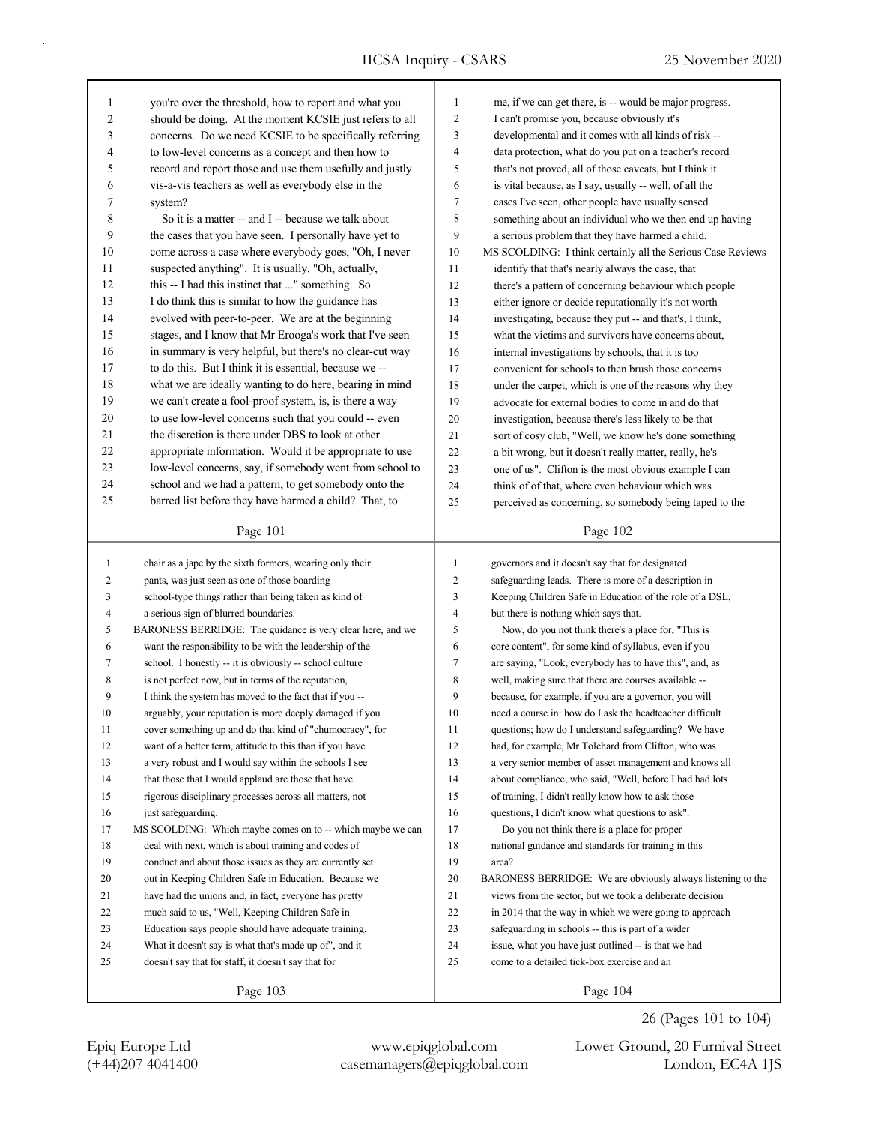٦

| 1              | you're over the threshold, how to report and what you      | $\mathbf{1}$   | me, if we can get there, is -- would be major progress.     |
|----------------|------------------------------------------------------------|----------------|-------------------------------------------------------------|
| 2              | should be doing. At the moment KCSIE just refers to all    | $\overline{c}$ | I can't promise you, because obviously it's                 |
| 3              | concerns. Do we need KCSIE to be specifically referring    | 3              | developmental and it comes with all kinds of risk --        |
| 4              | to low-level concerns as a concept and then how to         | 4              | data protection, what do you put on a teacher's record      |
| 5              | record and report those and use them usefully and justly   | 5              | that's not proved, all of those caveats, but I think it     |
| 6              | vis-a-vis teachers as well as everybody else in the        | 6              | is vital because, as I say, usually -- well, of all the     |
| 7              | system?                                                    | 7              | cases I've seen, other people have usually sensed           |
| 8              | So it is a matter -- and I -- because we talk about        | 8              | something about an individual who we then end up having     |
| 9              | the cases that you have seen. I personally have yet to     | 9              | a serious problem that they have harmed a child.            |
| 10             | come across a case where everybody goes, "Oh, I never      | 10             | MS SCOLDING: I think certainly all the Serious Case Reviews |
| 11             | suspected anything". It is usually, "Oh, actually,         | 11             | identify that that's nearly always the case, that           |
| 12             | this -- I had this instinct that " something. So           | 12             | there's a pattern of concerning behaviour which people      |
| 13             | I do think this is similar to how the guidance has         | 13             | either ignore or decide reputationally it's not worth       |
| 14             | evolved with peer-to-peer. We are at the beginning         | 14             | investigating, because they put -- and that's, I think,     |
| 15             | stages, and I know that Mr Erooga's work that I've seen    | 15             | what the victims and survivors have concerns about,         |
| 16             | in summary is very helpful, but there's no clear-cut way   | 16             | internal investigations by schools, that it is too          |
| 17             | to do this. But I think it is essential, because we --     | 17             | convenient for schools to then brush those concerns         |
| 18             | what we are ideally wanting to do here, bearing in mind    | 18             | under the carpet, which is one of the reasons why they      |
| 19             | we can't create a fool-proof system, is, is there a way    | 19             | advocate for external bodies to come in and do that         |
| 20             | to use low-level concerns such that you could -- even      | 20             | investigation, because there's less likely to be that       |
| 21             | the discretion is there under DBS to look at other         | 21             | sort of cosy club, "Well, we know he's done something       |
| 22             | appropriate information. Would it be appropriate to use    | 22             | a bit wrong, but it doesn't really matter, really, he's     |
| 23             | low-level concerns, say, if somebody went from school to   | 23             | one of us". Clifton is the most obvious example I can       |
| 24             | school and we had a pattern, to get somebody onto the      | 24             | think of of that, where even behaviour which was            |
| 25             | barred list before they have harmed a child? That, to      | 25             | perceived as concerning, so somebody being taped to the     |
|                | Page 101                                                   |                | Page 102                                                    |
|                |                                                            |                |                                                             |
| $\mathbf{1}$   | chair as a jape by the sixth formers, wearing only their   | $\mathbf{1}$   | governors and it doesn't say that for designated            |
| $\overline{c}$ | pants, was just seen as one of those boarding              | $\overline{c}$ | safeguarding leads. There is more of a description in       |
| 3              | school-type things rather than being taken as kind of      | 3              | Keeping Children Safe in Education of the role of a DSL,    |
| $\overline{4}$ | a serious sign of blurred boundaries.                      | $\overline{4}$ | but there is nothing which says that.                       |
| 5              | BARONESS BERRIDGE: The guidance is very clear here, and we | 5              | Now, do you not think there's a place for, "This is         |
| 6              | want the responsibility to be with the leadership of the   | 6              | core content", for some kind of syllabus, even if you       |
| 7              | school. I honestly -- it is obviously -- school culture    | $\tau$         | are saying, "Look, everybody has to have this", and, as     |
| 8              | is not perfect now, but in terms of the reputation,        | 8              | well, making sure that there are courses available --       |
| 9              | I think the system has moved to the fact that if you --    | 9              | because, for example, if you are a governor, you will       |
| 10             | arguably, your reputation is more deeply damaged if you    | 10             | need a course in: how do I ask the headteacher difficult    |
| 11             | cover something up and do that kind of "chumocracy", for   | 11             | questions; how do I understand safeguarding? We have        |
| 12             | want of a better term, attitude to this than if you have   | 12             | had, for example, Mr Tolchard from Clifton, who was         |
| 13             | a very robust and I would say within the schools I see     | 13             | a very senior member of asset management and knows all      |
| 14             | that those that I would applaud are those that have        | 14             | about compliance, who said, "Well, before I had had lots    |
| 15             | rigorous disciplinary processes across all matters, not    | 15             | of training, I didn't really know how to ask those          |
| 16             | just safeguarding.                                         | 16             | questions, I didn't know what questions to ask".            |
| 17             | MS SCOLDING: Which maybe comes on to -- which maybe we can | 17             | Do you not think there is a place for proper                |
| 18             | deal with next, which is about training and codes of       | 18             | national guidance and standards for training in this        |
| 19             | conduct and about those issues as they are currently set   | 19             | area?                                                       |
| 20             | out in Keeping Children Safe in Education. Because we      | 20             | BARONESS BERRIDGE: We are obviously always listening to the |
| 21             | have had the unions and, in fact, everyone has pretty      | 21             | views from the sector, but we took a deliberate decision    |
| 22             | much said to us, "Well, Keeping Children Safe in           | 22             | in 2014 that the way in which we were going to approach     |
| 23             | Education says people should have adequate training.       | 23             | safeguarding in schools -- this is part of a wider          |
| 24             | What it doesn't say is what that's made up of", and it     | 24             | issue, what you have just outlined -- is that we had        |
| 25             | doesn't say that for staff, it doesn't say that for        | 25             | come to a detailed tick-box exercise and an                 |
|                | Page 103                                                   |                | Page 104                                                    |

(+44)207 4041400 casemanagers@epiqglobal.com London, EC4A 1JS Epiq Europe Ltd www.epiqglobal.com Lower Ground, 20 Furnival Street

26 (Pages 101 to 104)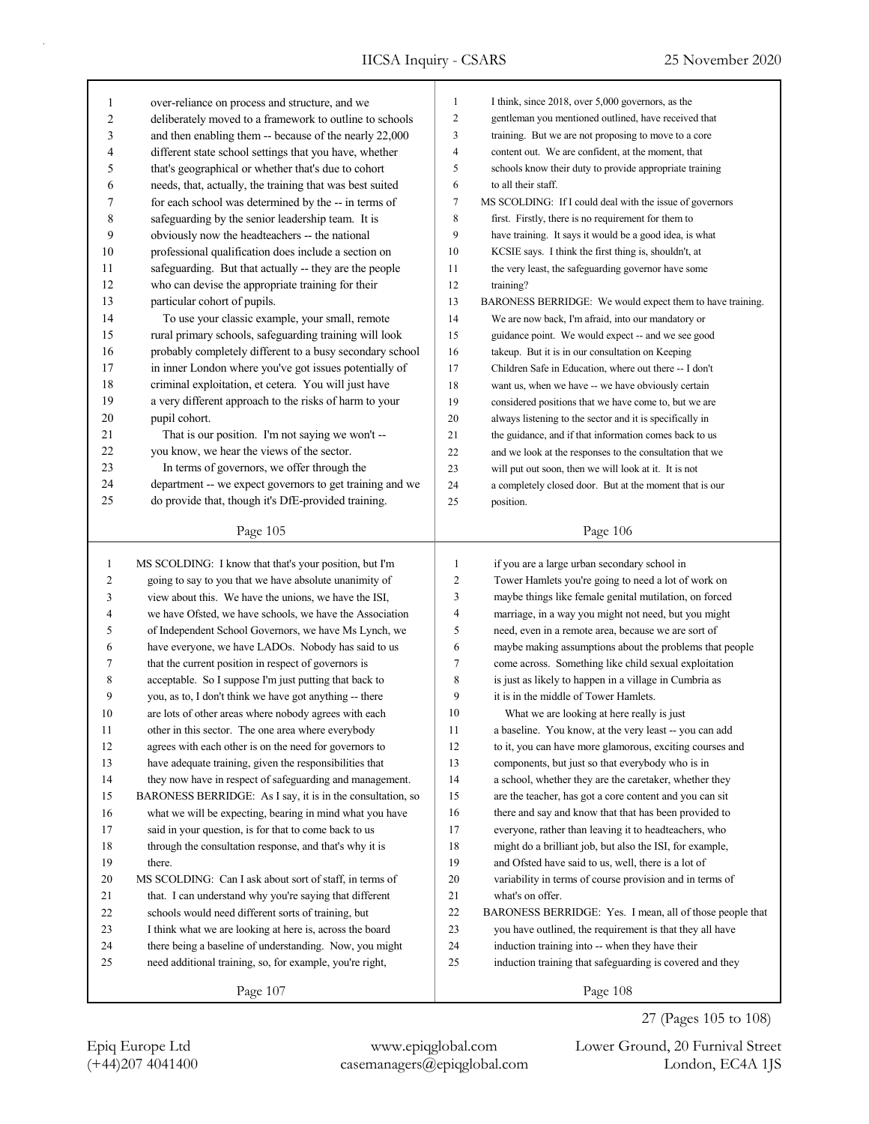| 1            | over-reliance on process and structure, and we             | $\mathbf{1}$   | I think, since 2018, over 5,000 governors, as the         |
|--------------|------------------------------------------------------------|----------------|-----------------------------------------------------------|
| 2            | deliberately moved to a framework to outline to schools    | $\overline{2}$ | gentleman you mentioned outlined, have received that      |
| 3            | and then enabling them -- because of the nearly 22,000     | 3              | training. But we are not proposing to move to a core      |
| 4            | different state school settings that you have, whether     | 4              | content out. We are confident, at the moment, that        |
| 5            | that's geographical or whether that's due to cohort        | 5              | schools know their duty to provide appropriate training   |
| 6            | needs, that, actually, the training that was best suited   | 6              | to all their staff.                                       |
| 7            | for each school was determined by the -- in terms of       | $\tau$         | MS SCOLDING: If I could deal with the issue of governors  |
| 8            | safeguarding by the senior leadership team. It is          | 8              | first. Firstly, there is no requirement for them to       |
| 9            | obviously now the headteachers -- the national             | 9              | have training. It says it would be a good idea, is what   |
| 10           | professional qualification does include a section on       | 10             | KCSIE says. I think the first thing is, shouldn't, at     |
| 11           | safeguarding. But that actually -- they are the people     | 11             | the very least, the safeguarding governor have some       |
| 12           | who can devise the appropriate training for their          | 12             | training?                                                 |
| 13           | particular cohort of pupils.                               | 13             | BARONESS BERRIDGE: We would expect them to have training. |
| 14           | To use your classic example, your small, remote            | 14             | We are now back, I'm afraid, into our mandatory or        |
| 15           | rural primary schools, safeguarding training will look     | 15             | guidance point. We would expect -- and we see good        |
| 16           | probably completely different to a busy secondary school   | 16             | takeup. But it is in our consultation on Keeping          |
| 17           | in inner London where you've got issues potentially of     | 17             | Children Safe in Education, where out there -- I don't    |
| 18           | criminal exploitation, et cetera. You will just have       | 18             | want us, when we have -- we have obviously certain        |
| 19           | a very different approach to the risks of harm to your     | 19             | considered positions that we have come to, but we are     |
| 20           | pupil cohort.                                              | 20             | always listening to the sector and it is specifically in  |
| 21           | That is our position. I'm not saying we won't --           | 21             | the guidance, and if that information comes back to us    |
| 22           | you know, we hear the views of the sector.                 | 22             | and we look at the responses to the consultation that we  |
| 23           | In terms of governors, we offer through the                | 23             | will put out soon, then we will look at it. It is not     |
| 24           | department -- we expect governors to get training and we   | 24             | a completely closed door. But at the moment that is our   |
| 25           | do provide that, though it's DfE-provided training.        | 25             | position.                                                 |
|              |                                                            |                |                                                           |
|              | Page 105                                                   |                | Page 106                                                  |
|              |                                                            |                |                                                           |
|              |                                                            |                |                                                           |
| $\mathbf{1}$ | MS SCOLDING: I know that that's your position, but I'm     | $\mathbf{1}$   | if you are a large urban secondary school in              |
| 2            | going to say to you that we have absolute unanimity of     | $\overline{c}$ | Tower Hamlets you're going to need a lot of work on       |
| 3            | view about this. We have the unions, we have the ISI,      | 3              | maybe things like female genital mutilation, on forced    |
| 4            | we have Ofsted, we have schools, we have the Association   | 4              | marriage, in a way you might not need, but you might      |
| 5            | of Independent School Governors, we have Ms Lynch, we      | 5              | need, even in a remote area, because we are sort of       |
| 6            | have everyone, we have LADOs. Nobody has said to us        | 6              | maybe making assumptions about the problems that people   |
| 7            | that the current position in respect of governors is       | 7              | come across. Something like child sexual exploitation     |
| 8            | acceptable. So I suppose I'm just putting that back to     | 8              | is just as likely to happen in a village in Cumbria as    |
| 9            | you, as to, I don't think we have got anything -- there    | 9              | it is in the middle of Tower Hamlets.                     |
| 10           | are lots of other areas where nobody agrees with each      | 10             | What we are looking at here really is just                |
| 11           | other in this sector. The one area where everybody         | 11             | a baseline. You know, at the very least -- you can add    |
| 12           | agrees with each other is on the need for governors to     | 12             | to it, you can have more glamorous, exciting courses and  |
| 13           | have adequate training, given the responsibilities that    | 13             | components, but just so that everybody who is in          |
| 14           | they now have in respect of safeguarding and management.   | 14             | a school, whether they are the caretaker, whether they    |
| 15           | BARONESS BERRIDGE: As I say, it is in the consultation, so | 15             | are the teacher, has got a core content and you can sit   |
| 16           | what we will be expecting, bearing in mind what you have   | 16             | there and say and know that that has been provided to     |
| 17           | said in your question, is for that to come back to us      | 17             | everyone, rather than leaving it to headteachers, who     |
| 18           | through the consultation response, and that's why it is    | 18             | might do a brilliant job, but also the ISI, for example,  |
| 19           | there.                                                     | 19             | and Ofsted have said to us, well, there is a lot of       |
| 20           | MS SCOLDING: Can I ask about sort of staff, in terms of    | 20             | variability in terms of course provision and in terms of  |
| 21           | that. I can understand why you're saying that different    | 21             | what's on offer.                                          |
| 22           | schools would need different sorts of training, but        | 22             | BARONESS BERRIDGE: Yes. I mean, all of those people that  |
| 23           | I think what we are looking at here is, across the board   | 23             | you have outlined, the requirement is that they all have  |
| 24           | there being a baseline of understanding. Now, you might    | 24             | induction training into -- when they have their           |
| 25           | need additional training, so, for example, you're right,   | 25             | induction training that safeguarding is covered and they  |

(+44)207 4041400 casemanagers@epiqglobal.com London, EC4A 1JS Epiq Europe Ltd www.epiqglobal.com Lower Ground, 20 Furnival Street

27 (Pages 105 to 108)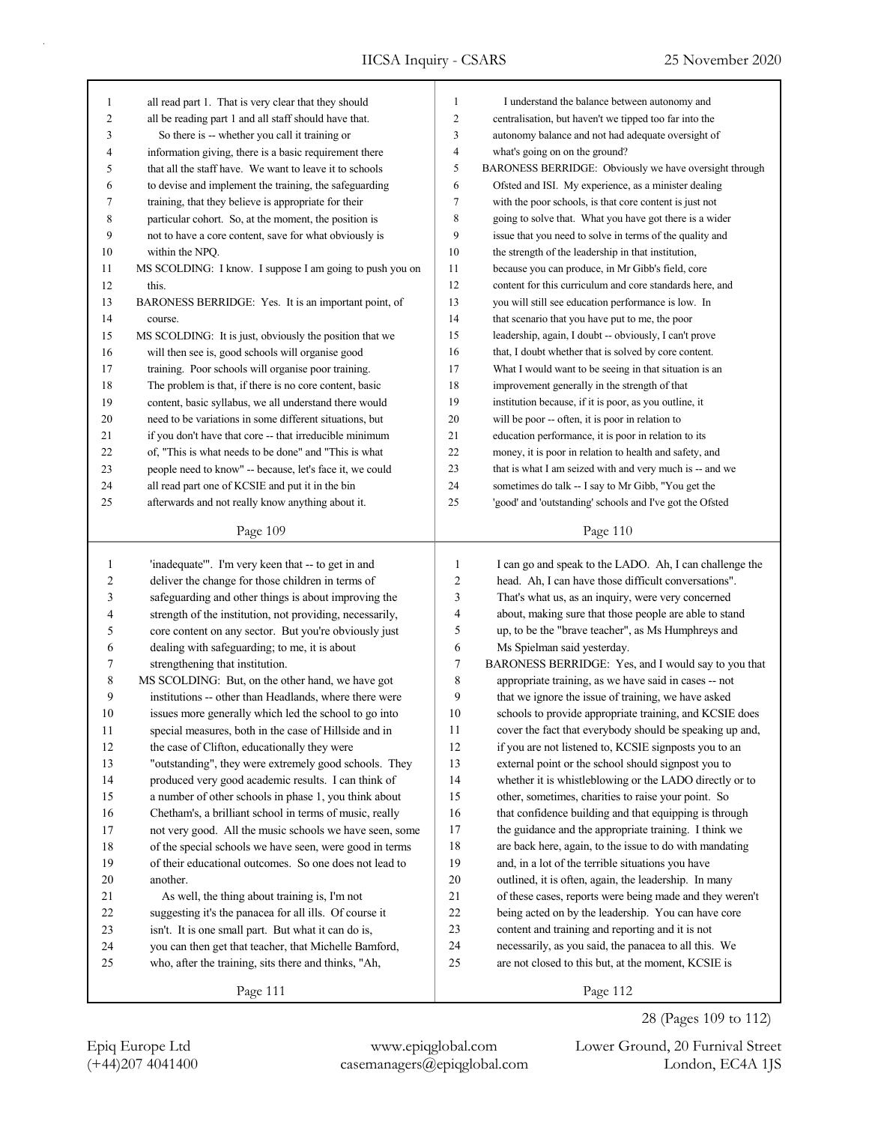| $\mathbf{1}$   | all read part 1. That is very clear that they should                                                         | 1              | I understand the balance between autonomy and            |
|----------------|--------------------------------------------------------------------------------------------------------------|----------------|----------------------------------------------------------|
| $\overline{c}$ | all be reading part 1 and all staff should have that.                                                        | $\overline{c}$ | centralisation, but haven't we tipped too far into the   |
| 3              | So there is -- whether you call it training or                                                               | 3              | autonomy balance and not had adequate oversight of       |
| 4              | information giving, there is a basic requirement there                                                       | 4              | what's going on on the ground?                           |
| 5              | that all the staff have. We want to leave it to schools                                                      | 5              | BARONESS BERRIDGE: Obviously we have oversight through   |
| 6              | to devise and implement the training, the safeguarding                                                       | 6              | Ofsted and ISI. My experience, as a minister dealing     |
| 7              | training, that they believe is appropriate for their                                                         | 7              | with the poor schools, is that core content is just not  |
| 8              | particular cohort. So, at the moment, the position is                                                        | 8              | going to solve that. What you have got there is a wider  |
| 9              | not to have a core content, save for what obviously is                                                       | 9              | issue that you need to solve in terms of the quality and |
| 10             | within the NPQ.                                                                                              | 10             | the strength of the leadership in that institution,      |
| 11             | MS SCOLDING: I know. I suppose I am going to push you on                                                     | 11             | because you can produce, in Mr Gibb's field, core        |
| 12             | this.                                                                                                        | 12             | content for this curriculum and core standards here, and |
| 13             | BARONESS BERRIDGE: Yes. It is an important point, of                                                         | 13             | you will still see education performance is low. In      |
| 14             | course.                                                                                                      | 14             | that scenario that you have put to me, the poor          |
| 15             | MS SCOLDING: It is just, obviously the position that we                                                      | 15             | leadership, again, I doubt -- obviously, I can't prove   |
| 16             | will then see is, good schools will organise good                                                            | 16             | that, I doubt whether that is solved by core content.    |
| 17             | training. Poor schools will organise poor training.                                                          | 17             | What I would want to be seeing in that situation is an   |
| 18             | The problem is that, if there is no core content, basic                                                      | 18             | improvement generally in the strength of that            |
| 19             | content, basic syllabus, we all understand there would                                                       | 19             | institution because, if it is poor, as you outline, it   |
| 20             | need to be variations in some different situations, but                                                      | 20             | will be poor -- often, it is poor in relation to         |
| 21             | if you don't have that core -- that irreducible minimum                                                      | 21             | education performance, it is poor in relation to its     |
| 22             | of, "This is what needs to be done" and "This is what                                                        | 22             | money, it is poor in relation to health and safety, and  |
| 23             |                                                                                                              | 23             | that is what I am seized with and very much is -- and we |
| 24             | people need to know" -- because, let's face it, we could<br>all read part one of KCSIE and put it in the bin | 24             |                                                          |
|                |                                                                                                              | 25             | sometimes do talk -- I say to Mr Gibb, "You get the      |
| 25             | afterwards and not really know anything about it.                                                            |                | 'good' and 'outstanding' schools and I've got the Ofsted |
|                | Page 109                                                                                                     |                | Page 110                                                 |
|                |                                                                                                              |                |                                                          |
|                |                                                                                                              |                |                                                          |
| 1              | 'inadequate'". I'm very keen that -- to get in and                                                           | $\mathbf{1}$   | I can go and speak to the LADO. Ah, I can challenge the  |
| 2              | deliver the change for those children in terms of                                                            | $\overline{c}$ | head. Ah, I can have those difficult conversations".     |
| 3              | safeguarding and other things is about improving the                                                         | 3              | That's what us, as an inquiry, were very concerned       |
| 4              | strength of the institution, not providing, necessarily,                                                     | 4              | about, making sure that those people are able to stand   |
| 5              | core content on any sector. But you're obviously just                                                        | 5              | up, to be the "brave teacher", as Ms Humphreys and       |
| 6              | dealing with safeguarding; to me, it is about                                                                | 6              | Ms Spielman said yesterday.                              |
| 7              | strengthening that institution.                                                                              | 7              | BARONESS BERRIDGE: Yes, and I would say to you that      |
| 8              | MS SCOLDING: But, on the other hand, we have got                                                             | 8              | appropriate training, as we have said in cases -- not    |
| 9              | institutions -- other than Headlands, where there were                                                       | 9              | that we ignore the issue of training, we have asked      |
| 10             | issues more generally which led the school to go into                                                        | 10             | schools to provide appropriate training, and KCSIE does  |
| 11             | special measures, both in the case of Hillside and in                                                        | 11             | cover the fact that everybody should be speaking up and, |
| 12             | the case of Clifton, educationally they were                                                                 | 12             | if you are not listened to, KCSIE signposts you to an    |
| 13             | "outstanding", they were extremely good schools. They                                                        | 13             | external point or the school should signpost you to      |
| 14             | produced very good academic results. I can think of                                                          | 14             | whether it is whistleblowing or the LADO directly or to  |
| 15             | a number of other schools in phase 1, you think about                                                        | 15             | other, sometimes, charities to raise your point. So      |
| 16             | Chetham's, a brilliant school in terms of music, really                                                      | 16             | that confidence building and that equipping is through   |
| 17             | not very good. All the music schools we have seen, some                                                      | 17             | the guidance and the appropriate training. I think we    |
| 18             | of the special schools we have seen, were good in terms                                                      | 18             | are back here, again, to the issue to do with mandating  |
| 19             | of their educational outcomes. So one does not lead to                                                       | 19             | and, in a lot of the terrible situations you have        |
| $20\,$         | another.                                                                                                     | $20\,$         | outlined, it is often, again, the leadership. In many    |
| 21             | As well, the thing about training is, I'm not                                                                | 21             | of these cases, reports were being made and they weren't |
| 22             | suggesting it's the panacea for all ills. Of course it                                                       | 22             | being acted on by the leadership. You can have core      |
| 23             | isn't. It is one small part. But what it can do is,                                                          | 23             | content and training and reporting and it is not         |
| 24             | you can then get that teacher, that Michelle Bamford,                                                        | 24             | necessarily, as you said, the panacea to all this. We    |
| 25             | who, after the training, sits there and thinks, "Ah,                                                         | 25             | are not closed to this but, at the moment, KCSIE is      |
|                | Page 111                                                                                                     |                | Page 112                                                 |

(+44)207 4041400 casemanagers@epiqglobal.com London, EC4A 1JS Epiq Europe Ltd www.epiqglobal.com Lower Ground, 20 Furnival Street

28 (Pages 109 to 112)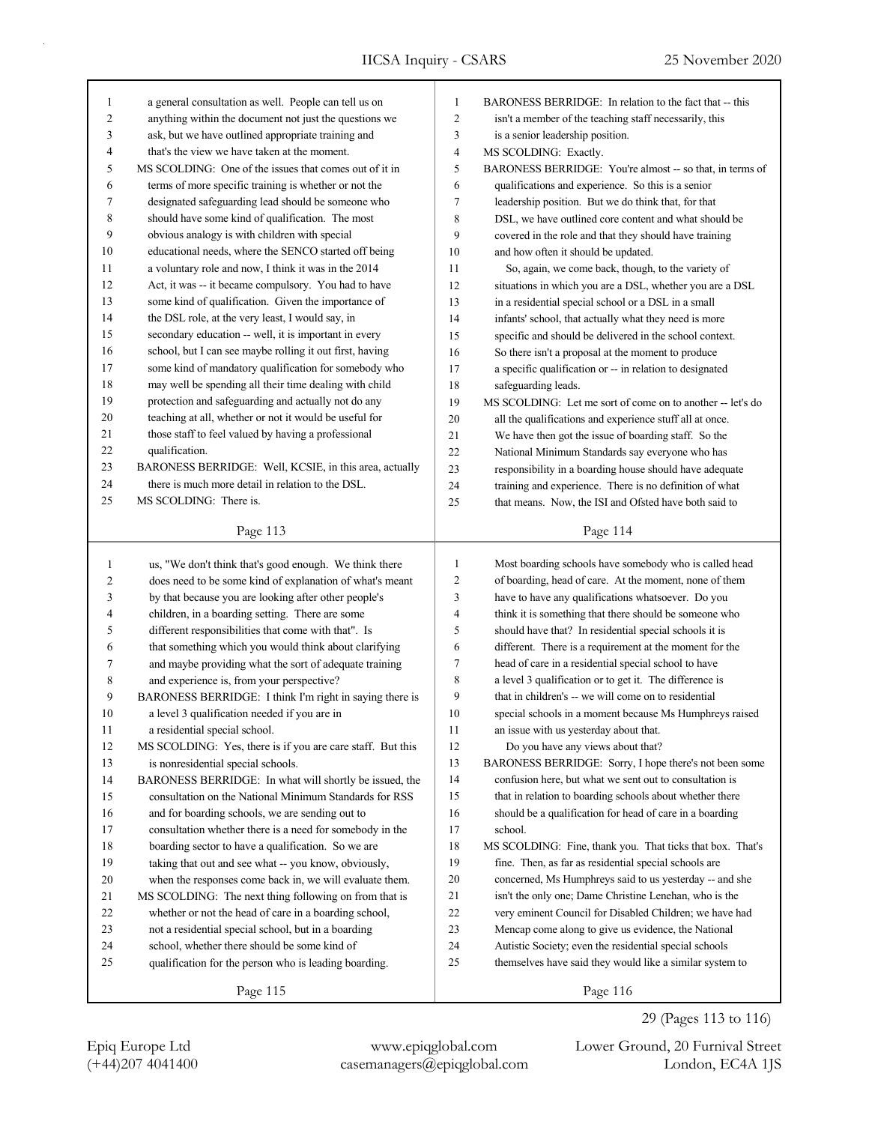| 1      | a general consultation as well. People can tell us on      | 1              | BARONESS BERRIDGE: In relation to the fact that -- this    |
|--------|------------------------------------------------------------|----------------|------------------------------------------------------------|
| 2      | anything within the document not just the questions we     | $\overline{c}$ | isn't a member of the teaching staff necessarily, this     |
| 3      | ask, but we have outlined appropriate training and         | 3              | is a senior leadership position.                           |
| 4      | that's the view we have taken at the moment.               | 4              | MS SCOLDING: Exactly.                                      |
| 5      | MS SCOLDING: One of the issues that comes out of it in     | 5              | BARONESS BERRIDGE: You're almost -- so that, in terms of   |
| 6      | terms of more specific training is whether or not the      | 6              | qualifications and experience. So this is a senior         |
| 7      | designated safeguarding lead should be someone who         | 7              | leadership position. But we do think that, for that        |
| 8      | should have some kind of qualification. The most           | 8              | DSL, we have outlined core content and what should be      |
| 9      | obvious analogy is with children with special              | 9              | covered in the role and that they should have training     |
| 10     | educational needs, where the SENCO started off being       | 10             | and how often it should be updated.                        |
| 11     | a voluntary role and now, I think it was in the 2014       | 11             | So, again, we come back, though, to the variety of         |
| 12     | Act, it was -- it became compulsory. You had to have       | 12             | situations in which you are a DSL, whether you are a DSL   |
| 13     | some kind of qualification. Given the importance of        | 13             | in a residential special school or a DSL in a small        |
| 14     | the DSL role, at the very least, I would say, in           | 14             | infants' school, that actually what they need is more      |
| 15     | secondary education -- well, it is important in every      | 15             | specific and should be delivered in the school context.    |
| 16     | school, but I can see maybe rolling it out first, having   | 16             | So there isn't a proposal at the moment to produce         |
| 17     | some kind of mandatory qualification for somebody who      | 17             | a specific qualification or -- in relation to designated   |
| 18     | may well be spending all their time dealing with child     | 18             | safeguarding leads.                                        |
| 19     | protection and safeguarding and actually not do any        | 19             | MS SCOLDING: Let me sort of come on to another -- let's do |
| 20     | teaching at all, whether or not it would be useful for     | 20             | all the qualifications and experience stuff all at once.   |
| 21     | those staff to feel valued by having a professional        | 21             | We have then got the issue of boarding staff. So the       |
| 22     | qualification.                                             | 22             | National Minimum Standards say everyone who has            |
| 23     | BARONESS BERRIDGE: Well, KCSIE, in this area, actually     | 23             | responsibility in a boarding house should have adequate    |
| 24     | there is much more detail in relation to the DSL.          | 24             | training and experience. There is no definition of what    |
| 25     | MS SCOLDING: There is.                                     | 25             | that means. Now, the ISI and Ofsted have both said to      |
|        |                                                            |                |                                                            |
|        | Page 113                                                   |                | Page 114                                                   |
|        |                                                            |                |                                                            |
|        |                                                            |                |                                                            |
| 1      | us, "We don't think that's good enough. We think there     | $\mathbf{1}$   | Most boarding schools have somebody who is called head     |
| 2      | does need to be some kind of explanation of what's meant   | $\overline{c}$ | of boarding, head of care. At the moment, none of them     |
| 3      | by that because you are looking after other people's       | 3              | have to have any qualifications whatsoever. Do you         |
| 4      | children, in a boarding setting. There are some            | 4              | think it is something that there should be someone who     |
| 5      | different responsibilities that come with that". Is        | 5              | should have that? In residential special schools it is     |
| 6      | that something which you would think about clarifying      | 6              | different. There is a requirement at the moment for the    |
| 7      | and maybe providing what the sort of adequate training     | 7              | head of care in a residential special school to have       |
| 8      | and experience is, from your perspective?                  | 8              | a level 3 qualification or to get it. The difference is    |
| 9      | BARONESS BERRIDGE: I think I'm right in saying there is    | 9              | that in children's -- we will come on to residential       |
| 10     | a level 3 qualification needed if you are in               | 10             | special schools in a moment because Ms Humphreys raised    |
| 11     | a residential special school.                              | 11             | an issue with us yesterday about that.                     |
| 12     | MS SCOLDING: Yes, there is if you are care staff. But this | 12             | Do you have any views about that?                          |
| 13     | is nonresidential special schools.                         | 13             | BARONESS BERRIDGE: Sorry, I hope there's not been some     |
| 14     | BARONESS BERRIDGE: In what will shortly be issued, the     | 14             | confusion here, but what we sent out to consultation is    |
| 15     | consultation on the National Minimum Standards for RSS     | 15             | that in relation to boarding schools about whether there   |
| 16     | and for boarding schools, we are sending out to            | 16             | should be a qualification for head of care in a boarding   |
| 17     | consultation whether there is a need for somebody in the   | 17             | school.                                                    |
| $18\,$ | boarding sector to have a qualification. So we are         | 18             | MS SCOLDING: Fine, thank you. That ticks that box. That's  |
| 19     | taking that out and see what -- you know, obviously,       | 19             | fine. Then, as far as residential special schools are      |
| 20     | when the responses come back in, we will evaluate them.    | 20             | concerned, Ms Humphreys said to us yesterday -- and she    |
| 21     | MS SCOLDING: The next thing following on from that is      | 21             | isn't the only one; Dame Christine Lenehan, who is the     |
| $22\,$ | whether or not the head of care in a boarding school,      | 22             | very eminent Council for Disabled Children; we have had    |
| 23     | not a residential special school, but in a boarding        | 23             | Mencap come along to give us evidence, the National        |
| 24     | school, whether there should be some kind of               | 24             | Autistic Society; even the residential special schools     |
| 25     | qualification for the person who is leading boarding.      | 25             | themselves have said they would like a similar system to   |

(+44)207 4041400 casemanagers@epiqglobal.com London, EC4A 1JS Epiq Europe Ltd www.epiqglobal.com Lower Ground, 20 Furnival Street

29 (Pages 113 to 116)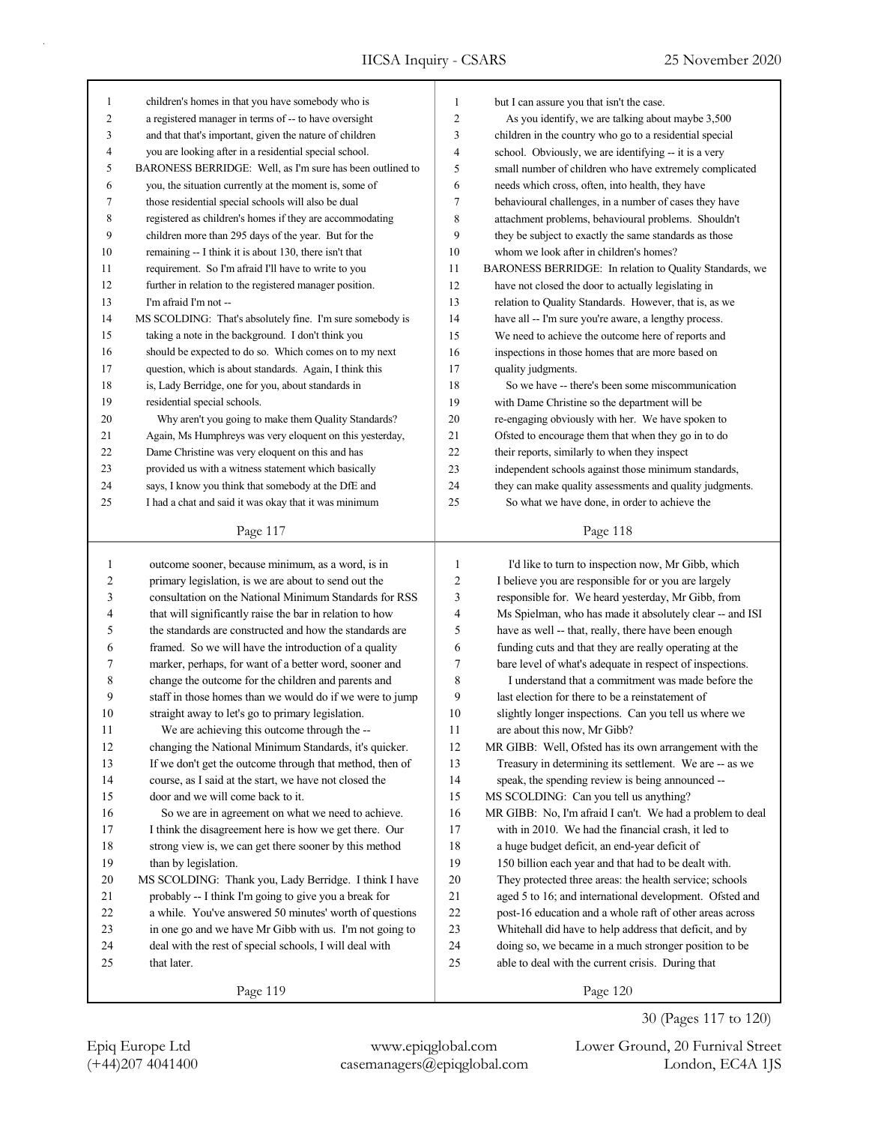| 1              | children's homes in that you have somebody who is                      | $\mathbf{1}$   | but I can assure you that isn't the case.                                                                  |
|----------------|------------------------------------------------------------------------|----------------|------------------------------------------------------------------------------------------------------------|
| 2              | a registered manager in terms of -- to have oversight                  | $\overline{c}$ | As you identify, we are talking about maybe 3,500                                                          |
| 3              | and that that's important, given the nature of children                | 3              | children in the country who go to a residential special                                                    |
| 4              | you are looking after in a residential special school.                 | $\overline{4}$ | school. Obviously, we are identifying -- it is a very                                                      |
| 5              | BARONESS BERRIDGE: Well, as I'm sure has been outlined to              | 5              | small number of children who have extremely complicated                                                    |
| 6              | you, the situation currently at the moment is, some of                 | 6              | needs which cross, often, into health, they have                                                           |
| 7              | those residential special schools will also be dual                    | 7              | behavioural challenges, in a number of cases they have                                                     |
| 8              | registered as children's homes if they are accommodating               | 8              | attachment problems, behavioural problems. Shouldn't                                                       |
| 9              | children more than 295 days of the year. But for the                   | 9              | they be subject to exactly the same standards as those                                                     |
| 10             | remaining -- I think it is about 130, there isn't that                 | 10             | whom we look after in children's homes?                                                                    |
| 11             | requirement. So I'm afraid I'll have to write to you                   | 11             | BARONESS BERRIDGE: In relation to Quality Standards, we                                                    |
| 12             | further in relation to the registered manager position.                | 12             | have not closed the door to actually legislating in                                                        |
| 13             | I'm afraid I'm not --                                                  | 13             | relation to Quality Standards. However, that is, as we                                                     |
| 14             | MS SCOLDING: That's absolutely fine. I'm sure somebody is              | 14             | have all -- I'm sure you're aware, a lengthy process.                                                      |
| 15             | taking a note in the background. I don't think you                     | 15             | We need to achieve the outcome here of reports and                                                         |
| 16             | should be expected to do so. Which comes on to my next                 | 16             | inspections in those homes that are more based on                                                          |
| 17             | question, which is about standards. Again, I think this                | 17             | quality judgments.                                                                                         |
| 18             | is, Lady Berridge, one for you, about standards in                     | 18             | So we have -- there's been some miscommunication                                                           |
| 19             | residential special schools.                                           | 19             | with Dame Christine so the department will be                                                              |
| 20             | Why aren't you going to make them Quality Standards?                   | 20             | re-engaging obviously with her. We have spoken to                                                          |
| 21             | Again, Ms Humphreys was very eloquent on this yesterday,               | 21             | Ofsted to encourage them that when they go in to do                                                        |
| 22             | Dame Christine was very eloquent on this and has                       | 22             | their reports, similarly to when they inspect                                                              |
| 23             | provided us with a witness statement which basically                   | 23             | independent schools against those minimum standards,                                                       |
| 24             | says, I know you think that somebody at the DfE and                    | 24             | they can make quality assessments and quality judgments.                                                   |
| 25             | I had a chat and said it was okay that it was minimum                  | 25             | So what we have done, in order to achieve the                                                              |
|                |                                                                        |                |                                                                                                            |
|                | Page 117                                                               |                |                                                                                                            |
|                |                                                                        |                | Page 118                                                                                                   |
|                |                                                                        |                |                                                                                                            |
| $\mathbf{1}$   | outcome sooner, because minimum, as a word, is in                      | $\mathbf{1}$   | I'd like to turn to inspection now, Mr Gibb, which                                                         |
| $\overline{c}$ | primary legislation, is we are about to send out the                   | $\sqrt{2}$     | I believe you are responsible for or you are largely                                                       |
| 3              | consultation on the National Minimum Standards for RSS                 | $\mathfrak{Z}$ | responsible for. We heard yesterday, Mr Gibb, from                                                         |
| 4              | that will significantly raise the bar in relation to how               | 4              | Ms Spielman, who has made it absolutely clear -- and ISI                                                   |
| 5              | the standards are constructed and how the standards are                | 5              | have as well -- that, really, there have been enough                                                       |
| 6              | framed. So we will have the introduction of a quality                  | 6              | funding cuts and that they are really operating at the                                                     |
| 7              | marker, perhaps, for want of a better word, sooner and                 | 7              | bare level of what's adequate in respect of inspections.                                                   |
| 8              | change the outcome for the children and parents and                    | $\,$ 8 $\,$    | I understand that a commitment was made before the                                                         |
| 9              | staff in those homes than we would do if we were to jump               | 9              | last election for there to be a reinstatement of                                                           |
| $10\,$         | straight away to let's go to primary legislation.                      | 10             | slightly longer inspections. Can you tell us where we                                                      |
| 11             | We are achieving this outcome through the --                           | 11             | are about this now, Mr Gibb?                                                                               |
| 12             | changing the National Minimum Standards, it's quicker.                 | 12             | MR GIBB: Well, Ofsted has its own arrangement with the                                                     |
| 13             | If we don't get the outcome through that method, then of               | 13             | Treasury in determining its settlement. We are -- as we                                                    |
| 14             | course, as I said at the start, we have not closed the                 | 14             | speak, the spending review is being announced --                                                           |
| 15             | door and we will come back to it.                                      | 15             | MS SCOLDING: Can you tell us anything?                                                                     |
| 16             | So we are in agreement on what we need to achieve.                     | 16             | MR GIBB: No, I'm afraid I can't. We had a problem to deal                                                  |
| 17             | I think the disagreement here is how we get there. Our                 | 17             | with in 2010. We had the financial crash, it led to                                                        |
| 18             | strong view is, we can get there sooner by this method                 | 18             | a huge budget deficit, an end-year deficit of                                                              |
| 19             | than by legislation.                                                   | 19             | 150 billion each year and that had to be dealt with.                                                       |
| 20             | MS SCOLDING: Thank you, Lady Berridge. I think I have                  | 20             | They protected three areas: the health service; schools                                                    |
| 21             | probably -- I think I'm going to give you a break for                  | 21             | aged 5 to 16; and international development. Ofsted and                                                    |
| 22             | a while. You've answered 50 minutes' worth of questions                | 22             | post-16 education and a whole raft of other areas across                                                   |
| 23             | in one go and we have Mr Gibb with us. I'm not going to                | 23             | Whitehall did have to help address that deficit, and by                                                    |
| 24<br>25       | deal with the rest of special schools, I will deal with<br>that later. | 24<br>25       | doing so, we became in a much stronger position to be<br>able to deal with the current crisis. During that |

Page 119

(+44)207 4041400 casemanagers@epiqglobal.com London, EC4A 1JS Epiq Europe Ltd www.epiqglobal.com Lower Ground, 20 Furnival Street

30 (Pages 117 to 120)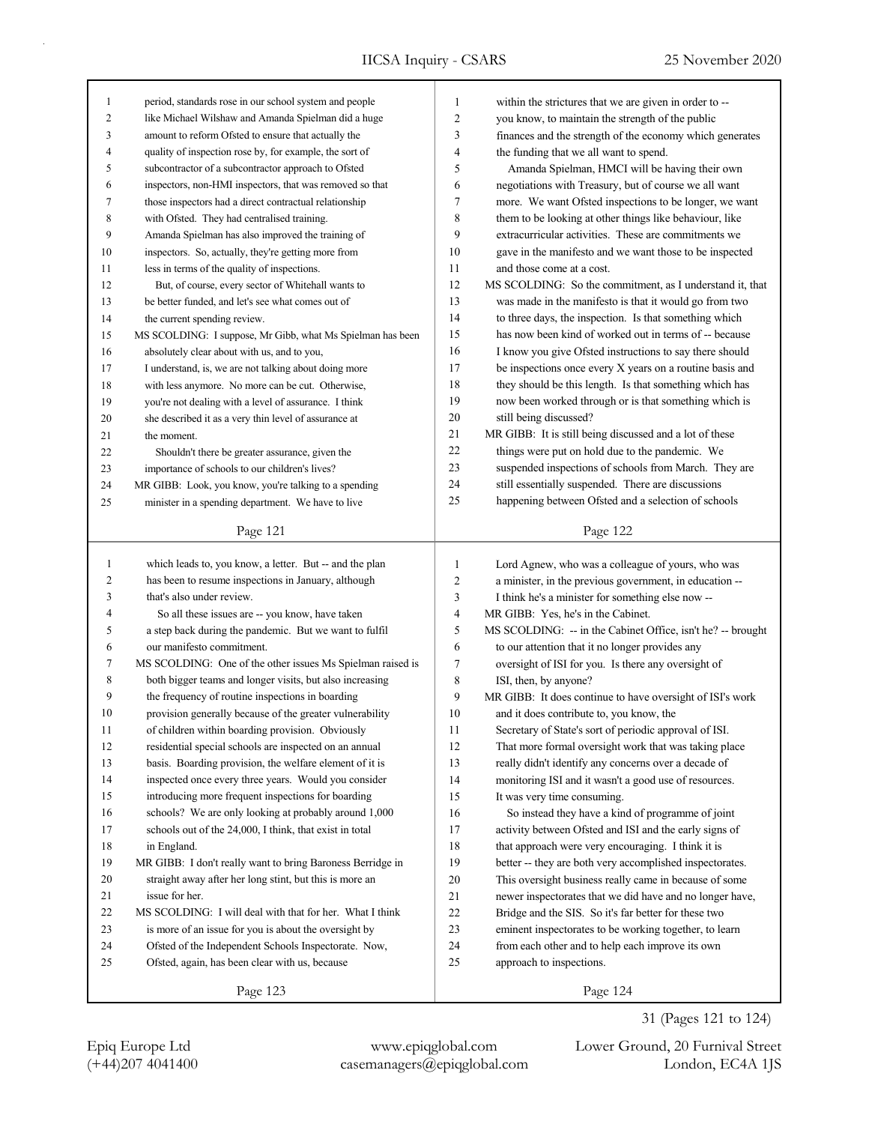| 1              | period, standards rose in our school system and people     | 1      | within the strictures that we are given in order to --                                                       |
|----------------|------------------------------------------------------------|--------|--------------------------------------------------------------------------------------------------------------|
| $\overline{c}$ | like Michael Wilshaw and Amanda Spielman did a huge        | 2      | you know, to maintain the strength of the public                                                             |
| 3              | amount to reform Ofsted to ensure that actually the        | 3      | finances and the strength of the economy which generates                                                     |
| $\overline{4}$ | quality of inspection rose by, for example, the sort of    | 4      | the funding that we all want to spend.                                                                       |
| 5              | subcontractor of a subcontractor approach to Ofsted        | 5      | Amanda Spielman, HMCI will be having their own                                                               |
| 6              | inspectors, non-HMI inspectors, that was removed so that   | 6      | negotiations with Treasury, but of course we all want                                                        |
| 7              | those inspectors had a direct contractual relationship     | 7      | more. We want Ofsted inspections to be longer, we want                                                       |
| 8              | with Ofsted. They had centralised training.                | 8      | them to be looking at other things like behaviour, like                                                      |
| 9              | Amanda Spielman has also improved the training of          | 9      | extracurricular activities. These are commitments we                                                         |
| 10             | inspectors. So, actually, they're getting more from        | 10     | gave in the manifesto and we want those to be inspected                                                      |
| 11             | less in terms of the quality of inspections.               | 11     | and those come at a cost.                                                                                    |
| 12             | But, of course, every sector of Whitehall wants to         | 12     | MS SCOLDING: So the commitment, as I understand it, that                                                     |
| 13             | be better funded, and let's see what comes out of          | 13     | was made in the manifesto is that it would go from two                                                       |
| 14             | the current spending review.                               | 14     | to three days, the inspection. Is that something which                                                       |
| 15             | MS SCOLDING: I suppose, Mr Gibb, what Ms Spielman has been | 15     | has now been kind of worked out in terms of -- because                                                       |
| 16             | absolutely clear about with us, and to you,                | 16     | I know you give Ofsted instructions to say there should                                                      |
| 17             | I understand, is, we are not talking about doing more      | 17     | be inspections once every X years on a routine basis and                                                     |
| 18             | with less anymore. No more can be cut. Otherwise,          | 18     | they should be this length. Is that something which has                                                      |
| 19             | you're not dealing with a level of assurance. I think      | 19     | now been worked through or is that something which is                                                        |
| 20             | she described it as a very thin level of assurance at      | $20\,$ | still being discussed?                                                                                       |
| 21             | the moment.                                                | 21     | MR GIBB: It is still being discussed and a lot of these                                                      |
| 22             | Shouldn't there be greater assurance, given the            | 22     | things were put on hold due to the pandemic. We                                                              |
| 23             | importance of schools to our children's lives?             | 23     | suspended inspections of schools from March. They are                                                        |
| 24             | MR GIBB: Look, you know, you're talking to a spending      | 24     | still essentially suspended. There are discussions                                                           |
| 25             | minister in a spending department. We have to live         | 25     | happening between Ofsted and a selection of schools                                                          |
|                | Page 121                                                   |        | Page 122                                                                                                     |
|                |                                                            |        |                                                                                                              |
|                |                                                            |        |                                                                                                              |
| $\mathbf{1}$   | which leads to, you know, a letter. But -- and the plan    | 1      |                                                                                                              |
| 2              | has been to resume inspections in January, although        | 2      | Lord Agnew, who was a colleague of yours, who was                                                            |
| 3              | that's also under review.                                  | 3      | a minister, in the previous government, in education --<br>I think he's a minister for something else now -- |
| 4              | So all these issues are -- you know, have taken            | 4      | MR GIBB: Yes, he's in the Cabinet.                                                                           |
| 5              | a step back during the pandemic. But we want to fulfil     | 5      | MS SCOLDING: -- in the Cabinet Office, isn't he? -- brought                                                  |
| 6              | our manifesto commitment.                                  | 6      | to our attention that it no longer provides any                                                              |
| 7              | MS SCOLDING: One of the other issues Ms Spielman raised is | 7      | oversight of ISI for you. Is there any oversight of                                                          |
| 8              | both bigger teams and longer visits, but also increasing   | 8      | ISI, then, by anyone?                                                                                        |
| 9              | the frequency of routine inspections in boarding           | 9      | MR GIBB: It does continue to have oversight of ISI's work                                                    |
| 10             | provision generally because of the greater vulnerability   | 10     | and it does contribute to, you know, the                                                                     |
| 11             | of children within boarding provision. Obviously           | 11     | Secretary of State's sort of periodic approval of ISI.                                                       |
| 12             | residential special schools are inspected on an annual     | 12     | That more formal oversight work that was taking place                                                        |
| 13             | basis. Boarding provision, the welfare element of it is    | 13     | really didn't identify any concerns over a decade of                                                         |
| 14             | inspected once every three years. Would you consider       | 14     |                                                                                                              |
| 15             | introducing more frequent inspections for boarding         | 15     | monitoring ISI and it wasn't a good use of resources.<br>It was very time consuming.                         |
| 16             | schools? We are only looking at probably around 1,000      | 16     | So instead they have a kind of programme of joint                                                            |
| 17             | schools out of the 24,000, I think, that exist in total    | 17     | activity between Ofsted and ISI and the early signs of                                                       |
| 18             | in England.                                                | 18     | that approach were very encouraging. I think it is                                                           |
| 19             | MR GIBB: I don't really want to bring Baroness Berridge in | 19     | better -- they are both very accomplished inspectorates.                                                     |
| 20             | straight away after her long stint, but this is more an    | 20     | This oversight business really came in because of some                                                       |
| 21             | issue for her.                                             | 21     | newer inspectorates that we did have and no longer have,                                                     |
| 22             | MS SCOLDING: I will deal with that for her. What I think   | $22\,$ | Bridge and the SIS. So it's far better for these two                                                         |
| 23             | is more of an issue for you is about the oversight by      | 23     | eminent inspectorates to be working together, to learn                                                       |
| 24             | Ofsted of the Independent Schools Inspectorate. Now,       | 24     | from each other and to help each improve its own                                                             |
| 25             | Ofsted, again, has been clear with us, because             | 25     | approach to inspections.                                                                                     |
|                | Page 123                                                   |        | Page 124                                                                                                     |

31 (Pages 121 to 124)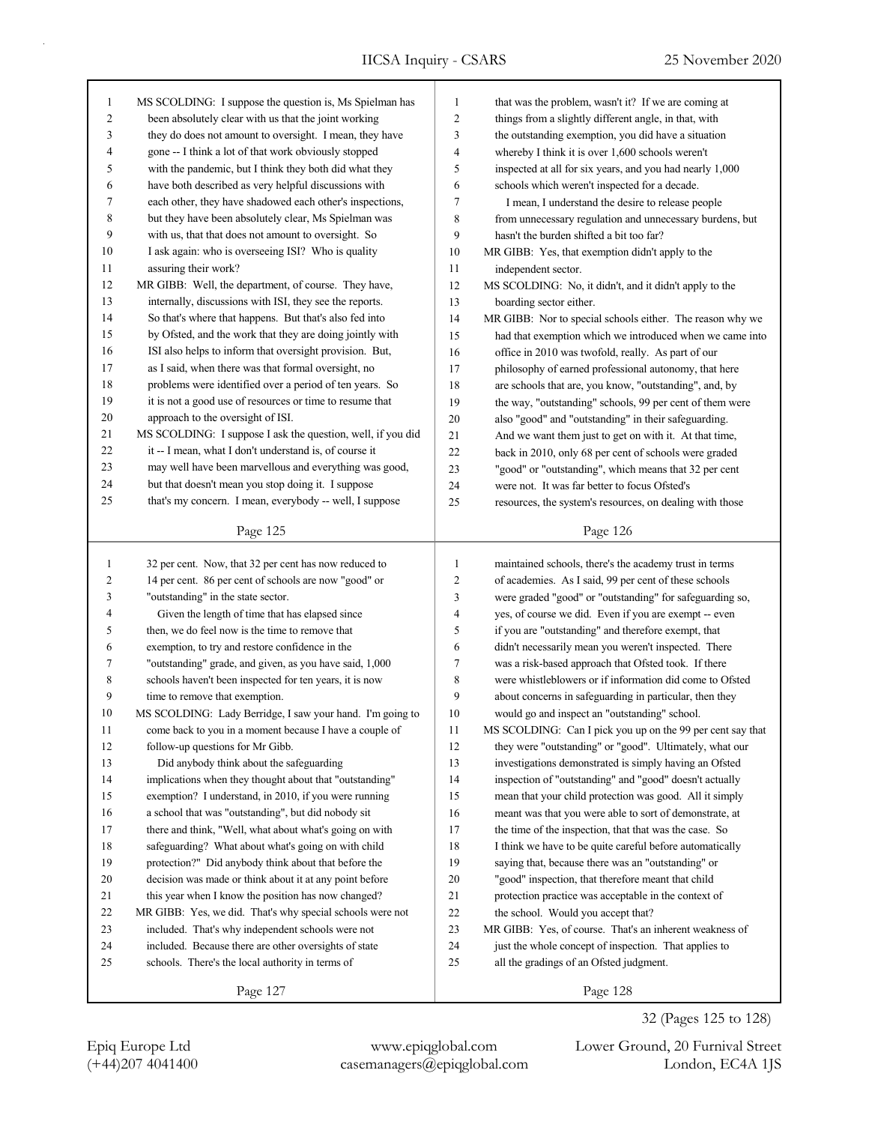| $\mathbf{1}$ | MS SCOLDING: I suppose the question is, Ms Spielman has     | $\mathbf{1}$             | that was the problem, wasn't it? If we are coming at       |
|--------------|-------------------------------------------------------------|--------------------------|------------------------------------------------------------|
| 2            | been absolutely clear with us that the joint working        | $\mathbf{2}$             | things from a slightly different angle, in that, with      |
| 3            | they do does not amount to oversight. I mean, they have     | 3                        | the outstanding exemption, you did have a situation        |
| 4            | gone -- I think a lot of that work obviously stopped        | 4                        | whereby I think it is over 1,600 schools weren't           |
| 5            | with the pandemic, but I think they both did what they      | 5                        | inspected at all for six years, and you had nearly 1,000   |
| 6            | have both described as very helpful discussions with        | 6                        | schools which weren't inspected for a decade.              |
| 7            | each other, they have shadowed each other's inspections,    | 7                        | I mean, I understand the desire to release people          |
| 8            | but they have been absolutely clear, Ms Spielman was        | 8                        | from unnecessary regulation and unnecessary burdens, but   |
| 9            | with us, that that does not amount to oversight. So         | 9                        | hasn't the burden shifted a bit too far?                   |
| 10           | I ask again: who is overseeing ISI? Who is quality          | 10                       | MR GIBB: Yes, that exemption didn't apply to the           |
| 11           | assuring their work?                                        | 11                       | independent sector.                                        |
| 12           | MR GIBB: Well, the department, of course. They have,        | 12                       | MS SCOLDING: No, it didn't, and it didn't apply to the     |
| 13           | internally, discussions with ISI, they see the reports.     | 13                       | boarding sector either.                                    |
| 14           | So that's where that happens. But that's also fed into      | 14                       | MR GIBB: Nor to special schools either. The reason why we  |
| 15           | by Ofsted, and the work that they are doing jointly with    | 15                       | had that exemption which we introduced when we came into   |
| 16           | ISI also helps to inform that oversight provision. But,     | 16                       | office in 2010 was twofold, really. As part of our         |
| 17           | as I said, when there was that formal oversight, no         | 17                       | philosophy of earned professional autonomy, that here      |
| 18           | problems were identified over a period of ten years. So     | 18                       | are schools that are, you know, "outstanding", and, by     |
| 19           | it is not a good use of resources or time to resume that    | 19                       | the way, "outstanding" schools, 99 per cent of them were   |
| 20           | approach to the oversight of ISI.                           | 20                       | also "good" and "outstanding" in their safeguarding.       |
| 21           | MS SCOLDING: I suppose I ask the question, well, if you did | 21                       | And we want them just to get on with it. At that time,     |
| 22           | it -- I mean, what I don't understand is, of course it      | 22                       | back in 2010, only 68 per cent of schools were graded      |
| 23           | may well have been marvellous and everything was good,      | 23                       | "good" or "outstanding", which means that 32 per cent      |
| 24           | but that doesn't mean you stop doing it. I suppose          | 24                       | were not. It was far better to focus Ofsted's              |
| 25           | that's my concern. I mean, everybody -- well, I suppose     | 25                       | resources, the system's resources, on dealing with those   |
|              |                                                             |                          |                                                            |
|              | Page 125                                                    |                          | Page 126                                                   |
|              |                                                             |                          |                                                            |
|              |                                                             |                          |                                                            |
| $\mathbf{1}$ | 32 per cent. Now, that 32 per cent has now reduced to       | $\mathbf{1}$             | maintained schools, there's the academy trust in terms     |
| 2            | 14 per cent. 86 per cent of schools are now "good" or       | $\mathbf{2}$             | of academies. As I said, 99 per cent of these schools      |
| 3            | "outstanding" in the state sector.                          | 3                        | were graded "good" or "outstanding" for safeguarding so,   |
| 4            | Given the length of time that has elapsed since             | $\overline{\mathcal{L}}$ | yes, of course we did. Even if you are exempt -- even      |
| 5            | then, we do feel now is the time to remove that             | 5                        | if you are "outstanding" and therefore exempt, that        |
| 6            | exemption, to try and restore confidence in the             | 6                        | didn't necessarily mean you weren't inspected. There       |
| 7            | "outstanding" grade, and given, as you have said, 1,000     | $\boldsymbol{7}$         | was a risk-based approach that Ofsted took. If there       |
| 8            | schools haven't been inspected for ten years, it is now     | 8                        | were whistleblowers or if information did come to Ofsted   |
| 9            | time to remove that exemption.                              | 9                        | about concerns in safeguarding in particular, then they    |
| 10           | MS SCOLDING: Lady Berridge, I saw your hand. I'm going to   | 10                       | would go and inspect an "outstanding" school.              |
| 11           | come back to you in a moment because I have a couple of     | 11                       | MS SCOLDING: Can I pick you up on the 99 per cent say that |
| 12           | follow-up questions for Mr Gibb.                            | 12                       | they were "outstanding" or "good". Ultimately, what our    |
| 13           | Did anybody think about the safeguarding                    | 13                       | investigations demonstrated is simply having an Ofsted     |
| 14           | implications when they thought about that "outstanding"     | 14                       | inspection of "outstanding" and "good" doesn't actually    |
| 15           | exemption? I understand, in 2010, if you were running       | 15                       | mean that your child protection was good. All it simply    |
| 16           | a school that was "outstanding", but did nobody sit         | 16                       | meant was that you were able to sort of demonstrate, at    |
| 17           | there and think, "Well, what about what's going on with     | 17                       | the time of the inspection, that that was the case. So     |
| 18           | safeguarding? What about what's going on with child         | $18\,$                   | I think we have to be quite careful before automatically   |
| 19           | protection?" Did anybody think about that before the        | 19                       | saying that, because there was an "outstanding" or         |
| 20           | decision was made or think about it at any point before     | $20\,$                   | "good" inspection, that therefore meant that child         |
| 21           | this year when I know the position has now changed?         | 21                       | protection practice was acceptable in the context of       |
| 22           | MR GIBB: Yes, we did. That's why special schools were not   | $22\,$                   | the school. Would you accept that?                         |
| 23           | included. That's why independent schools were not           | 23                       | MR GIBB: Yes, of course. That's an inherent weakness of    |
| 24           | included. Because there are other oversights of state       | 24                       | just the whole concept of inspection. That applies to      |
| 25           | schools. There's the local authority in terms of            | 25                       | all the gradings of an Ofsted judgment.                    |

Page 128

32 (Pages 125 to 128)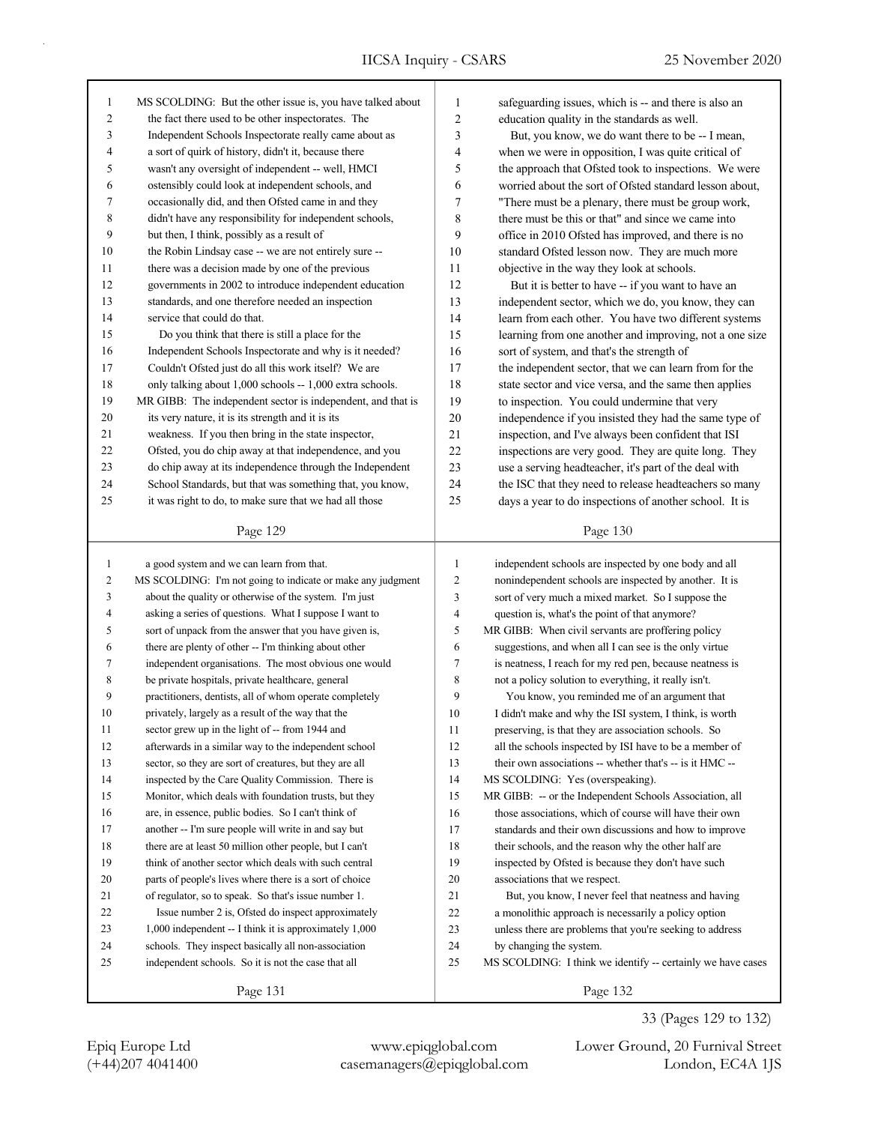| 1            | MS SCOLDING: But the other issue is, you have talked about  | 1              | safeguarding issues, which is -- and there is also an       |
|--------------|-------------------------------------------------------------|----------------|-------------------------------------------------------------|
| 2            | the fact there used to be other inspectorates. The          | $\overline{c}$ | education quality in the standards as well.                 |
| 3            | Independent Schools Inspectorate really came about as       | 3              | But, you know, we do want there to be -- I mean,            |
| 4            | a sort of quirk of history, didn't it, because there        | 4              | when we were in opposition, I was quite critical of         |
| 5            | wasn't any oversight of independent -- well, HMCI           | 5              | the approach that Ofsted took to inspections. We were       |
| 6            | ostensibly could look at independent schools, and           | 6              | worried about the sort of Ofsted standard lesson about,     |
| 7            | occasionally did, and then Ofsted came in and they          | 7              | "There must be a plenary, there must be group work,         |
| 8            | didn't have any responsibility for independent schools,     | $8\phantom{1}$ | there must be this or that" and since we came into          |
| 9            | but then, I think, possibly as a result of                  | 9              | office in 2010 Ofsted has improved, and there is no         |
| 10           | the Robin Lindsay case -- we are not entirely sure --       | 10             | standard Ofsted lesson now. They are much more              |
| 11           | there was a decision made by one of the previous            | 11             | objective in the way they look at schools.                  |
| 12           | governments in 2002 to introduce independent education      | 12             | But it is better to have -- if you want to have an          |
| 13           | standards, and one therefore needed an inspection           | 13             | independent sector, which we do, you know, they can         |
| 14           | service that could do that.                                 | 14             | learn from each other. You have two different systems       |
| 15           | Do you think that there is still a place for the            | 15             | learning from one another and improving, not a one size     |
| 16           | Independent Schools Inspectorate and why is it needed?      | 16             | sort of system, and that's the strength of                  |
| 17           | Couldn't Ofsted just do all this work itself? We are        | 17             | the independent sector, that we can learn from for the      |
| 18           | only talking about 1,000 schools -- 1,000 extra schools.    | 18             | state sector and vice versa, and the same then applies      |
| 19           | MR GIBB: The independent sector is independent, and that is | 19             | to inspection. You could undermine that very                |
| 20           | its very nature, it is its strength and it is its           | 20             | independence if you insisted they had the same type of      |
| 21           | weakness. If you then bring in the state inspector,         | 21             | inspection, and I've always been confident that ISI         |
| 22           | Ofsted, you do chip away at that independence, and you      | 22             | inspections are very good. They are quite long. They        |
| 23           | do chip away at its independence through the Independent    | 23             | use a serving headteacher, it's part of the deal with       |
| 24           | School Standards, but that was something that, you know,    | 24             | the ISC that they need to release headteachers so many      |
| 25           | it was right to do, to make sure that we had all those      | 25             | days a year to do inspections of another school. It is      |
|              | Page 129                                                    |                | Page 130                                                    |
|              |                                                             |                |                                                             |
|              |                                                             |                |                                                             |
| $\mathbf{1}$ | a good system and we can learn from that.                   | 1              | independent schools are inspected by one body and all       |
| 2            | MS SCOLDING: I'm not going to indicate or make any judgment | 2              | nonindependent schools are inspected by another. It is      |
| 3            | about the quality or otherwise of the system. I'm just      | 3              | sort of very much a mixed market. So I suppose the          |
| 4            | asking a series of questions. What I suppose I want to      | 4              | question is, what's the point of that anymore?              |
| 5            | sort of unpack from the answer that you have given is,      | 5              | MR GIBB: When civil servants are proffering policy          |
| 6            | there are plenty of other -- I'm thinking about other       | 6              | suggestions, and when all I can see is the only virtue      |
| 7            | independent organisations. The most obvious one would       | 7              | is neatness, I reach for my red pen, because neatness is    |
| 8            | be private hospitals, private healthcare, general           | 8              | not a policy solution to everything, it really isn't.       |
| 9            | practitioners, dentists, all of whom operate completely     | 9              | You know, you reminded me of an argument that               |
| 10           | privately, largely as a result of the way that the          | 10             | I didn't make and why the ISI system, I think, is worth     |
| 11           | sector grew up in the light of -- from 1944 and             | 11             | preserving, is that they are association schools. So        |
| 12           | afterwards in a similar way to the independent school       | 12             | all the schools inspected by ISI have to be a member of     |
| 13           | sector, so they are sort of creatures, but they are all     | 13             | their own associations -- whether that's -- is it HMC --    |
| 14           | inspected by the Care Quality Commission. There is          | 14             | MS SCOLDING: Yes (overspeaking).                            |
| 15           | Monitor, which deals with foundation trusts, but they       | 15             | MR GIBB: -- or the Independent Schools Association, all     |
| 16           | are, in essence, public bodies. So I can't think of         | 16             | those associations, which of course will have their own     |
| 17           | another -- I'm sure people will write in and say but        | 17             | standards and their own discussions and how to improve      |
| 18           | there are at least 50 million other people, but I can't     | 18             | their schools, and the reason why the other half are        |
| 19           | think of another sector which deals with such central       | 19             | inspected by Ofsted is because they don't have such         |
| 20           | parts of people's lives where there is a sort of choice     | 20             | associations that we respect.                               |
| 21           | of regulator, so to speak. So that's issue number 1.        | 21             | But, you know, I never feel that neatness and having        |
| 22           | Issue number 2 is, Ofsted do inspect approximately          | 22             | a monolithic approach is necessarily a policy option        |
| 23           | 1,000 independent -- I think it is approximately 1,000      | 23             | unless there are problems that you're seeking to address    |
| 24           | schools. They inspect basically all non-association         | 24             | by changing the system.                                     |
| 25           | independent schools. So it is not the case that all         | 25             | MS SCOLDING: I think we identify -- certainly we have cases |
|              | Page 131                                                    |                | Page 132                                                    |

(+44)207 4041400 casemanagers@epiqglobal.com London, EC4A 1JS Epiq Europe Ltd www.epiqglobal.com Lower Ground, 20 Furnival Street

33 (Pages 129 to 132)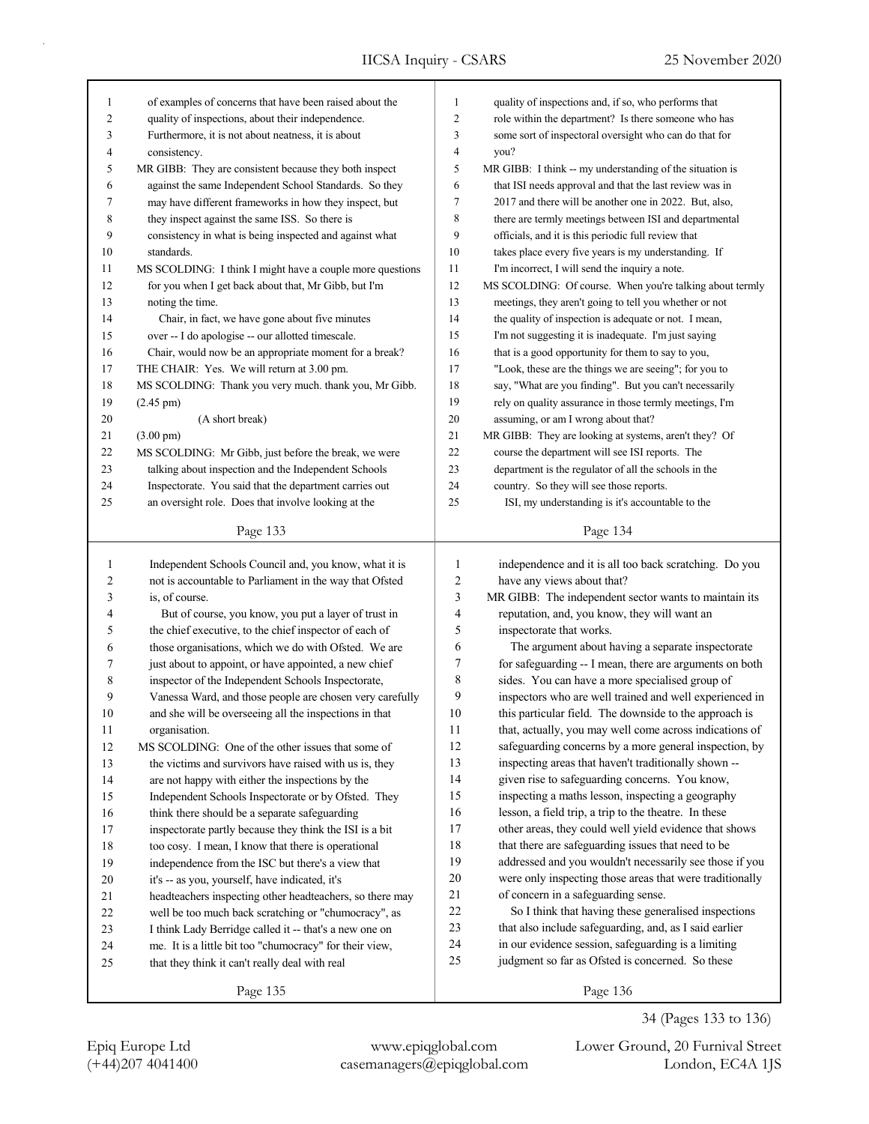| $\mathbf{1}$   | of examples of concerns that have been raised about the   | 1              | quality of inspections and, if so, who performs that     |
|----------------|-----------------------------------------------------------|----------------|----------------------------------------------------------|
| $\overline{c}$ | quality of inspections, about their independence.         | 2              | role within the department? Is there someone who has     |
| 3              | Furthermore, it is not about neatness, it is about        | 3              | some sort of inspectoral oversight who can do that for   |
| 4              | consistency.                                              | 4              | you?                                                     |
| 5              | MR GIBB: They are consistent because they both inspect    | 5              | MR GIBB: I think -- my understanding of the situation is |
| 6              | against the same Independent School Standards. So they    | 6              | that ISI needs approval and that the last review was in  |
| 7              | may have different frameworks in how they inspect, but    | 7              | 2017 and there will be another one in 2022. But, also,   |
| 8              | they inspect against the same ISS. So there is            | 8              | there are termly meetings between ISI and departmental   |
| 9              | consistency in what is being inspected and against what   | 9              | officials, and it is this periodic full review that      |
| 10             | standards.                                                | 10             | takes place every five years is my understanding. If     |
| 11             | MS SCOLDING: I think I might have a couple more questions | 11             | I'm incorrect, I will send the inquiry a note.           |
| 12             | for you when I get back about that, Mr Gibb, but I'm      | 12             | MS SCOLDING: Of course. When you're talking about termly |
| 13             | noting the time.                                          | 13             | meetings, they aren't going to tell you whether or not   |
| 14             | Chair, in fact, we have gone about five minutes           | 14             | the quality of inspection is adequate or not. I mean,    |
| 15             | over -- I do apologise -- our allotted timescale.         | 15             | I'm not suggesting it is inadequate. I'm just saying     |
| 16             | Chair, would now be an appropriate moment for a break?    | 16             | that is a good opportunity for them to say to you,       |
| 17             | THE CHAIR: Yes. We will return at 3.00 pm.                | 17             | "Look, these are the things we are seeing"; for you to   |
| 18             | MS SCOLDING: Thank you very much. thank you, Mr Gibb.     | $18\,$         | say, "What are you finding". But you can't necessarily   |
| 19             | $(2.45 \text{ pm})$                                       | 19             | rely on quality assurance in those termly meetings, I'm  |
| 20             | (A short break)                                           | $20\,$         | assuming, or am I wrong about that?                      |
| 21             | $(3.00 \text{ pm})$                                       | 21             | MR GIBB: They are looking at systems, aren't they? Of    |
| 22             | MS SCOLDING: Mr Gibb, just before the break, we were      | 22             | course the department will see ISI reports. The          |
| 23             | talking about inspection and the Independent Schools      | 23             | department is the regulator of all the schools in the    |
| 24             | Inspectorate. You said that the department carries out    | 24             | country. So they will see those reports.                 |
| 25             | an oversight role. Does that involve looking at the       | 25             | ISI, my understanding is it's accountable to the         |
|                |                                                           |                |                                                          |
|                | Page 133                                                  |                | Page 134                                                 |
|                |                                                           |                |                                                          |
|                |                                                           |                |                                                          |
| $\mathbf{1}$   | Independent Schools Council and, you know, what it is     | $\mathbf{1}$   | independence and it is all too back scratching. Do you   |
| $\overline{c}$ | not is accountable to Parliament in the way that Ofsted   | $\sqrt{2}$     | have any views about that?                               |
| 3              | is, of course.                                            | $\mathfrak{Z}$ | MR GIBB: The independent sector wants to maintain its    |
| 4              | But of course, you know, you put a layer of trust in      | 4              | reputation, and, you know, they will want an             |
| 5              | the chief executive, to the chief inspector of each of    | 5              | inspectorate that works.                                 |
| 6              | those organisations, which we do with Ofsted. We are      | 6              | The argument about having a separate inspectorate        |
| 7              | just about to appoint, or have appointed, a new chief     | 7              | for safeguarding -- I mean, there are arguments on both  |
| 8              | inspector of the Independent Schools Inspectorate,        | 8              | sides. You can have a more specialised group of          |
| 9              | Vanessa Ward, and those people are chosen very carefully  | 9              | inspectors who are well trained and well experienced in  |
| 10             | and she will be overseeing all the inspections in that    | 10             | this particular field. The downside to the approach is   |
| 11             | organisation.                                             | 11             | that, actually, you may well come across indications of  |
| 12             | MS SCOLDING: One of the other issues that some of         | 12             | safeguarding concerns by a more general inspection, by   |
| 13             | the victims and survivors have raised with us is, they    | 13             | inspecting areas that haven't traditionally shown --     |
| 14             | are not happy with either the inspections by the          | 14             | given rise to safeguarding concerns. You know,           |
| 15             | Independent Schools Inspectorate or by Ofsted. They       | 15             | inspecting a maths lesson, inspecting a geography        |
| 16             | think there should be a separate safeguarding             | 16             | lesson, a field trip, a trip to the theatre. In these    |
| 17             | inspectorate partly because they think the ISI is a bit   | 17             | other areas, they could well yield evidence that shows   |
| 18             | too cosy. I mean, I know that there is operational        | 18             | that there are safeguarding issues that need to be       |
| 19             | independence from the ISC but there's a view that         | 19             | addressed and you wouldn't necessarily see those if you  |
| $20\,$         | it's -- as you, yourself, have indicated, it's            | 20             | were only inspecting those areas that were traditionally |
| 21             | headteachers inspecting other headteachers, so there may  | 21             | of concern in a safeguarding sense.                      |
| 22             | well be too much back scratching or "chumocracy", as      | 22             | So I think that having these generalised inspections     |
| 23             | I think Lady Berridge called it -- that's a new one on    | 23             | that also include safeguarding, and, as I said earlier   |
| 24             | me. It is a little bit too "chumocracy" for their view,   | 24             | in our evidence session, safeguarding is a limiting      |
| 25             | that they think it can't really deal with real            | 25             | judgment so far as Ofsted is concerned. So these         |

(+44)207 4041400 casemanagers@epiqglobal.com London, EC4A 1JS Epiq Europe Ltd www.epiqglobal.com Lower Ground, 20 Furnival Street

34 (Pages 133 to 136)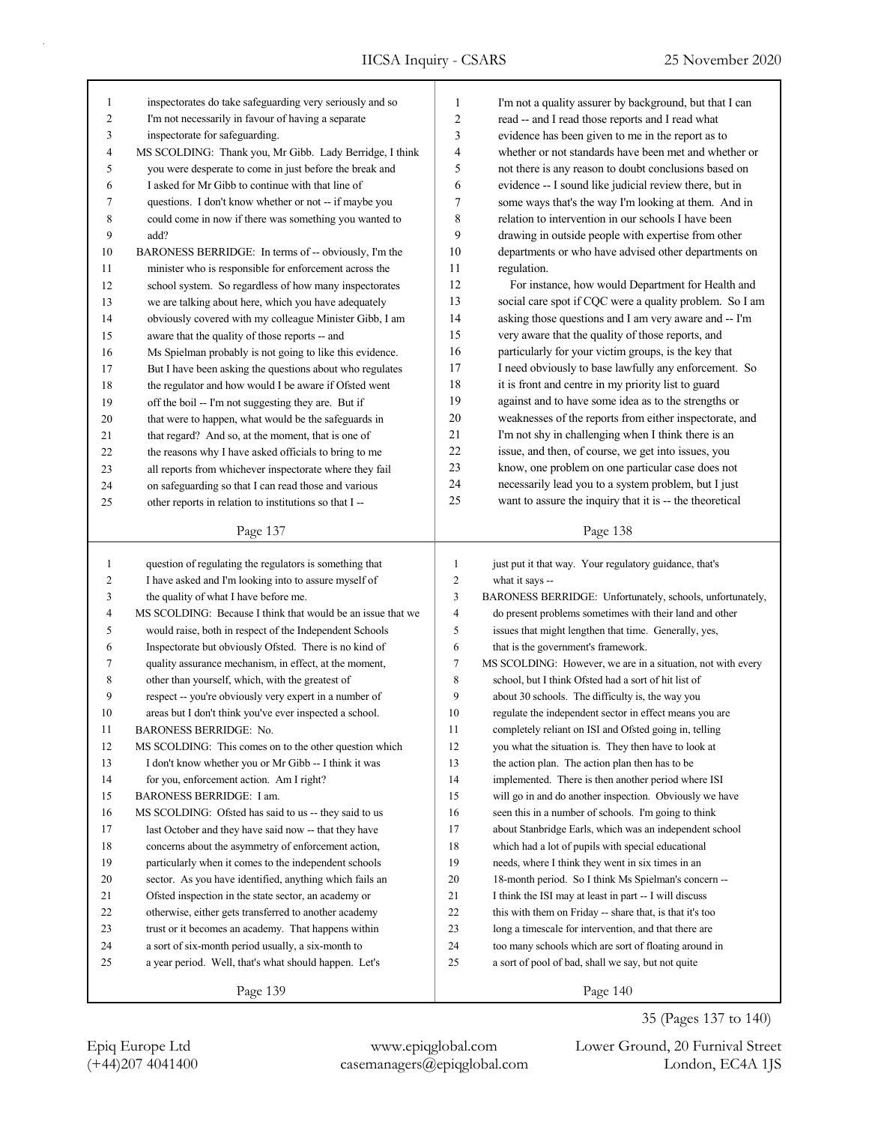| $\mathbf{1}$   | inspectorates do take safeguarding very seriously and so                                                          | $\mathbf{1}$            | I'm not a quality assurer by background, but that I can                                                        |
|----------------|-------------------------------------------------------------------------------------------------------------------|-------------------------|----------------------------------------------------------------------------------------------------------------|
| $\overline{c}$ | I'm not necessarily in favour of having a separate                                                                | 2                       | read -- and I read those reports and I read what                                                               |
| 3              | inspectorate for safeguarding.                                                                                    | 3                       | evidence has been given to me in the report as to                                                              |
| 4              | MS SCOLDING: Thank you, Mr Gibb. Lady Berridge, I think                                                           | 4                       | whether or not standards have been met and whether or                                                          |
| 5              | you were desperate to come in just before the break and                                                           | 5                       | not there is any reason to doubt conclusions based on                                                          |
| 6              | I asked for Mr Gibb to continue with that line of                                                                 | 6                       | evidence -- I sound like judicial review there, but in                                                         |
| 7              | questions. I don't know whether or not -- if maybe you                                                            | 7                       | some ways that's the way I'm looking at them. And in                                                           |
| 8              | could come in now if there was something you wanted to                                                            | $\,$ $\,$               | relation to intervention in our schools I have been                                                            |
| 9              | add?                                                                                                              | 9                       | drawing in outside people with expertise from other                                                            |
| 10             | BARONESS BERRIDGE: In terms of -- obviously, I'm the                                                              | 10                      | departments or who have advised other departments on                                                           |
| 11             | minister who is responsible for enforcement across the                                                            | 11                      | regulation.                                                                                                    |
| 12             | school system. So regardless of how many inspectorates                                                            | 12                      | For instance, how would Department for Health and                                                              |
| 13             | we are talking about here, which you have adequately                                                              | 13                      | social care spot if CQC were a quality problem. So I am                                                        |
| 14             | obviously covered with my colleague Minister Gibb, I am                                                           | 14                      | asking those questions and I am very aware and -- I'm                                                          |
| 15             | aware that the quality of those reports -- and                                                                    | 15                      | very aware that the quality of those reports, and                                                              |
| 16             | Ms Spielman probably is not going to like this evidence.                                                          | 16                      | particularly for your victim groups, is the key that                                                           |
| 17             | But I have been asking the questions about who regulates                                                          | 17                      | I need obviously to base lawfully any enforcement. So                                                          |
| 18             | the regulator and how would I be aware if Ofsted went                                                             | 18                      | it is front and centre in my priority list to guard                                                            |
| 19             | off the boil -- I'm not suggesting they are. But if                                                               | 19                      | against and to have some idea as to the strengths or                                                           |
| 20             | that were to happen, what would be the safeguards in                                                              | 20                      | weaknesses of the reports from either inspectorate, and                                                        |
| 21             | that regard? And so, at the moment, that is one of                                                                | 21                      | I'm not shy in challenging when I think there is an                                                            |
| 22             | the reasons why I have asked officials to bring to me                                                             | 22                      | issue, and then, of course, we get into issues, you                                                            |
| 23             | all reports from whichever inspectorate where they fail                                                           | 23                      | know, one problem on one particular case does not                                                              |
| 24             | on safeguarding so that I can read those and various                                                              | 24                      | necessarily lead you to a system problem, but I just                                                           |
| 25             | other reports in relation to institutions so that I --                                                            | 25                      | want to assure the inquiry that it is -- the theoretical                                                       |
|                |                                                                                                                   |                         |                                                                                                                |
|                | Page 137                                                                                                          |                         | Page 138                                                                                                       |
|                |                                                                                                                   |                         |                                                                                                                |
| $\mathbf{1}$   |                                                                                                                   | $\mathbf{1}$            | just put it that way. Your regulatory guidance, that's                                                         |
| $\overline{c}$ | question of regulating the regulators is something that                                                           | $\overline{c}$          |                                                                                                                |
| $\mathfrak{Z}$ | I have asked and I'm looking into to assure myself of                                                             | 3                       | what it says --<br>BARONESS BERRIDGE: Unfortunately, schools, unfortunately,                                   |
| $\overline{4}$ | the quality of what I have before me.                                                                             | $\overline{\mathbf{4}}$ | do present problems sometimes with their land and other                                                        |
| 5              | MS SCOLDING: Because I think that would be an issue that we                                                       | 5                       |                                                                                                                |
| 6              | would raise, both in respect of the Independent Schools                                                           | 6                       | issues that might lengthen that time. Generally, yes,                                                          |
| 7              | Inspectorate but obviously Ofsted. There is no kind of                                                            | 7                       | that is the government's framework.<br>MS SCOLDING: However, we are in a situation, not with every             |
| 8              | quality assurance mechanism, in effect, at the moment,<br>other than yourself, which, with the greatest of        | 8                       | school, but I think Ofsted had a sort of hit list of                                                           |
| 9              |                                                                                                                   | 9                       | about 30 schools. The difficulty is, the way you                                                               |
| 10             | respect -- you're obviously very expert in a number of<br>areas but I don't think you've ever inspected a school. | 10                      | regulate the independent sector in effect means you are                                                        |
| 11             |                                                                                                                   | 11                      | completely reliant on ISI and Ofsted going in, telling                                                         |
| 12             | BARONESS BERRIDGE: No.<br>MS SCOLDING: This comes on to the other question which                                  | 12                      |                                                                                                                |
| 13             |                                                                                                                   | 13                      | you what the situation is. They then have to look at                                                           |
| 14             | I don't know whether you or Mr Gibb -- I think it was                                                             | 14                      | the action plan. The action plan then has to be                                                                |
| 15             | for you, enforcement action. Am I right?<br>BARONESS BERRIDGE: I am.                                              | 15                      | implemented. There is then another period where ISI<br>will go in and do another inspection. Obviously we have |
| 16             |                                                                                                                   | 16                      |                                                                                                                |
| 17             | MS SCOLDING: Ofsted has said to us -- they said to us                                                             | 17                      | seen this in a number of schools. I'm going to think                                                           |
|                | last October and they have said now -- that they have                                                             |                         | about Stanbridge Earls, which was an independent school                                                        |
| 18             | concerns about the asymmetry of enforcement action,                                                               | 18                      | which had a lot of pupils with special educational                                                             |
| 19             | particularly when it comes to the independent schools                                                             | 19                      | needs, where I think they went in six times in an                                                              |
| 20<br>21       | sector. As you have identified, anything which fails an                                                           | 20<br>21                | 18-month period. So I think Ms Spielman's concern --                                                           |
|                | Ofsted inspection in the state sector, an academy or                                                              |                         | I think the ISI may at least in part -- I will discuss                                                         |
| 22             | otherwise, either gets transferred to another academy                                                             | 22                      | this with them on Friday -- share that, is that it's too                                                       |
| 23             | trust or it becomes an academy. That happens within                                                               | 23                      | long a timescale for intervention, and that there are                                                          |
| 24<br>25       | a sort of six-month period usually, a six-month to<br>a year period. Well, that's what should happen. Let's       | 24<br>25                | too many schools which are sort of floating around in<br>a sort of pool of bad, shall we say, but not quite    |
|                |                                                                                                                   |                         |                                                                                                                |

Page 140

35 (Pages 137 to 140)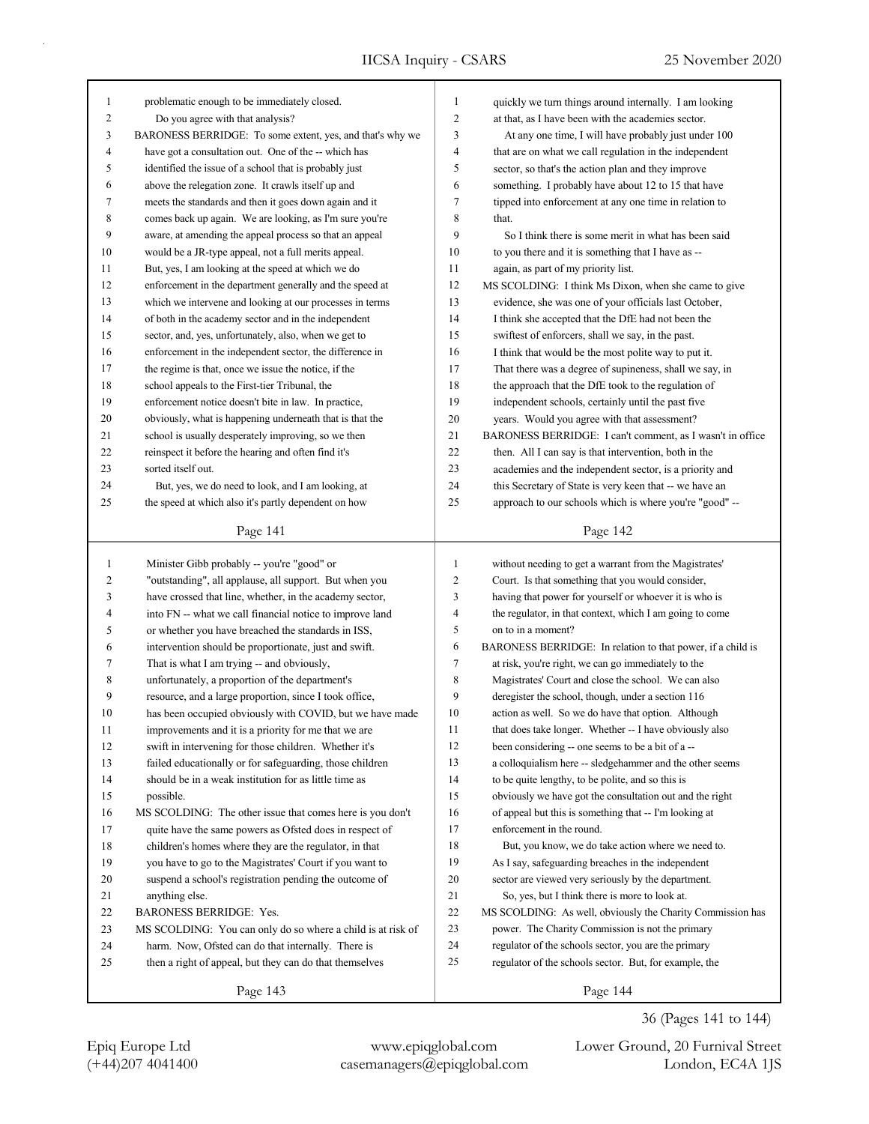| $\mathbf{1}$ | problematic enough to be immediately closed.                | $\mathbf{1}$   | quickly we turn things around internally. I am looking      |
|--------------|-------------------------------------------------------------|----------------|-------------------------------------------------------------|
| 2            | Do you agree with that analysis?                            | $\overline{2}$ | at that, as I have been with the academies sector.          |
| 3            | BARONESS BERRIDGE: To some extent, yes, and that's why we   | 3              | At any one time, I will have probably just under 100        |
| 4            | have got a consultation out. One of the -- which has        | $\overline{4}$ | that are on what we call regulation in the independent      |
| 5            | identified the issue of a school that is probably just      | 5              | sector, so that's the action plan and they improve          |
| 6            | above the relegation zone. It crawls itself up and          | 6              | something. I probably have about 12 to 15 that have         |
| 7            | meets the standards and then it goes down again and it      | 7              | tipped into enforcement at any one time in relation to      |
| 8            | comes back up again. We are looking, as I'm sure you're     | 8              | that.                                                       |
| 9            | aware, at amending the appeal process so that an appeal     | 9              | So I think there is some merit in what has been said        |
| 10           | would be a JR-type appeal, not a full merits appeal.        | 10             | to you there and it is something that I have as --          |
| 11           | But, yes, I am looking at the speed at which we do          | 11             | again, as part of my priority list.                         |
| 12           | enforcement in the department generally and the speed at    | 12             | MS SCOLDING: I think Ms Dixon, when she came to give        |
| 13           | which we intervene and looking at our processes in terms    | 13             | evidence, she was one of your officials last October,       |
| 14           | of both in the academy sector and in the independent        | 14             | I think she accepted that the DfE had not been the          |
| 15           | sector, and, yes, unfortunately, also, when we get to       | 15             | swiftest of enforcers, shall we say, in the past.           |
| 16           | enforcement in the independent sector, the difference in    | 16             | I think that would be the most polite way to put it.        |
| 17           | the regime is that, once we issue the notice, if the        | 17             | That there was a degree of supineness, shall we say, in     |
| 18           | school appeals to the First-tier Tribunal, the              | 18             | the approach that the DfE took to the regulation of         |
| 19           | enforcement notice doesn't bite in law. In practice,        | 19             | independent schools, certainly until the past five          |
| 20           | obviously, what is happening underneath that is that the    | 20             | years. Would you agree with that assessment?                |
| 21           | school is usually desperately improving, so we then         | 21             | BARONESS BERRIDGE: I can't comment, as I wasn't in office   |
| 22           | reinspect it before the hearing and often find it's         | 22             | then. All I can say is that intervention, both in the       |
| 23           | sorted itself out.                                          | 23             | academies and the independent sector, is a priority and     |
| 24           | But, yes, we do need to look, and I am looking, at          | 24             | this Secretary of State is very keen that -- we have an     |
| 25           | the speed at which also it's partly dependent on how        | 25             | approach to our schools which is where you're "good" --     |
|              |                                                             |                |                                                             |
|              | Page 141                                                    |                | Page 142                                                    |
|              |                                                             |                |                                                             |
|              |                                                             |                |                                                             |
| $\mathbf{1}$ | Minister Gibb probably -- you're "good" or                  | $\mathbf{1}$   | without needing to get a warrant from the Magistrates'      |
| 2            | "outstanding", all applause, all support. But when you      | $\overline{c}$ | Court. Is that something that you would consider,           |
| 3            | have crossed that line, whether, in the academy sector,     | 3              | having that power for yourself or whoever it is who is      |
| 4            | into FN -- what we call financial notice to improve land    | $\overline{4}$ | the regulator, in that context, which I am going to come    |
| 5            | or whether you have breached the standards in ISS,          | 5              | on to in a moment?                                          |
| 6            | intervention should be proportionate, just and swift.       | 6              | BARONESS BERRIDGE: In relation to that power, if a child is |
| 7            | That is what I am trying -- and obviously,                  | $\tau$         | at risk, you're right, we can go immediately to the         |
| 8            | unfortunately, a proportion of the department's             | 8              | Magistrates' Court and close the school. We can also        |
| 9            | resource, and a large proportion, since I took office,      | 9              | deregister the school, though, under a section 116          |
| 10           | has been occupied obviously with COVID, but we have made    | 10             | action as well. So we do have that option. Although         |
| 11           | improvements and it is a priority for me that we are        | 11             | that does take longer. Whether -- I have obviously also     |
| 12           | swift in intervening for those children. Whether it's       | 12             | been considering -- one seems to be a bit of a --           |
| 13           | failed educationally or for safeguarding, those children    | 13             | a colloquialism here -- sledgehammer and the other seems    |
| 14           | should be in a weak institution for as little time as       | 14             | to be quite lengthy, to be polite, and so this is           |
| 15           | possible.                                                   | 15             | obviously we have got the consultation out and the right    |
| 16           | MS SCOLDING: The other issue that comes here is you don't   | 16             | of appeal but this is something that -- I'm looking at      |
| 17           | quite have the same powers as Ofsted does in respect of     | 17             | enforcement in the round.                                   |
| 18           | children's homes where they are the regulator, in that      | 18             | But, you know, we do take action where we need to.          |
| 19           | you have to go to the Magistrates' Court if you want to     | 19             | As I say, safeguarding breaches in the independent          |
| $20\,$       | suspend a school's registration pending the outcome of      | 20             | sector are viewed very seriously by the department.         |
| 21           | anything else.                                              | 21             | So, yes, but I think there is more to look at.              |
| 22           | <b>BARONESS BERRIDGE: Yes.</b>                              | 22             | MS SCOLDING: As well, obviously the Charity Commission has  |
| 23           | MS SCOLDING: You can only do so where a child is at risk of | 23             | power. The Charity Commission is not the primary            |
| 24           | harm. Now, Ofsted can do that internally. There is          | 24             | regulator of the schools sector, you are the primary        |
| 25           | then a right of appeal, but they can do that themselves     | 25             | regulator of the schools sector. But, for example, the      |

36 (Pages 141 to 144)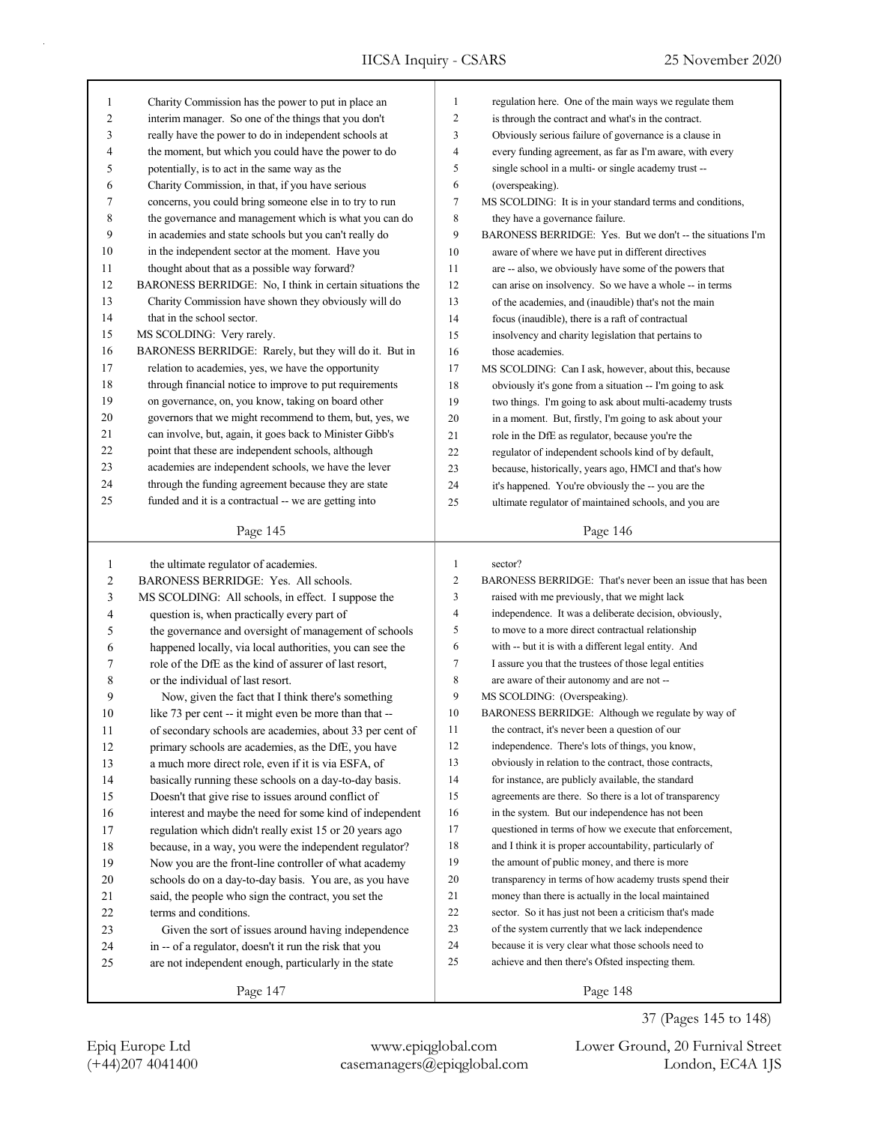| 1            | Charity Commission has the power to put in place an      | $\mathbf{1}$   | regulation here. One of the main ways we regulate them      |
|--------------|----------------------------------------------------------|----------------|-------------------------------------------------------------|
| 2            | interim manager. So one of the things that you don't     | $\overline{c}$ | is through the contract and what's in the contract.         |
| 3            | really have the power to do in independent schools at    | 3              | Obviously serious failure of governance is a clause in      |
| 4            | the moment, but which you could have the power to do     | 4              | every funding agreement, as far as I'm aware, with every    |
| 5            | potentially, is to act in the same way as the            | 5              | single school in a multi- or single academy trust --        |
| 6            | Charity Commission, in that, if you have serious         | 6              | (overspeaking).                                             |
| 7            | concerns, you could bring someone else in to try to run  | 7              | MS SCOLDING: It is in your standard terms and conditions,   |
| 8            | the governance and management which is what you can do   | 8              | they have a governance failure.                             |
| 9            | in academies and state schools but you can't really do   | 9              | BARONESS BERRIDGE: Yes. But we don't -- the situations I'm  |
| 10           | in the independent sector at the moment. Have you        | 10             | aware of where we have put in different directives          |
| 11           | thought about that as a possible way forward?            | 11             | are -- also, we obviously have some of the powers that      |
| 12           | BARONESS BERRIDGE: No, I think in certain situations the | 12             | can arise on insolvency. So we have a whole -- in terms     |
| 13           | Charity Commission have shown they obviously will do     | 13             | of the academies, and (inaudible) that's not the main       |
| 14           | that in the school sector.                               | 14             | focus (inaudible), there is a raft of contractual           |
| 15           | MS SCOLDING: Very rarely.                                | 15             | insolvency and charity legislation that pertains to         |
| 16           | BARONESS BERRIDGE: Rarely, but they will do it. But in   | 16             | those academies.                                            |
| 17           | relation to academies, yes, we have the opportunity      | 17             | MS SCOLDING: Can I ask, however, about this, because        |
| 18           | through financial notice to improve to put requirements  | 18             | obviously it's gone from a situation -- I'm going to ask    |
| 19           | on governance, on, you know, taking on board other       | 19             | two things. I'm going to ask about multi-academy trusts     |
| 20           | governors that we might recommend to them, but, yes, we  | 20             | in a moment. But, firstly, I'm going to ask about your      |
| 21           | can involve, but, again, it goes back to Minister Gibb's | 21             | role in the DfE as regulator, because you're the            |
| 22           | point that these are independent schools, although       | 22             | regulator of independent schools kind of by default,        |
| 23           | academies are independent schools, we have the lever     | 23             | because, historically, years ago, HMCI and that's how       |
| 24           | through the funding agreement because they are state     | 24             | it's happened. You're obviously the -- you are the          |
| 25           | funded and it is a contractual -- we are getting into    | 25             | ultimate regulator of maintained schools, and you are       |
|              |                                                          |                |                                                             |
|              | Page 145                                                 |                | Page 146                                                    |
|              |                                                          |                |                                                             |
|              |                                                          |                |                                                             |
| $\mathbf{1}$ | the ultimate regulator of academies.                     | $\mathbf{1}$   | sector?                                                     |
| 2            | BARONESS BERRIDGE: Yes. All schools.                     | 2              | BARONESS BERRIDGE: That's never been an issue that has been |
| 3            | MS SCOLDING: All schools, in effect. I suppose the       | 3              | raised with me previously, that we might lack               |
| 4            | question is, when practically every part of              | 4              | independence. It was a deliberate decision, obviously,      |
| 5            | the governance and oversight of management of schools    | 5              | to move to a more direct contractual relationship           |
| 6            | happened locally, via local authorities, you can see the | 6              | with -- but it is with a different legal entity. And        |
| 7            | role of the DfE as the kind of assurer of last resort,   | 7              | I assure you that the trustees of those legal entities      |
| 8            | or the individual of last resort.                        | 8              | are aware of their autonomy and are not --                  |
| 9            | Now, given the fact that I think there's something       | 9              | MS SCOLDING: (Overspeaking).                                |
| 10           | like 73 per cent -- it might even be more than that --   | 10             | BARONESS BERRIDGE: Although we regulate by way of           |
| 11           | of secondary schools are academies, about 33 per cent of | 11             | the contract, it's never been a question of our             |
| 12           | primary schools are academies, as the DfE, you have      | 12             | independence. There's lots of things, you know,             |
| 13           | a much more direct role, even if it is via ESFA, of      | 13             | obviously in relation to the contract, those contracts,     |
| 14           | basically running these schools on a day-to-day basis.   | 14             | for instance, are publicly available, the standard          |
| 15           | Doesn't that give rise to issues around conflict of      | 15             | agreements are there. So there is a lot of transparency     |
| 16           | interest and maybe the need for some kind of independent | 16             | in the system. But our independence has not been            |
| 17           | regulation which didn't really exist 15 or 20 years ago  | 17             | questioned in terms of how we execute that enforcement,     |
| $18\,$       | because, in a way, you were the independent regulator?   | 18             | and I think it is proper accountability, particularly of    |
| 19           | Now you are the front-line controller of what academy    | 19             | the amount of public money, and there is more               |
| 20           | schools do on a day-to-day basis. You are, as you have   | 20             | transparency in terms of how academy trusts spend their     |
| 21           | said, the people who sign the contract, you set the      | 21             | money than there is actually in the local maintained        |
| 22           | terms and conditions.                                    | 22             | sector. So it has just not been a criticism that's made     |
| 23           | Given the sort of issues around having independence      | 23             | of the system currently that we lack independence           |
| 24           | in -- of a regulator, doesn't it run the risk that you   | 24             | because it is very clear what those schools need to         |
| 25           | are not independent enough, particularly in the state    | 25             | achieve and then there's Ofsted inspecting them.            |

37 (Pages 145 to 148)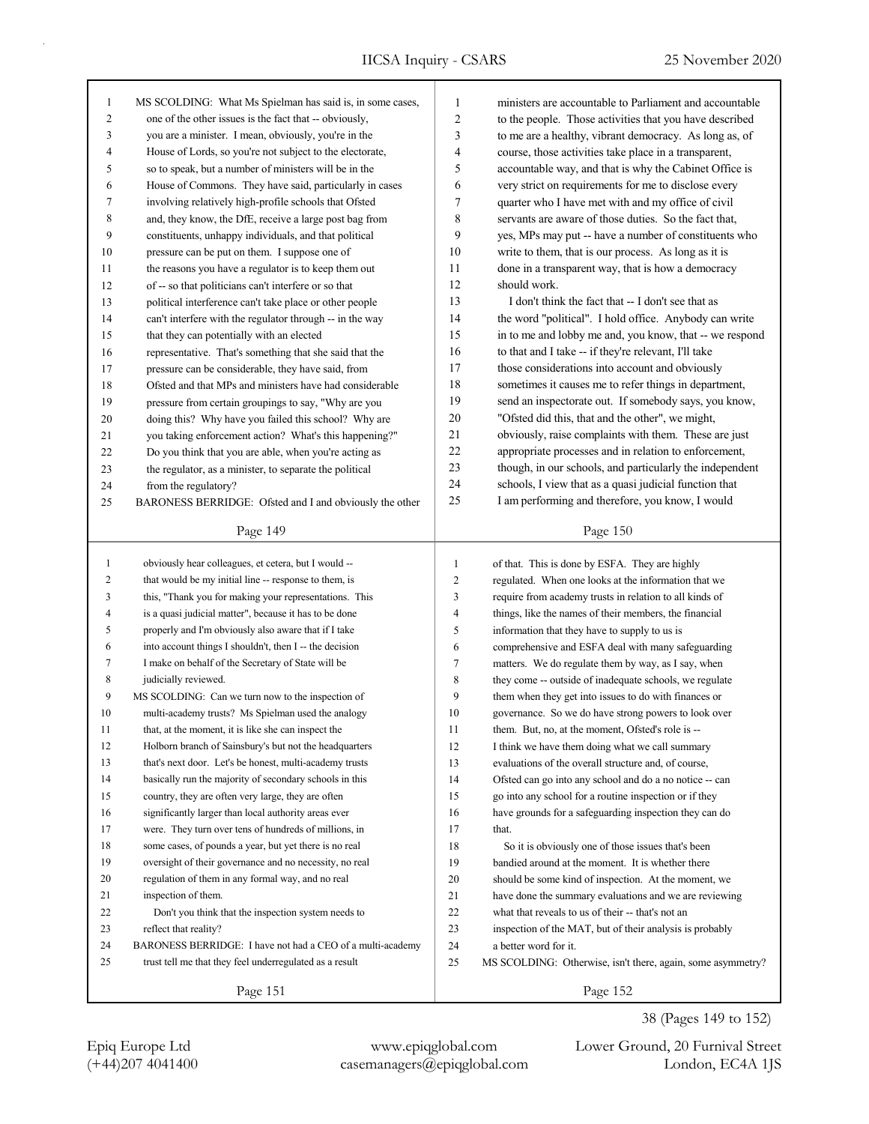٦

| 1              | MS SCOLDING: What Ms Spielman has said is, in some cases,  | $\mathbf{1}$ | ministers are accountable to Parliament and accountable                   |  |  |
|----------------|------------------------------------------------------------|--------------|---------------------------------------------------------------------------|--|--|
| $\overline{c}$ | one of the other issues is the fact that -- obviously,     |              | $\overline{c}$<br>to the people. Those activities that you have described |  |  |
| 3              | you are a minister. I mean, obviously, you're in the       | 3            | to me are a healthy, vibrant democracy. As long as, of                    |  |  |
| 4              | House of Lords, so you're not subject to the electorate,   | 4            | course, those activities take place in a transparent,                     |  |  |
| 5              | so to speak, but a number of ministers will be in the      | 5            | accountable way, and that is why the Cabinet Office is                    |  |  |
| 6              | House of Commons. They have said, particularly in cases    | 6            | very strict on requirements for me to disclose every                      |  |  |
| 7              | involving relatively high-profile schools that Ofsted      | $\tau$       | quarter who I have met with and my office of civil                        |  |  |
| 8              | and, they know, the DfE, receive a large post bag from     | $\,$ 8 $\,$  | servants are aware of those duties. So the fact that,                     |  |  |
| 9              | constituents, unhappy individuals, and that political      | 9            | yes, MPs may put -- have a number of constituents who                     |  |  |
| 10             | pressure can be put on them. I suppose one of              | 10           | write to them, that is our process. As long as it is                      |  |  |
| 11             | the reasons you have a regulator is to keep them out       | 11           | done in a transparent way, that is how a democracy                        |  |  |
| 12             | of -- so that politicians can't interfere or so that       | 12           | should work.                                                              |  |  |
| 13             | political interference can't take place or other people    | 13           | I don't think the fact that -- I don't see that as                        |  |  |
| 14             | can't interfere with the regulator through -- in the way   | 14           | the word "political". I hold office. Anybody can write                    |  |  |
| 15             | that they can potentially with an elected                  | 15           | in to me and lobby me and, you know, that -- we respond                   |  |  |
| 16             | representative. That's something that she said that the    | 16           | to that and I take -- if they're relevant, I'll take                      |  |  |
| 17             | pressure can be considerable, they have said, from         | 17           | those considerations into account and obviously                           |  |  |
| 18             | Ofsted and that MPs and ministers have had considerable    | 18           | sometimes it causes me to refer things in department,                     |  |  |
| 19             | pressure from certain groupings to say, "Why are you       | 19           | send an inspectorate out. If somebody says, you know,                     |  |  |
| 20             | doing this? Why have you failed this school? Why are       | 20           | "Ofsted did this, that and the other", we might,                          |  |  |
| 21             | you taking enforcement action? What's this happening?"     | 21           | obviously, raise complaints with them. These are just                     |  |  |
| 22             | Do you think that you are able, when you're acting as      | 22           | appropriate processes and in relation to enforcement,                     |  |  |
| 23             | the regulator, as a minister, to separate the political    | 23           | though, in our schools, and particularly the independent                  |  |  |
| 24             | from the regulatory?                                       | 24           | schools, I view that as a quasi judicial function that                    |  |  |
| 25             | BARONESS BERRIDGE: Ofsted and I and obviously the other    | 25           | I am performing and therefore, you know, I would                          |  |  |
|                |                                                            |              |                                                                           |  |  |
|                | Page 149                                                   |              | Page 150                                                                  |  |  |
| $\mathbf{1}$   | obviously hear colleagues, et cetera, but I would --       | $\mathbf{1}$ | of that. This is done by ESFA. They are highly                            |  |  |
| 2              | that would be my initial line -- response to them, is      | 2            | regulated. When one looks at the information that we                      |  |  |
| 3              | this, "Thank you for making your representations. This     | 3            | require from academy trusts in relation to all kinds of                   |  |  |
| 4              | is a quasi judicial matter", because it has to be done     | 4            | things, like the names of their members, the financial                    |  |  |
| 5              | properly and I'm obviously also aware that if I take       | 5            | information that they have to supply to us is                             |  |  |
| 6              | into account things I shouldn't, then I -- the decision    | 6            | comprehensive and ESFA deal with many safeguarding                        |  |  |
| 7              | I make on behalf of the Secretary of State will be         | 7            | matters. We do regulate them by way, as I say, when                       |  |  |
| 8              | judicially reviewed.                                       | 8            | they come -- outside of inadequate schools, we regulate                   |  |  |
| 9              | MS SCOLDING: Can we turn now to the inspection of          | 9            | them when they get into issues to do with finances or                     |  |  |
| 10             | multi-academy trusts? Ms Spielman used the analogy         | 10           | governance. So we do have strong powers to look over                      |  |  |
| 11             | that, at the moment, it is like she can inspect the        | 11           | them. But, no, at the moment, Ofsted's role is --                         |  |  |
| 12             | Holborn branch of Sainsbury's but not the headquarters     | 12           | I think we have them doing what we call summary                           |  |  |
| 13             | that's next door. Let's be honest, multi-academy trusts    | 13           | evaluations of the overall structure and, of course,                      |  |  |
| 14             | basically run the majority of secondary schools in this    | 14           | Ofsted can go into any school and do a no notice -- can                   |  |  |
| 15             | country, they are often very large, they are often         | 15           | go into any school for a routine inspection or if they                    |  |  |
| 16             | significantly larger than local authority areas ever       | 16           | have grounds for a safeguarding inspection they can do                    |  |  |
| 17             | were. They turn over tens of hundreds of millions, in      | 17           | that.                                                                     |  |  |
| 18             | some cases, of pounds a year, but yet there is no real     | $18\,$       | So it is obviously one of those issues that's been                        |  |  |
| 19             | oversight of their governance and no necessity, no real    | 19           | bandied around at the moment. It is whether there                         |  |  |
| 20             | regulation of them in any formal way, and no real          | 20           | should be some kind of inspection. At the moment, we                      |  |  |
| 21             | inspection of them.                                        | 21           | have done the summary evaluations and we are reviewing                    |  |  |
| 22             | Don't you think that the inspection system needs to        | 22           | what that reveals to us of their -- that's not an                         |  |  |
| 23             | reflect that reality?                                      | 23           | inspection of the MAT, but of their analysis is probably                  |  |  |
| 24             | BARONESS BERRIDGE: I have not had a CEO of a multi-academy | 24           | a better word for it.                                                     |  |  |
| 25             | trust tell me that they feel underregulated as a result    | 25           | MS SCOLDING: Otherwise, isn't there, again, some asymmetry?               |  |  |
|                | Page 151                                                   |              | Page 152                                                                  |  |  |

(+44)207 4041400 casemanagers@epiqglobal.com London, EC4A 1JS Epiq Europe Ltd www.epiqglobal.com Lower Ground, 20 Furnival Street

38 (Pages 149 to 152)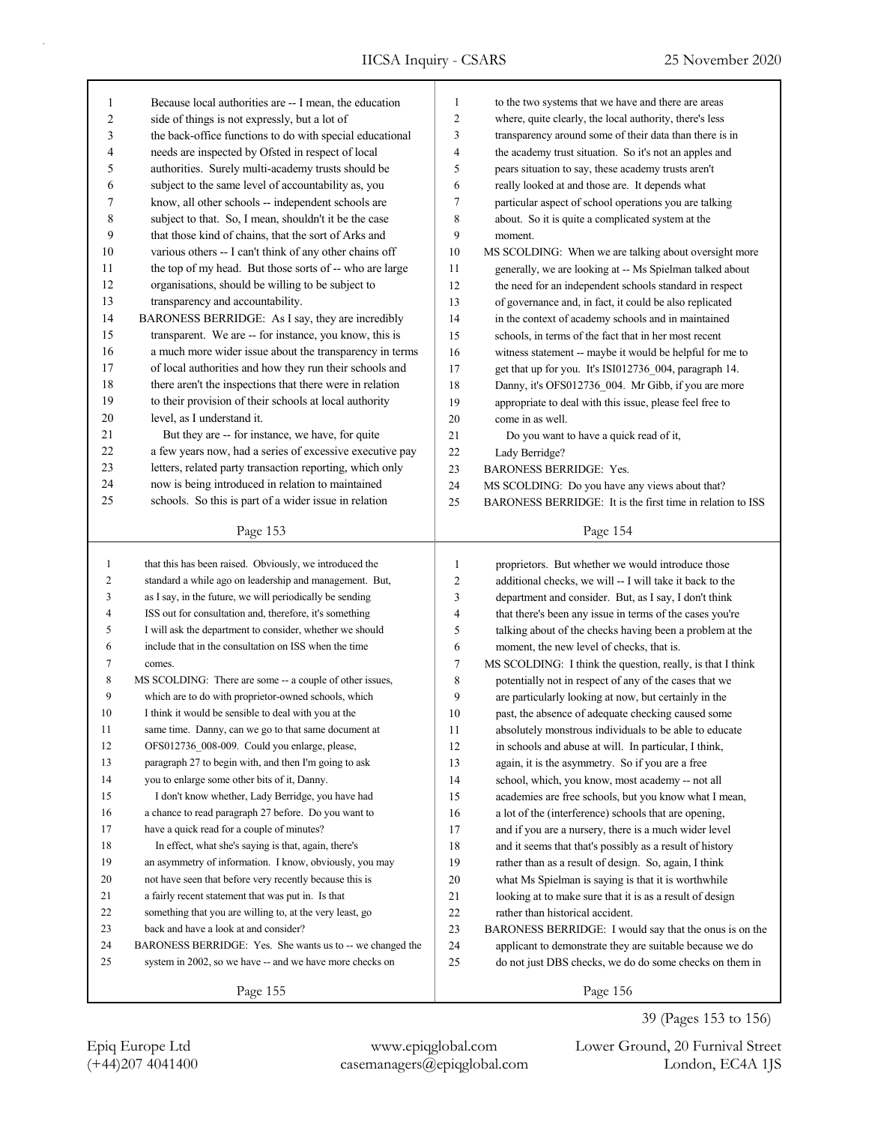| 1              | Because local authorities are -- I mean, the education    | $\mathbf{1}$   | to the two systems that we have and there are areas        |
|----------------|-----------------------------------------------------------|----------------|------------------------------------------------------------|
| $\overline{c}$ | side of things is not expressly, but a lot of             | $\overline{c}$ | where, quite clearly, the local authority, there's less    |
| 3              | the back-office functions to do with special educational  | 3              | transparency around some of their data than there is in    |
| $\overline{4}$ | needs are inspected by Ofsted in respect of local         | 4              | the academy trust situation. So it's not an apples and     |
| 5              | authorities. Surely multi-academy trusts should be        | 5              | pears situation to say, these academy trusts aren't        |
| 6              | subject to the same level of accountability as, you       | 6              | really looked at and those are. It depends what            |
| 7              | know, all other schools -- independent schools are        | $\tau$         | particular aspect of school operations you are talking     |
| 8              | subject to that. So, I mean, shouldn't it be the case     | 8              | about. So it is quite a complicated system at the          |
| 9              | that those kind of chains, that the sort of Arks and      | 9              | moment.                                                    |
| 10             | various others -- I can't think of any other chains off   | 10             | MS SCOLDING: When we are talking about oversight more      |
| 11             | the top of my head. But those sorts of -- who are large   | 11             | generally, we are looking at -- Ms Spielman talked about   |
| 12             | organisations, should be willing to be subject to         | 12             | the need for an independent schools standard in respect    |
| 13             | transparency and accountability.                          | 13             | of governance and, in fact, it could be also replicated    |
| 14             | BARONESS BERRIDGE: As I say, they are incredibly          | 14             | in the context of academy schools and in maintained        |
| 15             | transparent. We are -- for instance, you know, this is    | 15             | schools, in terms of the fact that in her most recent      |
| 16             | a much more wider issue about the transparency in terms   | 16             | witness statement -- maybe it would be helpful for me to   |
| 17             | of local authorities and how they run their schools and   | 17             | get that up for you. It's ISI012736 004, paragraph 14.     |
| 18             | there aren't the inspections that there were in relation  | 18             | Danny, it's OFS012736_004. Mr Gibb, if you are more        |
| 19             | to their provision of their schools at local authority    | 19             | appropriate to deal with this issue, please feel free to   |
| 20             | level, as I understand it.                                | 20             | come in as well.                                           |
| 21             | But they are -- for instance, we have, for quite          | 21             | Do you want to have a quick read of it,                    |
| 22             | a few years now, had a series of excessive executive pay  | 22             | Lady Berridge?                                             |
| 23             | letters, related party transaction reporting, which only  | 23             | <b>BARONESS BERRIDGE: Yes.</b>                             |
| 24             | now is being introduced in relation to maintained         | 24             | MS SCOLDING: Do you have any views about that?             |
| 25             | schools. So this is part of a wider issue in relation     | 25             | BARONESS BERRIDGE: It is the first time in relation to ISS |
|                |                                                           |                |                                                            |
|                | Page 153                                                  |                | Page 154                                                   |
|                |                                                           |                |                                                            |
|                |                                                           |                |                                                            |
| $\mathbf{1}$   | that this has been raised. Obviously, we introduced the   | $\mathbf{1}$   | proprietors. But whether we would introduce those          |
| 2              | standard a while ago on leadership and management. But,   | 2              | additional checks, we will -- I will take it back to the   |
| 3              | as I say, in the future, we will periodically be sending  | 3              | department and consider. But, as I say, I don't think      |
| 4              | ISS out for consultation and, therefore, it's something   | 4              | that there's been any issue in terms of the cases you're   |
| 5              | I will ask the department to consider, whether we should  | 5              | talking about of the checks having been a problem at the   |
| 6              | include that in the consultation on ISS when the time     | 6              | moment, the new level of checks, that is.                  |
| 7              | comes.                                                    | 7              | MS SCOLDING: I think the question, really, is that I think |
| 8              | MS SCOLDING: There are some -- a couple of other issues,  | 8              | potentially not in respect of any of the cases that we     |
| 9              | which are to do with proprietor-owned schools, which      | 9              | are particularly looking at now, but certainly in the      |
| 10             | I think it would be sensible to deal with you at the      | 10             | past, the absence of adequate checking caused some         |
| 11             | same time. Danny, can we go to that same document at      | 11             | absolutely monstrous individuals to be able to educate     |
| 12             | OFS012736 008-009. Could you enlarge, please,             | 12             | in schools and abuse at will. In particular, I think,      |
| 13             | paragraph 27 to begin with, and then I'm going to ask     | 13             | again, it is the asymmetry. So if you are a free           |
| 14             | you to enlarge some other bits of it, Danny.              | 14             | school, which, you know, most academy -- not all           |
| 15             | I don't know whether, Lady Berridge, you have had         | 15             | academies are free schools, but you know what I mean,      |
| 16             | a chance to read paragraph 27 before. Do you want to      | 16             | a lot of the (interference) schools that are opening,      |
| 17             | have a quick read for a couple of minutes?                | 17             | and if you are a nursery, there is a much wider level      |
| 18             | In effect, what she's saying is that, again, there's      | 18             | and it seems that that's possibly as a result of history   |
| 19             | an asymmetry of information. I know, obviously, you may   | 19             | rather than as a result of design. So, again, I think      |
| 20             | not have seen that before very recently because this is   | $20\,$         | what Ms Spielman is saying is that it is worthwhile        |
| 21             | a fairly recent statement that was put in. Is that        | 21             | looking at to make sure that it is as a result of design   |
| 22             | something that you are willing to, at the very least, go  | $22\,$         | rather than historical accident.                           |
| 23             | back and have a look at and consider?                     | 23             | BARONESS BERRIDGE: I would say that the onus is on the     |
| 24             | BARONESS BERRIDGE: Yes. She wants us to -- we changed the | 24             | applicant to demonstrate they are suitable because we do   |
| 25             | system in 2002, so we have -- and we have more checks on  | 25             | do not just DBS checks, we do do some checks on them in    |

(+44)207 4041400 casemanagers@epiqglobal.com London, EC4A 1JS Epiq Europe Ltd www.epiqglobal.com Lower Ground, 20 Furnival Street

39 (Pages 153 to 156)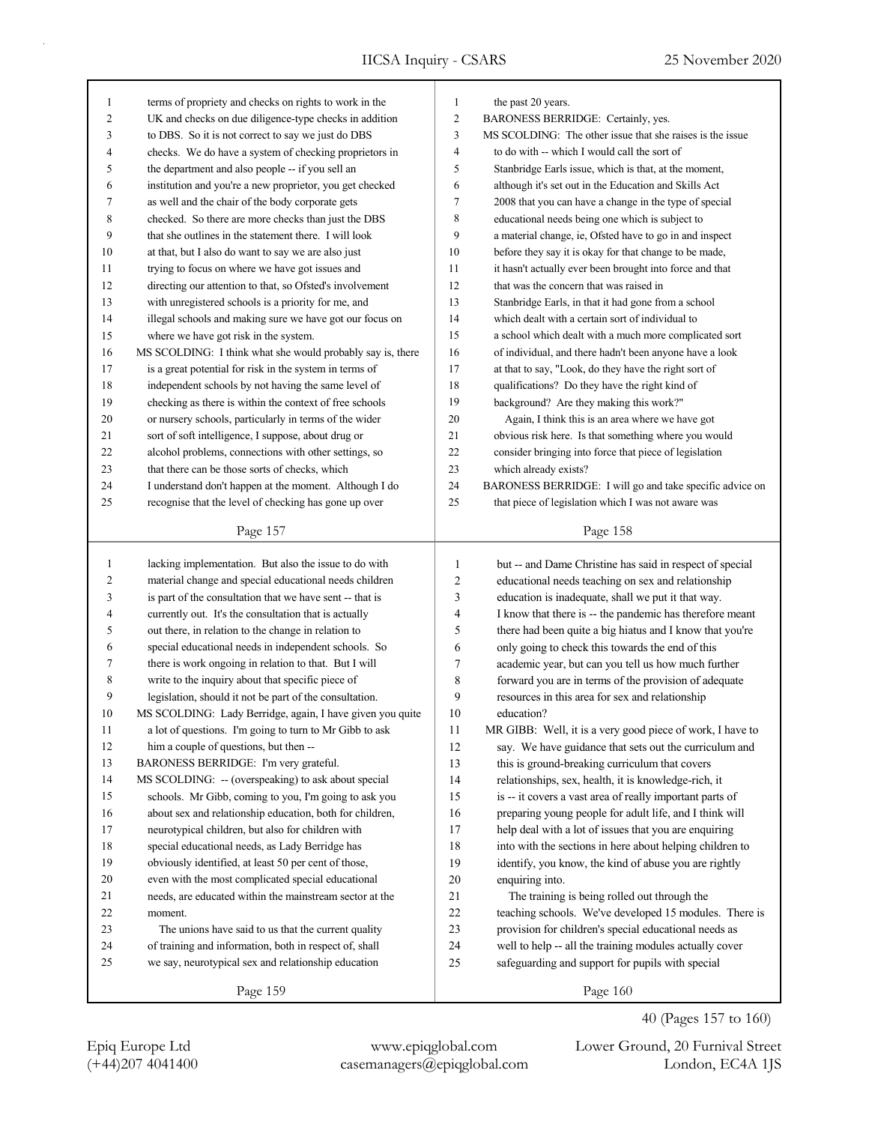| 1            | terms of propriety and checks on rights to work in the          | 1              | the past 20 years.                                           |  |
|--------------|-----------------------------------------------------------------|----------------|--------------------------------------------------------------|--|
| 2            | UK and checks on due diligence-type checks in addition          | $\overline{c}$ | BARONESS BERRIDGE: Certainly, yes.                           |  |
| 3            | to DBS. So it is not correct to say we just do DBS              | 3              | MS SCOLDING: The other issue that she raises is the issue    |  |
| 4            | checks. We do have a system of checking proprietors in          | 4              | to do with -- which I would call the sort of                 |  |
| 5            | the department and also people -- if you sell an                |                | 5<br>Stanbridge Earls issue, which is that, at the moment,   |  |
| 6            | institution and you're a new proprietor, you get checked        |                | 6<br>although it's set out in the Education and Skills Act   |  |
| 7            | as well and the chair of the body corporate gets                | 7              | 2008 that you can have a change in the type of special       |  |
| 8            | checked. So there are more checks than just the DBS             | 8              | educational needs being one which is subject to              |  |
| 9            | that she outlines in the statement there. I will look           | 9              | a material change, ie, Ofsted have to go in and inspect      |  |
| 10           | at that, but I also do want to say we are also just             | 10             | before they say it is okay for that change to be made,       |  |
| 11           | trying to focus on where we have got issues and                 | 11             | it hasn't actually ever been brought into force and that     |  |
| 12           | directing our attention to that, so Ofsted's involvement        | 12             | that was the concern that was raised in                      |  |
| 13           | with unregistered schools is a priority for me, and             | 13             | Stanbridge Earls, in that it had gone from a school          |  |
| 14           | illegal schools and making sure we have got our focus on        | 14             | which dealt with a certain sort of individual to             |  |
| 15           | where we have got risk in the system.                           | 15             | a school which dealt with a much more complicated sort       |  |
| 16           | MS SCOLDING: I think what she would probably say is, there      | 16             | of individual, and there hadn't been anyone have a look      |  |
| 17           | is a great potential for risk in the system in terms of         | 17             | at that to say, "Look, do they have the right sort of        |  |
| 18           | independent schools by not having the same level of             | 18             | qualifications? Do they have the right kind of               |  |
| 19           | checking as there is within the context of free schools         | 19             | background? Are they making this work?"                      |  |
| 20           | or nursery schools, particularly in terms of the wider          | 20             | Again, I think this is an area where we have got             |  |
| 21           | sort of soft intelligence, I suppose, about drug or             | 21             | obvious risk here. Is that something where you would         |  |
| 22           | alcohol problems, connections with other settings, so           | 22             | consider bringing into force that piece of legislation       |  |
| 23           | that there can be those sorts of checks, which                  | 23             | which already exists?                                        |  |
| 24           | I understand don't happen at the moment. Although I do          | 24             | BARONESS BERRIDGE: I will go and take specific advice on     |  |
| 25           | recognise that the level of checking has gone up over           | 25             | that piece of legislation which I was not aware was          |  |
|              |                                                                 |                |                                                              |  |
|              | Page 157                                                        |                | Page 158                                                     |  |
|              |                                                                 |                |                                                              |  |
|              |                                                                 |                |                                                              |  |
| 1            | lacking implementation. But also the issue to do with           | $\mathbf{1}$   | but -- and Dame Christine has said in respect of special     |  |
| 2            | material change and special educational needs children          | $\overline{c}$ | educational needs teaching on sex and relationship           |  |
| 3            | is part of the consultation that we have sent -- that is        | $\mathfrak{Z}$ | education is inadequate, shall we put it that way.           |  |
| 4            | currently out. It's the consultation that is actually           | $\overline{4}$ | I know that there is -- the pandemic has therefore meant     |  |
| 5            | out there, in relation to the change in relation to             | 5              | there had been quite a big hiatus and I know that you're     |  |
| 6            | special educational needs in independent schools. So            | 6              | only going to check this towards the end of this             |  |
| 7            | there is work ongoing in relation to that. But I will           | 7              | academic year, but can you tell us how much further          |  |
| 8            | write to the inquiry about that specific piece of               | $\,$ 8 $\,$    | forward you are in terms of the provision of adequate        |  |
| 9            | legislation, should it not be part of the consultation.         | 9              | resources in this area for sex and relationship              |  |
| 10           | MS SCOLDING: Lady Berridge, again, I have given you quite       | 10             | education?                                                   |  |
| 11           | a lot of questions. I'm going to turn to Mr Gibb to ask         | 11             | MR GIBB: Well, it is a very good piece of work, I have to    |  |
| 12           | him a couple of questions, but then --                          | 12             | say. We have guidance that sets out the curriculum and       |  |
| 13           | BARONESS BERRIDGE: I'm very grateful.                           | 13             | this is ground-breaking curriculum that covers               |  |
| 14           | MS SCOLDING: -- (overspeaking) to ask about special             | 14             | relationships, sex, health, it is knowledge-rich, it         |  |
| 15           | schools. Mr Gibb, coming to you, I'm going to ask you           | 15             | is -- it covers a vast area of really important parts of     |  |
| 16           | about sex and relationship education, both for children,        | 16             | preparing young people for adult life, and I think will      |  |
| 17           | neurotypical children, but also for children with               | 17             | help deal with a lot of issues that you are enquiring        |  |
| 18           | special educational needs, as Lady Berridge has                 | 18<br>19       | into with the sections in here about helping children to     |  |
| 19           | obviously identified, at least 50 per cent of those,            |                | identify, you know, the kind of abuse you are rightly        |  |
| $20\,$<br>21 | even with the most complicated special educational              | 20<br>21       | enquiring into.                                              |  |
|              | needs, are educated within the mainstream sector at the         |                | The training is being rolled out through the                 |  |
| $22\,$       | moment.                                                         | $22\,$         | teaching schools. We've developed 15 modules. There is       |  |
| 23<br>24     | The unions have said to us that the current quality             | 23             | provision for children's special educational needs as        |  |
| 25           | of training and information, both in respect of, shall          | 24             | well to help -- all the training modules actually cover      |  |
|              | we say, neurotypical sex and relationship education<br>Page 159 | 25             | safeguarding and support for pupils with special<br>Page 160 |  |

(+44)207 4041400 casemanagers@epiqglobal.com London, EC4A 1JS Epiq Europe Ltd www.epiqglobal.com Lower Ground, 20 Furnival Street

40 (Pages 157 to 160)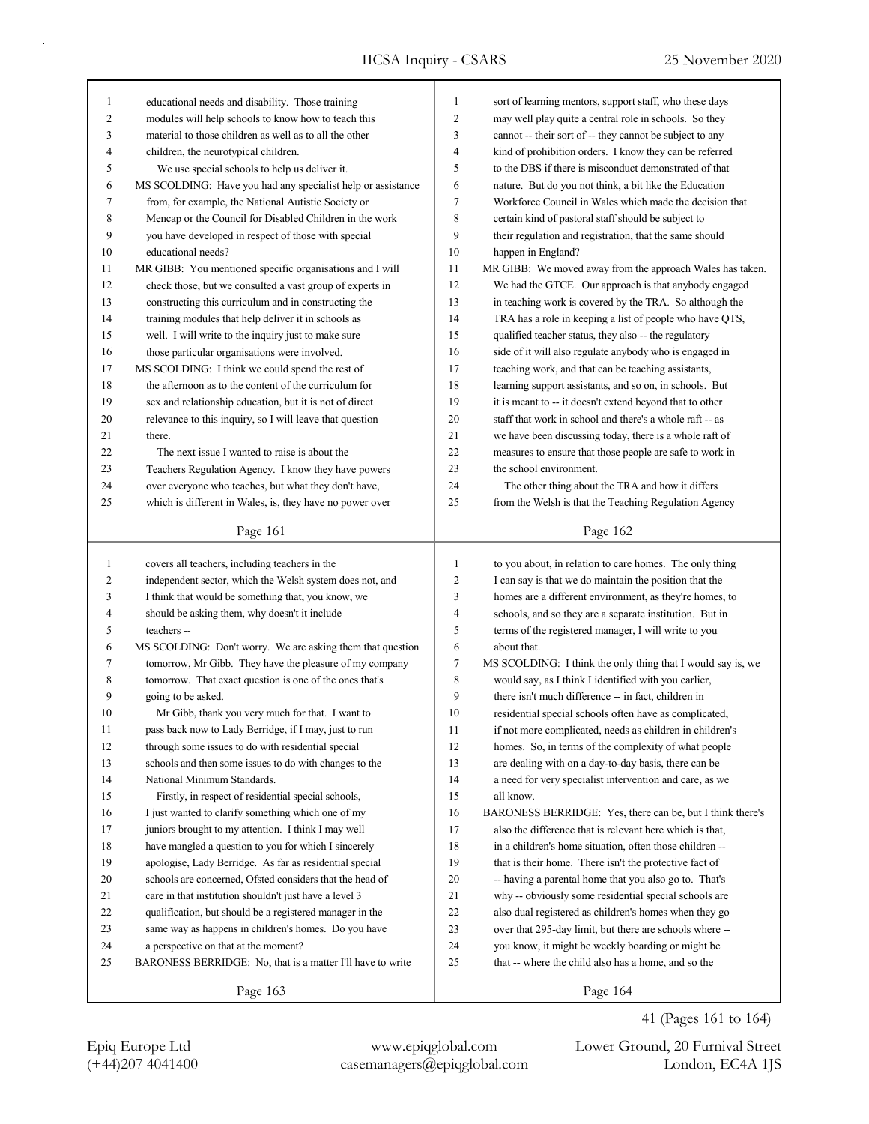| 1              | educational needs and disability. Those training            | 1              | sort of learning mentors, support staff, who these days     |
|----------------|-------------------------------------------------------------|----------------|-------------------------------------------------------------|
| $\overline{c}$ | modules will help schools to know how to teach this         |                | may well play quite a central role in schools. So they      |
| 3              | material to those children as well as to all the other      | 3              | cannot -- their sort of -- they cannot be subject to any    |
| 4              | children, the neurotypical children.                        | $\overline{4}$ | kind of prohibition orders. I know they can be referred     |
| 5              | We use special schools to help us deliver it.               | 5              | to the DBS if there is misconduct demonstrated of that      |
| 6              | MS SCOLDING: Have you had any specialist help or assistance | 6              | nature. But do you not think, a bit like the Education      |
| 7              | from, for example, the National Autistic Society or         | $\tau$         | Workforce Council in Wales which made the decision that     |
| 8              | Mencap or the Council for Disabled Children in the work     | $\,$ 8 $\,$    | certain kind of pastoral staff should be subject to         |
| 9              | you have developed in respect of those with special         | 9              | their regulation and registration, that the same should     |
| 10             | educational needs?                                          | 10             | happen in England?                                          |
| 11             | MR GIBB: You mentioned specific organisations and I will    | 11             | MR GIBB: We moved away from the approach Wales has taken.   |
| 12             | check those, but we consulted a vast group of experts in    | 12             | We had the GTCE. Our approach is that anybody engaged       |
| 13             | constructing this curriculum and in constructing the        | 13             | in teaching work is covered by the TRA. So although the     |
| 14             | training modules that help deliver it in schools as         | 14             | TRA has a role in keeping a list of people who have QTS,    |
| 15             | well. I will write to the inquiry just to make sure         | 15             | qualified teacher status, they also -- the regulatory       |
| 16             | those particular organisations were involved.               | 16             | side of it will also regulate anybody who is engaged in     |
| 17             | MS SCOLDING: I think we could spend the rest of             | 17             | teaching work, and that can be teaching assistants,         |
| 18             | the afternoon as to the content of the curriculum for       | 18             | learning support assistants, and so on, in schools. But     |
| 19             | sex and relationship education, but it is not of direct     | 19             | it is meant to -- it doesn't extend beyond that to other    |
| 20             | relevance to this inquiry, so I will leave that question    | 20             | staff that work in school and there's a whole raft -- as    |
| 21             | there.                                                      | 21             | we have been discussing today, there is a whole raft of     |
| 22             | The next issue I wanted to raise is about the               | 22             | measures to ensure that those people are safe to work in    |
| 23             | Teachers Regulation Agency. I know they have powers         | 23             | the school environment.                                     |
| 24             | over everyone who teaches, but what they don't have,        | 24             | The other thing about the TRA and how it differs            |
| 25             | which is different in Wales, is, they have no power over    | 25             | from the Welsh is that the Teaching Regulation Agency       |
|                |                                                             |                |                                                             |
|                | Page 161                                                    |                | Page 162                                                    |
|                |                                                             |                |                                                             |
|                |                                                             |                |                                                             |
| $\mathbf{1}$   | covers all teachers, including teachers in the              | $\mathbf{1}$   | to you about, in relation to care homes. The only thing     |
| 2              | independent sector, which the Welsh system does not, and    | $\overline{c}$ | I can say is that we do maintain the position that the      |
| 3              | I think that would be something that, you know, we          | 3              | homes are a different environment, as they're homes, to     |
| 4              | should be asking them, why doesn't it include               | 4              | schools, and so they are a separate institution. But in     |
| 5              | teachers --                                                 | 5              | terms of the registered manager, I will write to you        |
| 6              | MS SCOLDING: Don't worry. We are asking them that question  | 6              | about that.                                                 |
| 7              | tomorrow, Mr Gibb. They have the pleasure of my company     | $\tau$         | MS SCOLDING: I think the only thing that I would say is, we |
| 8              | tomorrow. That exact question is one of the ones that's     | $\,$ 8 $\,$    | would say, as I think I identified with you earlier,        |
| 9              | going to be asked.                                          | 9              | there isn't much difference -- in fact, children in         |
| 10             | Mr Gibb, thank you very much for that. I want to            | 10             | residential special schools often have as complicated,      |
| 11             | pass back now to Lady Berridge, if I may, just to run       | 11             | if not more complicated, needs as children in children's    |
| 12             | through some issues to do with residential special          | 12             | homes. So, in terms of the complexity of what people        |
| 13             | schools and then some issues to do with changes to the      | 13             | are dealing with on a day-to-day basis, there can be        |
| 14             | National Minimum Standards.                                 | 14             | a need for very specialist intervention and care, as we     |
| 15             | Firstly, in respect of residential special schools,         | 15             | all know.                                                   |
| 16             | I just wanted to clarify something which one of my          | 16             | BARONESS BERRIDGE: Yes, there can be, but I think there's   |
| 17             | juniors brought to my attention. I think I may well         | 17             | also the difference that is relevant here which is that,    |
| $18\,$         | have mangled a question to you for which I sincerely        | 18             | in a children's home situation, often those children --     |
| 19             | apologise, Lady Berridge. As far as residential special     | 19             | that is their home. There isn't the protective fact of      |
| 20             | schools are concerned, Ofsted considers that the head of    | 20             | -- having a parental home that you also go to. That's       |
| 21             | care in that institution shouldn't just have a level 3      | 21             | why -- obviously some residential special schools are       |
| 22             | qualification, but should be a registered manager in the    | $22\,$         | also dual registered as children's homes when they go       |
| 23             | same way as happens in children's homes. Do you have        | 23             | over that 295-day limit, but there are schools where --     |
| 24             | a perspective on that at the moment?                        | 24             | you know, it might be weekly boarding or might be           |
| 25             | BARONESS BERRIDGE: No, that is a matter I'll have to write  | 25             | that -- where the child also has a home, and so the         |

(+44)207 4041400 casemanagers@epiqglobal.com London, EC4A 1JS Epiq Europe Ltd www.epiqglobal.com Lower Ground, 20 Furnival Street

41 (Pages 161 to 164)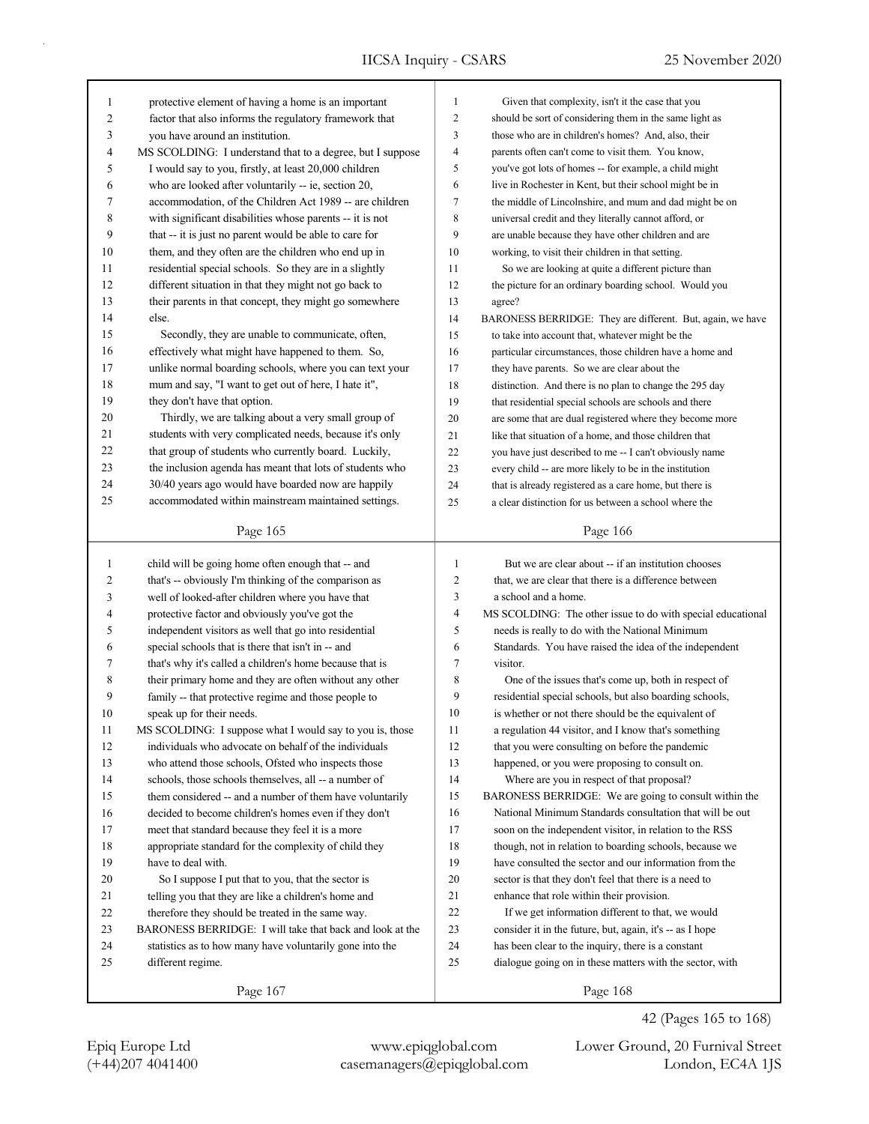| 1  | protective element of having a home is an important       | 1                                                            | Given that complexity, isn't it the case that you           |  |  |
|----|-----------------------------------------------------------|--------------------------------------------------------------|-------------------------------------------------------------|--|--|
| 2  | factor that also informs the regulatory framework that    | 2<br>should be sort of considering them in the same light as |                                                             |  |  |
| 3  | you have around an institution.                           | 3                                                            | those who are in children's homes? And, also, their         |  |  |
| 4  | MS SCOLDING: I understand that to a degree, but I suppose | 4                                                            | parents often can't come to visit them. You know,           |  |  |
| 5  | I would say to you, firstly, at least 20,000 children     | 5                                                            | you've got lots of homes -- for example, a child might      |  |  |
| 6  | who are looked after voluntarily -- ie, section 20,       | 6                                                            | live in Rochester in Kent, but their school might be in     |  |  |
| 7  | accommodation, of the Children Act 1989 -- are children   | 7                                                            | the middle of Lincolnshire, and mum and dad might be on     |  |  |
| 8  | with significant disabilities whose parents -- it is not  | 8                                                            | universal credit and they literally cannot afford, or       |  |  |
| 9  | that -- it is just no parent would be able to care for    | 9                                                            | are unable because they have other children and are         |  |  |
| 10 | them, and they often are the children who end up in       | 10                                                           | working, to visit their children in that setting.           |  |  |
| 11 | residential special schools. So they are in a slightly    | 11                                                           | So we are looking at quite a different picture than         |  |  |
| 12 | different situation in that they might not go back to     | 12                                                           | the picture for an ordinary boarding school. Would you      |  |  |
| 13 | their parents in that concept, they might go somewhere    | 13                                                           | agree?                                                      |  |  |
| 14 | else.                                                     | 14                                                           | BARONESS BERRIDGE: They are different. But, again, we have  |  |  |
| 15 | Secondly, they are unable to communicate, often,          | 15                                                           | to take into account that, whatever might be the            |  |  |
| 16 | effectively what might have happened to them. So,         | 16                                                           | particular circumstances, those children have a home and    |  |  |
| 17 | unlike normal boarding schools, where you can text your   | 17                                                           | they have parents. So we are clear about the                |  |  |
| 18 | mum and say, "I want to get out of here, I hate it",      | 18                                                           | distinction. And there is no plan to change the 295 day     |  |  |
| 19 | they don't have that option.                              | 19                                                           | that residential special schools are schools and there      |  |  |
| 20 | Thirdly, we are talking about a very small group of       | 20                                                           | are some that are dual registered where they become more    |  |  |
| 21 | students with very complicated needs, because it's only   | 21                                                           | like that situation of a home, and those children that      |  |  |
| 22 | that group of students who currently board. Luckily,      | 22                                                           | you have just described to me -- I can't obviously name     |  |  |
| 23 | the inclusion agenda has meant that lots of students who  | 23                                                           | every child -- are more likely to be in the institution     |  |  |
| 24 | 30/40 years ago would have boarded now are happily        | 24                                                           | that is already registered as a care home, but there is     |  |  |
| 25 | accommodated within mainstream maintained settings.       | 25                                                           | a clear distinction for us between a school where the       |  |  |
|    | Page 165                                                  |                                                              | Page 166                                                    |  |  |
|    |                                                           |                                                              |                                                             |  |  |
| 1  | child will be going home often enough that -- and         | $\mathbf{1}$                                                 | But we are clear about -- if an institution chooses         |  |  |
| 2  | that's -- obviously I'm thinking of the comparison as     | 2                                                            | that, we are clear that there is a difference between       |  |  |
| 3  | well of looked-after children where you have that         | 3                                                            | a school and a home.                                        |  |  |
| 4  | protective factor and obviously you've got the            | 4                                                            | MS SCOLDING: The other issue to do with special educational |  |  |
| 5  | independent visitors as well that go into residential     | 5                                                            | needs is really to do with the National Minimum             |  |  |
| 6  | special schools that is there that isn't in -- and        | 6                                                            | Standards. You have raised the idea of the independent      |  |  |
| 7  | that's why it's called a children's home because that is  | 7                                                            | visitor.                                                    |  |  |
| 8  | their primary home and they are often without any other   | 8                                                            | One of the issues that's come up, both in respect of        |  |  |
| 9  | family -- that protective regime and those people to      | 9                                                            | residential special schools, but also boarding schools,     |  |  |
| 10 | speak up for their needs.                                 | 10                                                           | is whether or not there should be the equivalent of         |  |  |
| 11 | MS SCOLDING: I suppose what I would say to you is, those  | 11                                                           | a regulation 44 visitor, and I know that's something        |  |  |
| 12 | individuals who advocate on behalf of the individuals     | 12                                                           | that you were consulting on before the pandemic             |  |  |
| 13 | who attend those schools, Ofsted who inspects those       | 13                                                           | happened, or you were proposing to consult on.              |  |  |
| 14 | schools, those schools themselves, all -- a number of     | 14                                                           | Where are you in respect of that proposal?                  |  |  |
| 15 | them considered -- and a number of them have voluntarily  | 15                                                           | BARONESS BERRIDGE: We are going to consult within the       |  |  |
| 16 | decided to become children's homes even if they don't     | 16                                                           | National Minimum Standards consultation that will be out    |  |  |
| 17 | meet that standard because they feel it is a more         | 17                                                           | soon on the independent visitor, in relation to the RSS     |  |  |
| 18 | appropriate standard for the complexity of child they     | 18                                                           | though, not in relation to boarding schools, because we     |  |  |
| 19 | have to deal with.                                        | 19                                                           | have consulted the sector and our information from the      |  |  |
| 20 | So I suppose I put that to you, that the sector is        | 20                                                           | sector is that they don't feel that there is a need to      |  |  |
| 21 | telling you that they are like a children's home and      | 21                                                           | enhance that role within their provision.                   |  |  |
| 22 | therefore they should be treated in the same way.         | 22                                                           | If we get information different to that, we would           |  |  |
| 23 |                                                           |                                                              |                                                             |  |  |
|    | BARONESS BERRIDGE: I will take that back and look at the  | 23                                                           | consider it in the future, but, again, it's -- as I hope    |  |  |
| 24 | statistics as to how many have voluntarily gone into the  | 24                                                           | has been clear to the inquiry, there is a constant          |  |  |
| 25 | different regime.                                         | 25                                                           | dialogue going on in these matters with the sector, with    |  |  |
|    | Page 167                                                  |                                                              | Page 168                                                    |  |  |

(+44)207 4041400 casemanagers@epiqglobal.com London, EC4A 1JS Epiq Europe Ltd www.epiqglobal.com Lower Ground, 20 Furnival Street

42 (Pages 165 to 168)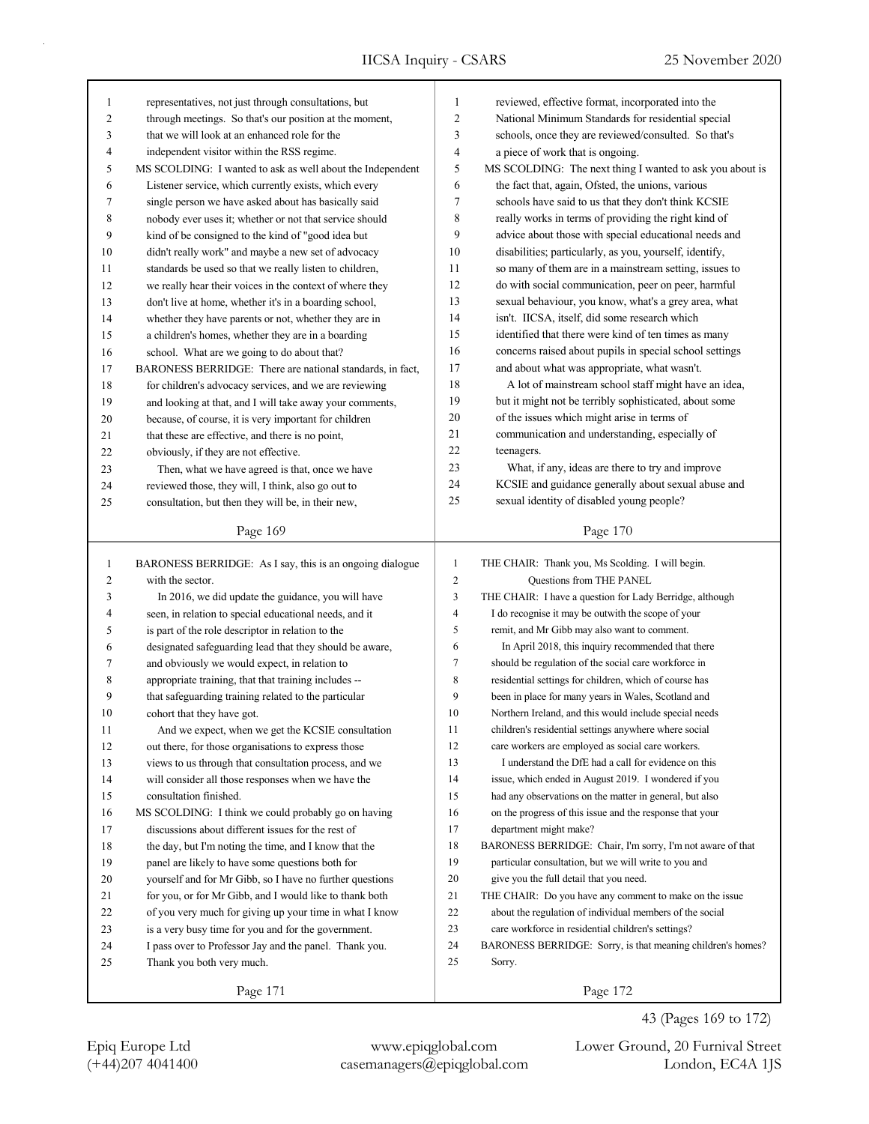| 1              | representatives, not just through consultations, but       | 1                        | reviewed, effective format, incorporated into the           |
|----------------|------------------------------------------------------------|--------------------------|-------------------------------------------------------------|
| $\overline{c}$ | through meetings. So that's our position at the moment,    | $\overline{c}$           | National Minimum Standards for residential special          |
| 3              | that we will look at an enhanced role for the              | $\mathfrak{Z}$           | schools, once they are reviewed/consulted. So that's        |
| $\overline{4}$ | independent visitor within the RSS regime.                 | $\overline{\mathcal{L}}$ | a piece of work that is ongoing.                            |
| 5              | MS SCOLDING: I wanted to ask as well about the Independent | 5                        | MS SCOLDING: The next thing I wanted to ask you about is    |
| 6              | Listener service, which currently exists, which every      | 6                        | the fact that, again, Ofsted, the unions, various           |
| 7              | single person we have asked about has basically said       | 7                        | schools have said to us that they don't think KCSIE         |
| 8              | nobody ever uses it; whether or not that service should    | 8                        | really works in terms of providing the right kind of        |
| 9              | kind of be consigned to the kind of "good idea but         | 9                        | advice about those with special educational needs and       |
| 10             | didn't really work" and maybe a new set of advocacy        | 10                       | disabilities; particularly, as you, yourself, identify,     |
| 11             | standards be used so that we really listen to children,    | 11                       | so many of them are in a mainstream setting, issues to      |
| 12             | we really hear their voices in the context of where they   | 12                       | do with social communication, peer on peer, harmful         |
| 13             | don't live at home, whether it's in a boarding school,     | 13                       | sexual behaviour, you know, what's a grey area, what        |
| 14             | whether they have parents or not, whether they are in      | 14                       | isn't. IICSA, itself, did some research which               |
| 15             | a children's homes, whether they are in a boarding         | 15                       | identified that there were kind of ten times as many        |
| 16             | school. What are we going to do about that?                | 16                       | concerns raised about pupils in special school settings     |
| 17             | BARONESS BERRIDGE: There are national standards, in fact,  | 17                       | and about what was appropriate, what wasn't.                |
| 18             | for children's advocacy services, and we are reviewing     | 18                       | A lot of mainstream school staff might have an idea,        |
| 19             | and looking at that, and I will take away your comments,   | 19                       | but it might not be terribly sophisticated, about some      |
| 20             | because, of course, it is very important for children      | 20                       | of the issues which might arise in terms of                 |
| 21             | that these are effective, and there is no point,           | 21                       | communication and understanding, especially of              |
| 22             | obviously, if they are not effective.                      | 22                       | teenagers.                                                  |
| 23             | Then, what we have agreed is that, once we have            | 23                       | What, if any, ideas are there to try and improve            |
| 24             | reviewed those, they will, I think, also go out to         | 24                       | KCSIE and guidance generally about sexual abuse and         |
| 25             | consultation, but then they will be, in their new,         | 25                       | sexual identity of disabled young people?                   |
|                |                                                            |                          |                                                             |
|                | Page 169                                                   |                          | Page 170                                                    |
|                |                                                            |                          |                                                             |
|                |                                                            |                          |                                                             |
| $\mathbf{1}$   | BARONESS BERRIDGE: As I say, this is an ongoing dialogue   | $\mathbf{1}$             | THE CHAIR: Thank you, Ms Scolding. I will begin.            |
| $\overline{c}$ | with the sector.                                           | $\mathfrak{2}$           | Questions from THE PANEL                                    |
| 3              | In 2016, we did update the guidance, you will have         | 3                        | THE CHAIR: I have a question for Lady Berridge, although    |
| 4              | seen, in relation to special educational needs, and it     | $\overline{\mathbf{4}}$  | I do recognise it may be outwith the scope of your          |
| 5              | is part of the role descriptor in relation to the          | 5                        | remit, and Mr Gibb may also want to comment.                |
| 6              | designated safeguarding lead that they should be aware,    | 6                        | In April 2018, this inquiry recommended that there          |
| 7              | and obviously we would expect, in relation to              | $\tau$                   | should be regulation of the social care workforce in        |
| 8              | appropriate training, that that training includes --       | 8                        | residential settings for children, which of course has      |
| 9              | that safeguarding training related to the particular       | 9                        | been in place for many years in Wales, Scotland and         |
| 10             | cohort that they have got.                                 | 10                       | Northern Ireland, and this would include special needs      |
| 11             | And we expect, when we get the KCSIE consultation          | 11                       | children's residential settings anywhere where social       |
| 12             | out there, for those organisations to express those        | 12                       | care workers are employed as social care workers.           |
| 13             | views to us through that consultation process, and we      | 13                       | I understand the DfE had a call for evidence on this        |
| 14             | will consider all those responses when we have the         | 14                       | issue, which ended in August 2019. I wondered if you        |
| 15             | consultation finished.                                     | 15                       | had any observations on the matter in general, but also     |
| 16             | MS SCOLDING: I think we could probably go on having        | 16                       | on the progress of this issue and the response that your    |
| 17             | discussions about different issues for the rest of         | 17                       | department might make?                                      |
| 18             | the day, but I'm noting the time, and I know that the      | 18                       | BARONESS BERRIDGE: Chair, I'm sorry, I'm not aware of that  |
| 19             | panel are likely to have some questions both for           | 19                       | particular consultation, but we will write to you and       |
| 20             | yourself and for Mr Gibb, so I have no further questions   | 20                       | give you the full detail that you need.                     |
| 21             | for you, or for Mr Gibb, and I would like to thank both    | 21                       | THE CHAIR: Do you have any comment to make on the issue     |
| 22             | of you very much for giving up your time in what I know    | 22                       | about the regulation of individual members of the social    |
| 23             | is a very busy time for you and for the government.        | 23                       | care workforce in residential children's settings?          |
| 24             | I pass over to Professor Jay and the panel. Thank you.     | 24                       | BARONESS BERRIDGE: Sorry, is that meaning children's homes? |
| 25             | Thank you both very much.                                  | 25                       | Sorry.                                                      |
|                | Page 171                                                   |                          | Page 172                                                    |

(+44)207 4041400 casemanagers@epiqglobal.com London, EC4A 1JS Epiq Europe Ltd www.epiqglobal.com Lower Ground, 20 Furnival Street

43 (Pages 169 to 172)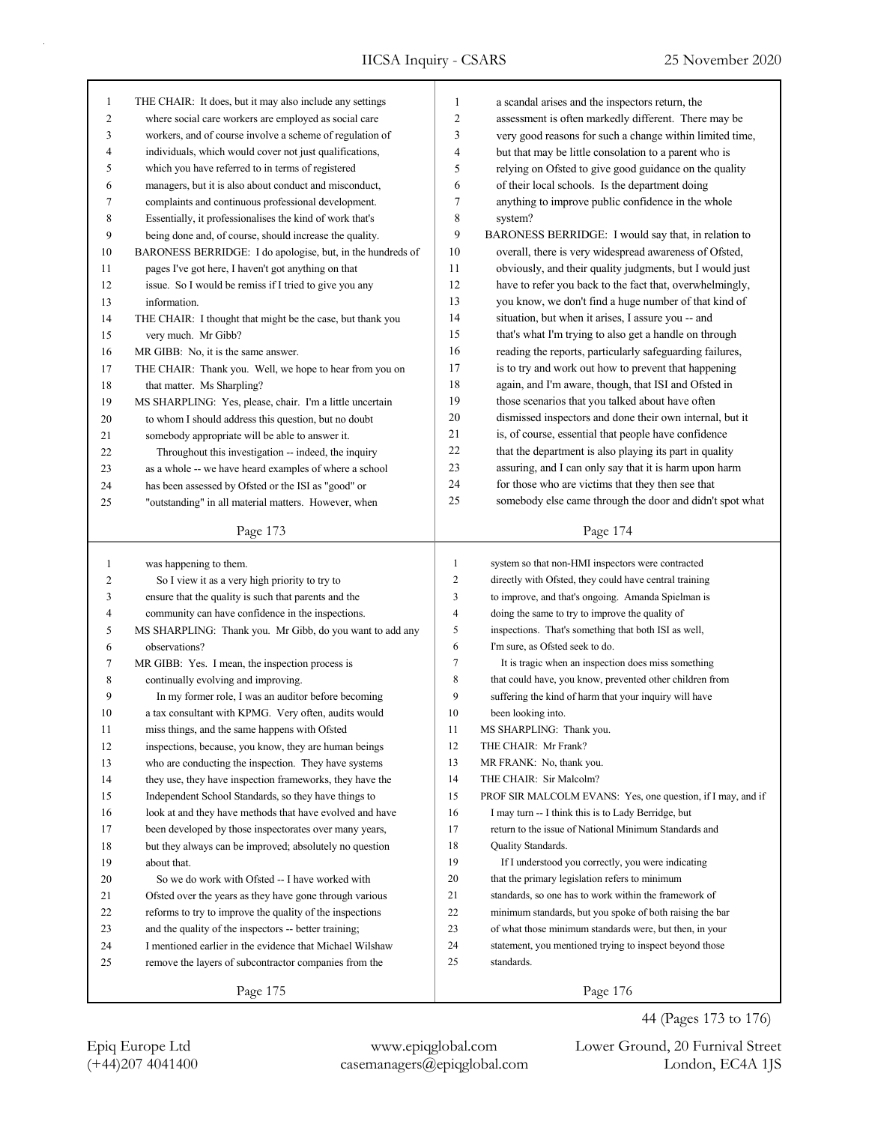| $\mathbf{1}$ | THE CHAIR: It does, but it may also include any settings   | 1              | a scandal arises and the inspectors return, the             |
|--------------|------------------------------------------------------------|----------------|-------------------------------------------------------------|
| 2            | where social care workers are employed as social care      | $\overline{c}$ | assessment is often markedly different. There may be        |
| 3            | workers, and of course involve a scheme of regulation of   | 3              | very good reasons for such a change within limited time,    |
| 4            | individuals, which would cover not just qualifications,    | 4              | but that may be little consolation to a parent who is       |
| 5            | which you have referred to in terms of registered          | 5              | relying on Ofsted to give good guidance on the quality      |
| 6            | managers, but it is also about conduct and misconduct,     | 6              | of their local schools. Is the department doing             |
| 7            | complaints and continuous professional development.        | 7              | anything to improve public confidence in the whole          |
| 8            | Essentially, it professionalises the kind of work that's   | 8              | system?                                                     |
| 9            | being done and, of course, should increase the quality.    | 9              | BARONESS BERRIDGE: I would say that, in relation to         |
| 10           | BARONESS BERRIDGE: I do apologise, but, in the hundreds of | 10             | overall, there is very widespread awareness of Ofsted,      |
| 11           | pages I've got here, I haven't got anything on that        | 11             | obviously, and their quality judgments, but I would just    |
| 12           | issue. So I would be remiss if I tried to give you any     | 12             | have to refer you back to the fact that, overwhelmingly,    |
| 13           | information.                                               | 13             | you know, we don't find a huge number of that kind of       |
| 14           | THE CHAIR: I thought that might be the case, but thank you | 14             | situation, but when it arises, I assure you -- and          |
| 15           | very much. Mr Gibb?                                        | 15             | that's what I'm trying to also get a handle on through      |
| 16           | MR GIBB: No, it is the same answer.                        | 16             | reading the reports, particularly safeguarding failures,    |
| 17           | THE CHAIR: Thank you. Well, we hope to hear from you on    | 17             | is to try and work out how to prevent that happening        |
| 18           | that matter. Ms Sharpling?                                 | 18             | again, and I'm aware, though, that ISI and Ofsted in        |
| 19           | MS SHARPLING: Yes, please, chair. I'm a little uncertain   | 19             | those scenarios that you talked about have often            |
| 20           | to whom I should address this question, but no doubt       | 20             | dismissed inspectors and done their own internal, but it    |
| 21           | somebody appropriate will be able to answer it.            | 21             | is, of course, essential that people have confidence        |
| 22           | Throughout this investigation -- indeed, the inquiry       | 22             | that the department is also playing its part in quality     |
| 23           | as a whole -- we have heard examples of where a school     | 23             | assuring, and I can only say that it is harm upon harm      |
| 24           | has been assessed by Ofsted or the ISI as "good" or        | 24             | for those who are victims that they then see that           |
| 25           | "outstanding" in all material matters. However, when       | 25             | somebody else came through the door and didn't spot what    |
|              |                                                            |                |                                                             |
|              | Page 173                                                   |                | Page 174                                                    |
|              |                                                            |                |                                                             |
|              |                                                            |                |                                                             |
| $\mathbf{1}$ | was happening to them.                                     | 1              | system so that non-HMI inspectors were contracted           |
| 2            | So I view it as a very high priority to try to             | $\mathbf{2}$   | directly with Ofsted, they could have central training      |
| 3            | ensure that the quality is such that parents and the       | 3              | to improve, and that's ongoing. Amanda Spielman is          |
| 4            | community can have confidence in the inspections.          | $\overline{4}$ | doing the same to try to improve the quality of             |
| 5            | MS SHARPLING: Thank you. Mr Gibb, do you want to add any   | 5              | inspections. That's something that both ISI as well,        |
| 6            | observations?                                              | 6              | I'm sure, as Ofsted seek to do.                             |
| 7            | MR GIBB: Yes. I mean, the inspection process is            | $\tau$         | It is tragic when an inspection does miss something         |
| 8            | continually evolving and improving.                        | 8              | that could have, you know, prevented other children from    |
| 9            | In my former role, I was an auditor before becoming        | 9              | suffering the kind of harm that your inquiry will have      |
| 10           | a tax consultant with KPMG. Very often, audits would       | 10             | been looking into.                                          |
| 11           | miss things, and the same happens with Ofsted              | 11             | MS SHARPLING: Thank you.                                    |
| 12           | inspections, because, you know, they are human beings      | 12             | THE CHAIR: Mr Frank?                                        |
| 13           | who are conducting the inspection. They have systems       | 13             | MR FRANK: No, thank you.                                    |
| 14           | they use, they have inspection frameworks, they have the   | 14             | THE CHAIR: Sir Malcolm?                                     |
| 15           | Independent School Standards, so they have things to       | 15             | PROF SIR MALCOLM EVANS: Yes, one question, if I may, and if |
| 16           | look at and they have methods that have evolved and have   | 16             | I may turn -- I think this is to Lady Berridge, but         |
| 17           | been developed by those inspectorates over many years,     | 17             | return to the issue of National Minimum Standards and       |
| $18\,$       | but they always can be improved; absolutely no question    | 18             | Quality Standards.                                          |
| 19           | about that.                                                | 19             | If I understood you correctly, you were indicating          |
| 20           | So we do work with Ofsted -- I have worked with            | 20             | that the primary legislation refers to minimum              |
| 21           | Ofsted over the years as they have gone through various    | 21             | standards, so one has to work within the framework of       |
| 22           | reforms to try to improve the quality of the inspections   | 22             | minimum standards, but you spoke of both raising the bar    |
| 23           | and the quality of the inspectors -- better training;      | 23             | of what those minimum standards were, but then, in your     |
| 24           | I mentioned earlier in the evidence that Michael Wilshaw   | 24             | statement, you mentioned trying to inspect beyond those     |
| 25           | remove the layers of subcontractor companies from the      | 25             | standards.                                                  |
|              | Page 175                                                   |                | Page 176                                                    |

(+44)207 4041400 casemanagers@epiqglobal.com London, EC4A 1JS Epiq Europe Ltd www.epiqglobal.com Lower Ground, 20 Furnival Street

44 (Pages 173 to 176)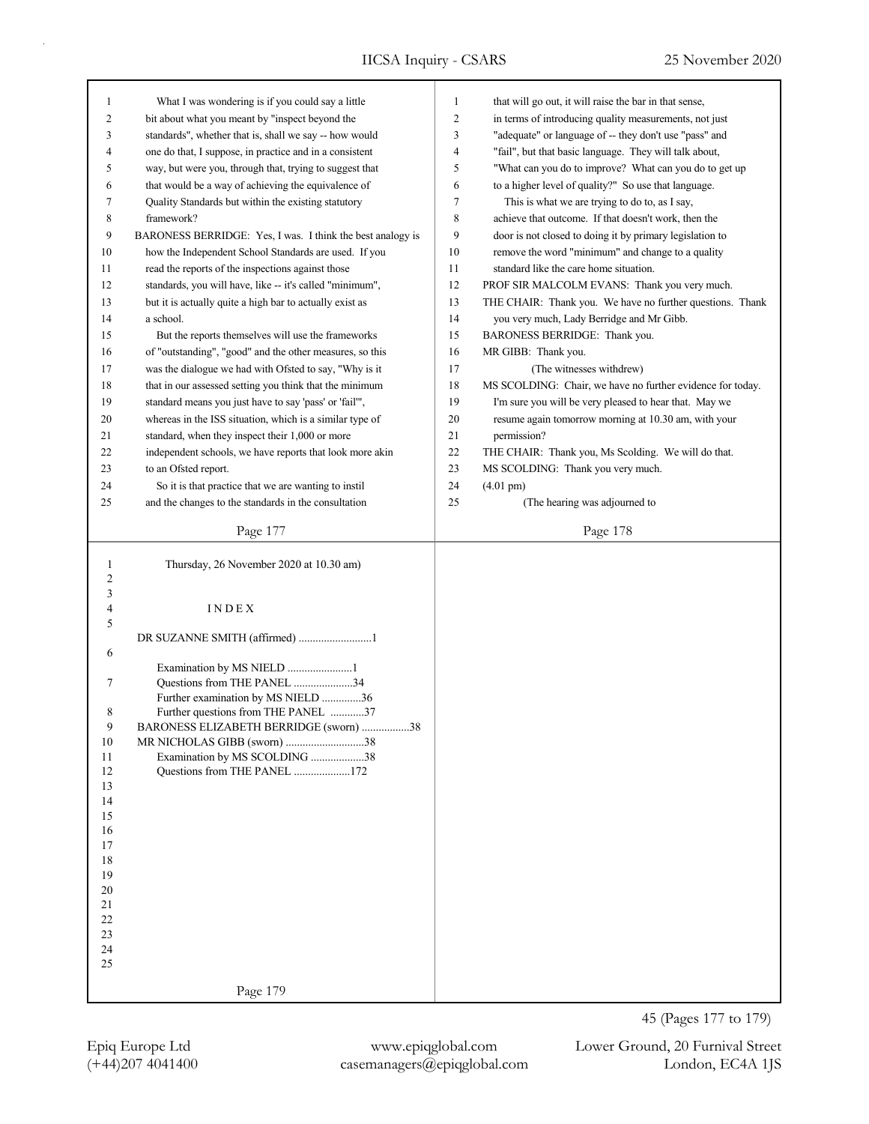| 1        | What I was wondering is if you could say a little            | $\mathbf{1}$   | that will go out, it will raise the bar in that sense,     |
|----------|--------------------------------------------------------------|----------------|------------------------------------------------------------|
| 2        | bit about what you meant by "inspect beyond the              | $\overline{c}$ | in terms of introducing quality measurements, not just     |
| 3        | standards", whether that is, shall we say -- how would       | 3              | "adequate" or language of -- they don't use "pass" and     |
| 4        | one do that, I suppose, in practice and in a consistent      | $\overline{4}$ | "fail", but that basic language. They will talk about,     |
| 5        | way, but were you, through that, trying to suggest that      | 5              | "What can you do to improve? What can you do to get up     |
| 6        | that would be a way of achieving the equivalence of          | 6              | to a higher level of quality?" So use that language.       |
| 7        | Quality Standards but within the existing statutory          | $\tau$         | This is what we are trying to do to, as I say,             |
| 8        | framework?                                                   | 8              | achieve that outcome. If that doesn't work, then the       |
| 9        | BARONESS BERRIDGE: Yes, I was. I think the best analogy is   | 9              | door is not closed to doing it by primary legislation to   |
| 10       | how the Independent School Standards are used. If you        | 10             | remove the word "minimum" and change to a quality          |
| 11       | read the reports of the inspections against those            | 11             | standard like the care home situation.                     |
| 12       | standards, you will have, like -- it's called "minimum",     | 12             | PROF SIR MALCOLM EVANS: Thank you very much.               |
| 13       | but it is actually quite a high bar to actually exist as     | 13             | THE CHAIR: Thank you. We have no further questions. Thank  |
| 14       | a school.                                                    | 14             | you very much, Lady Berridge and Mr Gibb.                  |
| 15       | But the reports themselves will use the frameworks           | 15             | BARONESS BERRIDGE: Thank you.                              |
| 16       | of "outstanding", "good" and the other measures, so this     | 16             | MR GIBB: Thank you.                                        |
| 17       | was the dialogue we had with Ofsted to say, "Why is it       | 17             | (The witnesses withdrew)                                   |
| 18       | that in our assessed setting you think that the minimum      | 18             | MS SCOLDING: Chair, we have no further evidence for today. |
| 19       | standard means you just have to say 'pass' or 'fail"',       | 19             | I'm sure you will be very pleased to hear that. May we     |
| 20       | whereas in the ISS situation, which is a similar type of     | 20             | resume again tomorrow morning at 10.30 am, with your       |
| 21       | standard, when they inspect their 1,000 or more              | 21             | permission?                                                |
| 22       | independent schools, we have reports that look more akin     | 22             | THE CHAIR: Thank you, Ms Scolding. We will do that.        |
| 23       | to an Ofsted report.                                         | 23             | MS SCOLDING: Thank you very much.                          |
| 24       | So it is that practice that we are wanting to instil         | 24             | $(4.01 \text{ pm})$                                        |
| 25       | and the changes to the standards in the consultation         | 25             | (The hearing was adjourned to                              |
|          | Page 177                                                     |                | Page 178                                                   |
|          |                                                              |                |                                                            |
| 1        | Thursday, 26 November 2020 at 10.30 am)                      |                |                                                            |
| 2        |                                                              |                |                                                            |
| 3        |                                                              |                |                                                            |
| 4<br>5   | INDEX                                                        |                |                                                            |
|          | DR SUZANNE SMITH (affirmed) 1                                |                |                                                            |
| 6        |                                                              |                |                                                            |
|          | Examination by MS NIELD 1                                    |                |                                                            |
| 7        | Questions from THE PANEL 34                                  |                |                                                            |
|          | Further examination by MS NIELD 36                           |                |                                                            |
| 8        | Further questions from THE PANEL 37                          |                |                                                            |
| 9        | BARONESS ELIZABETH BERRIDGE (sworn) 38                       |                |                                                            |
| 10<br>11 | MR NICHOLAS GIBB (sworn) 38<br>Examination by MS SCOLDING 38 |                |                                                            |
| 12       | Questions from THE PANEL 172                                 |                |                                                            |
| 13       |                                                              |                |                                                            |
| 14       |                                                              |                |                                                            |
| 15       |                                                              |                |                                                            |
| 16       |                                                              |                |                                                            |
| 17       |                                                              |                |                                                            |
| 18       |                                                              |                |                                                            |
| 19       |                                                              |                |                                                            |
| 20<br>21 |                                                              |                |                                                            |
| 22       |                                                              |                |                                                            |
| 23       |                                                              |                |                                                            |
| 24       |                                                              |                |                                                            |
| 25       |                                                              |                |                                                            |
|          | Page 179                                                     |                |                                                            |
|          |                                                              |                |                                                            |
|          |                                                              |                | 45 (Pages 177 to 179)                                      |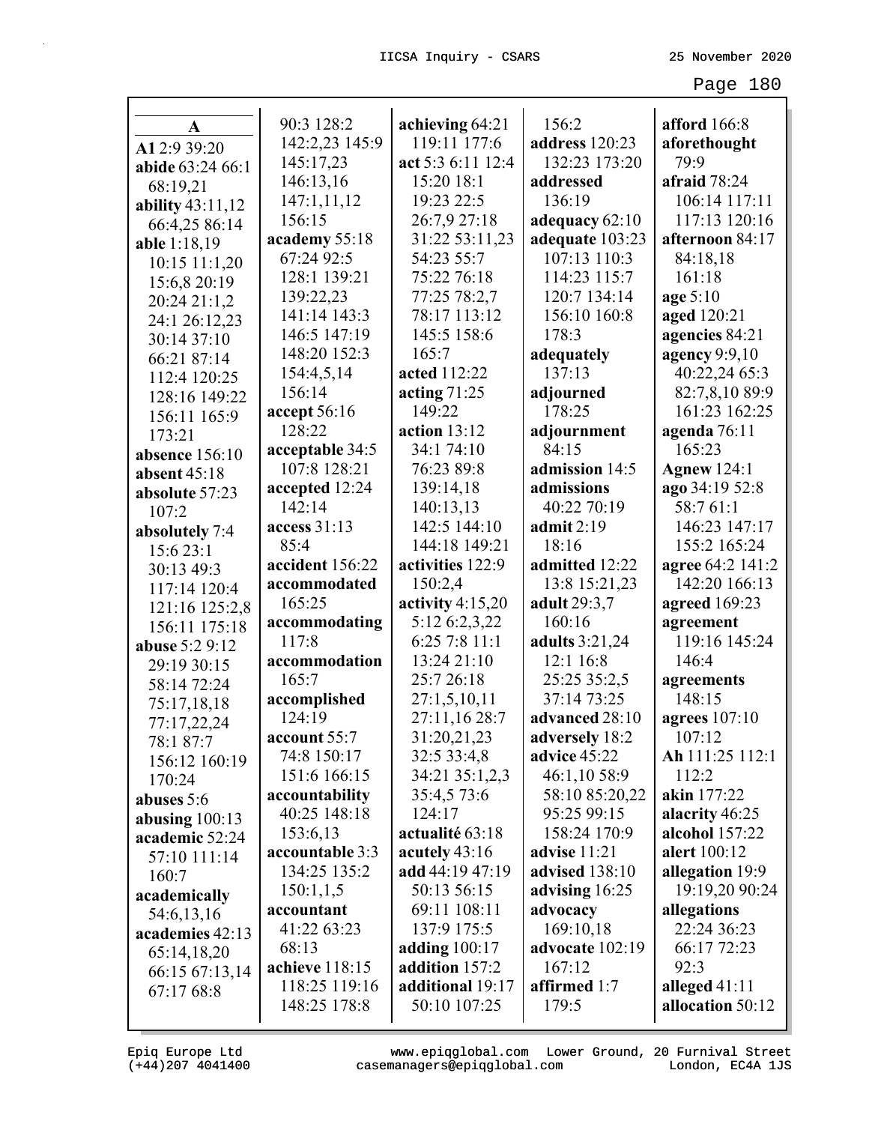| A                  | 90:3 128:2                  | achieving 64:21                    | 156:2                        | <b>afford</b> 166:8            |
|--------------------|-----------------------------|------------------------------------|------------------------------|--------------------------------|
| A1 2:9 39:20       | 142:2,23 145:9              | 119:11 177:6                       | address 120:23               | aforethought                   |
| abide 63:24 66:1   | 145:17,23                   | act 5:3 6:11 12:4                  | 132:23 173:20                | 79:9                           |
| 68:19,21           | 146:13,16                   | 15:20 18:1                         | addressed                    | afraid 78:24                   |
| ability $43:11,12$ | 147:1,11,12                 | 19:23 22:5                         | 136:19                       | 106:14 117:11                  |
| 66:4,25 86:14      | 156:15                      | 26:7,9 27:18                       | adequacy 62:10               | 117:13 120:16                  |
| able 1:18,19       | academy 55:18               | 31:22 53:11,23                     | adequate 103:23              | afternoon 84:17                |
| $10:15$ 11:1,20    | 67:24 92:5                  | 54:23 55:7                         | 107:13 110:3                 | 84:18,18                       |
| 15:6,8 20:19       | 128:1 139:21                | 75:22 76:18                        | 114:23 115:7                 | 161:18                         |
| 20:24 21:1,2       | 139:22,23                   | 77:25 78:2,7                       | 120:7 134:14                 | age 5:10                       |
| 24:1 26:12,23      | 141:14 143:3                | 78:17 113:12                       | 156:10 160:8                 | aged 120:21                    |
| 30:14 37:10        | 146:5 147:19                | 145:5 158:6                        | 178:3                        | agencies 84:21                 |
| 66:21 87:14        | 148:20 152:3                | 165:7                              | adequately                   | agency 9:9,10                  |
| 112:4 120:25       | 154:4,5,14                  | acted 112:22                       | 137:13                       | 40:22,24 65:3                  |
| 128:16 149:22      | 156:14                      | acting $71:25$                     | adjourned                    | 82:7,8,10 89:9                 |
| 156:11 165:9       | accept $56:16$              | 149:22                             | 178:25                       | 161:23 162:25                  |
| 173:21             | 128:22                      | action $13:12$                     | adjournment                  | agenda 76:11                   |
| absence 156:10     | acceptable 34:5             | 34:1 74:10                         | 84:15                        | 165:23                         |
| absent 45:18       | 107:8 128:21                | 76:23 89:8                         | admission 14:5               | <b>Agnew 124:1</b>             |
| absolute 57:23     | accepted 12:24              | 139:14,18                          | admissions                   | ago 34:19 52:8                 |
| 107:2              | 142:14                      | 140:13,13                          | 40:22 70:19                  | 58:7 61:1                      |
| absolutely 7:4     | access 31:13                | 142:5 144:10                       | admit $2:19$                 | 146:23 147:17                  |
| 15:6 23:1          | 85:4                        | 144:18 149:21                      | 18:16                        | 155:2 165:24                   |
| 30:13 49:3         | accident 156:22             | activities 122:9                   | admitted 12:22               | agree 64:2 141:2               |
| 117:14 120:4       | accommodated                | 150:2,4                            | 13:8 15:21,23                | 142:20 166:13                  |
| 121:16 125:2,8     | 165:25                      | activity $4:15,20$                 | adult 29:3,7                 | agreed 169:23                  |
| 156:11 175:18      | accommodating               | 5:12 6:2,3,22                      | 160:16                       | agreement                      |
| abuse 5:2 9:12     | 117:8                       | 6:25 7:8 11:1                      | <b>adults</b> 3:21,24        | 119:16 145:24                  |
| 29:19 30:15        | accommodation               | 13:24 21:10                        | 12:1 16:8                    | 146:4                          |
| 58:14 72:24        | 165:7                       | 25:7 26:18                         | 25:25 35:2,5                 | agreements                     |
| 75:17,18,18        | accomplished                | 27:1,5,10,11                       | 37:14 73:25                  | 148:15                         |
| 77:17,22,24        | 124:19                      | 27:11,16 28:7                      | advanced 28:10               | agrees 107:10                  |
| 78:1 87:7          | account 55:7                | 31:20,21,23                        | adversely 18:2               | 107:12                         |
| 156:12 160:19      | 74:8 150:17                 | 32:5 33:4,8                        | advice 45:22                 | Ah 111:25 112:1                |
| 170:24             | 151:6 166:15                | 34:21 35:1,2,3                     | 46:1,10 58:9                 | 112:2<br>akin 177:22           |
| abuses 5:6         | accountability              | 35:4,5 73:6                        | 58:10 85:20,22               |                                |
| abusing $100:13$   | 40:25 148:18                | 124:17                             | 95:25 99:15                  | alacrity 46:25                 |
| academic 52:24     | 153:6,13<br>accountable 3:3 | actualité 63:18                    | 158:24 170:9<br>advise 11:21 | alcohol 157:22<br>alert 100:12 |
| 57:10 111:14       | 134:25 135:2                | acutely $43:16$<br>add 44:19 47:19 | advised 138:10               | allegation 19:9                |
| 160:7              | 150:1,1,5                   | 50:13 56:15                        |                              | 19:19,20 90:24                 |
| academically       | accountant                  | 69:11 108:11                       | advising 16:25<br>advocacy   | allegations                    |
| 54:6,13,16         | 41:22 63:23                 | 137:9 175:5                        | 169:10,18                    | 22:24 36:23                    |
| academies 42:13    | 68:13                       | adding $100:17$                    | advocate 102:19              | 66:17 72:23                    |
| 65:14,18,20        | achieve 118:15              | addition 157:2                     | 167:12                       | 92:3                           |
| 66:15 67:13,14     | 118:25 119:16               | additional 19:17                   | affirmed 1:7                 | alleged $41:11$                |
| 67:17 68:8         | 148:25 178:8                | 50:10 107:25                       | 179:5                        | allocation 50:12               |
|                    |                             |                                    |                              |                                |

(+44)207 4041400 casemanagers@epiqglobal.com London, EC4A 1JS www.epiqglobal.com Lower Ground, 20 Furnival Street

л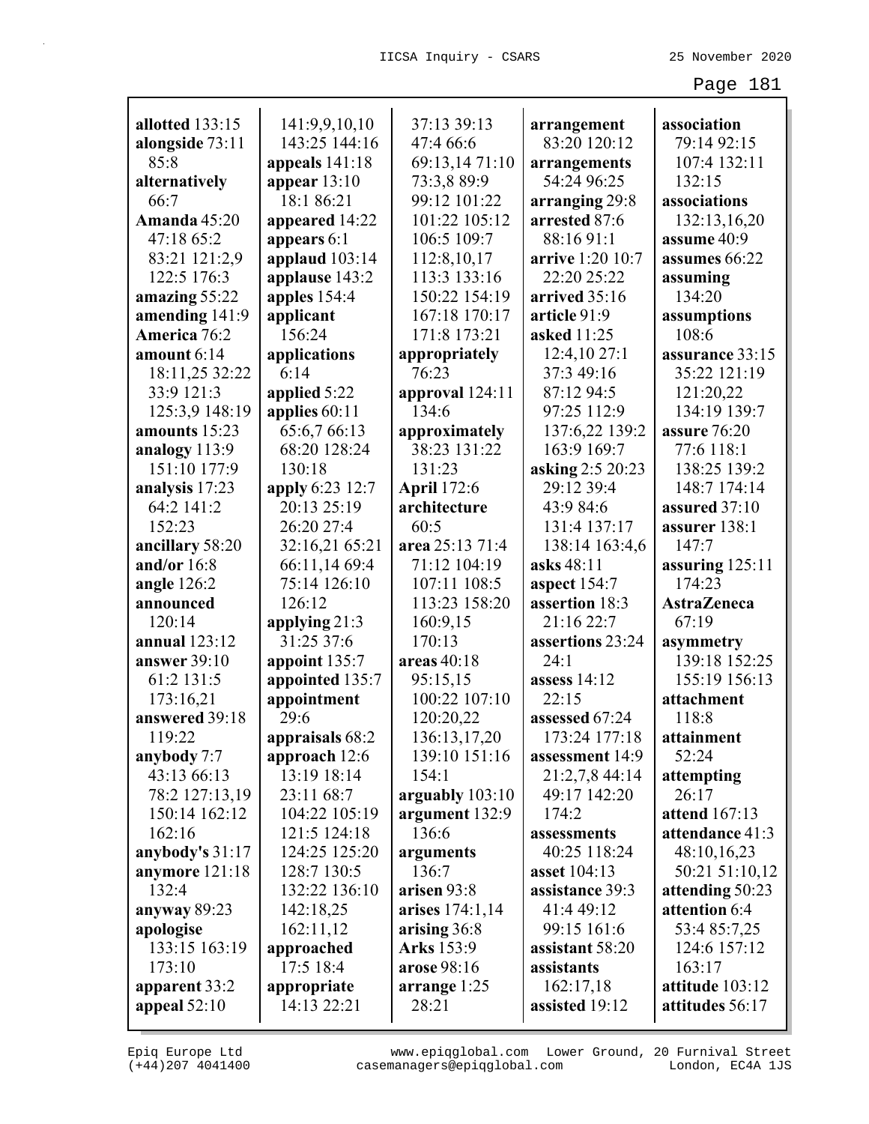| allotted 133:15   | 141:9,9,10,10    | 37:13 39:13        | arrangement      | association          |
|-------------------|------------------|--------------------|------------------|----------------------|
| alongside 73:11   | 143:25 144:16    | 47:4 66:6          | 83:20 120:12     | 79:14 92:15          |
| 85:8              | appeals 141:18   | 69:13,14 71:10     | arrangements     | 107:4 132:11         |
| alternatively     | appear $13:10$   | 73:3,8 89:9        | 54:24 96:25      | 132:15               |
| 66:7              | 18:1 86:21       | 99:12 101:22       | arranging 29:8   | associations         |
| Amanda 45:20      | appeared 14:22   | 101:22 105:12      | arrested 87:6    | 132:13,16,20         |
| 47:18 65:2        | appears 6:1      | 106:5 109:7        | 88:16 91:1       | assume 40:9          |
| 83:21 121:2,9     | applaud $103:14$ | 112:8,10,17        | arrive 1:20 10:7 | assumes 66:22        |
| 122:5 176:3       | applause 143:2   | 113:3 133:16       | 22:20 25:22      | assuming             |
| amazing 55:22     | apples 154:4     | 150:22 154:19      | arrived 35:16    | 134:20               |
| amending 141:9    | applicant        | 167:18 170:17      | article 91:9     | assumptions          |
| America 76:2      | 156:24           | 171:8 173:21       | asked 11:25      | 108:6                |
| amount 6:14       | applications     | appropriately      | 12:4,10 27:1     | assurance 33:15      |
| 18:11,25 32:22    | 6:14             | 76:23              | 37:3 49:16       | 35:22 121:19         |
| 33:9 121:3        | applied 5:22     | approval 124:11    | 87:12 94:5       | 121:20,22            |
| 125:3,9 148:19    | applies 60:11    | 134:6              | 97:25 112:9      | 134:19 139:7         |
| amounts 15:23     | 65:6,7 66:13     | approximately      | 137:6,22 139:2   | assure 76:20         |
| analogy 113:9     | 68:20 128:24     | 38:23 131:22       | 163:9 169:7      | 77:6 118:1           |
| 151:10 177:9      | 130:18           | 131:23             | asking 2:5 20:23 | 138:25 139:2         |
| analysis 17:23    | apply 6:23 12:7  | <b>April</b> 172:6 | 29:12 39:4       | 148:7 174:14         |
| 64:2 141:2        | 20:13 25:19      | architecture       | 43:9 84:6        | assured 37:10        |
| 152:23            | 26:20 27:4       | 60:5               | 131:4 137:17     | assurer 138:1        |
| ancillary 58:20   | 32:16,21 65:21   | area 25:13 71:4    | 138:14 163:4,6   | 147:7                |
| and/or $16:8$     | 66:11,14 69:4    | 71:12 104:19       | asks 48:11       | assuring 125:11      |
| angle $126:2$     | 75:14 126:10     | 107:11 108:5       | aspect $154:7$   | 174:23               |
| announced         | 126:12           | 113:23 158:20      | assertion 18:3   | <b>AstraZeneca</b>   |
| 120:14            | applying 21:3    | 160:9,15           | 21:16 22:7       | 67:19                |
| annual 123:12     | 31:25 37:6       | 170:13             | assertions 23:24 | asymmetry            |
| answer $39:10$    | appoint 135:7    | areas $40:18$      | 24:1             | 139:18 152:25        |
| 61:2 131:5        | appointed 135:7  | 95:15,15           | assess $14:12$   | 155:19 156:13        |
| 173:16,21         | appointment      | 100:22 107:10      | 22:15            | attachment           |
| answered 39:18    | 29:6             | 120:20,22          | assessed 67:24   | 118:8                |
| 119:22            | appraisals 68:2  | 136:13,17,20       | 173:24 177:18    | attainment           |
| anybody 7:7       | approach 12:6    | 139:10 151:16      | assessment 14:9  | 52:24                |
| 43:13 66:13       | 13:19 18:14      | 154:1              | 21:2,7,8 44:14   | attempting           |
| 78:2 127:13,19    | 23:11 68:7       | arguably 103:10    | 49:17 142:20     | 26:17                |
| 150:14 162:12     | 104:22 105:19    | argument 132:9     | 174:2            | <b>attend</b> 167:13 |
| 162:16            | 121:5 124:18     | 136:6              | assessments      | attendance 41:3      |
| anybody's $31:17$ | 124:25 125:20    | arguments          | 40:25 118:24     | 48:10,16,23          |
| anymore 121:18    | 128:7 130:5      | 136:7              | asset 104:13     | 50:21 51:10,12       |
| 132:4             | 132:22 136:10    | arisen 93:8        | assistance 39:3  | attending 50:23      |
| anyway 89:23      | 142:18,25        | arises 174:1,14    | 41:4 49:12       | attention 6:4        |
| apologise         | 162:11,12        | arising 36:8       | 99:15 161:6      | 53:4 85:7,25         |
| 133:15 163:19     | approached       | Arks 153:9         | assistant 58:20  | 124:6 157:12         |
| 173:10            | 17:5 18:4        | arose 98:16        | assistants       | 163:17               |
| apparent 33:2     | appropriate      | arrange 1:25       | 162:17,18        | attitude 103:12      |
| appeal $52:10$    | 14:13 22:21      | 28:21              | assisted 19:12   | attitudes 56:17      |

(+44)207 4041400 casemanagers@epiqglobal.com London, EC4A 1JS www.epiqglobal.com Lower Ground, 20 Furnival Street

┚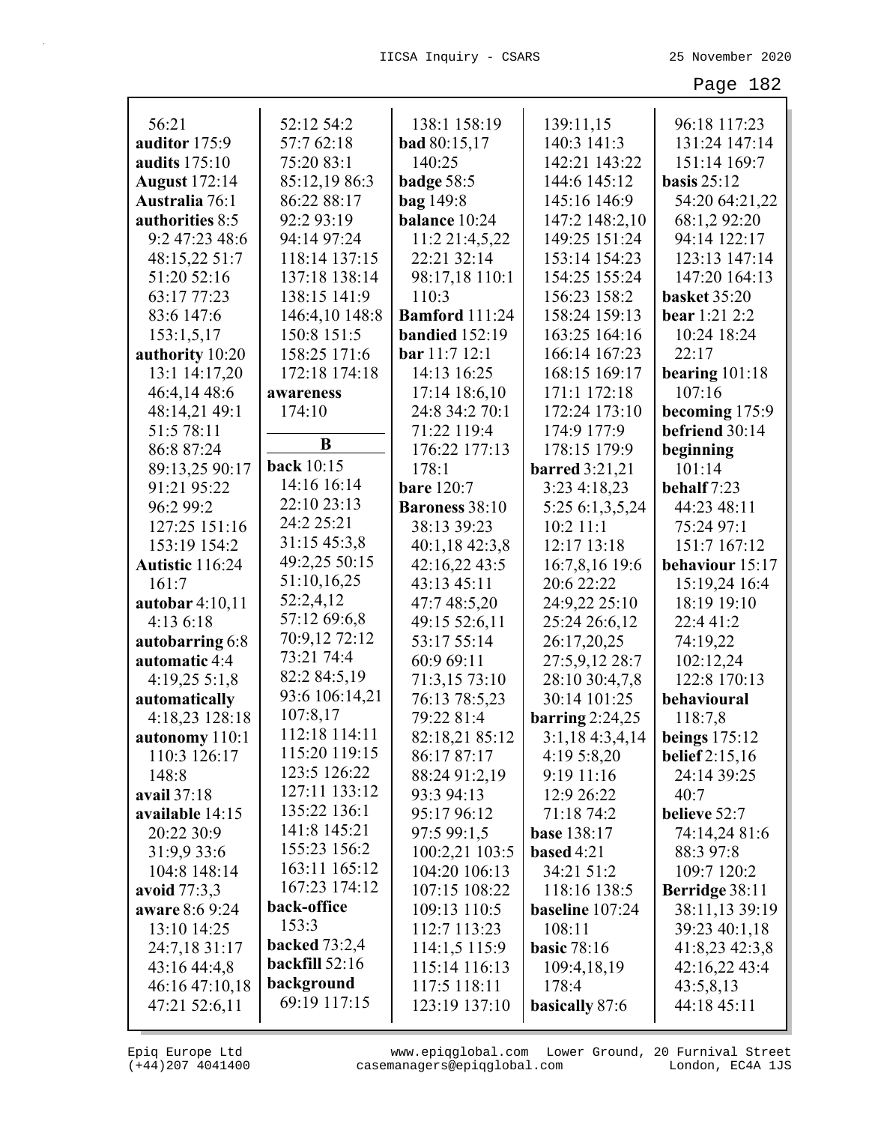| 56:21                 | 52:12 54:2           | 138:1 158:19          | 139:11,15             | 96:18 117:23          |
|-----------------------|----------------------|-----------------------|-----------------------|-----------------------|
| auditor 175:9         | 57:7 62:18           | bad 80:15,17          | 140:3 141:3           | 131:24 147:14         |
| <b>audits</b> 175:10  | 75:20 83:1           | 140:25                | 142:21 143:22         | 151:14 169:7          |
| <b>August</b> 172:14  | 85:12,19 86:3        | badge 58:5            | 144:6 145:12          | basis $25:12$         |
| <b>Australia</b> 76:1 | 86:22 88:17          | <b>bag</b> 149:8      | 145:16 146:9          | 54:20 64:21,22        |
| authorities 8:5       | 92:2 93:19           | balance 10:24         | 147:2 148:2,10        | 68:1,2 92:20          |
| 9:2 47:23 48:6        | 94:14 97:24          | 11:2 21:4,5,22        | 149:25 151:24         | 94:14 122:17          |
| 48:15,22 51:7         | 118:14 137:15        | 22:21 32:14           | 153:14 154:23         | 123:13 147:14         |
| 51:20 52:16           | 137:18 138:14        | 98:17,18 110:1        | 154:25 155:24         | 147:20 164:13         |
| 63:17 77:23           | 138:15 141:9         | 110:3                 | 156:23 158:2          | basket 35:20          |
| 83:6 147:6            | 146:4,10 148:8       | <b>Bamford</b> 111:24 | 158:24 159:13         | <b>bear</b> 1:21 2:2  |
| 153:1,5,17            | 150:8 151:5          | <b>bandied</b> 152:19 | 163:25 164:16         | 10:24 18:24           |
| authority 10:20       | 158:25 171:6         | bar 11:712:1          | 166:14 167:23         | 22:17                 |
| 13:1 14:17,20         | 172:18 174:18        | 14:13 16:25           | 168:15 169:17         | bearing $101:18$      |
| 46:4,14 48:6          | awareness            | 17:14 18:6,10         | 171:1 172:18          | 107:16                |
| 48:14,21 49:1         | 174:10               | 24:8 34:2 70:1        | 172:24 173:10         | becoming 175:9        |
| 51:5 78:11            |                      | 71:22 119:4           | 174:9 177:9           | befriend 30:14        |
| 86:8 87:24            | B                    | 176:22 177:13         | 178:15 179:9          | beginning             |
| 89:13,25 90:17        | <b>back</b> 10:15    | 178:1                 | <b>barred</b> 3:21,21 | 101:14                |
| 91:21 95:22           | 14:16 16:14          | <b>bare</b> 120:7     | 3:23 4:18,23          | behalf 7:23           |
| 96:2 99:2             | 22:10 23:13          | <b>Baroness</b> 38:10 | 5:25 6:1,3,5,24       | 44:23 48:11           |
| 127:25 151:16         | 24:2 25:21           | 38:13 39:23           | $10:2$ 11:1           | 75:24 97:1            |
| 153:19 154:2          | 31:15 45:3,8         | 40:1,18 42:3,8        | 12:17 13:18           | 151:7 167:12          |
| Autistic 116:24       | 49:2,25 50:15        | 42:16,22 43:5         | 16:7,8,16 19:6        | behaviour 15:17       |
| 161:7                 | 51:10,16,25          | 43:13 45:11           | 20:6 22:22            | 15:19,24 16:4         |
| autobar 4:10,11       | 52:2,4,12            | 47:7 48:5,20          | 24:9,22 25:10         | 18:19 19:10           |
| 4:136:18              | 57:12 69:6,8         | 49:15 52:6,11         | 25:24 26:6,12         | 22:4 41:2             |
| autobarring 6:8       | 70:9,12 72:12        | 53:17 55:14           | 26:17,20,25           | 74:19,22              |
| automatic 4:4         | 73:21 74:4           | 60:9 69:11            | 27:5,9,12 28:7        | 102:12,24             |
| $4:19,25\;5:1,8$      | 82:2 84:5,19         | 71:3,15 73:10         | 28:10 30:4,7,8        | 122:8 170:13          |
| automatically         | 93:6 106:14,21       | 76:13 78:5,23         | 30:14 101:25          | behavioural           |
| 4:18,23 128:18        | 107:8,17             | 79:22 81:4            | barring $2:24,25$     | 118:7,8               |
| autonomy 110:1        | 112:18 114:11        | 82:18,21 85:12        | 3:1,18 4:3,4,14       | beings $175:12$       |
| 110:3 126:17          | 115:20 119:15        | 86:17 87:17           | 4:19 5:8,20           | <b>belief</b> 2:15,16 |
| 148:8                 | 123:5 126:22         | 88:24 91:2,19         | 9:19 11:16            | 24:14 39:25           |
| avail 37:18           | 127:11 133:12        | 93:3 94:13            | 12:9 26:22            | 40:7                  |
| available 14:15       | 135:22 136:1         | 95:17 96:12           | 71:18 74:2            | believe 52:7          |
| 20:22 30:9            | 141:8 145:21         | 97:5 99:1,5           | <b>base</b> 138:17    | 74:14,24 81:6         |
| 31:9,9 33:6           | 155:23 156:2         | 100:2,21 103:5        | based $4:21$          | 88:3 97:8             |
| 104:8 148:14          | 163:11 165:12        | 104:20 106:13         | 34:21 51:2            | 109:7 120:2           |
| avoid 77:3,3          | 167:23 174:12        | 107:15 108:22         | 118:16 138:5          | <b>Berridge</b> 38:11 |
| aware 8:6 9:24        | back-office          | 109:13 110:5          | baseline 107:24       | 38:11,13 39:19        |
| 13:10 14:25           | 153:3                | 112:7 113:23          | 108:11                | 39:23 40:1,18         |
| 24:7,18 31:17         | <b>backed</b> 73:2,4 | 114:1,5 115:9         | <b>basic 78:16</b>    | 41:8,23 42:3,8        |
| 43:16 44:4,8          | backfill 52:16       | 115:14 116:13         | 109:4,18,19           | 42:16,22 43:4         |
| 46:16 47:10,18        | background           | 117:5 118:11          | 178:4                 | 43:5,8,13             |
| 47:21 52:6,11         | 69:19 117:15         | 123:19 137:10         | basically 87:6        | 44:18 45:11           |
|                       |                      |                       |                       |                       |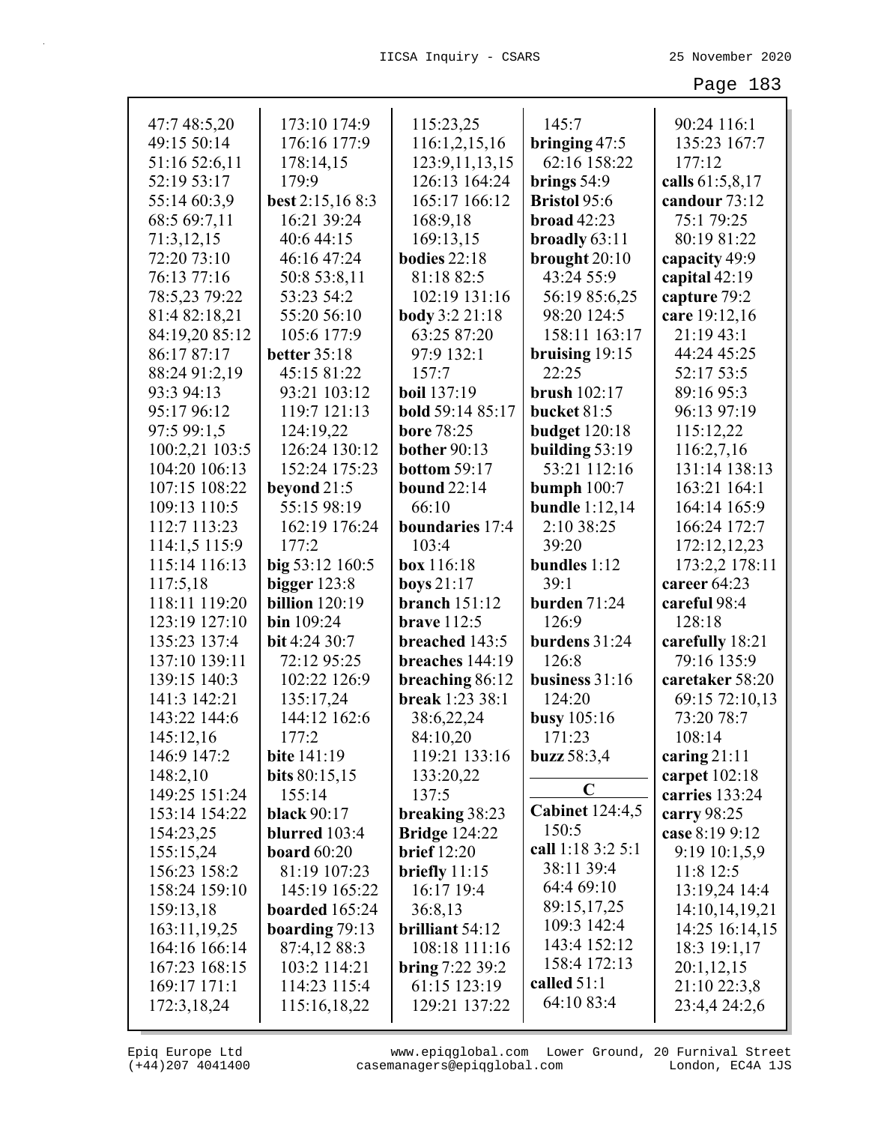| 47:7 48:5,20   | 173:10 174:9          | 115:23,25                 | 145:7                  | 90:24 116:1     |
|----------------|-----------------------|---------------------------|------------------------|-----------------|
| 49:15 50:14    | 176:16 177:9          | 116:1,2,15,16             | bringing 47:5          | 135:23 167:7    |
| 51:16 52:6,11  | 178:14,15             | 123:9, 11, 13, 15         | 62:16 158:22           | 177:12          |
| 52:19 53:17    | 179:9                 | 126:13 164:24             | brings $54:9$          | calls 61:5,8,17 |
| 55:14 60:3,9   | best 2:15,16 8:3      | 165:17 166:12             | <b>Bristol 95:6</b>    | candour 73:12   |
| 68:5 69:7,11   | 16:21 39:24           | 168:9,18                  | broad $42:23$          | 75:1 79:25      |
| 71:3,12,15     | 40:6 44:15            | 169:13,15                 | broadly 63:11          | 80:19 81:22     |
| 72:20 73:10    | 46:16 47:24           | bodies $22:18$            | brought 20:10          | capacity 49:9   |
| 76:13 77:16    | 50:8 53:8,11          | 81:18 82:5                | 43:24 55:9             | capital 42:19   |
| 78:5,23 79:22  | 53:23 54:2            | 102:19 131:16             | 56:19 85:6,25          | capture 79:2    |
| 81:4 82:18,21  | 55:20 56:10           | body 3:2 21:18            | 98:20 124:5            | care 19:12,16   |
| 84:19,20 85:12 | 105:6 177:9           | 63:25 87:20               | 158:11 163:17          | 21:19 43:1      |
| 86:17 87:17    | <b>better</b> 35:18   | 97:9 132:1                | bruising 19:15         | 44:24 45:25     |
| 88:24 91:2,19  | 45:15 81:22           | 157:7                     | 22:25                  | 52:17 53:5      |
| 93:3 94:13     | 93:21 103:12          | <b>boil</b> 137:19        | <b>brush</b> 102:17    | 89:16 95:3      |
| 95:17 96:12    | 119:7 121:13          | bold 59:14 85:17          | bucket 81:5            | 96:13 97:19     |
| 97:5 99:1,5    | 124:19,22             | <b>bore 78:25</b>         | <b>budget</b> 120:18   | 115:12,22       |
| 100:2,21 103:5 | 126:24 130:12         | <b>bother</b> 90:13       | building 53:19         | 116:2,7,16      |
| 104:20 106:13  | 152:24 175:23         | bottom 59:17              | 53:21 112:16           | 131:14 138:13   |
| 107:15 108:22  | beyond 21:5           | <b>bound</b> 22:14        | bumph $100:7$          | 163:21 164:1    |
| 109:13 110:5   | 55:15 98:19           | 66:10                     | bundle $1:12,14$       | 164:14 165:9    |
| 112:7 113:23   | 162:19 176:24         | boundaries 17:4           | 2:10 38:25             | 166:24 172:7    |
| 114:1,5 115:9  | 177:2                 | 103:4                     | 39:20                  | 172:12,12,23    |
| 115:14 116:13  | big 53:12 160:5       | box 116:18                | bundles 1:12           | 173:2,2 178:11  |
| 117:5,18       | bigger $123:8$        | boys 21:17                | 39:1                   | career 64:23    |
| 118:11 119:20  | <b>billion</b> 120:19 | branch $151:12$           | burden 71:24           | careful 98:4    |
| 123:19 127:10  | bin 109:24            | <b>brave</b> 112:5        | 126:9                  | 128:18          |
| 135:23 137:4   | bit 4:24 30:7         | breached 143:5            | burdens 31:24          | carefully 18:21 |
| 137:10 139:11  | 72:12 95:25           | breaches 144:19           | 126:8                  | 79:16 135:9     |
| 139:15 140:3   | 102:22 126:9          | breaching 86:12           | business 31:16         | caretaker 58:20 |
| 141:3 142:21   | 135:17,24             | break 1:23 38:1           | 124:20                 | 69:15 72:10,13  |
| 143:22 144:6   | 144:12 162:6          | 38:6,22,24                | busy $105:16$          | 73:20 78:7      |
| 145:12,16      | 177:2                 | 84:10,20                  | 171:23                 | 108:14          |
| 146:9 147:2    | <b>bite</b> 141:19    | 119:21 133:16             | buzz $58:3,4$          | caring $21:11$  |
| 148:2,10       | bits 80:15,15         | 133:20,22                 | $\mathbf C$            | carpet $102:18$ |
| 149:25 151:24  | 155:14                | 137:5                     | <b>Cabinet 124:4,5</b> | carries 133:24  |
| 153:14 154:22  | <b>black</b> 90:17    | breaking 38:23            | 150:5                  | carry 98:25     |
| 154:23,25      | blurred 103:4         | <b>Bridge 124:22</b>      | call 1:18 3:2 5:1      | case 8:19 9:12  |
| 155:15,24      | board $60:20$         | <b>brief</b> 12:20        | 38:11 39:4             | 9:19 10:1,5,9   |
| 156:23 158:2   | 81:19 107:23          | briefly 11:15             | 64:4 69:10             | 11:8 12:5       |
| 158:24 159:10  | 145:19 165:22         | 16:17 19:4                | 89:15,17,25            | 13:19,24 14:4   |
| 159:13,18      | boarded 165:24        | 36:8,13                   | 109:3 142:4            | 14:10,14,19,21  |
| 163:11,19,25   | boarding $79:13$      | brilliant 54:12           | 143:4 152:12           | 14:25 16:14,15  |
| 164:16 166:14  | 87:4,12 88:3          | 108:18 111:16             | 158:4 172:13           | 18:3 19:1,17    |
| 167:23 168:15  | 103:2 114:21          | <b>bring</b> $7:223:39:2$ | called $51:1$          | 20:1,12,15      |
| 169:17 171:1   | 114:23 115:4          | 61:15 123:19              | 64:10 83:4             | 21:10 22:3,8    |
| 172:3,18,24    | 115:16,18,22          | 129:21 137:22             |                        | 23:4,4 24:2,6   |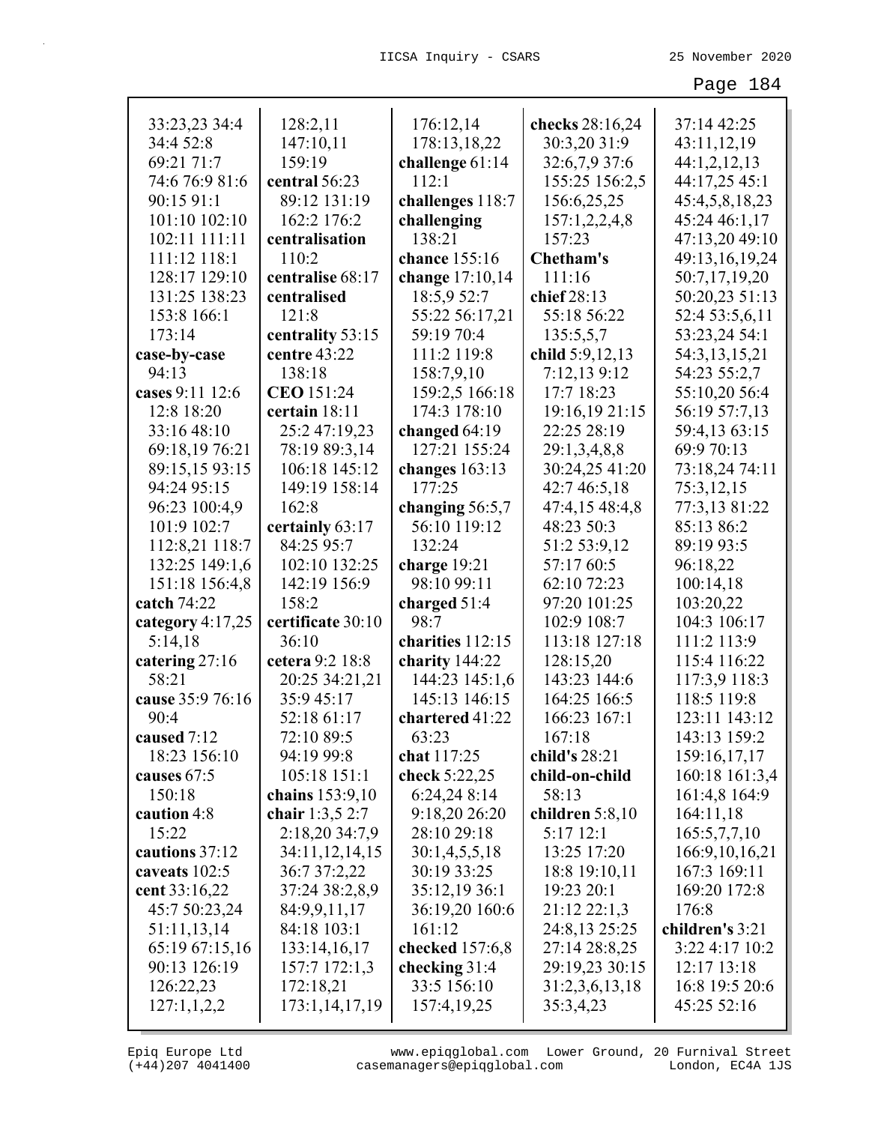|                  |                   |                            |                 | 37:14 42:25       |
|------------------|-------------------|----------------------------|-----------------|-------------------|
| 33:23,23 34:4    | 128:2,11          | 176:12,14                  | checks 28:16,24 |                   |
| 34:4 52:8        | 147:10,11         | 178:13,18,22               | 30:3,20 31:9    | 43:11,12,19       |
| 69:21 71:7       | 159:19            | challenge $61:14$<br>112:1 | 32:6,7,9 37:6   | 44:1,2,12,13      |
| 74:6 76:9 81:6   | central 56:23     |                            | 155:25 156:2,5  | 44:17,25 45:1     |
| 90:15 91:1       | 89:12 131:19      | challenges 118:7           | 156:6,25,25     | 45:4,5,8,18,23    |
| 101:10 102:10    | 162:2 176:2       | challenging                | 157:1,2,2,4,8   | 45:24 46:1,17     |
| 102:11 111:11    | centralisation    | 138:21                     | 157:23          | 47:13,20 49:10    |
| 111:12 118:1     | 110:2             | chance 155:16              | Chetham's       | 49:13,16,19,24    |
| 128:17 129:10    | centralise 68:17  | change 17:10,14            | 111:16          | 50:7,17,19,20     |
| 131:25 138:23    | centralised       | 18:5,9 52:7                | chief 28:13     | 50:20,23 51:13    |
| 153:8 166:1      | 121:8             | 55:22 56:17,21             | 55:18 56:22     | 52:4 53:5,6,11    |
| 173:14           | centrality 53:15  | 59:19 70:4                 | 135:5,5,7       | 53:23,24 54:1     |
| case-by-case     | centre 43:22      | 111:2 119:8                | child 5:9,12,13 | 54:3,13,15,21     |
| 94:13            | 138:18            | 158:7,9,10                 | 7:12,13 9:12    | 54:23 55:2,7      |
| cases 9:11 12:6  | CEO 151:24        | 159:2,5 166:18             | 17:7 18:23      | 55:10,20 56:4     |
| 12:8 18:20       | certain 18:11     | 174:3 178:10               | 19:16,19 21:15  | 56:19 57:7,13     |
| 33:16 48:10      | 25:2 47:19,23     | changed $64:19$            | 22:25 28:19     | 59:4,13 63:15     |
| 69:18,19 76:21   | 78:19 89:3,14     | 127:21 155:24              | 29:1,3,4,8,8    | 69:9 70:13        |
| 89:15,15 93:15   | 106:18 145:12     | changes $163:13$           | 30:24,25 41:20  | 73:18,24 74:11    |
| 94:24 95:15      | 149:19 158:14     | 177:25                     | 42:7 46:5,18    | 75:3,12,15        |
| 96:23 100:4,9    | 162:8             | changing $56:5,7$          | 47:4,15 48:4,8  | 77:3,13 81:22     |
| 101:9 102:7      | certainly 63:17   | 56:10 119:12               | 48:23 50:3      | 85:13 86:2        |
| 112:8,21 118:7   | 84:25 95:7        | 132:24                     | 51:2 53:9,12    | 89:19 93:5        |
| 132:25 149:1,6   | 102:10 132:25     | charge $19:21$             | 57:17 60:5      | 96:18,22          |
| 151:18 156:4,8   | 142:19 156:9      | 98:10 99:11                | 62:10 72:23     | 100:14,18         |
| catch 74:22      | 158:2             | charged 51:4               | 97:20 101:25    | 103:20,22         |
| category 4:17,25 | certificate 30:10 | 98:7                       | 102:9 108:7     | 104:3 106:17      |
| 5:14,18          | 36:10             | charities 112:15           | 113:18 127:18   | 111:2 113:9       |
| catering 27:16   | cetera 9:2 18:8   | charity 144:22             | 128:15,20       | 115:4 116:22      |
| 58:21            | 20:25 34:21,21    | 144:23 145:1,6             | 143:23 144:6    | 117:3,9 118:3     |
| cause 35:9 76:16 | 35:9 45:17        | 145:13 146:15              | 164:25 166:5    | 118:5 119:8       |
| 90:4             | 52:18 61:17       | chartered 41:22            | 166:23 167:1    | 123:11 143:12     |
| caused 7:12      | 72:10 89:5        | 63:23                      | 167:18          | 143:13 159:2      |
| 18:23 156:10     | 94:19 99:8        | chat 117:25                | child's 28:21   | 159:16,17,17      |
| causes 67:5      | 105:18 151:1      | check 5:22,25              | child-on-child  | 160:18 161:3,4    |
| 150:18           | chains 153:9,10   | 6:24,24 8:14               | 58:13           | 161:4,8 164:9     |
| caution 4:8      | chair 1:3,5 2:7   | 9:18,20 26:20              | children 5:8,10 | 164:11,18         |
| 15:22            | 2:18,20 34:7,9    | 28:10 29:18                | 5:17 12:1       | 165:5,7,7,10      |
| cautions 37:12   | 34:11,12,14,15    | 30:1,4,5,5,18              | 13:25 17:20     | 166:9, 10, 16, 21 |
| caveats 102:5    | 36:7 37:2,22      | 30:19 33:25                | 18:8 19:10,11   | 167:3 169:11      |
| cent 33:16,22    | 37:24 38:2,8,9    | 35:12,19 36:1              | 19:23 20:1      | 169:20 172:8      |
| 45:7 50:23,24    | 84:9,9,11,17      | 36:19,20 160:6             | 21:12 22:1,3    | 176:8             |
| 51:11,13,14      | 84:18 103:1       | 161:12                     | 24:8,13 25:25   | children's 3:21   |
| 65:19 67:15,16   | 133:14,16,17      | checked 157:6,8            | 27:14 28:8,25   | 3:22 4:17 10:2    |
| 90:13 126:19     | 157:7 172:1,3     | checking 31:4              | 29:19,23 30:15  | 12:17 13:18       |
| 126:22,23        | 172:18,21         | 33:5 156:10                | 31:2,3,6,13,18  | 16:8 19:5 20:6    |
| 127:1,1,2,2      | 173:1,14,17,19    | 157:4,19,25                | 35:3,4,23       | 45:25 52:16       |
|                  |                   |                            |                 |                   |

(+44)207 4041400 casemanagers@epiqglobal.com London, EC4A 1JS www.epiqglobal.com Lower Ground, 20 Furnival Street

л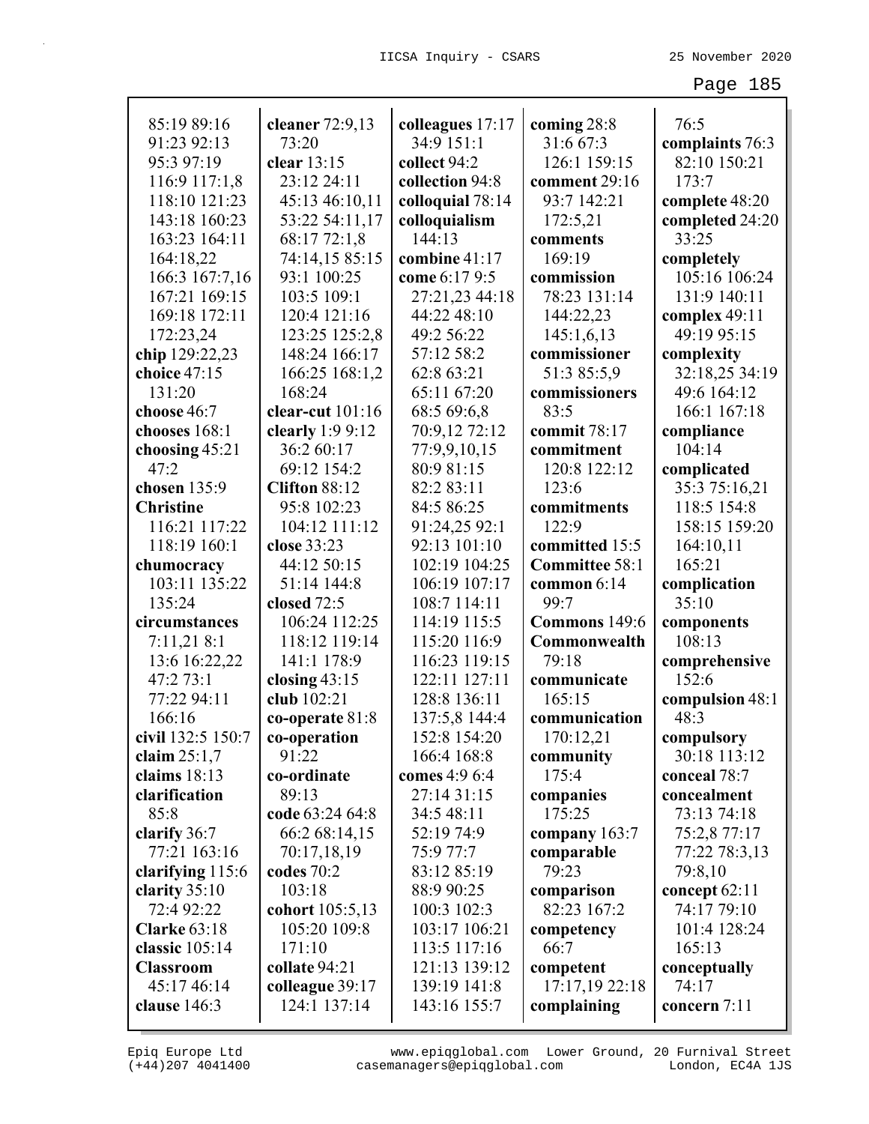| 85:19 89:16         | cleaner $72:9,13$ | colleagues 17:17 | coming 28:8    | 76:5            |
|---------------------|-------------------|------------------|----------------|-----------------|
| 91:23 92:13         | 73:20             | 34:9 151:1       | 31:6 67:3      | complaints 76:3 |
| 95:3 97:19          | clear 13:15       | collect 94:2     | 126:1 159:15   | 82:10 150:21    |
| 116:9 117:1,8       | 23:12 24:11       | collection 94:8  | comment 29:16  | 173:7           |
| 118:10 121:23       | 45:13 46:10,11    | colloquial 78:14 | 93:7 142:21    | complete 48:20  |
| 143:18 160:23       | 53:22 54:11,17    | colloquialism    | 172:5,21       | completed 24:20 |
| 163:23 164:11       | 68:17 72:1,8      | 144:13           | comments       | 33:25           |
| 164:18,22           | 74:14,15 85:15    | combine 41:17    | 169:19         | completely      |
| 166:3 167:7,16      | 93:1 100:25       | come 6:17 9:5    | commission     | 105:16 106:24   |
| 167:21 169:15       | 103:5 109:1       | 27:21,23 44:18   | 78:23 131:14   | 131:9 140:11    |
| 169:18 172:11       | 120:4 121:16      | 44:22 48:10      | 144:22,23      | complex 49:11   |
| 172:23,24           | 123:25 125:2,8    | 49:2 56:22       | 145:1,6,13     | 49:19 95:15     |
| chip 129:22,23      | 148:24 166:17     | 57:12 58:2       | commissioner   | complexity      |
| choice 47:15        | 166:25 168:1,2    | 62:8 63:21       | 51:3 85:5,9    | 32:18,25 34:19  |
| 131:20              | 168:24            | 65:11 67:20      | commissioners  | 49:6 164:12     |
| choose 46:7         | clear-cut 101:16  | 68:5 69:6,8      | 83:5           | 166:1 167:18    |
| chooses 168:1       | clearly $1:99:12$ | 70:9,12 72:12    | commit 78:17   | compliance      |
| choosing 45:21      | 36:2 60:17        | 77:9,9,10,15     | commitment     | 104:14          |
| 47:2                | 69:12 154:2       | 80:9 81:15       | 120:8 122:12   | complicated     |
| chosen 135:9        | Clifton 88:12     | 82:2 83:11       | 123:6          | 35:3 75:16,21   |
| <b>Christine</b>    | 95:8 102:23       | 84:5 86:25       | commitments    | 118:5 154:8     |
| 116:21 117:22       | 104:12 111:12     | 91:24,25 92:1    | 122:9          | 158:15 159:20   |
| 118:19 160:1        | close 33:23       | 92:13 101:10     | committed 15:5 | 164:10,11       |
| chumocracy          | 44:12 50:15       | 102:19 104:25    | Committee 58:1 | 165:21          |
| 103:11 135:22       | 51:14 144:8       | 106:19 107:17    | common $6:14$  | complication    |
| 135:24              | closed 72:5       | 108:7 114:11     | 99:7           | 35:10           |
| circumstances       | 106:24 112:25     | 114:19 115:5     | Commons 149:6  | components      |
| 7:11,218:1          | 118:12 119:14     | 115:20 116:9     | Commonwealth   | 108:13          |
| 13:6 16:22,22       | 141:1 178:9       | 116:23 119:15    | 79:18          | comprehensive   |
| 47:2 73:1           | closing $43:15$   | 122:11 127:11    | communicate    | 152:6           |
| 77:22 94:11         | club 102:21       | 128:8 136:11     | 165:15         | compulsion 48:1 |
| 166:16              | co-operate $81:8$ | 137:5,8 144:4    | communication  | 48:3            |
| civil 132:5 150:7   | co-operation      | 152:8 154:20     | 170:12,21      | compulsory      |
| claim $25:1,7$      | 91:22             | 166:4 168:8      | community      | 30:18 113:12    |
| claims $18:13$      | co-ordinate       | comes 4:9 6:4    | 175:4          | conceal 78:7    |
| clarification       | 89:13             | 27:14 31:15      | companies      | concealment     |
| 85:8                | code 63:24 64:8   | 34:5 48:11       | 175:25         | 73:13 74:18     |
| clarify 36:7        | 66:2 68:14,15     | 52:19 74:9       | company 163:7  | 75:2,8 77:17    |
| 77:21 163:16        | 70:17,18,19       | 75:9 77:7        | comparable     | 77:22 78:3,13   |
| clarifying 115:6    | codes 70:2        | 83:12 85:19      | 79:23          | 79:8,10         |
| clarity $35:10$     | 103:18            | 88:9 90:25       | comparison     | concept 62:11   |
| 72:4 92:22          | cohort 105:5,13   | 100:3 102:3      | 82:23 167:2    | 74:17 79:10     |
| <b>Clarke 63:18</b> | 105:20 109:8      | 103:17 106:21    | competency     | 101:4 128:24    |
| classic 105:14      | 171:10            | 113:5 117:16     | 66:7           | 165:13          |
| <b>Classroom</b>    | collate 94:21     | 121:13 139:12    | competent      | conceptually    |
| 45:17 46:14         | colleague 39:17   | 139:19 141:8     | 17:17,19 22:18 | 74:17           |
| clause $146:3$      | 124:1 137:14      | 143:16 155:7     | complaining    | concern 7:11    |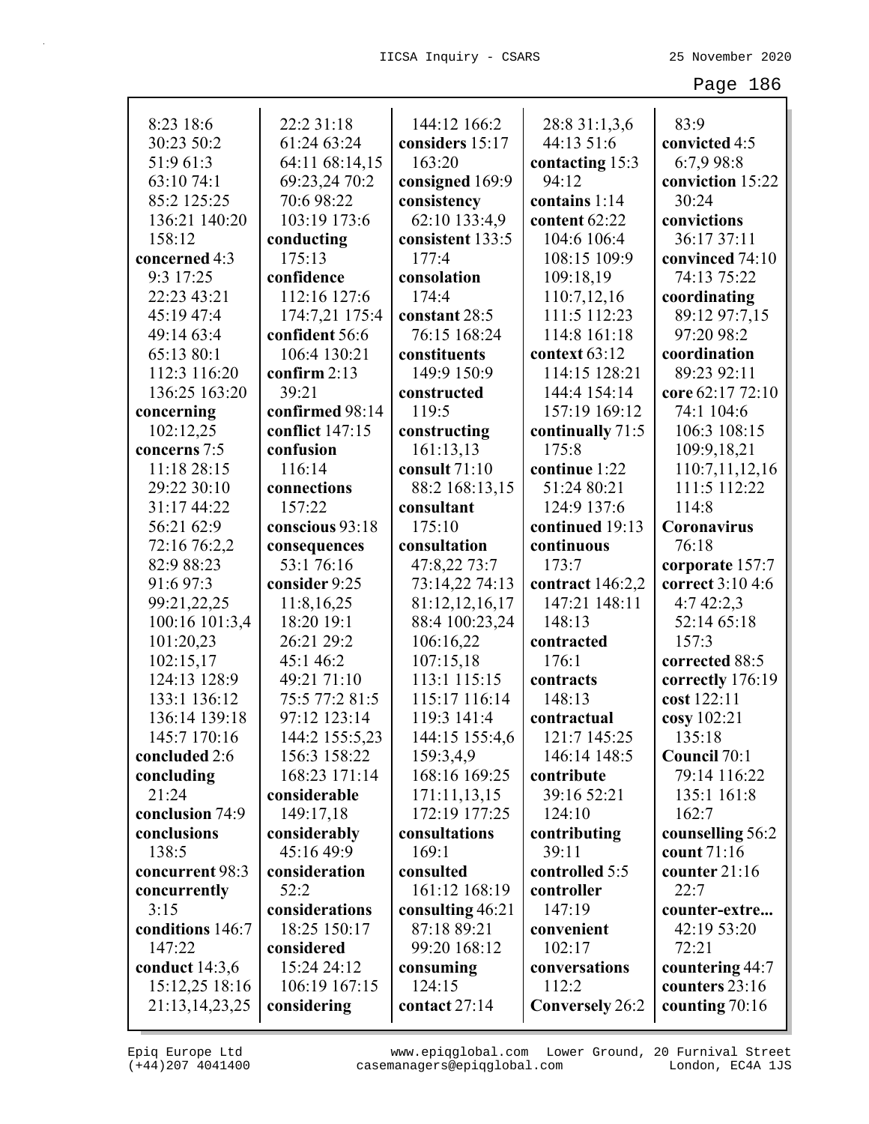| 8:23 18:6        | 22:2 31:18      | 144:12 166:2     | 28:8 31:1,3,6          | 83:9             |
|------------------|-----------------|------------------|------------------------|------------------|
| 30:23 50:2       | 61:24 63:24     | considers 15:17  | 44:13 51:6             | convicted 4:5    |
| 51:9 61:3        | 64:11 68:14,15  | 163:20           | contacting 15:3        | 6:7,9 98:8       |
| 63:10 74:1       | 69:23,24 70:2   | consigned 169:9  | 94:12                  | conviction 15:22 |
| 85:2 125:25      | 70:6 98:22      | consistency      | contains 1:14          | 30:24            |
| 136:21 140:20    | 103:19 173:6    | 62:10 133:4,9    | content 62:22          | convictions      |
| 158:12           | conducting      | consistent 133:5 | 104:6 106:4            | 36:17 37:11      |
| concerned 4:3    | 175:13          | 177:4            | 108:15 109:9           | convinced 74:10  |
| 9:3 17:25        | confidence      | consolation      | 109:18,19              | 74:13 75:22      |
| 22:23 43:21      | 112:16 127:6    | 174:4            | 110:7,12,16            | coordinating     |
| 45:19 47:4       | 174:7,21 175:4  | constant 28:5    | 111:5 112:23           | 89:12 97:7,15    |
| 49:14 63:4       | confident 56:6  | 76:15 168:24     | 114:8 161:18           | 97:20 98:2       |
| 65:13 80:1       | 106:4 130:21    | constituents     | context 63:12          | coordination     |
| 112:3 116:20     | confirm $2:13$  | 149:9 150:9      | 114:15 128:21          | 89:23 92:11      |
| 136:25 163:20    | 39:21           | constructed      | 144:4 154:14           | core 62:17 72:10 |
| concerning       | confirmed 98:14 | 119:5            | 157:19 169:12          | 74:1 104:6       |
| 102:12,25        | conflict 147:15 | constructing     | continually 71:5       | 106:3 108:15     |
| concerns 7:5     | confusion       | 161:13,13        | 175:8                  | 109:9,18,21      |
| 11:18 28:15      | 116:14          | consult 71:10    | continue 1:22          | 110:7,11,12,16   |
| 29:22 30:10      | connections     | 88:2 168:13,15   | 51:24 80:21            | 111:5 112:22     |
| 31:17 44:22      | 157:22          | consultant       | 124:9 137:6            | 114:8            |
| 56:21 62:9       | conscious 93:18 | 175:10           | continued 19:13        | Coronavirus      |
| 72:16 76:2,2     | consequences    | consultation     | continuous             | 76:18            |
| 82:9 88:23       | 53:1 76:16      | 47:8,22 73:7     | 173:7                  | corporate 157:7  |
| 91:6 97:3        | consider 9:25   | 73:14,22 74:13   | contract $146:2,2$     | correct 3:10 4:6 |
| 99:21,22,25      | 11:8,16,25      | 81:12,12,16,17   | 147:21 148:11          | 4:742:2,3        |
| 100:16 101:3,4   | 18:20 19:1      | 88:4 100:23,24   | 148:13                 | 52:14 65:18      |
| 101:20,23        | 26:21 29:2      | 106:16,22        | contracted             | 157:3            |
| 102:15,17        | 45:1 46:2       | 107:15,18        | 176:1                  | corrected 88:5   |
| 124:13 128:9     | 49:21 71:10     | 113:1 115:15     | contracts              | correctly 176:19 |
| 133:1 136:12     | 75:5 77:2 81:5  | 115:17 116:14    | 148:13                 | cost 122:11      |
| 136:14 139:18    | 97:12 123:14    | 119:3 141:4      | contractual            | cosy 102:21      |
| 145:7 170:16     | 144:2 155:5,23  | 144:15 155:4,6   | 121:7 145:25           | 135:18           |
| concluded 2:6    | 156:3 158:22    | 159:3,4,9        | 146:14 148:5           | Council 70:1     |
| concluding       | 168:23 171:14   | 168:16 169:25    | contribute             | 79:14 116:22     |
| 21:24            | considerable    | 171:11,13,15     | 39:16 52:21            | 135:1 161:8      |
| conclusion 74:9  | 149:17,18       | 172:19 177:25    | 124:10                 | 162:7            |
| conclusions      | considerably    | consultations    | contributing           | counselling 56:2 |
| 138:5            | 45:16 49:9      | 169:1            | 39:11                  | count 71:16      |
| concurrent 98:3  | consideration   | consulted        | controlled 5:5         | counter 21:16    |
| concurrently     | 52:2            | 161:12 168:19    | controller             | 22:7             |
| 3:15             | considerations  | consulting 46:21 | 147:19                 | counter-extre    |
| conditions 146:7 | 18:25 150:17    | 87:18 89:21      | convenient             | 42:19 53:20      |
| 147:22           | considered      | 99:20 168:12     | 102:17                 | 72:21            |
| conduct 14:3,6   | 15:24 24:12     | consuming        | conversations          | countering 44:7  |
| 15:12,25 18:16   | 106:19 167:15   | 124:15           | 112:2                  | counters 23:16   |
| 21:13,14,23,25   | considering     | contact 27:14    | <b>Conversely</b> 26:2 | counting 70:16   |
|                  |                 |                  |                        |                  |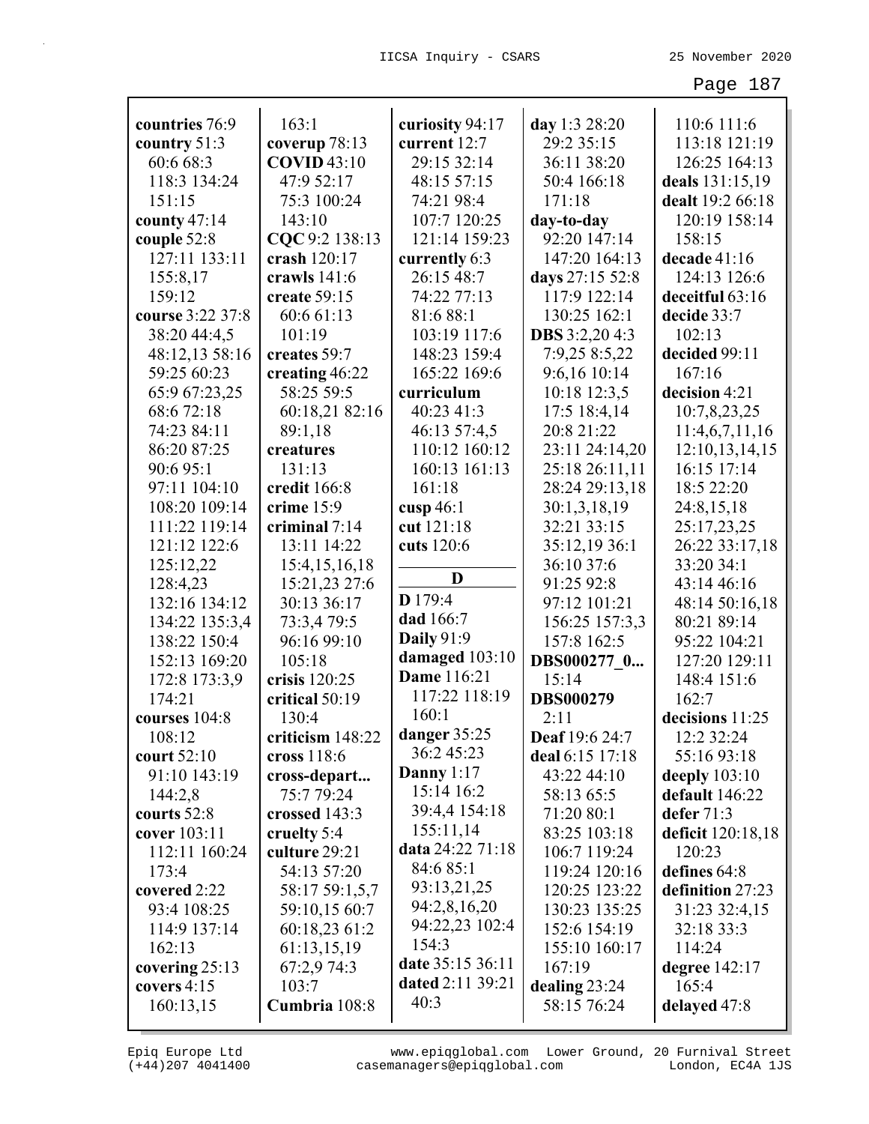| countries 76:9   | 163:1              | curiosity 94:17   | day 1:3 28:20         | 110:6 111:6       |
|------------------|--------------------|-------------------|-----------------------|-------------------|
| country $51:3$   | coverup 78:13      | current 12:7      | 29:2 35:15            | 113:18 121:19     |
| 60:6 68:3        | <b>COVID 43:10</b> | 29:15 32:14       | 36:11 38:20           | 126:25 164:13     |
| 118:3 134:24     | 47:9 52:17         | 48:15 57:15       | 50:4 166:18           | deals 131:15,19   |
| 151:15           | 75:3 100:24        | 74:21 98:4        | 171:18                | dealt 19:2 66:18  |
| county $47:14$   | 143:10             | 107:7 120:25      | day-to-day            | 120:19 158:14     |
| couple 52:8      | CQC 9:2 138:13     | 121:14 159:23     | 92:20 147:14          | 158:15            |
| 127:11 133:11    | crash 120:17       | currently 6:3     | 147:20 164:13         | decade 41:16      |
| 155:8,17         | crawls 141:6       | 26:15 48:7        | days 27:15 52:8       | 124:13 126:6      |
| 159:12           | create 59:15       | 74:22 77:13       | 117:9 122:14          | deceitful 63:16   |
| course 3:22 37:8 | 60:6 61:13         | 81:6 88:1         | 130:25 162:1          | decide 33:7       |
| 38:20 44:4,5     | 101:19             | 103:19 117:6      | <b>DBS</b> 3:2,20 4:3 | 102:13            |
| 48:12,13 58:16   | creates 59:7       | 148:23 159:4      | 7:9,25 8:5,22         | decided 99:11     |
| 59:25 60:23      | creating 46:22     | 165:22 169:6      | 9:6,16 10:14          | 167:16            |
| 65:9 67:23,25    | 58:25 59:5         | curriculum        | 10:18 12:3,5          | decision 4:21     |
| 68:6 72:18       | 60:18,21 82:16     | 40:23 41:3        | 17:5 18:4,14          | 10:7,8,23,25      |
| 74:23 84:11      | 89:1,18            | 46:13 57:4,5      | 20:8 21:22            | 11:4,6,7,11,16    |
| 86:20 87:25      | creatures          | 110:12 160:12     | 23:11 24:14,20        | 12:10,13,14,15    |
| 90:695:1         | 131:13             | 160:13 161:13     | 25:18 26:11,11        | 16:15 17:14       |
| 97:11 104:10     | credit 166:8       | 161:18            | 28:24 29:13,18        | 18:5 22:20        |
| 108:20 109:14    | crime 15:9         | cusp $46:1$       | 30:1,3,18,19          | 24:8,15,18        |
| 111:22 119:14    | criminal 7:14      | cut 121:18        | 32:21 33:15           | 25:17,23,25       |
| 121:12 122:6     | 13:11 14:22        | cuts 120:6        | 35:12,19 36:1         | 26:22 33:17,18    |
| 125:12,22        | 15:4, 15, 16, 18   |                   | 36:10 37:6            | 33:20 34:1        |
| 128:4,23         | 15:21,23 27:6      | D                 | 91:25 92:8            | 43:14 46:16       |
| 132:16 134:12    | 30:13 36:17        | D 179:4           | 97:12 101:21          | 48:14 50:16,18    |
| 134:22 135:3,4   | 73:3,4 79:5        | dad 166:7         | 156:25 157:3,3        | 80:21 89:14       |
| 138:22 150:4     | 96:16 99:10        | <b>Daily</b> 91:9 | 157:8 162:5           | 95:22 104:21      |
| 152:13 169:20    | 105:18             | damaged 103:10    | DBS000277 0           | 127:20 129:11     |
| 172:8 173:3,9    | crisis 120:25      | Dame 116:21       | 15:14                 | 148:4 151:6       |
| 174:21           | critical 50:19     | 117:22 118:19     | <b>DBS000279</b>      | 162:7             |
| courses 104:8    | 130:4              | 160:1             | 2:11                  | decisions 11:25   |
| 108:12           | criticism 148:22   | danger $35:25$    | Deaf 19:6 24:7        | 12:2 32:24        |
| court $52:10$    | cross $118:6$      | 36:2 45:23        | deal 6:15 17:18       | 55:16 93:18       |
| 91:10 143:19     | cross-depart       | Danny $1:17$      | 43:22 44:10           | deeply $103:10$   |
| 144:2,8          | 75:7 79:24         | 15:14 16:2        | 58:13 65:5            | default 146:22    |
| courts 52:8      | crossed 143:3      | 39:4,4 154:18     | 71:20 80:1            | defer $71:3$      |
| cover 103:11     | cruelty 5:4        | 155:11,14         | 83:25 103:18          | deficit 120:18,18 |
| 112:11 160:24    | culture 29:21      | data 24:22 71:18  | 106:7 119:24          | 120:23            |
| 173:4            | 54:13 57:20        | 84:6 85:1         | 119:24 120:16         | defines 64:8      |
| covered 2:22     | 58:17 59:1,5,7     | 93:13,21,25       | 120:25 123:22         | definition 27:23  |
| 93:4 108:25      | 59:10,15 60:7      | 94:2,8,16,20      | 130:23 135:25         | 31:23 32:4,15     |
| 114:9 137:14     | 60:18,23 61:2      | 94:22,23 102:4    | 152:6 154:19          | 32:18 33:3        |
| 162:13           | 61:13,15,19        | 154:3             | 155:10 160:17         | 114:24            |
| covering 25:13   | 67:2,9 74:3        | date 35:15 36:11  | 167:19                | degree 142:17     |
| covers 4:15      | 103:7              | dated 2:11 39:21  | dealing $23:24$       | 165:4             |
| 160:13,15        | Cumbria 108:8      | 40:3              | 58:15 76:24           | delayed 47:8      |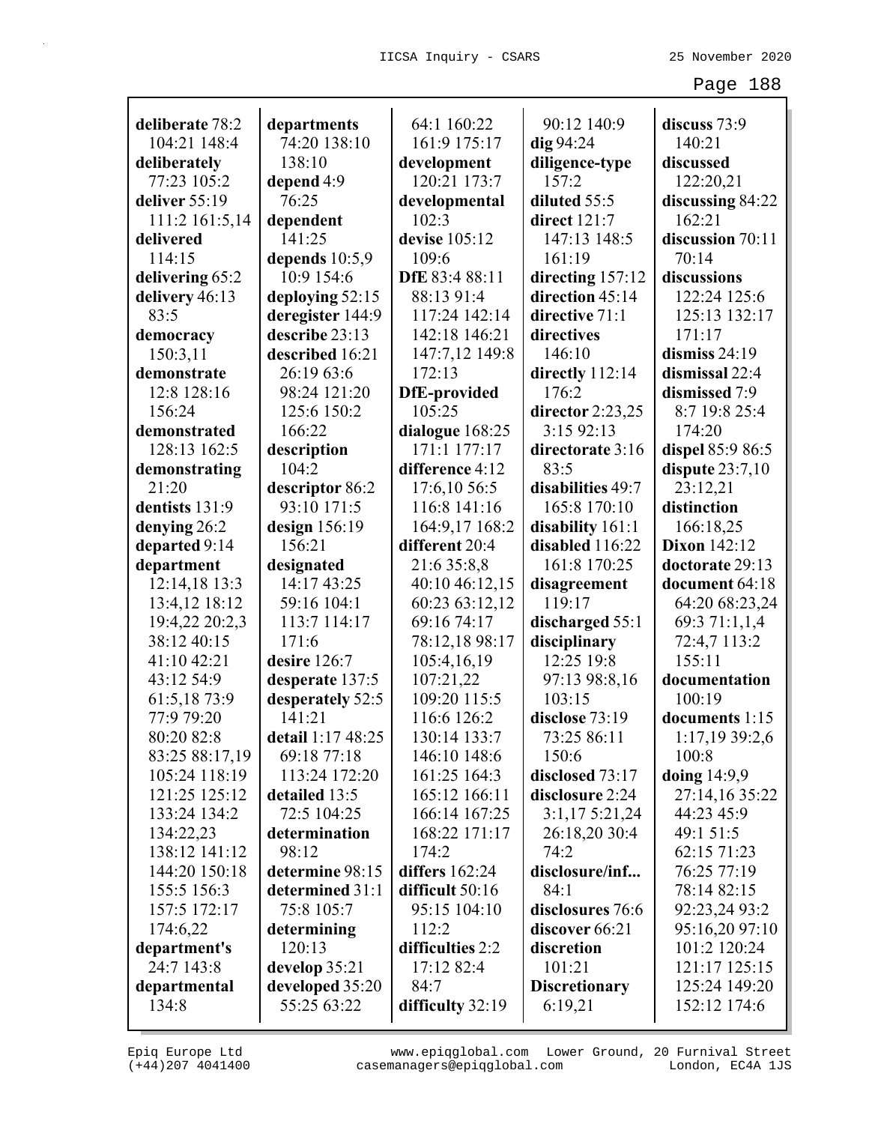| deliberate 78:2 | departments       | 64:1 160:22      | 90:12 140:9          | discuss 73:9        |
|-----------------|-------------------|------------------|----------------------|---------------------|
| 104:21 148:4    | 74:20 138:10      | 161:9 175:17     | $dig$ 94:24          | 140:21              |
| deliberately    | 138:10            | development      | diligence-type       | discussed           |
| 77:23 105:2     | depend 4:9        | 120:21 173:7     | 157:2                | 122:20,21           |
| deliver 55:19   | 76:25             | developmental    | diluted 55:5         | discussing 84:22    |
| 111:2 161:5,14  | dependent         | 102:3            | direct 121:7         | 162:21              |
| delivered       | 141:25            | devise 105:12    | 147:13 148:5         | discussion 70:11    |
| 114:15          | depends $10:5,9$  | 109:6            | 161:19               | 70:14               |
| delivering 65:2 | 10:9 154:6        | DfE 83:4 88:11   | directing 157:12     | discussions         |
| delivery 46:13  | deploying 52:15   | 88:13 91:4       | direction 45:14      | 122:24 125:6        |
| 83:5            | deregister 144:9  | 117:24 142:14    | directive 71:1       | 125:13 132:17       |
| democracy       | describe 23:13    | 142:18 146:21    | directives           | 171:17              |
| 150:3,11        | described 16:21   | 147:7,12 149:8   | 146:10               | dismiss $24:19$     |
| demonstrate     | 26:19 63:6        | 172:13           | directly 112:14      | dismissal 22:4      |
| 12:8 128:16     | 98:24 121:20      | DfE-provided     | 176:2                | dismissed 7:9       |
| 156:24          | 125:6 150:2       | 105:25           | director $2:23,25$   | 8:7 19:8 25:4       |
| demonstrated    | 166:22            | dialogue 168:25  | 3:1592:13            | 174:20              |
| 128:13 162:5    | description       | 171:1 177:17     | directorate 3:16     | dispel 85:9 86:5    |
| demonstrating   | 104:2             | difference 4:12  | 83:5                 | dispute $23:7,10$   |
| 21:20           | descriptor 86:2   | 17:6,10 56:5     | disabilities 49:7    | 23:12,21            |
| dentists 131:9  | 93:10 171:5       | 116:8 141:16     | 165:8 170:10         | distinction         |
| denying 26:2    | design 156:19     | 164:9,17 168:2   | disability 161:1     | 166:18,25           |
| departed 9:14   | 156:21            | different 20:4   | disabled 116:22      | <b>Dixon</b> 142:12 |
| department      | designated        | 21:6 35:8,8      | 161:8 170:25         | doctorate 29:13     |
| 12:14,18 13:3   | 14:17 43:25       | 40:10 46:12,15   | disagreement         | document 64:18      |
| 13:4,12 18:12   | 59:16 104:1       | 60:23 63:12,12   | 119:17               | 64:20 68:23,24      |
| 19:4,22 20:2,3  | 113:7 114:17      | 69:16 74:17      | discharged 55:1      | 69:3 71:1,1,4       |
| 38:12 40:15     | 171:6             | 78:12,18 98:17   | disciplinary         | 72:4,7 113:2        |
| 41:10 42:21     | desire 126:7      | 105:4,16,19      | 12:25 19:8           | 155:11              |
| 43:12 54:9      | desperate 137:5   | 107:21,22        | 97:13 98:8,16        | documentation       |
| 61:5,18 73:9    | desperately 52:5  | 109:20 115:5     | 103:15               | 100:19              |
| 77:9 79:20      | 141:21            | 116:6 126:2      | disclose 73:19       | documents 1:15      |
| 80:20 82:8      | detail 1:17 48:25 | 130:14 133:7     | 73:25 86:11          | 1:17,19 39:2,6      |
| 83:25 88:17,19  | 69:18 77:18       | 146:10 148:6     | 150:6                | 100:8               |
| 105:24 118:19   | 113:24 172:20     | 161:25 164:3     | disclosed 73:17      | doing $14:9,9$      |
| 121:25 125:12   | detailed 13:5     | 165:12 166:11    | disclosure 2:24      | 27:14,16 35:22      |
| 133:24 134:2    | 72:5 104:25       | 166:14 167:25    | 3:1,175:21,24        | 44:23 45:9          |
| 134:22,23       | determination     | 168:22 171:17    | 26:18,20 30:4        | 49:1 51:5           |
| 138:12 141:12   | 98:12             | 174:2            | 74:2                 | 62:15 71:23         |
| 144:20 150:18   | determine 98:15   | differs 162:24   | disclosure/inf       | 76:25 77:19         |
| 155:5 156:3     | determined 31:1   | difficult 50:16  | 84:1                 | 78:14 82:15         |
| 157:5 172:17    | 75:8 105:7        | 95:15 104:10     | disclosures 76:6     | 92:23,24 93:2       |
| 174:6,22        | determining       | 112:2            | discover 66:21       | 95:16,20 97:10      |
| department's    | 120:13            | difficulties 2:2 | discretion           | 101:2 120:24        |
| 24:7 143:8      | develop 35:21     | 17:12 82:4       | 101:21               | 121:17 125:15       |
| departmental    | developed 35:20   | 84:7             | <b>Discretionary</b> | 125:24 149:20       |
| 134:8           | 55:25 63:22       | difficulty 32:19 | 6:19,21              | 152:12 174:6        |
|                 |                   |                  |                      |                     |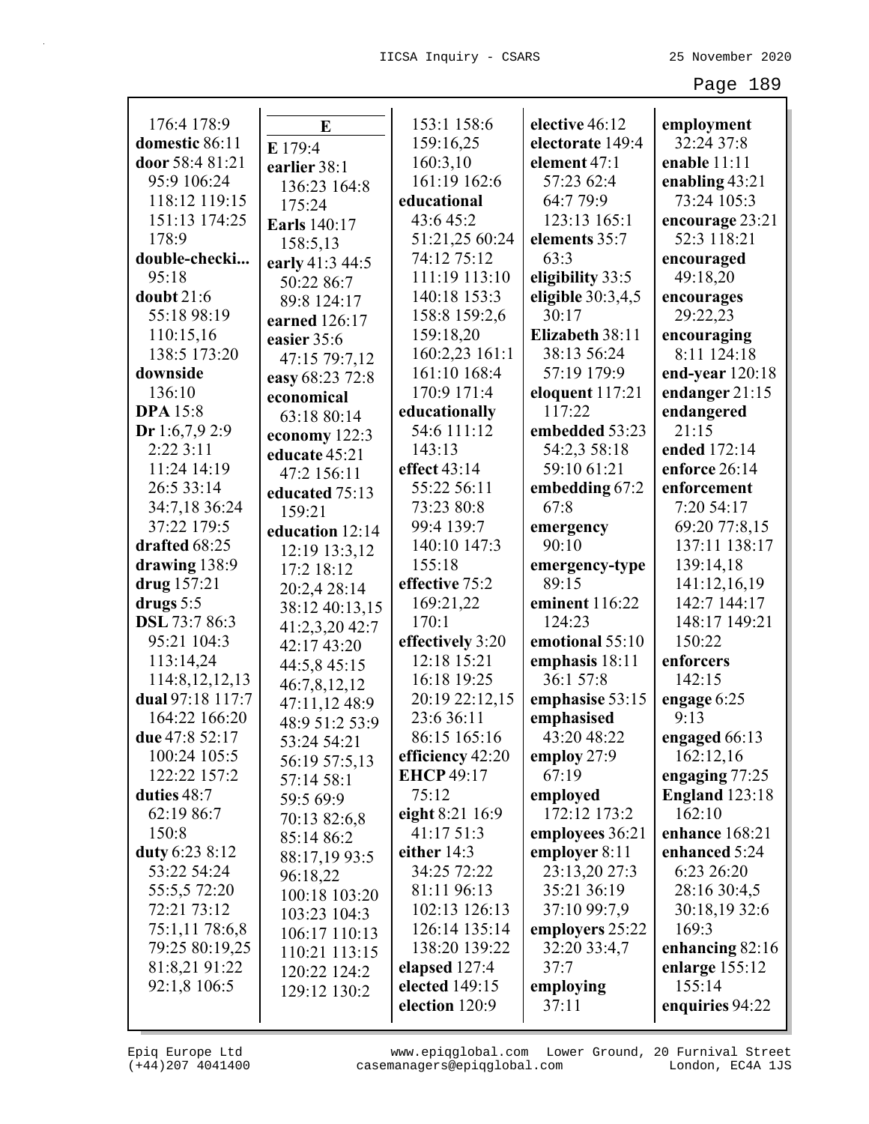| 176:4 178:9          | E                   | 153:1 158:6       | elective 46:12      | employment            |
|----------------------|---------------------|-------------------|---------------------|-----------------------|
| domestic 86:11       | E 179:4             | 159:16,25         | electorate 149:4    | 32:24 37:8            |
| door 58:4 81:21      | earlier 38:1        | 160:3,10          | element 47:1        | enable 11:11          |
| 95:9 106:24          | 136:23 164:8        | 161:19 162:6      | 57:23 62:4          | enabling $43:21$      |
| 118:12 119:15        | 175:24              | educational       | 64:7 79:9           | 73:24 105:3           |
| 151:13 174:25        | <b>Earls</b> 140:17 | 43:6 45:2         | 123:13 165:1        | encourage 23:21       |
| 178:9                | 158:5,13            | 51:21,25 60:24    | elements 35:7       | 52:3 118:21           |
| double-checki        | early 41:3 44:5     | 74:12 75:12       | 63:3                | encouraged            |
| 95:18                | 50:22 86:7          | 111:19 113:10     | eligibility 33:5    | 49:18,20              |
| doubt $21:6$         | 89:8 124:17         | 140:18 153:3      | eligible $30:3,4,5$ | encourages            |
| 55:18 98:19          | earned 126:17       | 158:8 159:2,6     | 30:17               | 29:22,23              |
| 110:15,16            | easier 35:6         | 159:18,20         | Elizabeth 38:11     | encouraging           |
| 138:5 173:20         | 47:15 79:7,12       | 160:2,23 161:1    | 38:13 56:24         | 8:11 124:18           |
| downside             | easy 68:23 72:8     | 161:10 168:4      | 57:19 179:9         | end-year $120:18$     |
| 136:10               | economical          | 170:9 171:4       | eloquent 117:21     | endanger $21:15$      |
| <b>DPA</b> 15:8      | 63:18 80:14         | educationally     | 117:22              | endangered            |
| Dr 1:6,7,9 2:9       | economy 122:3       | 54:6 111:12       | embedded 53:23      | 21:15                 |
| 2:22 3:11            | educate 45:21       | 143:13            | 54:2,3 58:18        | ended 172:14          |
| 11:24 14:19          | 47:2 156:11         | effect 43:14      | 59:10 61:21         | enforce 26:14         |
| 26:5 33:14           | educated 75:13      | 55:22 56:11       | embedding 67:2      | enforcement           |
| 34:7,18 36:24        | 159:21              | 73:23 80:8        | 67:8                | 7:20 54:17            |
| 37:22 179:5          | education 12:14     | 99:4 139:7        | emergency           | 69:20 77:8,15         |
| drafted 68:25        | 12:19 13:3,12       | 140:10 147:3      | 90:10               | 137:11 138:17         |
| drawing 138:9        | 17:2 18:12          | 155:18            | emergency-type      | 139:14,18             |
| drug 157:21          | 20:2,4 28:14        | effective 75:2    | 89:15               | 141:12,16,19          |
| drugs $5:5$          | 38:12 40:13,15      | 169:21,22         | eminent 116:22      | 142:7 144:17          |
| <b>DSL</b> 73:7 86:3 | 41:2,3,20 42:7      | 170:1             | 124:23              | 148:17 149:21         |
| 95:21 104:3          | 42:17 43:20         | effectively 3:20  | emotional 55:10     | 150:22                |
| 113:14,24            | 44:5,8 45:15        | 12:18 15:21       | emphasis 18:11      | enforcers             |
| 114:8, 12, 12, 13    | 46:7,8,12,12        | 16:18 19:25       | 36:1 57:8           | 142:15                |
| dual 97:18 117:7     | 47:11,12 48:9       | 20:19 22:12,15    | emphasise 53:15     | engage 6:25           |
| 164:22 166:20        | 48:9 51:2 53:9      | 23:6 36:11        | emphasised          | 9:13                  |
| due 47:8 52:17       | 53:24 54:21         | 86:15 165:16      | 43:20 48:22         | engaged 66:13         |
| 100:24 105:5         | 56:19 57:5,13       | efficiency 42:20  | employ 27:9         | 162:12,16             |
| 122:22 157:2         | 57:14 58:1          | <b>EHCP</b> 49:17 | 67:19               | engaging 77:25        |
| duties 48:7          | 59:5 69:9           | 75:12             | employed            | <b>England</b> 123:18 |
| 62:19 86:7           | 70:13 82:6,8        | eight 8:21 16:9   | 172:12 173:2        | 162:10                |
| 150:8                | 85:14 86:2          | 41:17 51:3        | employees 36:21     | enhance 168:21        |
| duty 6:23 8:12       | 88:17,19 93:5       | either $14:3$     | employer 8:11       | enhanced 5:24         |
| 53:22 54:24          | 96:18,22            | 34:25 72:22       | 23:13,20 27:3       | 6:23 26:20            |
| 55:5,5 72:20         | 100:18 103:20       | 81:11 96:13       | 35:21 36:19         | 28:16 30:4,5          |
| 72:21 73:12          | 103:23 104:3        | 102:13 126:13     | 37:10 99:7,9        | 30:18,19 32:6         |
| 75:1,11 78:6,8       | 106:17 110:13       | 126:14 135:14     | employers 25:22     | 169:3                 |
| 79:25 80:19,25       | 110:21 113:15       | 138:20 139:22     | 32:20 33:4,7        | enhancing 82:16       |
| 81:8,21 91:22        | 120:22 124:2        | elapsed 127:4     | 37:7                | enlarge $155:12$      |
| 92:1,8 106:5         | 129:12 130:2        | elected 149:15    | employing           | 155:14                |
|                      |                     | election 120:9    | 37:11               | enquiries 94:22       |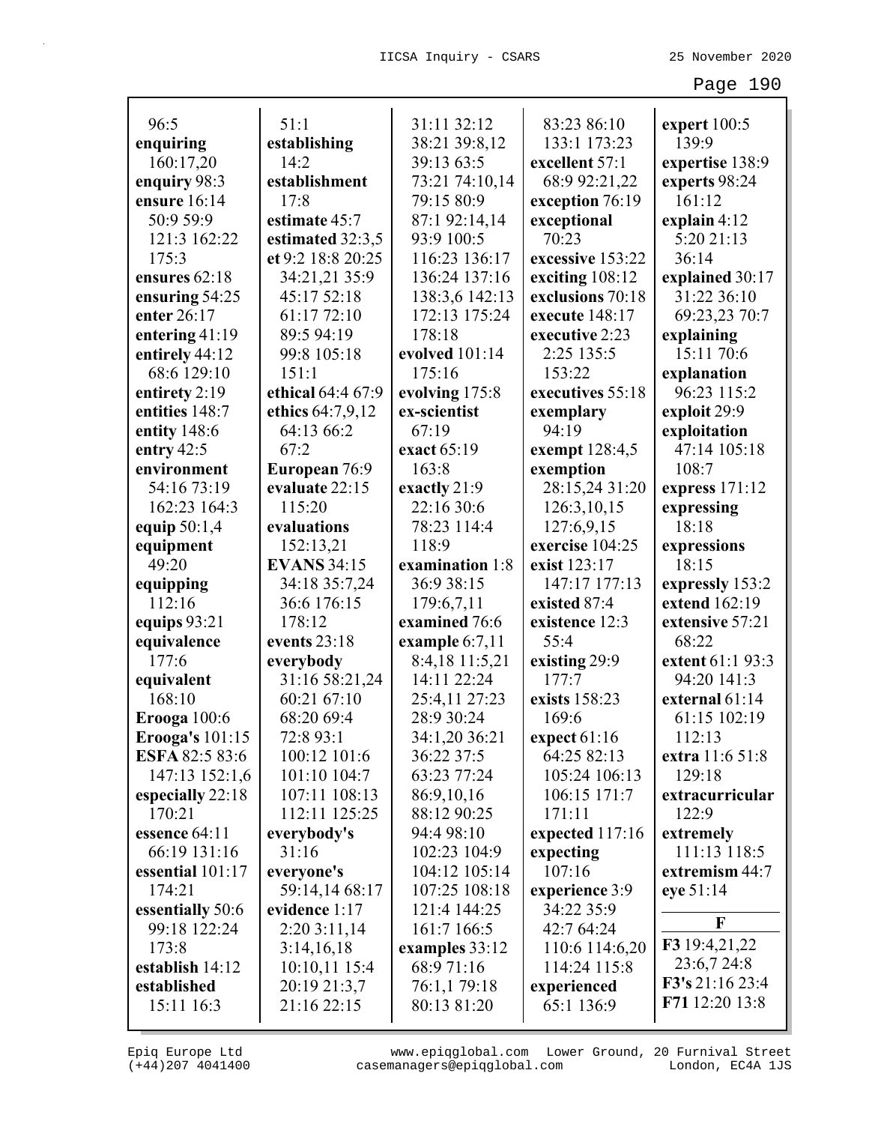| 96:5                              | 51:1                               | 31:11 32:12             | 83:23 86:10                           |                                  |
|-----------------------------------|------------------------------------|-------------------------|---------------------------------------|----------------------------------|
| enquiring                         | establishing                       | 38:21 39:8,12           | 133:1 173:23                          | expert $100:5$<br>139:9          |
| 160:17,20                         | 14:2                               | 39:13 63:5              | excellent 57:1                        | expertise 138:9                  |
| enquiry 98:3                      | establishment                      | 73:21 74:10,14          | 68:9 92:21,22                         | experts 98:24                    |
| ensure 16:14                      | 17:8                               | 79:15 80:9              | exception 76:19                       | 161:12                           |
| 50:9 59:9                         | estimate 45:7                      | 87:1 92:14,14           |                                       |                                  |
| 121:3 162:22                      |                                    | 93:9 100:5              | exceptional<br>70:23                  | explain 4:12<br>5:20 21:13       |
| 175:3                             | estimated 32:3,5                   | 116:23 136:17           | excessive 153:22                      | 36:14                            |
| ensures 62:18                     | et 9:2 18:8 20:25<br>34:21,21 35:9 | 136:24 137:16           |                                       |                                  |
|                                   | 45:17 52:18                        | 138:3,6 142:13          | exciting $108:12$<br>exclusions 70:18 | explained 30:17<br>31:22 36:10   |
| ensuring 54:25<br>enter 26:17     | 61:17 72:10                        |                         | execute 148:17                        |                                  |
|                                   | 89:5 94:19                         | 172:13 175:24<br>178:18 | executive 2:23                        | 69:23,23 70:7                    |
| entering 41:19                    | 99:8 105:18                        | evolved 101:14          | 2:25 135:5                            | explaining<br>15:11 70:6         |
| entirely 44:12<br>68:6 129:10     | 151:1                              | 175:16                  | 153:22                                | explanation                      |
| entirety 2:19                     | ethical 64:4 67:9                  | evolving 175:8          | executives 55:18                      | 96:23 115:2                      |
| entities 148:7                    | ethics 64:7,9,12                   | ex-scientist            |                                       | exploit 29:9                     |
| entity 148:6                      | 64:13 66:2                         | 67:19                   | exemplary<br>94:19                    | exploitation                     |
| entry $42:5$                      | 67:2                               | exact 65:19             | exempt 128:4,5                        | 47:14 105:18                     |
| environment                       | European 76:9                      | 163:8                   | exemption                             | 108:7                            |
| 54:16 73:19                       | evaluate 22:15                     | exactly 21:9            | 28:15,24 31:20                        |                                  |
| 162:23 164:3                      | 115:20                             | 22:16 30:6              | 126:3,10,15                           | express $171:12$                 |
|                                   | evaluations                        | 78:23 114:4             | 127:6,9,15                            | expressing<br>18:18              |
| equip 50:1,4                      |                                    | 118:9                   | exercise 104:25                       |                                  |
| equipment<br>49:20                | 152:13,21<br><b>EVANS 34:15</b>    | examination 1:8         | exist 123:17                          | expressions<br>18:15             |
|                                   | 34:18 35:7,24                      | 36:9 38:15              | 147:17 177:13                         |                                  |
| equipping<br>112:16               | 36:6 176:15                        | 179:6,7,11              | existed 87:4                          | expressly 153:2<br>extend 162:19 |
|                                   | 178:12                             | examined 76:6           | existence 12:3                        | extensive 57:21                  |
| equips 93:21<br>equivalence       | events 23:18                       | example $6:7,11$        | 55:4                                  | 68:22                            |
| 177:6                             | everybody                          | 8:4,18 11:5,21          | existing 29:9                         | extent 61:1 93:3                 |
| equivalent                        | 31:16 58:21,24                     | 14:11 22:24             | 177:7                                 | 94:20 141:3                      |
| 168:10                            | 60:21 67:10                        | 25:4,11 27:23           | exists 158:23                         | external 61:14                   |
|                                   | 68:20 69:4                         | 28:9 30:24              | 169:6                                 | 61:15 102:19                     |
| Erooga $100:6$                    | 72:8 93:1                          | 34:1,20 36:21           | expect $61:16$                        | 112:13                           |
| Erooga's 101:15<br>ESFA 82:5 83:6 | 100:12 101:6                       | 36:22 37:5              | 64:25 82:13                           | extra 11:6 51:8                  |
| 147:13 152:1,6                    | 101:10 104:7                       | 63:23 77:24             | 105:24 106:13                         | 129:18                           |
| especially 22:18                  | 107:11 108:13                      | 86:9,10,16              | 106:15 171:7                          | extracurricular                  |
| 170:21                            | 112:11 125:25                      | 88:12 90:25             | 171:11                                | 122:9                            |
| essence 64:11                     | everybody's                        | 94:4 98:10              | expected 117:16                       | extremely                        |
| 66:19 131:16                      | 31:16                              | 102:23 104:9            | expecting                             | 111:13 118:5                     |
| essential 101:17                  | everyone's                         | 104:12 105:14           | 107:16                                | extremism 44:7                   |
| 174:21                            | 59:14,14 68:17                     | 107:25 108:18           | experience 3:9                        | eye 51:14                        |
| essentially 50:6                  | evidence 1:17                      | 121:4 144:25            | 34:22 35:9                            |                                  |
| 99:18 122:24                      | 2:20 3:11,14                       | 161:7 166:5             | 42:7 64:24                            | F                                |
| 173:8                             | 3:14,16,18                         | examples 33:12          | 110:6 114:6,20                        | F3 19:4,21,22                    |
| establish 14:12                   | 10:10,11 15:4                      | 68:9 71:16              | 114:24 115:8                          | 23:6,7 24:8                      |
| established                       | 20:19 21:3,7                       | 76:1,1 79:18            | experienced                           | F3's 21:16 23:4                  |
| 15:11 16:3                        | 21:16 22:15                        | 80:13 81:20             | 65:1 136:9                            | F71 12:20 13:8                   |
|                                   |                                    |                         |                                       |                                  |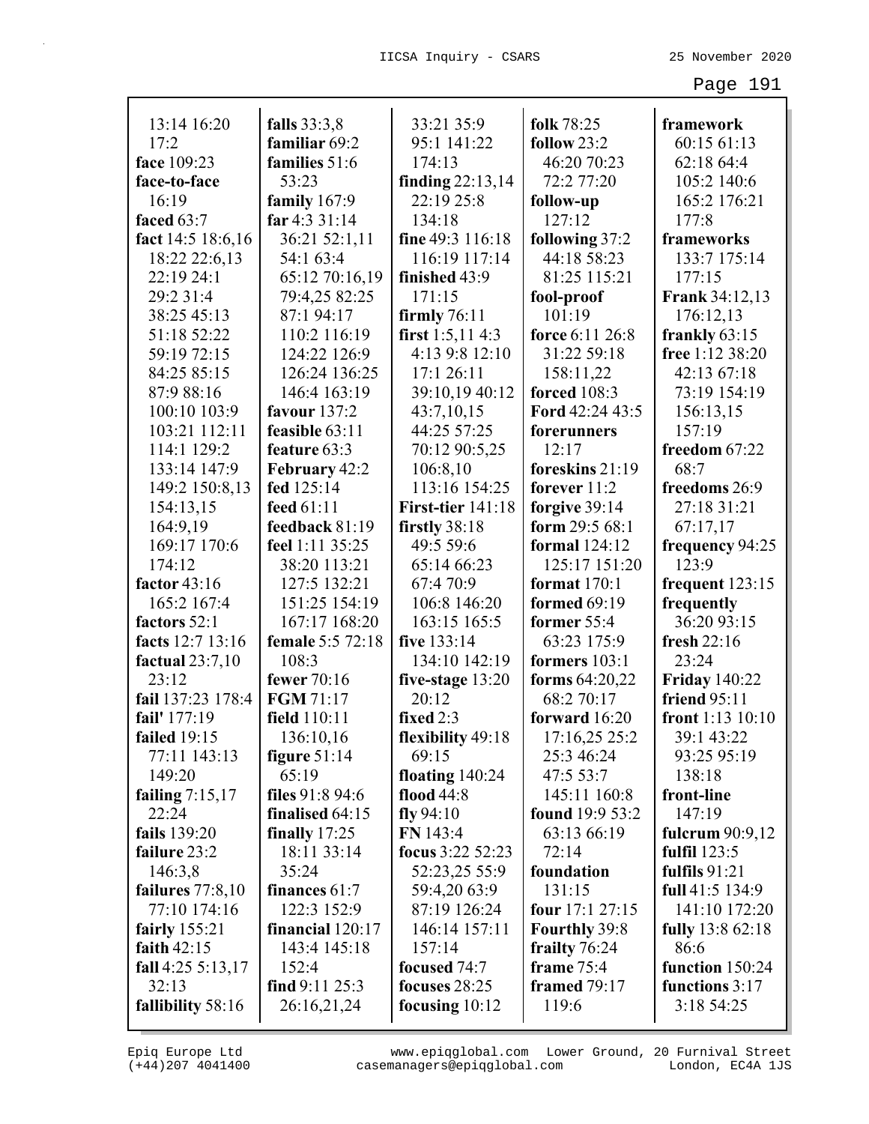| 13:14 16:20            |                              |                          |                                       |                                 |
|------------------------|------------------------------|--------------------------|---------------------------------------|---------------------------------|
|                        | falls 33:3,8                 | 33:21 35:9               | folk 78:25                            | framework                       |
| 17:2                   | familiar 69:2                | 95:1 141:22              | follow $23:2$                         | 60:15 61:13                     |
| face 109:23            | families 51:6                | 174:13                   | 46:20 70:23                           | 62:18 64:4                      |
| face-to-face           | 53:23                        | finding $22:13,14$       | 72:2 77:20                            | 105:2 140:6                     |
| 16:19                  | family $167:9$               | 22:19 25:8               | follow-up                             | 165:2 176:21                    |
| faced 63:7             | far 4:3 31:14                | 134:18                   | 127:12                                | 177:8                           |
| fact 14:5 18:6,16      | 36:21 52:1,11                | fine 49:3 116:18         | following 37:2                        | frameworks                      |
| 18:22 22:6,13          | 54:1 63:4                    | 116:19 117:14            | 44:18 58:23                           | 133:7 175:14                    |
| 22:19 24:1             | 65:12 70:16,19               | finished 43:9            | 81:25 115:21                          | 177:15                          |
| 29:2 31:4              | 79:4,25 82:25                | 171:15                   | fool-proof                            | <b>Frank 34:12,13</b>           |
| 38:25 45:13            | 87:1 94:17                   | firmly $76:11$           | 101:19                                | 176:12,13                       |
| 51:18 52:22            | 110:2 116:19                 | first $1:5,114:3$        | force 6:11 26:8                       | frankly $63:15$                 |
| 59:19 72:15            | 124:22 126:9                 | 4:13 9:8 12:10           | 31:22 59:18                           | free 1:12 38:20                 |
| 84:25 85:15            | 126:24 136:25                | 17:1 26:11               | 158:11,22                             | 42:13 67:18                     |
| 87:9 88:16             | 146:4 163:19                 | 39:10,19 40:12           | <b>forced</b> 108:3                   | 73:19 154:19                    |
| 100:10 103:9           | favour $137:2$               | 43:7,10,15               | Ford 42:24 43:5                       | 156:13,15                       |
| 103:21 112:11          | feasible 63:11               | 44:25 57:25              | forerunners                           | 157:19                          |
| 114:1 129:2            | feature 63:3                 | 70:12 90:5,25            | 12:17                                 | freedom 67:22                   |
| 133:14 147:9           | February 42:2                | 106:8,10                 | foreskins 21:19                       | 68:7                            |
| 149:2 150:8,13         | fed 125:14                   | 113:16 154:25            | forever $11:2$                        | freedoms 26:9                   |
| 154:13,15              | feed 61:11                   | <b>First-tier</b> 141:18 | forgive 39:14                         | 27:18 31:21                     |
| 164:9,19               | feedback 81:19               | firstly 38:18            | form $29:568:1$                       | 67:17,17                        |
| 169:17 170:6<br>174:12 | feel 1:11 35:25              | 49:5 59:6<br>65:14 66:23 | <b>formal</b> 124:12<br>125:17 151:20 | frequency 94:25<br>123:9        |
| factor 43:16           | 38:20 113:21<br>127:5 132:21 | 67:4 70:9                | format $170:1$                        |                                 |
| 165:2 167:4            | 151:25 154:19                | 106:8 146:20             | formed 69:19                          | frequent $123:15$<br>frequently |
| factors 52:1           | 167:17 168:20                | 163:15 165:5             | former 55:4                           | 36:20 93:15                     |
| facts 12:7 13:16       | female 5:5 72:18             | five 133:14              | 63:23 175:9                           | fresh $22:16$                   |
| factual $23:7,10$      | 108:3                        | 134:10 142:19            | formers 103:1                         | 23:24                           |
| 23:12                  | fewer 70:16                  | five-stage 13:20         | forms 64:20,22                        | <b>Friday 140:22</b>            |
| fail 137:23 178:4      | FGM 71:17                    | 20:12                    | 68:2 70:17                            | <b>friend 95:11</b>             |
| fail' 177:19           | field 110:11                 | fixed 2:3                | forward 16:20                         | front $1:13$ $10:10$            |
| failed 19:15           | 136:10,16                    | flexibility 49:18        | 17:16,25 25:2                         | 39:1 43:22                      |
| 77:11 143:13           | figure $51:14$               | 69:15                    | 25:3 46:24                            | 93:25 95:19                     |
| 149:20                 | 65:19                        | floating $140:24$        | 47:5 53:7                             | 138:18                          |
| failing $7:15,17$      | files $91:894:6$             | flood $44:8$             | 145:11 160:8                          | front-line                      |
| 22:24                  | finalised 64:15              | $fly\,94:10$             | found 19:9 53:2                       | 147:19                          |
| fails 139:20           | finally 17:25                | FN 143:4                 | 63:13 66:19                           | fulcrum $90:9,12$               |
| failure 23:2           | 18:11 33:14                  | focus 3:22 52:23         | 72:14                                 | fulfil $123:5$                  |
| 146:3,8                | 35:24                        | 52:23,25 55:9            | foundation                            | fulfils $91:21$                 |
| failures $77:8,10$     | finances 61:7                | 59:4,20 63:9             | 131:15                                | full 41:5 134:9                 |
| 77:10 174:16           | 122:3 152:9                  | 87:19 126:24             | four $17:127:15$                      | 141:10 172:20                   |
| fairly $155:21$        | financial 120:17             | 146:14 157:11            | <b>Fourthly 39:8</b>                  | <b>fully</b> 13:8 62:18         |
| faith $42:15$          | 143:4 145:18                 | 157:14                   | frailty 76:24                         | 86:6                            |
| fall $4:25\,5:13,17$   | 152:4                        | focused 74:7             | frame 75:4                            | function 150:24                 |
| 32:13                  | find $9:11\,25:3$            | focuses $28:25$          | framed $79:17$                        | functions 3:17                  |
| fallibility 58:16      | 26:16,21,24                  | focusing $10:12$         | 119:6                                 | 3:18 54:25                      |
|                        |                              |                          |                                       |                                 |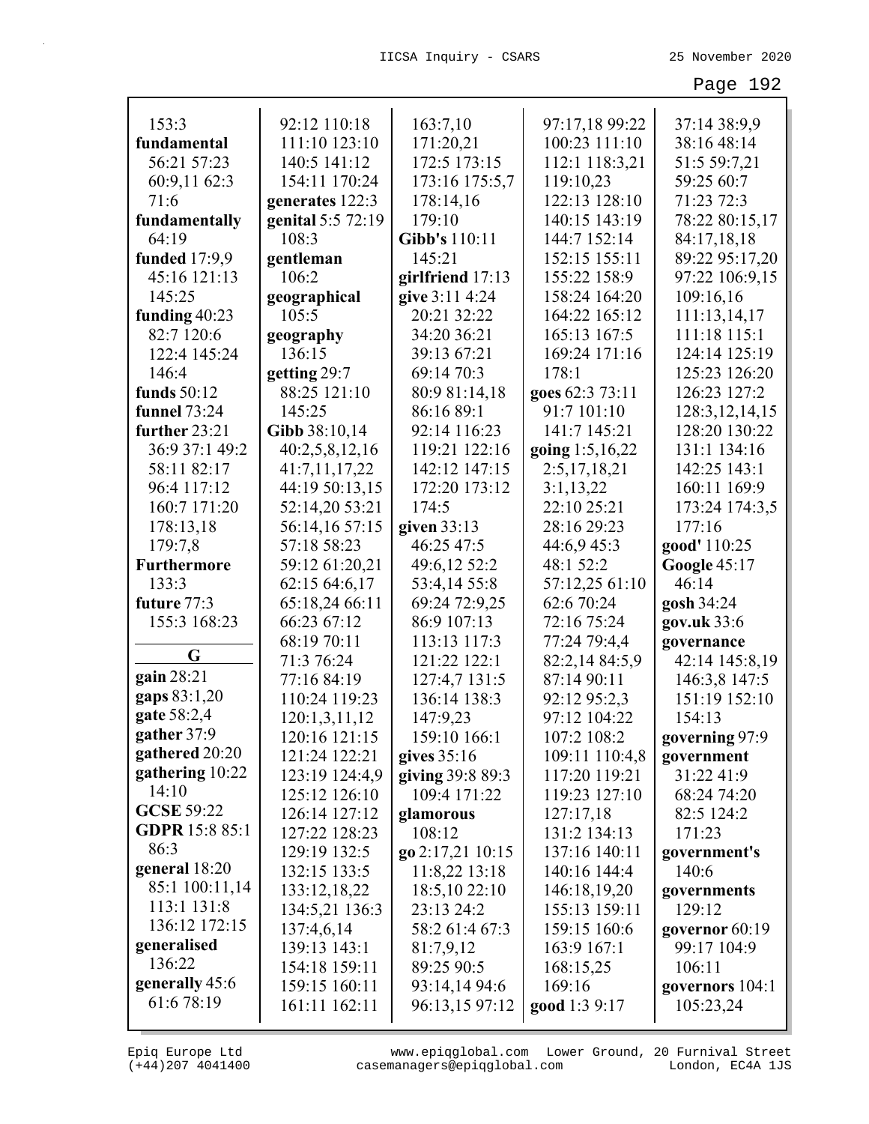| 153:3                        | 92:12 110:18      | 163:7,10         | 97:17,18 99:22  | 37:14 38:9,9        |
|------------------------------|-------------------|------------------|-----------------|---------------------|
| fundamental                  | 111:10 123:10     | 171:20,21        | 100:23 111:10   | 38:16 48:14         |
| 56:21 57:23                  | 140:5 141:12      | 172:5 173:15     | 112:1 118:3,21  | 51:5 59:7,21        |
| 60:9,11 62:3                 | 154:11 170:24     | 173:16 175:5,7   | 119:10,23       | 59:25 60:7          |
| 71:6                         | generates 122:3   | 178:14,16        | 122:13 128:10   | 71:23 72:3          |
| fundamentally                | genital 5:5 72:19 | 179:10           | 140:15 143:19   | 78:22 80:15,17      |
| 64:19                        | 108:3             | Gibb's 110:11    | 144:7 152:14    | 84:17,18,18         |
| funded 17:9,9                | gentleman         | 145:21           | 152:15 155:11   | 89:22 95:17,20      |
| 45:16 121:13                 | 106:2             | girlfriend 17:13 | 155:22 158:9    | 97:22 106:9,15      |
| 145:25                       | geographical      | give 3:11 4:24   | 158:24 164:20   | 109:16,16           |
| funding $40:23$              | 105:5             | 20:21 32:22      | 164:22 165:12   | 111:13,14,17        |
| 82:7 120:6                   | geography         | 34:20 36:21      | 165:13 167:5    | 111:18 115:1        |
| 122:4 145:24                 | 136:15            | 39:13 67:21      | 169:24 171:16   | 124:14 125:19       |
| 146:4                        | getting 29:7      | 69:14 70:3       | 178:1           | 125:23 126:20       |
| funds $50:12$                | 88:25 121:10      | 80:9 81:14,18    | goes 62:3 73:11 | 126:23 127:2        |
| <b>funnel</b> 73:24          | 145:25            | 86:16 89:1       | 91:7 101:10     | 128:3, 12, 14, 15   |
| further 23:21                | Gibb 38:10,14     | 92:14 116:23     | 141:7 145:21    | 128:20 130:22       |
| 36:9 37:1 49:2               | 40:2,5,8,12,16    | 119:21 122:16    | going 1:5,16,22 | 131:1 134:16        |
| 58:11 82:17                  | 41:7,11,17,22     | 142:12 147:15    | 2:5,17,18,21    | 142:25 143:1        |
| 96:4 117:12                  | 44:19 50:13,15    | 172:20 173:12    | 3:1,13,22       | 160:11 169:9        |
| 160:7 171:20                 | 52:14,20 53:21    | 174:5            | 22:10 25:21     | 173:24 174:3,5      |
| 178:13,18                    | 56:14,16 57:15    | given $33:13$    | 28:16 29:23     | 177:16              |
| 179:7,8                      | 57:18 58:23       | 46:25 47:5       | 44:6,9 45:3     | good' 110:25        |
| <b>Furthermore</b>           | 59:12 61:20,21    | 49:6,12 52:2     | 48:1 52:2       | <b>Google 45:17</b> |
| 133:3                        | 62:15 64:6,17     | 53:4,14 55:8     | 57:12,25 61:10  | 46:14               |
| future 77:3                  | 65:18,24 66:11    | 69:24 72:9,25    | 62:6 70:24      | gosh 34:24          |
| 155:3 168:23                 | 66:23 67:12       | 86:9 107:13      | 72:16 75:24     | gov.uk 33:6         |
|                              | 68:19 70:11       | 113:13 117:3     | 77:24 79:4,4    | governance          |
| G                            | 71:3 76:24        | 121:22 122:1     | 82:2,14 84:5,9  | 42:14 145:8,19      |
| gain 28:21                   | 77:16 84:19       | 127:4,7 131:5    | 87:14 90:11     | 146:3,8 147:5       |
| gaps 83:1,20                 | 110:24 119:23     | 136:14 138:3     | 92:12 95:2,3    | 151:19 152:10       |
| gate 58:2,4                  | 120:1,3,11,12     | 147:9,23         | 97:12 104:22    | 154:13              |
| gather 37:9                  | 120:16 121:15     | 159:10 166:1     | 107:2 108:2     | governing 97:9      |
| gathered 20:20               | 121:24 122:21     | gives 35:16      | 109:11 110:4,8  | government          |
| gathering 10:22              | 123:19 124:4,9    | giving 39:8 89:3 | 117:20 119:21   | 31:22 41:9          |
| 14:10                        | 125:12 126:10     | 109:4 171:22     | 119:23 127:10   | 68:24 74:20         |
| <b>GCSE 59:22</b>            | 126:14 127:12     | glamorous        | 127:17,18       | 82:5 124:2          |
| <b>GDPR</b> 15:8 85:1        | 127:22 128:23     | 108:12           | 131:2 134:13    | 171:23              |
| 86:3                         | 129:19 132:5      | go 2:17,21 10:15 | 137:16 140:11   | government's        |
| general 18:20                | 132:15 133:5      | 11:8,22 13:18    | 140:16 144:4    | 140:6               |
| 85:1 100:11,14               | 133:12,18,22      | 18:5,10 22:10    | 146:18,19,20    | governments         |
| 113:1 131:8<br>136:12 172:15 | 134:5,21 136:3    | 23:13 24:2       | 155:13 159:11   | 129:12              |
|                              | 137:4,6,14        | 58:2 61:4 67:3   | 159:15 160:6    | governor 60:19      |
| generalised<br>136:22        | 139:13 143:1      | 81:7,9,12        | 163:9 167:1     | 99:17 104:9         |
|                              | 154:18 159:11     | 89:25 90:5       | 168:15,25       | 106:11              |
| generally 45:6<br>61:6 78:19 | 159:15 160:11     | 93:14,14 94:6    | 169:16          | governors 104:1     |
|                              | 161:11 162:11     | 96:13,15 97:12   | good 1:3 9:17   | 105:23,24           |

L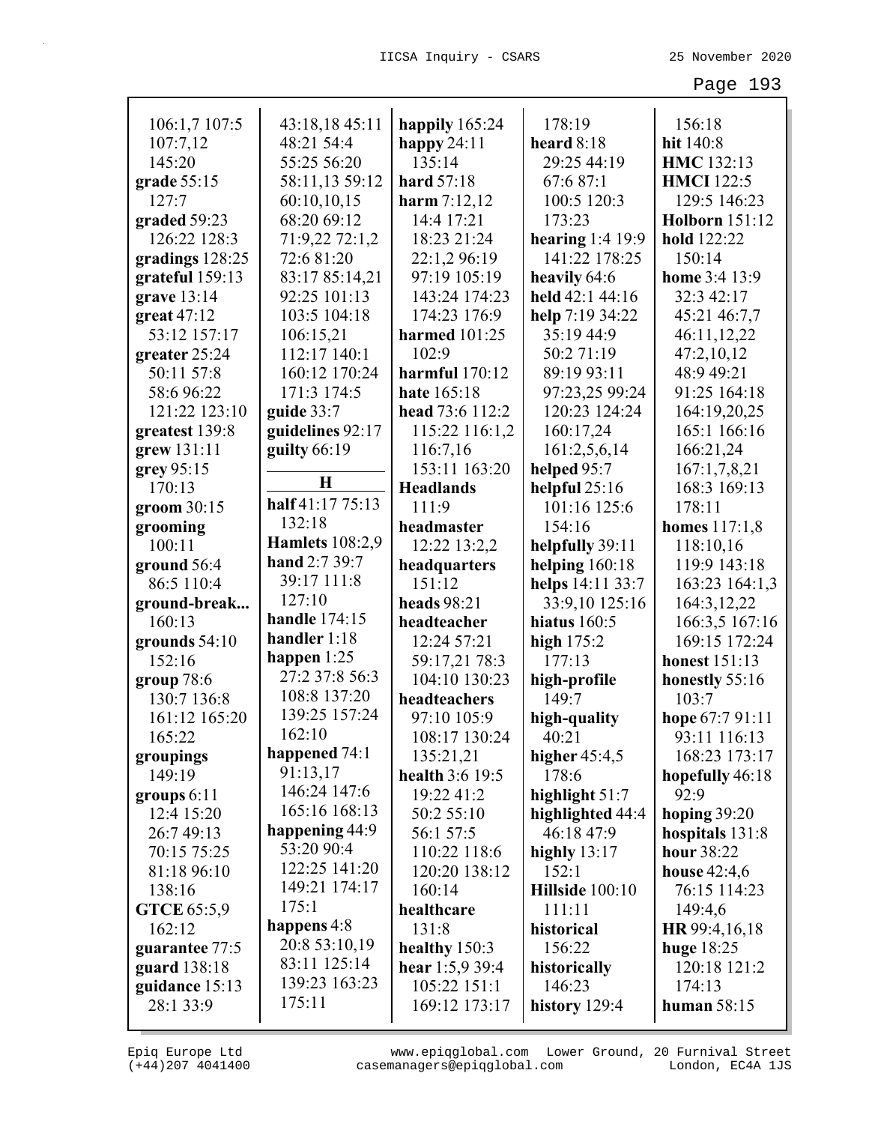| 106:1,7 107:5                | 43:18,18 45:11         | happily 165:24                       | 178:19                         | 156:18<br>hit 140:8            |
|------------------------------|------------------------|--------------------------------------|--------------------------------|--------------------------------|
| 107:7,12<br>145:20           | 48:21 54:4             | happy $24:11$<br>135:14              | heard $8:18$<br>29:25 44:19    | HMC 132:13                     |
|                              | 55:25 56:20            |                                      |                                | <b>HMCI</b> 122:5              |
| grade 55:15                  | 58:11,13 59:12         | hard 57:18                           | 67:6 87:1                      |                                |
| 127:7                        | 60:10,10,15            | harm $7:12,12$                       | 100:5 120:3                    | 129:5 146:23                   |
| graded 59:23                 | 68:20 69:12            | 14:4 17:21                           | 173:23                         | <b>Holborn</b> 151:12          |
| 126:22 128:3                 | 71:9,22 72:1,2         | 18:23 21:24                          | hearing $1:4$ 19:9             | hold 122:22                    |
| gradings 128:25              | 72:6 81:20             | 22:1,2 96:19                         | 141:22 178:25                  | 150:14                         |
| grateful 159:13              | 83:17 85:14,21         | 97:19 105:19                         | heavily 64:6                   | home 3:4 13:9                  |
| grave $13:14$                | 92:25 101:13           | 143:24 174:23                        | held 42:1 44:16                | 32:3 42:17                     |
| great $47:12$                | 103:5 104:18           | 174:23 176:9                         | help 7:19 34:22                | 45:21 46:7,7                   |
| 53:12 157:17                 | 106:15,21              | harmed 101:25                        | 35:19 44:9                     | 46:11,12,22                    |
| greater 25:24                | 112:17 140:1           | 102:9                                | 50:271:19                      | 47:2,10,12                     |
| 50:11 57:8                   | 160:12 170:24          | harmful $170:12$                     | 89:19 93:11                    | 48:9 49:21                     |
| 58:696:22                    | 171:3 174:5            | hate 165:18                          | 97:23,25 99:24                 | 91:25 164:18                   |
| 121:22 123:10                | guide $33:7$           | head 73:6 112:2                      | 120:23 124:24                  | 164:19,20,25                   |
| greatest 139:8               | guidelines 92:17       | 115:22 116:1,2                       | 160:17,24                      | 165:1 166:16                   |
| grew 131:11                  | guilty $66:19$         | 116:7,16                             | 161:2,5,6,14                   | 166:21,24                      |
| grey 95:15                   | $\bf H$                | 153:11 163:20                        | helped 95:7                    | 167:1,7,8,21                   |
| 170:13                       | half 41:17 75:13       | <b>Headlands</b>                     | helpful 25:16                  | 168:3 169:13                   |
| groom 30:15                  | 132:18                 | 111:9                                | 101:16 125:6                   | 178:11                         |
| grooming                     | <b>Hamlets</b> 108:2,9 | headmaster                           | 154:16                         | homes 117:1,8                  |
| 100:11                       | hand 2:7 39:7          | 12:22 13:2,2                         | helpfully 39:11                | 118:10,16                      |
| ground 56:4                  | 39:17 111:8            | headquarters                         | helping $160:18$               | 119:9 143:18                   |
| 86:5 110:4                   | 127:10                 | 151:12                               | helps 14:11 33:7               | 163:23 164:1,3                 |
| ground-break                 | handle 174:15          | heads 98:21                          | 33:9,10 125:16                 | 164:3,12,22                    |
| 160:13                       | handler 1:18           | headteacher                          | hiatus $160:5$                 | 166:3,5 167:16                 |
| grounds 54:10                | happen $1:25$          | 12:24 57:21                          | high $175:2$                   | 169:15 172:24                  |
| 152:16                       | 27:2 37:8 56:3         | 59:17,21 78:3                        | 177:13                         | honest 151:13                  |
| group $78:6$                 | 108:8 137:20           | 104:10 130:23                        | high-profile                   | honestly 55:16                 |
| 130:7 136:8                  | 139:25 157:24          | headteachers                         | 149:7                          | 103:7                          |
| 161:12 165:20                | 162:10                 | 97:10 105:9                          | high-quality                   | hope 67:7 91:11                |
| 165:22                       | happened 74:1          | 108:17 130:24                        | 40:21                          | 93:11 116:13                   |
| groupings<br>149:19          | 91:13,17               | 135:21,21<br><b>health 3:6 19:5</b>  | higher $45:4,5$<br>178:6       | 168:23 173:17                  |
|                              | 146:24 147:6           | 19:22 41:2                           | highlight 51:7                 | hopefully 46:18<br>92:9        |
| groups 6:11<br>12:4 15:20    | 165:16 168:13          | 50:2 55:10                           |                                |                                |
| 26:7 49:13                   | happening 44:9         | 56:1 57:5                            | highlighted 44:4<br>46:18 47:9 | hoping $39:20$                 |
| 70:15 75:25                  | 53:20 90:4             | 110:22 118:6                         | highly $13:17$                 | hospitals 131:8<br>hour 38:22  |
|                              | 122:25 141:20          | 120:20 138:12                        | 152:1                          |                                |
| 81:18 96:10<br>138:16        | 149:21 174:17          | 160:14                               | Hillside 100:10                | house $42:4,6$<br>76:15 114:23 |
|                              | 175:1                  | healthcare                           | 111:11                         | 149:4,6                        |
| <b>GTCE</b> 65:5,9<br>162:12 | happens 4:8            | 131:8                                | historical                     | HR 99:4, 16, 18                |
| guarantee 77:5               | 20:8 53:10,19          |                                      | 156:22                         |                                |
| guard 138:18                 | 83:11 125:14           | healthy $150:3$<br>hear $1:5,9$ 39:4 | historically                   | huge $18:25$<br>120:18 121:2   |
| guidance 15:13               | 139:23 163:23          | 105:22 151:1                         | 146:23                         | 174:13                         |
| 28:1 33:9                    | 175:11                 | 169:12 173:17                        | history 129:4                  | human 58:15                    |
|                              |                        |                                      |                                |                                |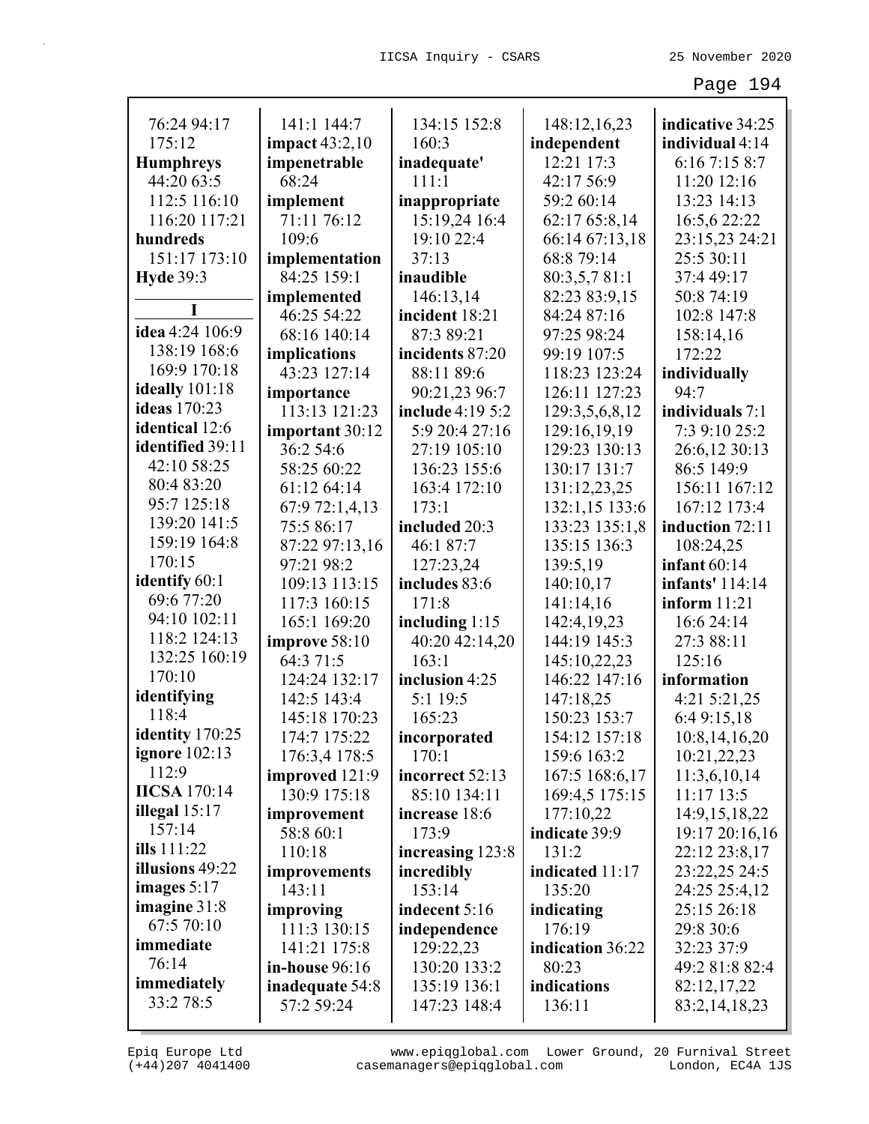| 76:24 94:17          | 141:1 144:7                    | 134:15 152:8            | 148:12,16,23                     | indicative 34:25           |
|----------------------|--------------------------------|-------------------------|----------------------------------|----------------------------|
| 175:12               | impact $43:2,10$               | 160:3                   | independent                      | individual 4:14            |
| <b>Humphreys</b>     | impenetrable                   | inadequate'             | 12:21 17:3                       | 6:167:158:7                |
| 44:20 63:5           | 68:24                          | 111:1                   | 42:17 56:9                       | 11:20 12:16                |
| 112:5 116:10         | implement                      | inappropriate           | 59:2 60:14                       | 13:23 14:13                |
| 116:20 117:21        | 71:11 76:12                    | 15:19,24 16:4           | 62:17 65:8,14                    | 16:5,6 22:22               |
| hundreds             | 109:6                          | 19:10 22:4              | 66:14 67:13,18                   | 23:15,23 24:21             |
| 151:17 173:10        | implementation                 | 37:13                   | 68:8 79:14                       | 25:5 30:11                 |
| <b>Hyde 39:3</b>     | 84:25 159:1                    | inaudible               | 80:3,5,7 81:1                    | 37:4 49:17                 |
|                      | implemented                    | 146:13,14               | 82:23 83:9,15                    | 50:8 74:19                 |
| idea 4:24 106:9      | 46:25 54:22                    | incident 18:21          | 84:24 87:16                      | 102:8 147:8                |
| 138:19 168:6         | 68:16 140:14                   | 87:3 89:21              | 97:25 98:24                      | 158:14,16                  |
| 169:9 170:18         | implications                   | incidents 87:20         | 99:19 107:5                      | 172:22                     |
| ideally 101:18       | 43:23 127:14                   | 88:11 89:6              | 118:23 123:24                    | individually               |
| <b>ideas</b> 170:23  | importance                     | 90:21,23 96:7           | 126:11 127:23                    | 94:7                       |
| identical 12:6       | 113:13 121:23                  | <b>include</b> 4:19 5:2 | 129:3,5,6,8,12                   | individuals 7:1            |
| identified 39:11     | important 30:12                | 5:9 20:4 27:16          | 129:16,19,19                     | 7:3 9:10 25:2              |
| 42:10 58:25          | 36:2 54:6                      | 27:19 105:10            | 129:23 130:13                    | 26:6,12 30:13              |
| 80:4 83:20           | 58:25 60:22                    | 136:23 155:6            | 130:17 131:7                     | 86:5 149:9                 |
| 95:7 125:18          | 61:12 64:14                    | 163:4 172:10            | 131:12,23,25                     | 156:11 167:12              |
| 139:20 141:5         | 67:9 72:1,4,13                 | 173:1                   | 132:1,15 133:6                   | 167:12 173:4               |
| 159:19 164:8         | 75:5 86:17                     | included 20:3           | 133:23 135:1,8                   | induction 72:11            |
| 170:15               | 87:22 97:13,16                 | 46:1 87:7               | 135:15 136:3                     | 108:24,25                  |
| identify 60:1        | 97:21 98:2                     | 127:23,24               | 139:5,19                         | infant $60:14$             |
| 69:6 77:20           | 109:13 113:15                  | includes 83:6           | 140:10,17                        | infants' 114:14            |
| 94:10 102:11         | 117:3 160:15                   | 171:8                   | 141:14,16                        | inform $11:21$             |
| 118:2 124:13         | 165:1 169:20                   | including 1:15          | 142:4,19,23<br>144:19 145:3      | 16:6 24:14                 |
| 132:25 160:19        | improve 58:10<br>64:3 71:5     | 40:20 42:14,20          |                                  | 27:3 88:11<br>125:16       |
| 170:10               |                                | 163:1                   | 145:10,22,23                     | information                |
| identifying          | 124:24 132:17                  | inclusion 4:25          | 146:22 147:16                    |                            |
| 118:4                | 142:5 143:4                    | 5:1 19:5<br>165:23      | 147:18,25                        | 4:21 5:21,25               |
| identity 170:25      | 145:18 170:23<br>174:7 175:22  |                         | 150:23 153:7<br>154:12 157:18    | 6:4 9:15,18                |
| <b>ignore</b> 102:13 |                                | incorporated<br>170:1   |                                  | 10:8,14,16,20              |
| 112:9                | 176:3,4 178:5                  | incorrect 52:13         | 159:6 163:2                      | 10:21,22,23                |
| <b>IICSA</b> 170:14  | improved 121:9<br>130:9 175:18 | 85:10 134:11            | 167:5 168:6,17<br>169:4,5 175:15 | 11:3,6,10,14<br>11:17 13:5 |
| illegal $15:17$      | improvement                    | increase 18:6           | 177:10,22                        | 14:9,15,18,22              |
| 157:14               | 58:8 60:1                      | 173:9                   | indicate 39:9                    | 19:17 20:16,16             |
| ills 111:22          | 110:18                         | increasing 123:8        | 131:2                            | 22:12 23:8,17              |
| illusions 49:22      |                                | incredibly              | indicated 11:17                  | 23:22,25 24:5              |
| images $5:17$        | improvements<br>143:11         | 153:14                  | 135:20                           | 24:25 25:4,12              |
| imagine $31:8$       | improving                      | indecent 5:16           | indicating                       | 25:15 26:18                |
| 67:5 70:10           | 111:3 130:15                   | independence            | 176:19                           | 29:8 30:6                  |
| immediate            | 141:21 175:8                   | 129:22,23               | indication 36:22                 | 32:23 37:9                 |
| 76:14                | in-house 96:16                 | 130:20 133:2            | 80:23                            | 49:2 81:8 82:4             |
| immediately          | inadequate 54:8                | 135:19 136:1            | indications                      | 82:12,17,22                |
| 33:2 78:5            | 57:2 59:24                     | 147:23 148:4            | 136:11                           | 83:2, 14, 18, 23           |
|                      |                                |                         |                                  |                            |

L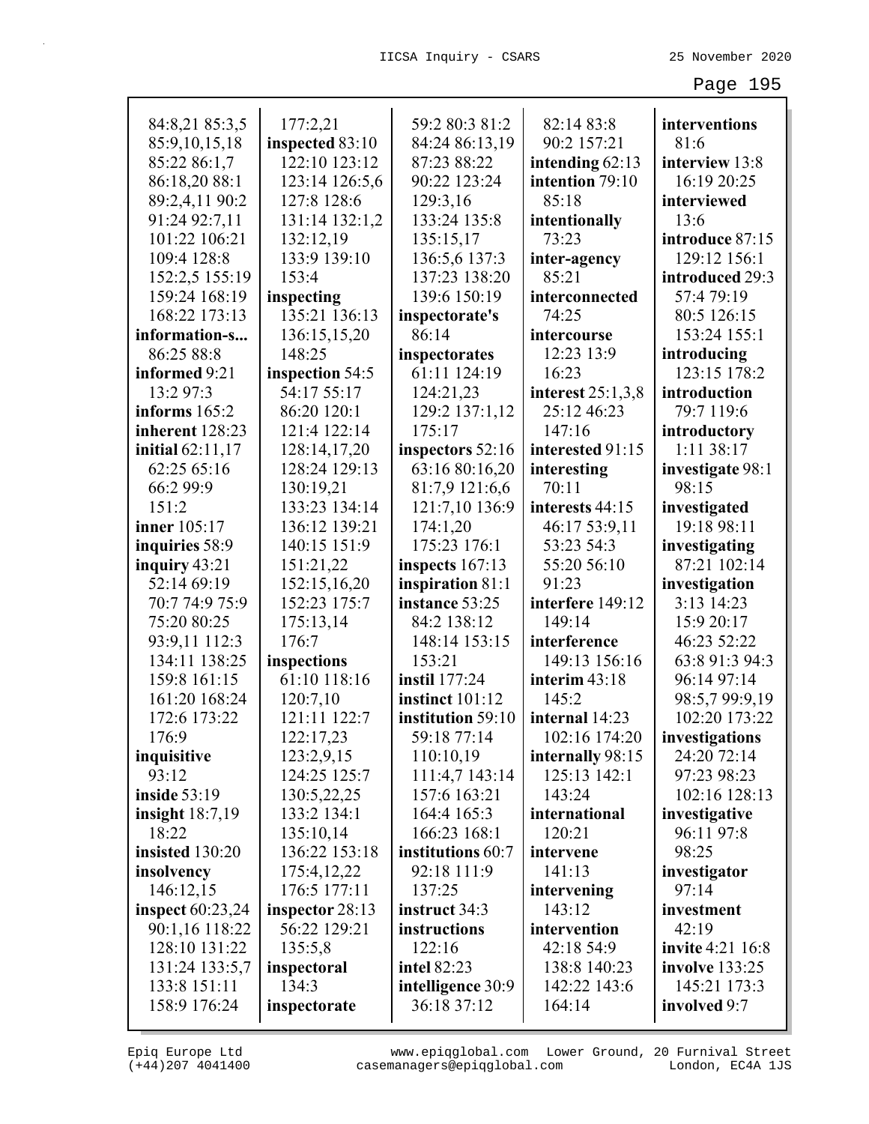| 84:8,21 85:3,5          | 177:2,21        | 59:2 80:3 81:2     | 82:14 83:8          | interventions           |
|-------------------------|-----------------|--------------------|---------------------|-------------------------|
| 85:9,10,15,18           | inspected 83:10 | 84:24 86:13,19     | 90:2 157:21         | 81:6                    |
| 85:22 86:1,7            | 122:10 123:12   | 87:23 88:22        | intending $62:13$   | interview 13:8          |
| 86:18,20 88:1           | 123:14 126:5,6  | 90:22 123:24       | intention 79:10     | 16:19 20:25             |
| 89:2,4,11 90:2          | 127:8 128:6     | 129:3,16           | 85:18               | interviewed             |
| 91:24 92:7,11           | 131:14 132:1,2  | 133:24 135:8       | intentionally       | 13:6                    |
| 101:22 106:21           | 132:12,19       | 135:15,17          | 73:23               | introduce 87:15         |
| 109:4 128:8             | 133:9 139:10    | 136:5,6 137:3      | inter-agency        | 129:12 156:1            |
| 152:2,5 155:19          | 153:4           | 137:23 138:20      | 85:21               | introduced 29:3         |
| 159:24 168:19           | inspecting      | 139:6 150:19       | interconnected      | 57:4 79:19              |
| 168:22 173:13           | 135:21 136:13   | inspectorate's     | 74:25               | 80:5 126:15             |
| information-s           | 136:15,15,20    | 86:14              | intercourse         | 153:24 155:1            |
| 86:25 88:8              | 148:25          | inspectorates      | 12:23 13:9          | introducing             |
| informed 9:21           | inspection 54:5 | 61:11 124:19       | 16:23               | 123:15 178:2            |
| 13:2 97:3               | 54:17 55:17     | 124:21,23          | interest $25:1,3,8$ | introduction            |
| informs $165:2$         | 86:20 120:1     | 129:2 137:1,12     | 25:12 46:23         | 79:7 119:6              |
| inherent 128:23         | 121:4 122:14    | 175:17             | 147:16              | introductory            |
| <b>initial</b> 62:11,17 | 128:14,17,20    | inspectors 52:16   | interested 91:15    | 1:11 38:17              |
| 62:25 65:16             | 128:24 129:13   | 63:16 80:16,20     | interesting         | investigate 98:1        |
| 66:2 99:9               | 130:19,21       | 81:7,9 121:6,6     | 70:11               | 98:15                   |
| 151:2                   | 133:23 134:14   | 121:7,10 136:9     | interests 44:15     | investigated            |
| <b>inner</b> 105:17     | 136:12 139:21   | 174:1,20           | 46:17 53:9,11       | 19:18 98:11             |
| inquiries 58:9          | 140:15 151:9    | 175:23 176:1       | 53:23 54:3          | investigating           |
| inquiry $43:21$         | 151:21,22       | inspects $167:13$  | 55:20 56:10         | 87:21 102:14            |
| 52:14 69:19             | 152:15,16,20    | inspiration 81:1   | 91:23               | investigation           |
| 70:7 74:9 75:9          | 152:23 175:7    | instance 53:25     | interfere 149:12    | 3:13 14:23              |
| 75:20 80:25             | 175:13,14       | 84:2 138:12        | 149:14              | 15:9 20:17              |
| 93:9,11 112:3           | 176:7           | 148:14 153:15      | interference        | 46:23 52:22             |
| 134:11 138:25           | inspections     | 153:21             | 149:13 156:16       | 63:8 91:3 94:3          |
| 159:8 161:15            | 61:10 118:16    | instil 177:24      | interim 43:18       | 96:14 97:14             |
| 161:20 168:24           | 120:7,10        | instinct 101:12    | 145:2               | 98:5,7 99:9,19          |
| 172:6 173:22            | 121:11 122:7    | institution 59:10  | internal 14:23      | 102:20 173:22           |
| 176:9                   | 122:17,23       | 59:18 77:14        | 102:16 174:20       | investigations          |
| inquisitive             | 123:2,9,15      | 110:10,19          | internally 98:15    | 24:20 72:14             |
| 93:12                   | 124:25 125:7    | 111:4,7 143:14     | 125:13 142:1        | 97:23 98:23             |
| inside $53:19$          | 130:5,22,25     | 157:6 163:21       | 143:24              | 102:16 128:13           |
| insight $18:7,19$       | 133:2 134:1     | 164:4 165:3        | international       | investigative           |
| 18:22                   | 135:10,14       | 166:23 168:1       | 120:21              | 96:11 97:8              |
| insisted 130:20         | 136:22 153:18   | institutions 60:7  | intervene           | 98:25                   |
| insolvency              | 175:4,12,22     | 92:18 111:9        | 141:13              | investigator            |
| 146:12,15               | 176:5 177:11    | 137:25             | intervening         | 97:14                   |
| <b>inspect</b> 60:23,24 | inspector 28:13 | instruct 34:3      | 143:12              | investment              |
| 90:1,16 118:22          | 56:22 129:21    | instructions       | intervention        | 42:19                   |
| 128:10 131:22           | 135:5,8         | 122:16             | 42:18 54:9          | <b>invite</b> 4:21 16:8 |
| 131:24 133:5,7          | inspectoral     | <b>intel 82:23</b> | 138:8 140:23        | <b>involve</b> 133:25   |
| 133:8 151:11            | 134:3           | intelligence 30:9  | 142:22 143:6        | 145:21 173:3            |
| 158:9 176:24            | inspectorate    | 36:18 37:12        | 164:14              | involved 9:7            |
|                         |                 |                    |                     |                         |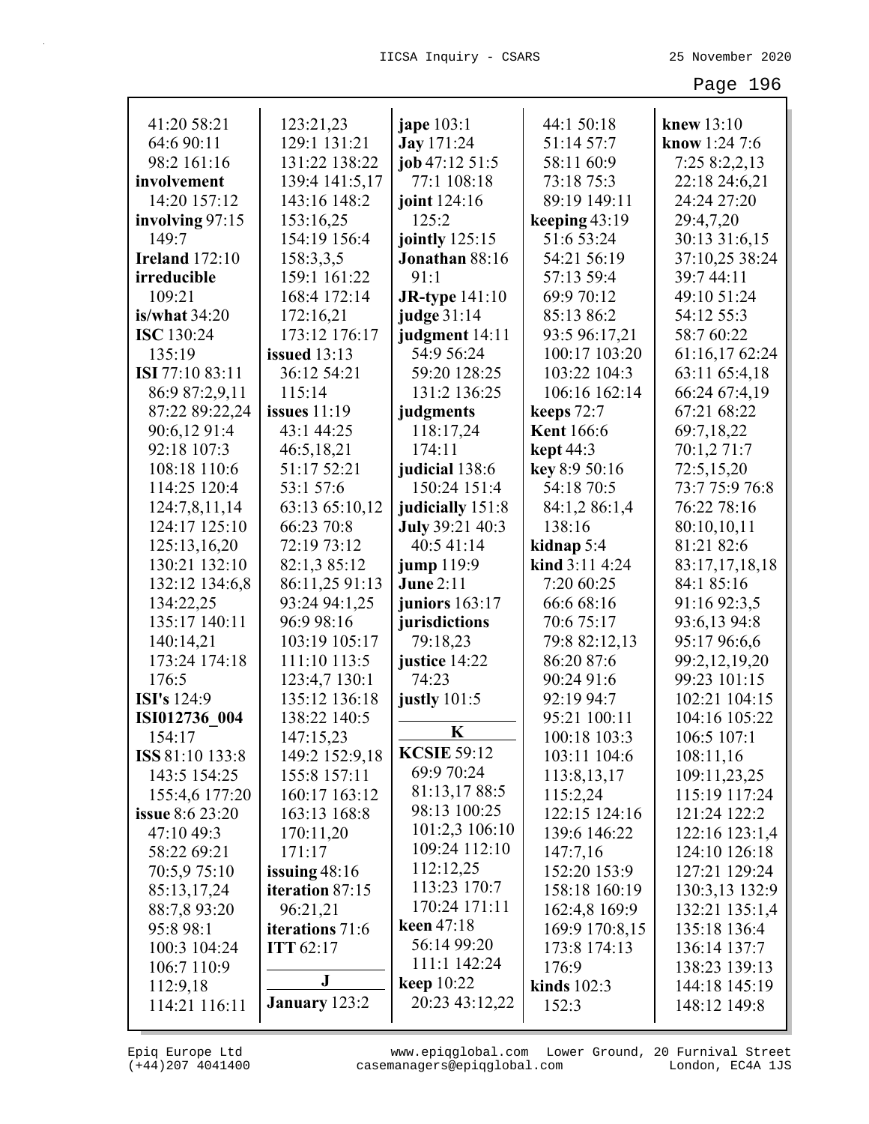| 41:20 58:21            | 123:21,23           | <b>jape</b> 103:1     | 44:1 50:18        | knew 13:10     |
|------------------------|---------------------|-----------------------|-------------------|----------------|
| 64:6 90:11             | 129:1 131:21        | <b>Jay</b> 171:24     | 51:14 57:7        | know 1:24 7:6  |
| 98:2 161:16            | 131:22 138:22       | job 47:12 51:5        | 58:11 60:9        | 7:25 8:2,2,13  |
| involvement            | 139:4 141:5,17      | 77:1 108:18           | 73:18 75:3        | 22:18 24:6,21  |
| 14:20 157:12           | 143:16 148:2        | joint 124:16          | 89:19 149:11      | 24:24 27:20    |
| involving 97:15        | 153:16,25           | 125:2                 | keeping $43:19$   | 29:4,7,20      |
| 149:7                  | 154:19 156:4        | jointly $125:15$      | 51:6 53:24        | 30:13 31:6,15  |
| <b>Ireland</b> 172:10  | 158:3,3,5           | Jonathan 88:16        | 54:21 56:19       | 37:10,25 38:24 |
| irreducible            | 159:1 161:22        | 91:1                  | 57:13 59:4        | 39:7 44:11     |
| 109:21                 | 168:4 172:14        | <b>JR-type</b> 141:10 | 69:9 70:12        | 49:10 51:24    |
| is/what $34:20$        | 172:16,21           | judge 31:14           | 85:13 86:2        | 54:12 55:3     |
| <b>ISC</b> 130:24      | 173:12 176:17       | judgment 14:11        | 93:5 96:17,21     | 58:7 60:22     |
| 135:19                 | <b>issued</b> 13:13 | 54:9 56:24            | 100:17 103:20     | 61:16,17 62:24 |
| ISI 77:10 83:11        | 36:12 54:21         | 59:20 128:25          | 103:22 104:3      | 63:11 65:4,18  |
| 86:9 87:2,9,11         | 115:14              | 131:2 136:25          | 106:16 162:14     | 66:24 67:4,19  |
| 87:22 89:22,24         | issues $11:19$      | judgments             | keeps 72:7        | 67:21 68:22    |
| 90:6,12 91:4           | 43:1 44:25          | 118:17,24             | <b>Kent</b> 166:6 | 69:7,18,22     |
| 92:18 107:3            | 46:5,18,21          | 174:11                | <b>kept</b> 44:3  | 70:1,2 71:7    |
| 108:18 110:6           | 51:17 52:21         | judicial 138:6        | key 8:9 50:16     | 72:5,15,20     |
| 114:25 120:4           | 53:1 57:6           | 150:24 151:4          | 54:18 70:5        | 73:7 75:9 76:8 |
| 124:7,8,11,14          | 63:13 65:10,12      | judicially 151:8      | 84:1,2 86:1,4     | 76:22 78:16    |
| 124:17 125:10          | 66:23 70:8          | July 39:21 40:3       | 138:16            | 80:10,10,11    |
| 125:13,16,20           | 72:19 73:12         | 40:5 41:14            | kidnap 5:4        | 81:21 82:6     |
| 130:21 132:10          | 82:1,3 85:12        | jump 119:9            | kind 3:11 4:24    | 83:17,17,18,18 |
| 132:12 134:6,8         | 86:11,25 91:13      | <b>June 2:11</b>      | 7:20 60:25        | 84:1 85:16     |
| 134:22,25              | 93:24 94:1,25       | juniors 163:17        | 66:6 68:16        | 91:16 92:3,5   |
| 135:17 140:11          | 96:9 98:16          | jurisdictions         | 70:6 75:17        | 93:6,13 94:8   |
| 140:14,21              | 103:19 105:17       | 79:18,23              | 79:8 82:12,13     | 95:17 96:6,6   |
| 173:24 174:18          | 111:10 113:5        | justice 14:22         | 86:20 87:6        | 99:2,12,19,20  |
| 176:5                  | 123:4,7 130:1       | 74:23                 | 90:24 91:6        | 99:23 101:15   |
| <b>ISI's</b> 124:9     | 135:12 136:18       | justly 101:5          | 92:19 94:7        | 102:21 104:15  |
| ISI012736 004          | 138:22 140:5        |                       | 95:21 100:11      | 104:16 105:22  |
| 154:17                 | 147:15,23           | $\mathbf K$           | 100:18 103:3      | 106:5 107:1    |
| ISS 81:10 133:8        | 149:2 152:9,18      | <b>KCSIE 59:12</b>    | 103:11 104:6      | 108:11,16      |
| 143:5 154:25           | 155:8 157:11        | 69:9 70:24            | 113:8, 13, 17     | 109:11,23,25   |
| 155:4,6 177:20         | 160:17 163:12       | 81:13,1788:5          | 115:2,24          | 115:19 117:24  |
| <b>issue</b> 8:6 23:20 | 163:13 168:8        | 98:13 100:25          | 122:15 124:16     | 121:24 122:2   |
| 47:10 49:3             | 170:11,20           | 101:2,3 106:10        | 139:6 146:22      | 122:16 123:1,4 |
| 58:22 69:21            | 171:17              | 109:24 112:10         | 147:7,16          | 124:10 126:18  |
| 70:5,9 75:10           | issuing $48:16$     | 112:12,25             | 152:20 153:9      | 127:21 129:24  |
| 85:13,17,24            | iteration 87:15     | 113:23 170:7          | 158:18 160:19     | 130:3,13 132:9 |
| 88:7,8 93:20           | 96:21,21            | 170:24 171:11         | 162:4,8 169:9     | 132:21 135:1,4 |
| 95:8 98:1              | iterations 71:6     | keen $47:18$          | 169:9 170:8,15    | 135:18 136:4   |
| 100:3 104:24           | <b>ITT</b> 62:17    | 56:14 99:20           | 173:8 174:13      | 136:14 137:7   |
| 106:7 110:9            |                     | 111:1 142:24          | 176:9             | 138:23 139:13  |
| 112:9,18               | J                   | <b>keep</b> 10:22     | kinds $102:3$     | 144:18 145:19  |
| 114:21 116:11          | January 123:2       | 20:23 43:12,22        | 152:3             | 148:12 149:8   |
|                        |                     |                       |                   |                |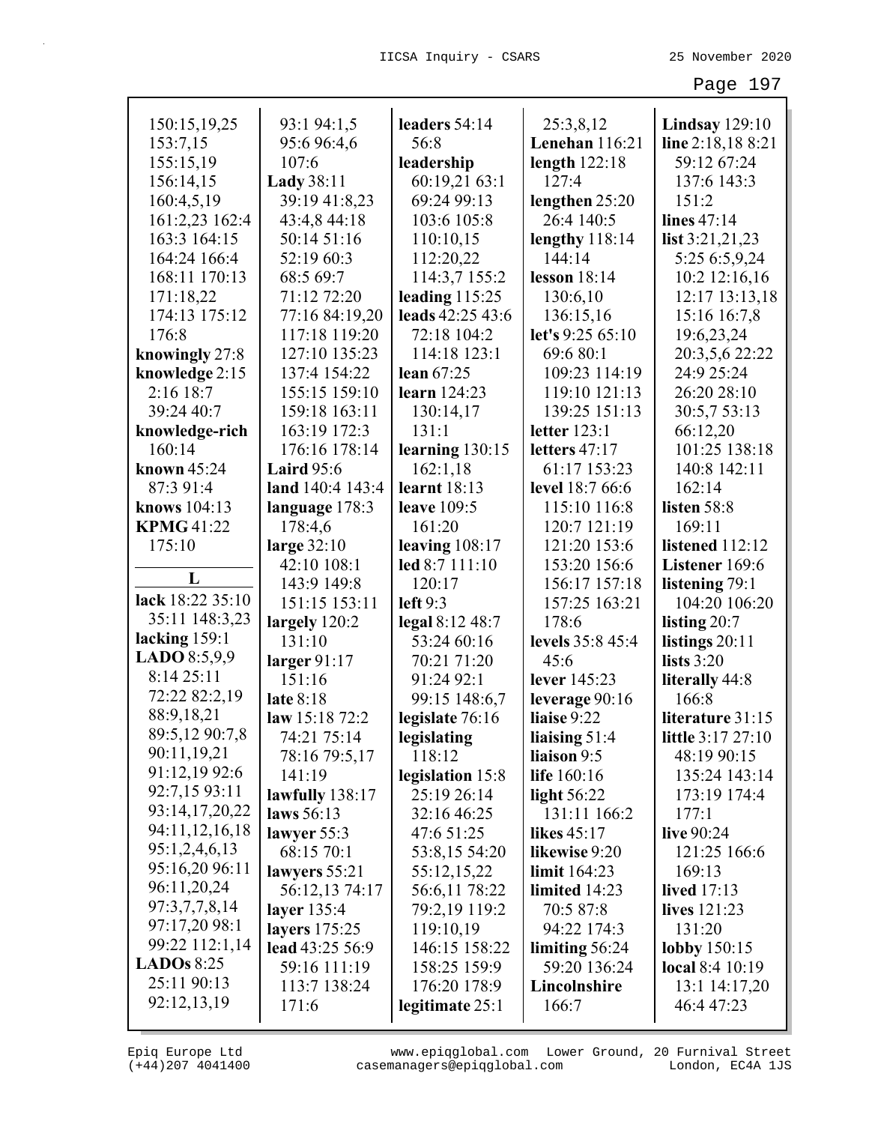| Lenehan 116:21<br>153:7,15<br>95:6 96:4,6<br>line 2:18,18 8:21<br>56:8<br>155:15,19<br>107:6<br>length $122:18$<br>59:12 67:24<br>leadership<br>156:14,15<br><b>Lady</b> 38:11<br>60:19,21 63:1<br>127:4<br>137:6 143:3<br>160:4,5,19<br>39:19 41:8,23<br>69:24 99:13<br>lengthen 25:20<br>151:2<br>161:2,23 162:4<br>43:4,8 44:18<br>103:6 105:8<br>26:4 140:5<br>lines 47:14<br>163:3 164:15<br>50:14 51:16<br>110:10,15<br>lengthy 118:14<br>list $3:21,21,23$<br>144:14<br>164:24 166:4<br>52:19 60:3<br>112:20,22<br>5:25 6:5,9,24<br>114:3,7 155:2<br>168:11 170:13<br>68:5 69:7<br>lesson $18:14$<br>10:2 12:16,16<br>leading $115:25$<br>71:12 72:20<br>12:17 13:13,18<br>171:18,22<br>130:6,10<br>leads 42:25 43:6<br>174:13 175:12<br>77:16 84:19,20<br>136:15,16<br>15:16 16:7,8<br>let's 9:25 65:10<br>176:8<br>117:18 119:20<br>72:18 104:2<br>19:6,23,24<br>knowingly 27:8<br>127:10 135:23<br>114:18 123:1<br>69:6 80:1<br>20:3,5,6 22:22<br>knowledge 2:15<br>137:4 154:22<br>24:9 25:24<br>lean $67:25$<br>109:23 114:19<br>2:16 18:7<br>155:15 159:10<br>119:10 121:13<br>26:20 28:10<br>learn $124:23$<br>139:25 151:13<br>39:24 40:7<br>159:18 163:11<br>30:5,7 53:13<br>130:14,17<br>letter 123:1<br>163:19 172:3<br>131:1<br>66:12,20<br>knowledge-rich<br>101:25 138:18<br>176:16 178:14<br>learning $130:15$<br>160:14<br>letters $47:17$<br>162:1,18<br>61:17 153:23<br>140:8 142:11<br>known $45:24$<br><b>Laird</b> $95:6$<br>87:3 91:4<br>land 140:4 143:4<br>learnt $18:13$<br>level 18:7 66:6<br>162:14<br>knows 104:13<br>listen 58:8<br>language 178:3<br><b>leave</b> 109:5<br>115:10 116:8<br><b>KPMG 41:22</b><br>178:4,6<br>161:20<br>120:7 121:19<br>169:11<br>large 32:10<br>175:10<br>leaving $108:17$<br>121:20 153:6<br>listened 112:12<br>42:10 108:1<br>led 8:7 111:10<br>153:20 156:6<br>Listener 169:6<br>L<br>143:9 149:8<br>120:17<br>156:17 157:18<br>listening 79:1<br>lack 18:22 35:10<br>151:15 153:11<br>left $9:3$<br>157:25 163:21<br>104:20 106:20<br>35:11 148:3,23<br>legal 8:12 48:7<br>largely 120:2<br>178:6<br>listing $20:7$<br>lacking $159:1$<br>53:24 60:16<br>131:10<br>levels 35:8 45:4<br>listings $20:11$<br>LADO 8:5,9,9<br>larger $91:17$<br>70:21 71:20<br>lists $3:20$<br>45:6<br>8:14 25:11<br>151:16<br>91:24 92:1<br>lever 145:23<br>literally 44:8<br>72:22 82:2,19<br>late 8:18<br>99:15 148:6,7<br>leverage $90:16$<br>166:8<br>88:9,18,21<br>liaise 9:22<br>law $15:1872:2$<br>legislate 76:16<br>literature 31:15<br>89:5,12 90:7,8<br>74:21 75:14<br>liaising 51:4<br>little 3:17 27:10<br>legislating<br>90:11,19,21<br>liaison 9:5<br>78:16 79:5,17<br>118:12<br>48:19 90:15<br>91:12,19 92:6<br>141:19<br>life 160:16<br>legislation 15:8<br>135:24 143:14<br>92:7,15 93:11<br>25:19 26:14<br>lawfully $138:17$<br>light $56:22$<br>173:19 174:4<br>93:14,17,20,22<br>laws 56:13<br>131:11 166:2<br>32:16 46:25<br>177:1<br>94:11,12,16,18<br>lawyer $55:3$<br>47:6 51:25<br><b>likes</b> 45:17<br>live 90:24<br>95:1,2,4,6,13<br>68:15 70:1<br>53:8,15 54:20<br>121:25 166:6<br>likewise 9:20<br>95:16,20 96:11<br>lawyers 55:21<br>55:12,15,22<br>limit $164:23$<br>169:13<br>96:11,20,24<br>56:12,13 74:17<br>56:6,11 78:22<br>limited 14:23<br><b>lived</b> 17:13<br>97:3,7,7,8,14<br>layer 135:4<br>79:2,19 119:2<br>70:5 87:8<br>lives 121:23<br>97:17,20 98:1<br>layers 175:25<br>119:10,19<br>94:22 174:3<br>131:20<br>99:22 112:1,14<br>lead 43:25 56:9<br>146:15 158:22<br>limiting 56:24<br>lobby 150:15<br><b>LADOs</b> $8:25$<br>59:16 111:19<br>59:20 136:24<br>158:25 159:9<br><b>local</b> 8:4 10:19<br>25:11 90:13<br>113:7 138:24<br>Lincolnshire<br>13:1 14:17,20<br>176:20 178:9<br>92:12,13,19<br>171:6<br>legitimate 25:1<br>166:7<br>46:4 47:23 |              |             |               |           |                       |
|-------------------------------------------------------------------------------------------------------------------------------------------------------------------------------------------------------------------------------------------------------------------------------------------------------------------------------------------------------------------------------------------------------------------------------------------------------------------------------------------------------------------------------------------------------------------------------------------------------------------------------------------------------------------------------------------------------------------------------------------------------------------------------------------------------------------------------------------------------------------------------------------------------------------------------------------------------------------------------------------------------------------------------------------------------------------------------------------------------------------------------------------------------------------------------------------------------------------------------------------------------------------------------------------------------------------------------------------------------------------------------------------------------------------------------------------------------------------------------------------------------------------------------------------------------------------------------------------------------------------------------------------------------------------------------------------------------------------------------------------------------------------------------------------------------------------------------------------------------------------------------------------------------------------------------------------------------------------------------------------------------------------------------------------------------------------------------------------------------------------------------------------------------------------------------------------------------------------------------------------------------------------------------------------------------------------------------------------------------------------------------------------------------------------------------------------------------------------------------------------------------------------------------------------------------------------------------------------------------------------------------------------------------------------------------------------------------------------------------------------------------------------------------------------------------------------------------------------------------------------------------------------------------------------------------------------------------------------------------------------------------------------------------------------------------------------------------------------------------------------------------------------------------------------------------------------------------------------------------------------------------------------------------------------------------------------------------------------------------------------------------------------------------------------------------------------------------------------------------------------------------------------------------------------------------------------------------------------------------------------------------------------------------------------------------------------------------------------------------------------------------------|--------------|-------------|---------------|-----------|-----------------------|
|                                                                                                                                                                                                                                                                                                                                                                                                                                                                                                                                                                                                                                                                                                                                                                                                                                                                                                                                                                                                                                                                                                                                                                                                                                                                                                                                                                                                                                                                                                                                                                                                                                                                                                                                                                                                                                                                                                                                                                                                                                                                                                                                                                                                                                                                                                                                                                                                                                                                                                                                                                                                                                                                                                                                                                                                                                                                                                                                                                                                                                                                                                                                                                                                                                                                                                                                                                                                                                                                                                                                                                                                                                                                                                                                                             | 150:15,19,25 | 93:1 94:1,5 | leaders 54:14 | 25:3,8,12 | <b>Lindsay</b> 129:10 |
|                                                                                                                                                                                                                                                                                                                                                                                                                                                                                                                                                                                                                                                                                                                                                                                                                                                                                                                                                                                                                                                                                                                                                                                                                                                                                                                                                                                                                                                                                                                                                                                                                                                                                                                                                                                                                                                                                                                                                                                                                                                                                                                                                                                                                                                                                                                                                                                                                                                                                                                                                                                                                                                                                                                                                                                                                                                                                                                                                                                                                                                                                                                                                                                                                                                                                                                                                                                                                                                                                                                                                                                                                                                                                                                                                             |              |             |               |           |                       |
|                                                                                                                                                                                                                                                                                                                                                                                                                                                                                                                                                                                                                                                                                                                                                                                                                                                                                                                                                                                                                                                                                                                                                                                                                                                                                                                                                                                                                                                                                                                                                                                                                                                                                                                                                                                                                                                                                                                                                                                                                                                                                                                                                                                                                                                                                                                                                                                                                                                                                                                                                                                                                                                                                                                                                                                                                                                                                                                                                                                                                                                                                                                                                                                                                                                                                                                                                                                                                                                                                                                                                                                                                                                                                                                                                             |              |             |               |           |                       |
|                                                                                                                                                                                                                                                                                                                                                                                                                                                                                                                                                                                                                                                                                                                                                                                                                                                                                                                                                                                                                                                                                                                                                                                                                                                                                                                                                                                                                                                                                                                                                                                                                                                                                                                                                                                                                                                                                                                                                                                                                                                                                                                                                                                                                                                                                                                                                                                                                                                                                                                                                                                                                                                                                                                                                                                                                                                                                                                                                                                                                                                                                                                                                                                                                                                                                                                                                                                                                                                                                                                                                                                                                                                                                                                                                             |              |             |               |           |                       |
|                                                                                                                                                                                                                                                                                                                                                                                                                                                                                                                                                                                                                                                                                                                                                                                                                                                                                                                                                                                                                                                                                                                                                                                                                                                                                                                                                                                                                                                                                                                                                                                                                                                                                                                                                                                                                                                                                                                                                                                                                                                                                                                                                                                                                                                                                                                                                                                                                                                                                                                                                                                                                                                                                                                                                                                                                                                                                                                                                                                                                                                                                                                                                                                                                                                                                                                                                                                                                                                                                                                                                                                                                                                                                                                                                             |              |             |               |           |                       |
|                                                                                                                                                                                                                                                                                                                                                                                                                                                                                                                                                                                                                                                                                                                                                                                                                                                                                                                                                                                                                                                                                                                                                                                                                                                                                                                                                                                                                                                                                                                                                                                                                                                                                                                                                                                                                                                                                                                                                                                                                                                                                                                                                                                                                                                                                                                                                                                                                                                                                                                                                                                                                                                                                                                                                                                                                                                                                                                                                                                                                                                                                                                                                                                                                                                                                                                                                                                                                                                                                                                                                                                                                                                                                                                                                             |              |             |               |           |                       |
|                                                                                                                                                                                                                                                                                                                                                                                                                                                                                                                                                                                                                                                                                                                                                                                                                                                                                                                                                                                                                                                                                                                                                                                                                                                                                                                                                                                                                                                                                                                                                                                                                                                                                                                                                                                                                                                                                                                                                                                                                                                                                                                                                                                                                                                                                                                                                                                                                                                                                                                                                                                                                                                                                                                                                                                                                                                                                                                                                                                                                                                                                                                                                                                                                                                                                                                                                                                                                                                                                                                                                                                                                                                                                                                                                             |              |             |               |           |                       |
|                                                                                                                                                                                                                                                                                                                                                                                                                                                                                                                                                                                                                                                                                                                                                                                                                                                                                                                                                                                                                                                                                                                                                                                                                                                                                                                                                                                                                                                                                                                                                                                                                                                                                                                                                                                                                                                                                                                                                                                                                                                                                                                                                                                                                                                                                                                                                                                                                                                                                                                                                                                                                                                                                                                                                                                                                                                                                                                                                                                                                                                                                                                                                                                                                                                                                                                                                                                                                                                                                                                                                                                                                                                                                                                                                             |              |             |               |           |                       |
|                                                                                                                                                                                                                                                                                                                                                                                                                                                                                                                                                                                                                                                                                                                                                                                                                                                                                                                                                                                                                                                                                                                                                                                                                                                                                                                                                                                                                                                                                                                                                                                                                                                                                                                                                                                                                                                                                                                                                                                                                                                                                                                                                                                                                                                                                                                                                                                                                                                                                                                                                                                                                                                                                                                                                                                                                                                                                                                                                                                                                                                                                                                                                                                                                                                                                                                                                                                                                                                                                                                                                                                                                                                                                                                                                             |              |             |               |           |                       |
|                                                                                                                                                                                                                                                                                                                                                                                                                                                                                                                                                                                                                                                                                                                                                                                                                                                                                                                                                                                                                                                                                                                                                                                                                                                                                                                                                                                                                                                                                                                                                                                                                                                                                                                                                                                                                                                                                                                                                                                                                                                                                                                                                                                                                                                                                                                                                                                                                                                                                                                                                                                                                                                                                                                                                                                                                                                                                                                                                                                                                                                                                                                                                                                                                                                                                                                                                                                                                                                                                                                                                                                                                                                                                                                                                             |              |             |               |           |                       |
|                                                                                                                                                                                                                                                                                                                                                                                                                                                                                                                                                                                                                                                                                                                                                                                                                                                                                                                                                                                                                                                                                                                                                                                                                                                                                                                                                                                                                                                                                                                                                                                                                                                                                                                                                                                                                                                                                                                                                                                                                                                                                                                                                                                                                                                                                                                                                                                                                                                                                                                                                                                                                                                                                                                                                                                                                                                                                                                                                                                                                                                                                                                                                                                                                                                                                                                                                                                                                                                                                                                                                                                                                                                                                                                                                             |              |             |               |           |                       |
|                                                                                                                                                                                                                                                                                                                                                                                                                                                                                                                                                                                                                                                                                                                                                                                                                                                                                                                                                                                                                                                                                                                                                                                                                                                                                                                                                                                                                                                                                                                                                                                                                                                                                                                                                                                                                                                                                                                                                                                                                                                                                                                                                                                                                                                                                                                                                                                                                                                                                                                                                                                                                                                                                                                                                                                                                                                                                                                                                                                                                                                                                                                                                                                                                                                                                                                                                                                                                                                                                                                                                                                                                                                                                                                                                             |              |             |               |           |                       |
|                                                                                                                                                                                                                                                                                                                                                                                                                                                                                                                                                                                                                                                                                                                                                                                                                                                                                                                                                                                                                                                                                                                                                                                                                                                                                                                                                                                                                                                                                                                                                                                                                                                                                                                                                                                                                                                                                                                                                                                                                                                                                                                                                                                                                                                                                                                                                                                                                                                                                                                                                                                                                                                                                                                                                                                                                                                                                                                                                                                                                                                                                                                                                                                                                                                                                                                                                                                                                                                                                                                                                                                                                                                                                                                                                             |              |             |               |           |                       |
|                                                                                                                                                                                                                                                                                                                                                                                                                                                                                                                                                                                                                                                                                                                                                                                                                                                                                                                                                                                                                                                                                                                                                                                                                                                                                                                                                                                                                                                                                                                                                                                                                                                                                                                                                                                                                                                                                                                                                                                                                                                                                                                                                                                                                                                                                                                                                                                                                                                                                                                                                                                                                                                                                                                                                                                                                                                                                                                                                                                                                                                                                                                                                                                                                                                                                                                                                                                                                                                                                                                                                                                                                                                                                                                                                             |              |             |               |           |                       |
|                                                                                                                                                                                                                                                                                                                                                                                                                                                                                                                                                                                                                                                                                                                                                                                                                                                                                                                                                                                                                                                                                                                                                                                                                                                                                                                                                                                                                                                                                                                                                                                                                                                                                                                                                                                                                                                                                                                                                                                                                                                                                                                                                                                                                                                                                                                                                                                                                                                                                                                                                                                                                                                                                                                                                                                                                                                                                                                                                                                                                                                                                                                                                                                                                                                                                                                                                                                                                                                                                                                                                                                                                                                                                                                                                             |              |             |               |           |                       |
|                                                                                                                                                                                                                                                                                                                                                                                                                                                                                                                                                                                                                                                                                                                                                                                                                                                                                                                                                                                                                                                                                                                                                                                                                                                                                                                                                                                                                                                                                                                                                                                                                                                                                                                                                                                                                                                                                                                                                                                                                                                                                                                                                                                                                                                                                                                                                                                                                                                                                                                                                                                                                                                                                                                                                                                                                                                                                                                                                                                                                                                                                                                                                                                                                                                                                                                                                                                                                                                                                                                                                                                                                                                                                                                                                             |              |             |               |           |                       |
|                                                                                                                                                                                                                                                                                                                                                                                                                                                                                                                                                                                                                                                                                                                                                                                                                                                                                                                                                                                                                                                                                                                                                                                                                                                                                                                                                                                                                                                                                                                                                                                                                                                                                                                                                                                                                                                                                                                                                                                                                                                                                                                                                                                                                                                                                                                                                                                                                                                                                                                                                                                                                                                                                                                                                                                                                                                                                                                                                                                                                                                                                                                                                                                                                                                                                                                                                                                                                                                                                                                                                                                                                                                                                                                                                             |              |             |               |           |                       |
|                                                                                                                                                                                                                                                                                                                                                                                                                                                                                                                                                                                                                                                                                                                                                                                                                                                                                                                                                                                                                                                                                                                                                                                                                                                                                                                                                                                                                                                                                                                                                                                                                                                                                                                                                                                                                                                                                                                                                                                                                                                                                                                                                                                                                                                                                                                                                                                                                                                                                                                                                                                                                                                                                                                                                                                                                                                                                                                                                                                                                                                                                                                                                                                                                                                                                                                                                                                                                                                                                                                                                                                                                                                                                                                                                             |              |             |               |           |                       |
|                                                                                                                                                                                                                                                                                                                                                                                                                                                                                                                                                                                                                                                                                                                                                                                                                                                                                                                                                                                                                                                                                                                                                                                                                                                                                                                                                                                                                                                                                                                                                                                                                                                                                                                                                                                                                                                                                                                                                                                                                                                                                                                                                                                                                                                                                                                                                                                                                                                                                                                                                                                                                                                                                                                                                                                                                                                                                                                                                                                                                                                                                                                                                                                                                                                                                                                                                                                                                                                                                                                                                                                                                                                                                                                                                             |              |             |               |           |                       |
|                                                                                                                                                                                                                                                                                                                                                                                                                                                                                                                                                                                                                                                                                                                                                                                                                                                                                                                                                                                                                                                                                                                                                                                                                                                                                                                                                                                                                                                                                                                                                                                                                                                                                                                                                                                                                                                                                                                                                                                                                                                                                                                                                                                                                                                                                                                                                                                                                                                                                                                                                                                                                                                                                                                                                                                                                                                                                                                                                                                                                                                                                                                                                                                                                                                                                                                                                                                                                                                                                                                                                                                                                                                                                                                                                             |              |             |               |           |                       |
|                                                                                                                                                                                                                                                                                                                                                                                                                                                                                                                                                                                                                                                                                                                                                                                                                                                                                                                                                                                                                                                                                                                                                                                                                                                                                                                                                                                                                                                                                                                                                                                                                                                                                                                                                                                                                                                                                                                                                                                                                                                                                                                                                                                                                                                                                                                                                                                                                                                                                                                                                                                                                                                                                                                                                                                                                                                                                                                                                                                                                                                                                                                                                                                                                                                                                                                                                                                                                                                                                                                                                                                                                                                                                                                                                             |              |             |               |           |                       |
|                                                                                                                                                                                                                                                                                                                                                                                                                                                                                                                                                                                                                                                                                                                                                                                                                                                                                                                                                                                                                                                                                                                                                                                                                                                                                                                                                                                                                                                                                                                                                                                                                                                                                                                                                                                                                                                                                                                                                                                                                                                                                                                                                                                                                                                                                                                                                                                                                                                                                                                                                                                                                                                                                                                                                                                                                                                                                                                                                                                                                                                                                                                                                                                                                                                                                                                                                                                                                                                                                                                                                                                                                                                                                                                                                             |              |             |               |           |                       |
|                                                                                                                                                                                                                                                                                                                                                                                                                                                                                                                                                                                                                                                                                                                                                                                                                                                                                                                                                                                                                                                                                                                                                                                                                                                                                                                                                                                                                                                                                                                                                                                                                                                                                                                                                                                                                                                                                                                                                                                                                                                                                                                                                                                                                                                                                                                                                                                                                                                                                                                                                                                                                                                                                                                                                                                                                                                                                                                                                                                                                                                                                                                                                                                                                                                                                                                                                                                                                                                                                                                                                                                                                                                                                                                                                             |              |             |               |           |                       |
|                                                                                                                                                                                                                                                                                                                                                                                                                                                                                                                                                                                                                                                                                                                                                                                                                                                                                                                                                                                                                                                                                                                                                                                                                                                                                                                                                                                                                                                                                                                                                                                                                                                                                                                                                                                                                                                                                                                                                                                                                                                                                                                                                                                                                                                                                                                                                                                                                                                                                                                                                                                                                                                                                                                                                                                                                                                                                                                                                                                                                                                                                                                                                                                                                                                                                                                                                                                                                                                                                                                                                                                                                                                                                                                                                             |              |             |               |           |                       |
|                                                                                                                                                                                                                                                                                                                                                                                                                                                                                                                                                                                                                                                                                                                                                                                                                                                                                                                                                                                                                                                                                                                                                                                                                                                                                                                                                                                                                                                                                                                                                                                                                                                                                                                                                                                                                                                                                                                                                                                                                                                                                                                                                                                                                                                                                                                                                                                                                                                                                                                                                                                                                                                                                                                                                                                                                                                                                                                                                                                                                                                                                                                                                                                                                                                                                                                                                                                                                                                                                                                                                                                                                                                                                                                                                             |              |             |               |           |                       |
|                                                                                                                                                                                                                                                                                                                                                                                                                                                                                                                                                                                                                                                                                                                                                                                                                                                                                                                                                                                                                                                                                                                                                                                                                                                                                                                                                                                                                                                                                                                                                                                                                                                                                                                                                                                                                                                                                                                                                                                                                                                                                                                                                                                                                                                                                                                                                                                                                                                                                                                                                                                                                                                                                                                                                                                                                                                                                                                                                                                                                                                                                                                                                                                                                                                                                                                                                                                                                                                                                                                                                                                                                                                                                                                                                             |              |             |               |           |                       |
|                                                                                                                                                                                                                                                                                                                                                                                                                                                                                                                                                                                                                                                                                                                                                                                                                                                                                                                                                                                                                                                                                                                                                                                                                                                                                                                                                                                                                                                                                                                                                                                                                                                                                                                                                                                                                                                                                                                                                                                                                                                                                                                                                                                                                                                                                                                                                                                                                                                                                                                                                                                                                                                                                                                                                                                                                                                                                                                                                                                                                                                                                                                                                                                                                                                                                                                                                                                                                                                                                                                                                                                                                                                                                                                                                             |              |             |               |           |                       |
|                                                                                                                                                                                                                                                                                                                                                                                                                                                                                                                                                                                                                                                                                                                                                                                                                                                                                                                                                                                                                                                                                                                                                                                                                                                                                                                                                                                                                                                                                                                                                                                                                                                                                                                                                                                                                                                                                                                                                                                                                                                                                                                                                                                                                                                                                                                                                                                                                                                                                                                                                                                                                                                                                                                                                                                                                                                                                                                                                                                                                                                                                                                                                                                                                                                                                                                                                                                                                                                                                                                                                                                                                                                                                                                                                             |              |             |               |           |                       |
|                                                                                                                                                                                                                                                                                                                                                                                                                                                                                                                                                                                                                                                                                                                                                                                                                                                                                                                                                                                                                                                                                                                                                                                                                                                                                                                                                                                                                                                                                                                                                                                                                                                                                                                                                                                                                                                                                                                                                                                                                                                                                                                                                                                                                                                                                                                                                                                                                                                                                                                                                                                                                                                                                                                                                                                                                                                                                                                                                                                                                                                                                                                                                                                                                                                                                                                                                                                                                                                                                                                                                                                                                                                                                                                                                             |              |             |               |           |                       |
|                                                                                                                                                                                                                                                                                                                                                                                                                                                                                                                                                                                                                                                                                                                                                                                                                                                                                                                                                                                                                                                                                                                                                                                                                                                                                                                                                                                                                                                                                                                                                                                                                                                                                                                                                                                                                                                                                                                                                                                                                                                                                                                                                                                                                                                                                                                                                                                                                                                                                                                                                                                                                                                                                                                                                                                                                                                                                                                                                                                                                                                                                                                                                                                                                                                                                                                                                                                                                                                                                                                                                                                                                                                                                                                                                             |              |             |               |           |                       |
|                                                                                                                                                                                                                                                                                                                                                                                                                                                                                                                                                                                                                                                                                                                                                                                                                                                                                                                                                                                                                                                                                                                                                                                                                                                                                                                                                                                                                                                                                                                                                                                                                                                                                                                                                                                                                                                                                                                                                                                                                                                                                                                                                                                                                                                                                                                                                                                                                                                                                                                                                                                                                                                                                                                                                                                                                                                                                                                                                                                                                                                                                                                                                                                                                                                                                                                                                                                                                                                                                                                                                                                                                                                                                                                                                             |              |             |               |           |                       |
|                                                                                                                                                                                                                                                                                                                                                                                                                                                                                                                                                                                                                                                                                                                                                                                                                                                                                                                                                                                                                                                                                                                                                                                                                                                                                                                                                                                                                                                                                                                                                                                                                                                                                                                                                                                                                                                                                                                                                                                                                                                                                                                                                                                                                                                                                                                                                                                                                                                                                                                                                                                                                                                                                                                                                                                                                                                                                                                                                                                                                                                                                                                                                                                                                                                                                                                                                                                                                                                                                                                                                                                                                                                                                                                                                             |              |             |               |           |                       |
|                                                                                                                                                                                                                                                                                                                                                                                                                                                                                                                                                                                                                                                                                                                                                                                                                                                                                                                                                                                                                                                                                                                                                                                                                                                                                                                                                                                                                                                                                                                                                                                                                                                                                                                                                                                                                                                                                                                                                                                                                                                                                                                                                                                                                                                                                                                                                                                                                                                                                                                                                                                                                                                                                                                                                                                                                                                                                                                                                                                                                                                                                                                                                                                                                                                                                                                                                                                                                                                                                                                                                                                                                                                                                                                                                             |              |             |               |           |                       |
|                                                                                                                                                                                                                                                                                                                                                                                                                                                                                                                                                                                                                                                                                                                                                                                                                                                                                                                                                                                                                                                                                                                                                                                                                                                                                                                                                                                                                                                                                                                                                                                                                                                                                                                                                                                                                                                                                                                                                                                                                                                                                                                                                                                                                                                                                                                                                                                                                                                                                                                                                                                                                                                                                                                                                                                                                                                                                                                                                                                                                                                                                                                                                                                                                                                                                                                                                                                                                                                                                                                                                                                                                                                                                                                                                             |              |             |               |           |                       |
|                                                                                                                                                                                                                                                                                                                                                                                                                                                                                                                                                                                                                                                                                                                                                                                                                                                                                                                                                                                                                                                                                                                                                                                                                                                                                                                                                                                                                                                                                                                                                                                                                                                                                                                                                                                                                                                                                                                                                                                                                                                                                                                                                                                                                                                                                                                                                                                                                                                                                                                                                                                                                                                                                                                                                                                                                                                                                                                                                                                                                                                                                                                                                                                                                                                                                                                                                                                                                                                                                                                                                                                                                                                                                                                                                             |              |             |               |           |                       |
|                                                                                                                                                                                                                                                                                                                                                                                                                                                                                                                                                                                                                                                                                                                                                                                                                                                                                                                                                                                                                                                                                                                                                                                                                                                                                                                                                                                                                                                                                                                                                                                                                                                                                                                                                                                                                                                                                                                                                                                                                                                                                                                                                                                                                                                                                                                                                                                                                                                                                                                                                                                                                                                                                                                                                                                                                                                                                                                                                                                                                                                                                                                                                                                                                                                                                                                                                                                                                                                                                                                                                                                                                                                                                                                                                             |              |             |               |           |                       |
|                                                                                                                                                                                                                                                                                                                                                                                                                                                                                                                                                                                                                                                                                                                                                                                                                                                                                                                                                                                                                                                                                                                                                                                                                                                                                                                                                                                                                                                                                                                                                                                                                                                                                                                                                                                                                                                                                                                                                                                                                                                                                                                                                                                                                                                                                                                                                                                                                                                                                                                                                                                                                                                                                                                                                                                                                                                                                                                                                                                                                                                                                                                                                                                                                                                                                                                                                                                                                                                                                                                                                                                                                                                                                                                                                             |              |             |               |           |                       |
|                                                                                                                                                                                                                                                                                                                                                                                                                                                                                                                                                                                                                                                                                                                                                                                                                                                                                                                                                                                                                                                                                                                                                                                                                                                                                                                                                                                                                                                                                                                                                                                                                                                                                                                                                                                                                                                                                                                                                                                                                                                                                                                                                                                                                                                                                                                                                                                                                                                                                                                                                                                                                                                                                                                                                                                                                                                                                                                                                                                                                                                                                                                                                                                                                                                                                                                                                                                                                                                                                                                                                                                                                                                                                                                                                             |              |             |               |           |                       |
|                                                                                                                                                                                                                                                                                                                                                                                                                                                                                                                                                                                                                                                                                                                                                                                                                                                                                                                                                                                                                                                                                                                                                                                                                                                                                                                                                                                                                                                                                                                                                                                                                                                                                                                                                                                                                                                                                                                                                                                                                                                                                                                                                                                                                                                                                                                                                                                                                                                                                                                                                                                                                                                                                                                                                                                                                                                                                                                                                                                                                                                                                                                                                                                                                                                                                                                                                                                                                                                                                                                                                                                                                                                                                                                                                             |              |             |               |           |                       |
|                                                                                                                                                                                                                                                                                                                                                                                                                                                                                                                                                                                                                                                                                                                                                                                                                                                                                                                                                                                                                                                                                                                                                                                                                                                                                                                                                                                                                                                                                                                                                                                                                                                                                                                                                                                                                                                                                                                                                                                                                                                                                                                                                                                                                                                                                                                                                                                                                                                                                                                                                                                                                                                                                                                                                                                                                                                                                                                                                                                                                                                                                                                                                                                                                                                                                                                                                                                                                                                                                                                                                                                                                                                                                                                                                             |              |             |               |           |                       |
|                                                                                                                                                                                                                                                                                                                                                                                                                                                                                                                                                                                                                                                                                                                                                                                                                                                                                                                                                                                                                                                                                                                                                                                                                                                                                                                                                                                                                                                                                                                                                                                                                                                                                                                                                                                                                                                                                                                                                                                                                                                                                                                                                                                                                                                                                                                                                                                                                                                                                                                                                                                                                                                                                                                                                                                                                                                                                                                                                                                                                                                                                                                                                                                                                                                                                                                                                                                                                                                                                                                                                                                                                                                                                                                                                             |              |             |               |           |                       |
|                                                                                                                                                                                                                                                                                                                                                                                                                                                                                                                                                                                                                                                                                                                                                                                                                                                                                                                                                                                                                                                                                                                                                                                                                                                                                                                                                                                                                                                                                                                                                                                                                                                                                                                                                                                                                                                                                                                                                                                                                                                                                                                                                                                                                                                                                                                                                                                                                                                                                                                                                                                                                                                                                                                                                                                                                                                                                                                                                                                                                                                                                                                                                                                                                                                                                                                                                                                                                                                                                                                                                                                                                                                                                                                                                             |              |             |               |           |                       |
|                                                                                                                                                                                                                                                                                                                                                                                                                                                                                                                                                                                                                                                                                                                                                                                                                                                                                                                                                                                                                                                                                                                                                                                                                                                                                                                                                                                                                                                                                                                                                                                                                                                                                                                                                                                                                                                                                                                                                                                                                                                                                                                                                                                                                                                                                                                                                                                                                                                                                                                                                                                                                                                                                                                                                                                                                                                                                                                                                                                                                                                                                                                                                                                                                                                                                                                                                                                                                                                                                                                                                                                                                                                                                                                                                             |              |             |               |           |                       |
|                                                                                                                                                                                                                                                                                                                                                                                                                                                                                                                                                                                                                                                                                                                                                                                                                                                                                                                                                                                                                                                                                                                                                                                                                                                                                                                                                                                                                                                                                                                                                                                                                                                                                                                                                                                                                                                                                                                                                                                                                                                                                                                                                                                                                                                                                                                                                                                                                                                                                                                                                                                                                                                                                                                                                                                                                                                                                                                                                                                                                                                                                                                                                                                                                                                                                                                                                                                                                                                                                                                                                                                                                                                                                                                                                             |              |             |               |           |                       |
|                                                                                                                                                                                                                                                                                                                                                                                                                                                                                                                                                                                                                                                                                                                                                                                                                                                                                                                                                                                                                                                                                                                                                                                                                                                                                                                                                                                                                                                                                                                                                                                                                                                                                                                                                                                                                                                                                                                                                                                                                                                                                                                                                                                                                                                                                                                                                                                                                                                                                                                                                                                                                                                                                                                                                                                                                                                                                                                                                                                                                                                                                                                                                                                                                                                                                                                                                                                                                                                                                                                                                                                                                                                                                                                                                             |              |             |               |           |                       |
|                                                                                                                                                                                                                                                                                                                                                                                                                                                                                                                                                                                                                                                                                                                                                                                                                                                                                                                                                                                                                                                                                                                                                                                                                                                                                                                                                                                                                                                                                                                                                                                                                                                                                                                                                                                                                                                                                                                                                                                                                                                                                                                                                                                                                                                                                                                                                                                                                                                                                                                                                                                                                                                                                                                                                                                                                                                                                                                                                                                                                                                                                                                                                                                                                                                                                                                                                                                                                                                                                                                                                                                                                                                                                                                                                             |              |             |               |           |                       |
|                                                                                                                                                                                                                                                                                                                                                                                                                                                                                                                                                                                                                                                                                                                                                                                                                                                                                                                                                                                                                                                                                                                                                                                                                                                                                                                                                                                                                                                                                                                                                                                                                                                                                                                                                                                                                                                                                                                                                                                                                                                                                                                                                                                                                                                                                                                                                                                                                                                                                                                                                                                                                                                                                                                                                                                                                                                                                                                                                                                                                                                                                                                                                                                                                                                                                                                                                                                                                                                                                                                                                                                                                                                                                                                                                             |              |             |               |           |                       |
|                                                                                                                                                                                                                                                                                                                                                                                                                                                                                                                                                                                                                                                                                                                                                                                                                                                                                                                                                                                                                                                                                                                                                                                                                                                                                                                                                                                                                                                                                                                                                                                                                                                                                                                                                                                                                                                                                                                                                                                                                                                                                                                                                                                                                                                                                                                                                                                                                                                                                                                                                                                                                                                                                                                                                                                                                                                                                                                                                                                                                                                                                                                                                                                                                                                                                                                                                                                                                                                                                                                                                                                                                                                                                                                                                             |              |             |               |           |                       |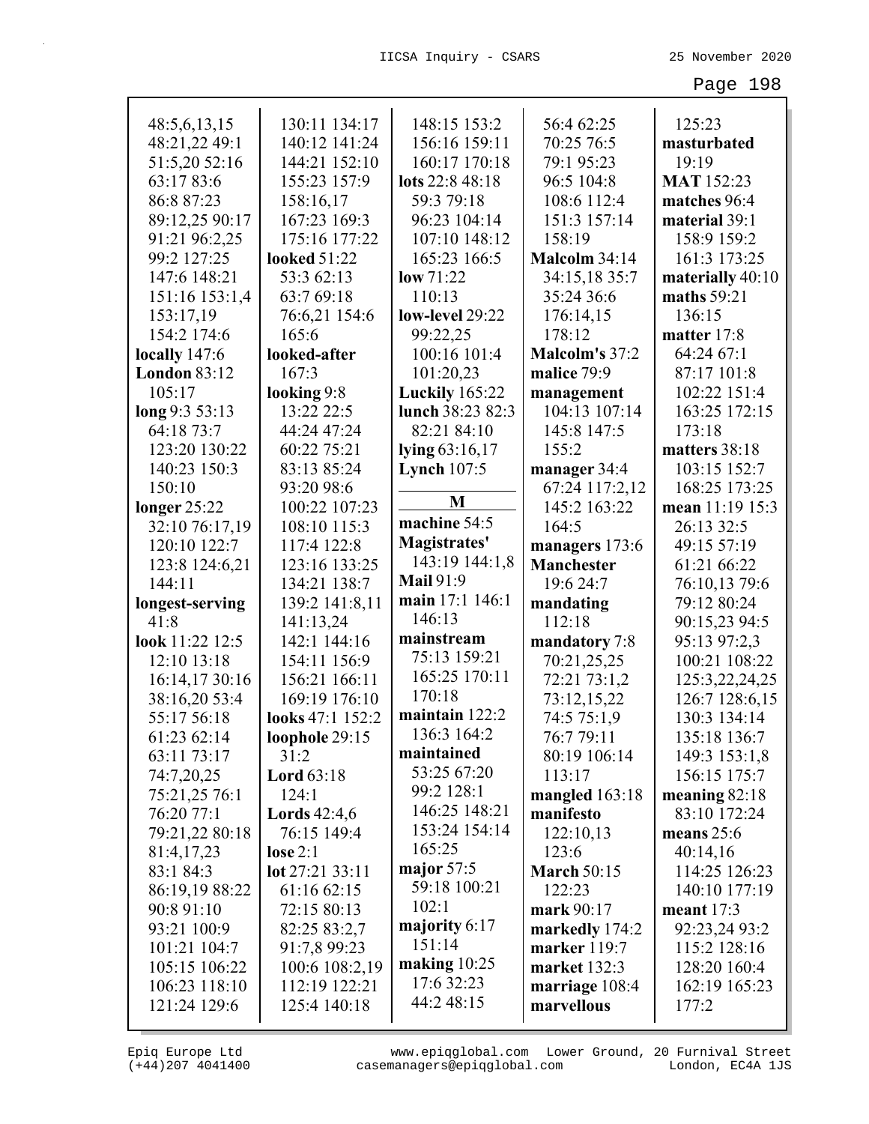| 48:5,6,13,15        | 130:11 134:17       | 148:15 153:2          | 56:4 62:25         | 125:23            |
|---------------------|---------------------|-----------------------|--------------------|-------------------|
| 48:21,22 49:1       | 140:12 141:24       | 156:16 159:11         | 70:25 76:5         | masturbated       |
| 51:5,20 52:16       | 144:21 152:10       | 160:17 170:18         | 79:1 95:23         | 19:19             |
| 63:17 83:6          | 155:23 157:9        | lots 22:8 48:18       | 96:5 104:8         | <b>MAT</b> 152:23 |
| 86:8 87:23          | 158:16,17           | 59:3 79:18            | 108:6 112:4        | matches 96:4      |
| 89:12,25 90:17      | 167:23 169:3        | 96:23 104:14          | 151:3 157:14       | material 39:1     |
| 91:21 96:2,25       | 175:16 177:22       | 107:10 148:12         | 158:19             | 158:9 159:2       |
| 99:2 127:25         | <b>looked 51:22</b> | 165:23 166:5          | Malcolm 34:14      | 161:3 173:25      |
| 147:6 148:21        | 53:3 62:13          | low 71:22             | 34:15,18 35:7      | materially 40:10  |
| 151:16 153:1,4      | 63:7 69:18          | 110:13                | 35:24 36:6         | maths 59:21       |
| 153:17,19           | 76:6,21 154:6       | low-level 29:22       | 176:14,15          | 136:15            |
| 154:2 174:6         | 165:6               | 99:22,25              | 178:12             | matter 17:8       |
| locally 147:6       | looked-after        | 100:16 101:4          | Malcolm's 37:2     | 64:24 67:1        |
| <b>London 83:12</b> | 167:3               | 101:20,23             | malice 79:9        | 87:17 101:8       |
| 105:17              | looking 9:8         | <b>Luckily</b> 165:22 | management         | 102:22 151:4      |
| long 9:3 53:13      | 13:22 22:5          | lunch 38:23 82:3      | 104:13 107:14      | 163:25 172:15     |
| 64:18 73:7          | 44:24 47:24         | 82:21 84:10           | 145:8 147:5        | 173:18            |
| 123:20 130:22       | 60:22 75:21         | lying 63:16,17        | 155:2              | matters 38:18     |
| 140:23 150:3        | 83:13 85:24         | Lynch $107:5$         | manager 34:4       | 103:15 152:7      |
| 150:10              | 93:20 98:6          |                       | 67:24 117:2,12     | 168:25 173:25     |
| longer $25:22$      | 100:22 107:23       | M                     | 145:2 163:22       | mean 11:19 15:3   |
| 32:10 76:17,19      | 108:10 115:3        | machine 54:5          | 164:5              | 26:13 32:5        |
| 120:10 122:7        | 117:4 122:8         | Magistrates'          | managers 173:6     | 49:15 57:19       |
| 123:8 124:6,21      | 123:16 133:25       | 143:19 144:1,8        | <b>Manchester</b>  | 61:21 66:22       |
| 144:11              | 134:21 138:7        | <b>Mail 91:9</b>      | 19:6 24:7          | 76:10,13 79:6     |
| longest-serving     | 139:2 141:8,11      | main 17:1 146:1       | mandating          | 79:12 80:24       |
| 41:8                | 141:13,24           | 146:13                | 112:18             | 90:15,23 94:5     |
| look 11:22 12:5     | 142:1 144:16        | mainstream            | mandatory 7:8      | 95:13 97:2,3      |
| 12:10 13:18         | 154:11 156:9        | 75:13 159:21          | 70:21,25,25        | 100:21 108:22     |
| 16:14,17 30:16      | 156:21 166:11       | 165:25 170:11         | 72:21 73:1,2       | 125:3,22,24,25    |
| 38:16,20 53:4       | 169:19 176:10       | 170:18                | 73:12,15,22        | 126:7 128:6,15    |
| 55:17 56:18         | looks 47:1 152:2    | maintain 122:2        | 74:5 75:1,9        | 130:3 134:14      |
| 61:23 62:14         | loophole 29:15      | 136:3 164:2           | 76:7 79:11         | 135:18 136:7      |
| 63:11 73:17         | 31:2                | maintained            | 80:19 106:14       | 149:3 153:1,8     |
| 74:7,20,25          | <b>Lord</b> 63:18   | 53:25 67:20           | 113:17             | 156:15 175:7      |
| 75:21,25 76:1       | 124:1               | 99:2 128:1            | mangled 163:18     | meaning $82:18$   |
| 76:20 77:1          | Lords $42:4,6$      | 146:25 148:21         | manifesto          | 83:10 172:24      |
| 79:21,22 80:18      | 76:15 149:4         | 153:24 154:14         | 122:10,13          | means $25:6$      |
| 81:4,17,23          | lose $2:1$          | 165:25                | 123:6              | 40:14,16          |
| 83:1 84:3           | lot 27:21 33:11     | major $57:5$          | <b>March 50:15</b> | 114:25 126:23     |
| 86:19,19 88:22      | 61:16 62:15         | 59:18 100:21          | 122:23             | 140:10 177:19     |
| 90:8 91:10          | 72:15 80:13         | 102:1                 | mark 90:17         | meant $17:3$      |
| 93:21 100:9         | 82:25 83:2,7        | majority 6:17         | markedly 174:2     | 92:23,24 93:2     |
| 101:21 104:7        | 91:7,8 99:23        | 151:14                | marker 119:7       | 115:2 128:16      |
| 105:15 106:22       | 100:6 108:2,19      | making $10:25$        | market 132:3       | 128:20 160:4      |
| 106:23 118:10       | 112:19 122:21       | 17:6 32:23            | marriage 108:4     | 162:19 165:23     |
| 121:24 129:6        | 125:4 140:18        | 44:2 48:15            | marvellous         | 177:2             |
|                     |                     |                       |                    |                   |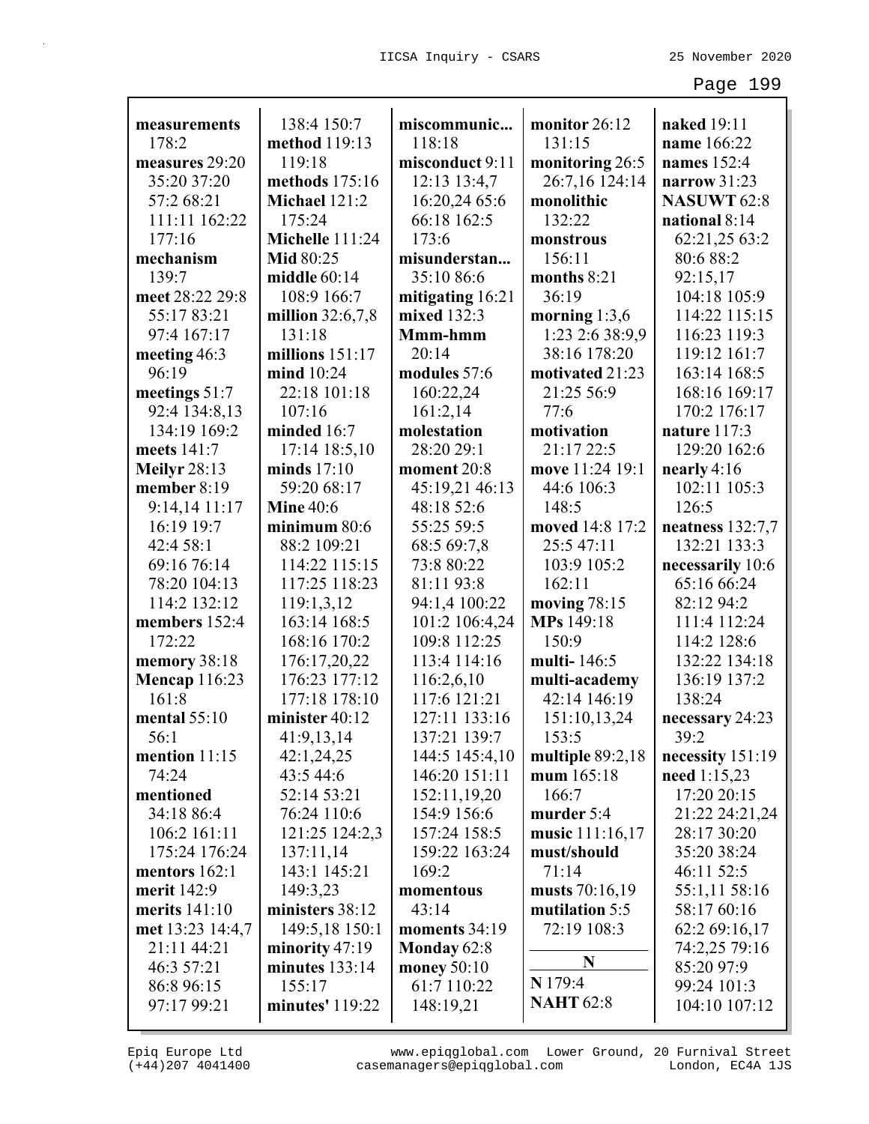| measurements                       | 138:4 150:7                    | miscommunic                  | monitor 26:12    | naked 19:11                  |
|------------------------------------|--------------------------------|------------------------------|------------------|------------------------------|
| 178:2                              | method 119:13                  | 118:18                       | 131:15           | name 166:22                  |
| measures 29:20                     | 119:18                         | misconduct 9:11              | monitoring 26:5  | names 152:4                  |
| 35:20 37:20                        | methods 175:16                 | 12:13 13:4,7                 | 26:7,16 124:14   | narrow $31:23$               |
| 57:2 68:21                         | Michael 121:2                  | 16:20,24 65:6                | monolithic       | <b>NASUWT 62:8</b>           |
| 111:11 162:22                      | 175:24                         | 66:18 162:5                  | 132:22           | national 8:14                |
| 177:16                             | Michelle 111:24                | 173:6                        | monstrous        | 62:21,25 63:2                |
| mechanism                          | <b>Mid 80:25</b>               | misunderstan                 | 156:11           | 80:6 88:2                    |
| 139:7                              | middle $60:14$                 | 35:10 86:6                   | months 8:21      | 92:15,17                     |
| meet 28:22 29:8                    | 108:9 166:7                    | mitigating 16:21             | 36:19            | 104:18 105:9                 |
| 55:17 83:21                        | million $32:6,7,8$             | mixed 132:3                  | morning $1:3,6$  | 114:22 115:15                |
| 97:4 167:17                        | 131:18                         | Mmm-hmm                      | 1:23 2:6 38:9,9  | 116:23 119:3                 |
| meeting 46:3                       | millions 151:17                | 20:14                        | 38:16 178:20     | 119:12 161:7                 |
| 96:19                              | mind 10:24                     | modules 57:6                 | motivated 21:23  | 163:14 168:5                 |
| meetings 51:7                      | 22:18 101:18                   | 160:22,24                    | 21:25 56:9       | 168:16 169:17                |
| 92:4 134:8,13                      | 107:16                         |                              | 77:6             | 170:2 176:17                 |
| 134:19 169:2                       | minded 16:7                    | 161:2,14<br>molestation      | motivation       |                              |
| meets 141:7                        |                                | 28:20 29:1                   | 21:17 22:5       | nature 117:3<br>129:20 162:6 |
|                                    | 17:14 18:5,10<br>minds $17:10$ | moment 20:8                  | move 11:24 19:1  | nearly $4:16$                |
| <b>Meilyr</b> 28:13<br>member 8:19 | 59:20 68:17                    |                              | 44:6 106:3       | 102:11 105:3                 |
|                                    | <b>Mine 40:6</b>               | 45:19,21 46:13<br>48:18 52:6 | 148:5            | 126:5                        |
| $9:14,14$ 11:17<br>16:19 19:7      | minimum 80:6                   | 55:25 59:5                   | moved 14:8 17:2  |                              |
|                                    |                                |                              |                  | neatness 132:7,7             |
| 42:4 58:1                          | 88:2 109:21                    | 68:5 69:7,8                  | 25:5 47:11       | 132:21 133:3                 |
| 69:16 76:14                        | 114:22 115:15                  | 73:8 80:22                   | 103:9 105:2      | necessarily 10:6             |
| 78:20 104:13                       | 117:25 118:23                  | 81:11 93:8                   | 162:11           | 65:16 66:24                  |
| 114:2 132:12                       | 119:1,3,12                     | 94:1,4 100:22                | moving $78:15$   | 82:12 94:2                   |
| members 152:4                      | 163:14 168:5                   | 101:2 106:4,24               | MPs 149:18       | 111:4 112:24                 |
| 172:22                             | 168:16 170:2                   | 109:8 112:25                 | 150:9            | 114:2 128:6                  |
| memory 38:18                       | 176:17,20,22                   | 113:4 114:16                 | multi-146:5      | 132:22 134:18                |
| <b>Mencap 116:23</b>               | 176:23 177:12<br>177:18 178:10 | 116:2,6,10                   | multi-academy    | 136:19 137:2                 |
| 161:8<br>mental $55:10$            |                                | 117:6 121:21                 | 42:14 146:19     | 138:24                       |
|                                    | minister 40:12                 | 127:11 133:16                | 151:10,13,24     | necessary 24:23              |
| 56:1                               | 41:9,13,14                     | 137:21 139:7                 | 153:5            | 39:2                         |
| mention $11:15$                    | 42:1,24,25                     | 144:5 145:4,10               | multiple 89:2,18 | necessity 151:19             |
| 74:24                              | 43:5 44:6                      | 146:20 151:11                | mum $165:18$     | need $1:15,23$               |
| mentioned                          | 52:14 53:21                    | 152:11,19,20                 | 166:7            | 17:20 20:15                  |
| 34:18 86:4                         | 76:24 110:6                    | 154:9 156:6                  | murder 5:4       | 21:22 24:21,24               |
| 106:2 161:11                       | 121:25 124:2,3                 | 157:24 158:5                 | music 111:16,17  | 28:17 30:20                  |
| 175:24 176:24                      | 137:11,14                      | 159:22 163:24                | must/should      | 35:20 38:24                  |
| mentors $162:1$                    | 143:1 145:21                   | 169:2                        | 71:14            | 46:11 52:5                   |
| merit 142:9                        | 149:3,23                       | momentous                    | musts 70:16,19   | 55:1,11 58:16                |
| merits $141:10$                    | ministers 38:12                | 43:14                        | mutilation 5:5   | 58:17 60:16                  |
| met 13:23 14:4,7                   | 149:5,18 150:1                 | moments 34:19                | 72:19 108:3      | 62:2 69:16,17                |
| 21:11 44:21                        | minority $47:19$               | Monday $62:8$                | N                | 74:2,25 79:16                |
| 46:3 57:21                         | minutes $133:14$               | money $50:10$                | N 179:4          | 85:20 97:9                   |
| 86:8 96:15                         | 155:17                         | 61:7 110:22                  | <b>NAHT 62:8</b> | 99:24 101:3                  |
| 97:17 99:21                        | minutes' $119:22$              | 148:19,21                    |                  | 104:10 107:12                |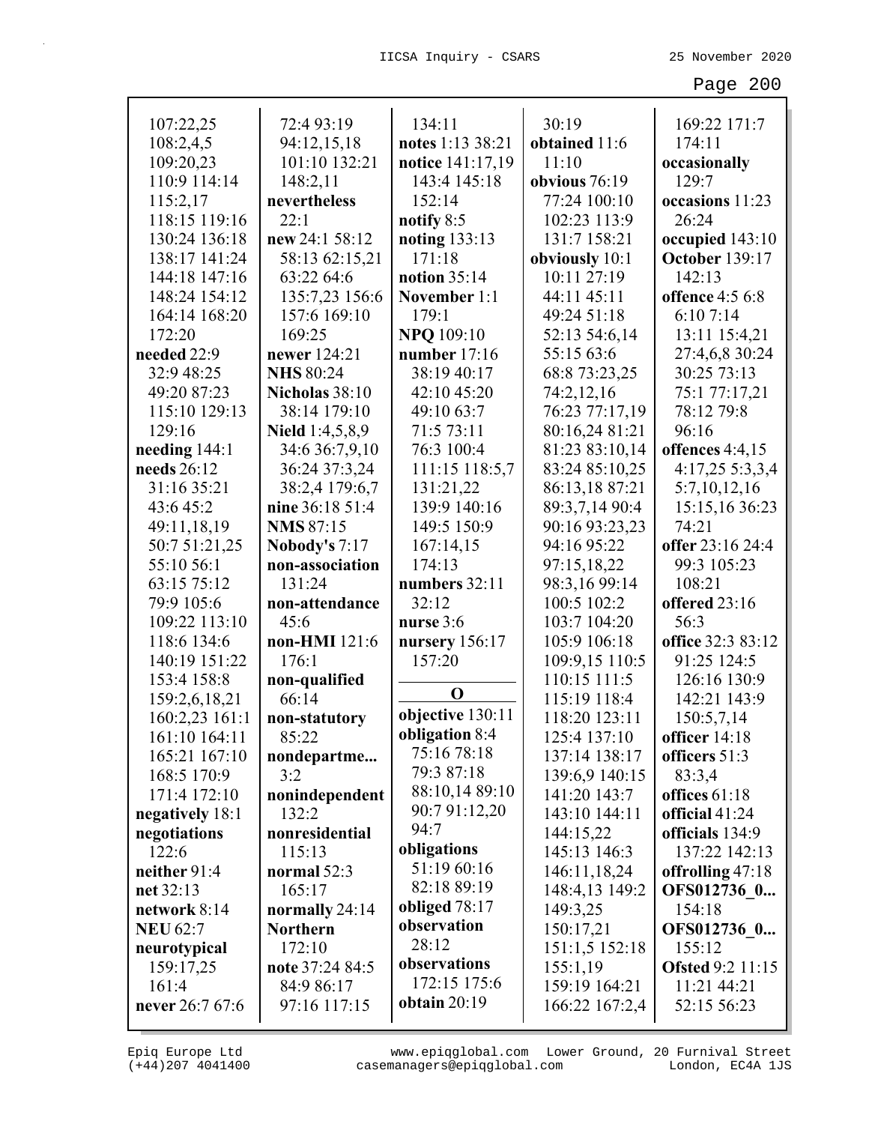| 107:22,25       | 72:4 93:19             | 134:11                        | 30:19          | 169:22 171:7            |
|-----------------|------------------------|-------------------------------|----------------|-------------------------|
| 108:2,4,5       | 94:12,15,18            | notes 1:13 38:21              | obtained 11:6  | 174:11                  |
| 109:20,23       | 101:10 132:21          | notice 141:17,19              | 11:10          | occasionally            |
| 110:9 114:14    | 148:2,11               | 143:4 145:18                  | obvious 76:19  | 129:7                   |
| 115:2,17        | nevertheless           | 152:14                        | 77:24 100:10   | occasions 11:23         |
| 118:15 119:16   | 22:1                   | notify 8:5                    | 102:23 113:9   | 26:24                   |
| 130:24 136:18   | new 24:1 58:12         | noting 133:13                 | 131:7 158:21   | occupied 143:10         |
| 138:17 141:24   | 58:13 62:15,21         | 171:18                        | obviously 10:1 | <b>October 139:17</b>   |
| 144:18 147:16   | 63:22 64:6             | notion $35:14$                | 10:11 27:19    | 142:13                  |
| 148:24 154:12   | 135:7,23 156:6         | November 1:1                  | 44:11 45:11    | <b>offence</b> 4:5 6:8  |
| 164:14 168:20   | 157:6 169:10           | 179:1                         | 49:24 51:18    | 6:107:14                |
| 172:20          | 169:25                 | <b>NPQ</b> 109:10             | 52:13 54:6,14  | 13:11 15:4,21           |
| needed 22:9     | newer 124:21           | number $17:16$                | 55:15 63:6     | 27:4,6,8 30:24          |
| 32:9 48:25      | <b>NHS 80:24</b>       | 38:19 40:17                   | 68:8 73:23,25  | 30:25 73:13             |
| 49:20 87:23     | Nicholas 38:10         | 42:10 45:20                   | 74:2,12,16     | 75:1 77:17,21           |
| 115:10 129:13   | 38:14 179:10           | 49:10 63:7                    | 76:23 77:17,19 | 78:12 79:8              |
| 129:16          | <b>Nield</b> 1:4,5,8,9 | 71:5 73:11                    | 80:16,24 81:21 | 96:16                   |
| needing 144:1   | 34:6 36:7,9,10         | 76:3 100:4                    | 81:23 83:10,14 | offences 4:4,15         |
| needs 26:12     | 36:24 37:3,24          | 111:15 118:5,7                | 83:24 85:10,25 | 4:17,25 5:3,3,4         |
| 31:16 35:21     | 38:2,4 179:6,7         | 131:21,22                     | 86:13,18 87:21 | 5:7,10,12,16            |
| 43:6 45:2       | nine 36:18 51:4        | 139:9 140:16                  | 89:3,7,14 90:4 | 15:15,16 36:23          |
| 49:11,18,19     | <b>NMS 87:15</b>       | 149:5 150:9                   | 90:16 93:23,23 | 74:21                   |
| 50:7 51:21,25   | <b>Nobody's 7:17</b>   | 167:14,15                     | 94:16 95:22    | offer 23:16 24:4        |
| 55:10 56:1      | non-association        | 174:13                        | 97:15,18,22    | 99:3 105:23             |
| 63:15 75:12     | 131:24                 | numbers 32:11                 | 98:3,16 99:14  | 108:21                  |
| 79:9 105:6      | non-attendance         | 32:12                         | 100:5 102:2    | offered 23:16           |
| 109:22 113:10   | 45:6                   | nurse 3:6                     | 103:7 104:20   | 56:3                    |
| 118:6 134:6     | non-HMI 121:6          | nursery $156:17$              | 105:9 106:18   | office 32:3 83:12       |
| 140:19 151:22   | 176:1                  | 157:20                        | 109:9,15 110:5 | 91:25 124:5             |
| 153:4 158:8     | non-qualified          | $\mathbf 0$                   | 110:15 111:5   | 126:16 130:9            |
| 159:2,6,18,21   | 66:14                  | objective 130:11              | 115:19 118:4   | 142:21 143:9            |
| 160:2,23 161:1  | non-statutory          |                               | 118:20 123:11  | 150:5,7,14              |
| 161:10 164:11   | 85:22                  | obligation 8:4<br>75:16 78:18 | 125:4 137:10   | officer 14:18           |
| 165:21 167:10   | nondepartme            | 79:3 87:18                    | 137:14 138:17  | officers 51:3           |
| 168:5 170:9     | 3:2                    | 88:10,14 89:10                | 139:6,9 140:15 | 83:3,4                  |
| 171:4 172:10    | nonindependent         | 90:7 91:12,20                 | 141:20 143:7   | offices 61:18           |
| negatively 18:1 | 132:2                  | 94:7                          | 143:10 144:11  | official 41:24          |
| negotiations    | nonresidential         | obligations                   | 144:15,22      | officials 134:9         |
| 122:6           | 115:13                 | 51:19 60:16                   | 145:13 146:3   | 137:22 142:13           |
| neither 91:4    | normal 52:3            | 82:18 89:19                   | 146:11,18,24   | offrolling $47:18$      |
| net 32:13       | 165:17                 | obliged $78:17$               | 148:4,13 149:2 | OFS012736 0             |
| network 8:14    | normally $24:14$       | observation                   | 149:3,25       | 154:18                  |
| <b>NEU 62:7</b> | <b>Northern</b>        | 28:12                         | 150:17,21      | OFS012736 0             |
| neurotypical    | 172:10                 | observations                  | 151:1,5 152:18 | 155:12                  |
| 159:17,25       | note 37:24 84:5        | 172:15 175:6                  | 155:1,19       | <b>Ofsted 9:2 11:15</b> |
| 161:4           | 84:9 86:17             | obtain $20:19$                | 159:19 164:21  | 11:21 44:21             |
| never 26:7 67:6 | 97:16 117:15           |                               | 166:22 167:2,4 | 52:15 56:23             |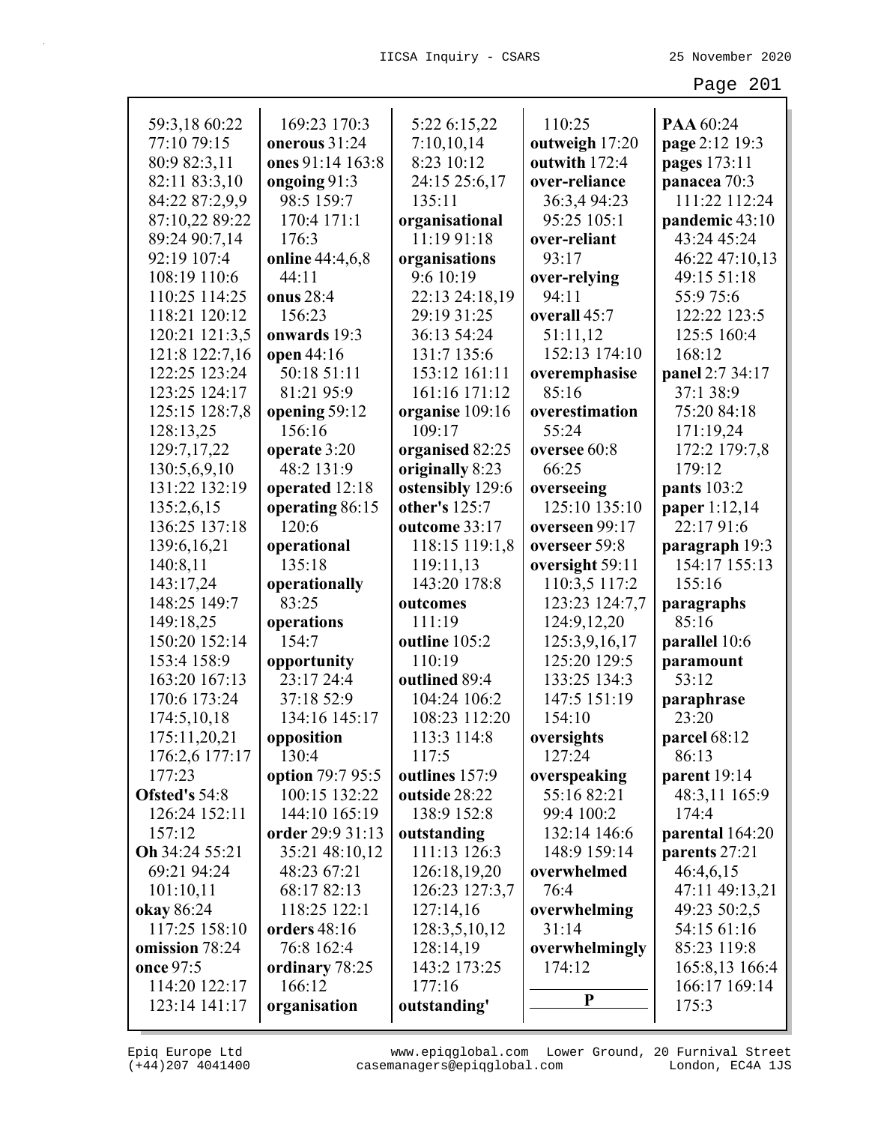| 59:3,18 60:22                   | 169:23 170:3     |                          | 110:25                          | PAA 60:24       |
|---------------------------------|------------------|--------------------------|---------------------------------|-----------------|
| 77:10 79:15                     | onerous 31:24    | 5:22 6:15,22             |                                 |                 |
|                                 | ones 91:14 163:8 | 7:10,10,14<br>8:23 10:12 | outweigh 17:20<br>outwith 172:4 | page 2:12 19:3  |
| 80:9 82:3,11                    |                  | 24:15 25:6,17            |                                 | pages 173:11    |
| 82:11 83:3,10<br>84:22 87:2,9,9 | ongoing 91:3     |                          | over-reliance                   | panacea 70:3    |
|                                 | 98:5 159:7       | 135:11                   | 36:3,4 94:23                    | 111:22 112:24   |
| 87:10,22 89:22                  | 170:4 171:1      | organisational           | 95:25 105:1                     | pandemic 43:10  |
| 89:24 90:7,14                   | 176:3            | 11:19 91:18              | over-reliant                    | 43:24 45:24     |
| 92:19 107:4                     | online 44:4,6,8  | organisations            | 93:17                           | 46:22 47:10,13  |
| 108:19 110:6                    | 44:11            | 9:6 10:19                | over-relying                    | 49:15 51:18     |
| 110:25 114:25                   | onus 28:4        | 22:13 24:18,19           | 94:11                           | 55:9 75:6       |
| 118:21 120:12                   | 156:23           | 29:19 31:25              | overall 45:7                    | 122:22 123:5    |
| 120:21 121:3,5                  | onwards 19:3     | 36:13 54:24              | 51:11,12                        | 125:5 160:4     |
| 121:8 122:7,16                  | open 44:16       | 131:7 135:6              | 152:13 174:10                   | 168:12          |
| 122:25 123:24                   | 50:18 51:11      | 153:12 161:11            | overemphasise                   | panel 2:7 34:17 |
| 123:25 124:17                   | 81:21 95:9       | 161:16 171:12            | 85:16                           | 37:1 38:9       |
| 125:15 128:7,8                  | opening 59:12    | organise 109:16          | overestimation                  | 75:20 84:18     |
| 128:13,25                       | 156:16           | 109:17                   | 55:24                           | 171:19,24       |
| 129:7,17,22                     | operate 3:20     | organised 82:25          | oversee 60:8                    | 172:2 179:7,8   |
| 130:5,6,9,10                    | 48:2 131:9       | originally 8:23          | 66:25                           | 179:12          |
| 131:22 132:19                   | operated 12:18   | ostensibly 129:6         | overseeing                      | pants 103:2     |
| 135:2,6,15                      | operating 86:15  | other's 125:7            | 125:10 135:10                   | paper 1:12,14   |
| 136:25 137:18                   | 120:6            | outcome 33:17            | overseen 99:17                  | 22:17 91:6      |
| 139:6,16,21                     | operational      | 118:15 119:1,8           | overseer 59:8                   | paragraph 19:3  |
| 140:8,11                        | 135:18           | 119:11,13                | oversight 59:11                 | 154:17 155:13   |
| 143:17,24                       | operationally    | 143:20 178:8             | 110:3,5 117:2                   | 155:16          |
| 148:25 149:7                    | 83:25            | outcomes                 | 123:23 124:7,7                  | paragraphs      |
| 149:18,25                       | operations       | 111:19                   | 124:9,12,20                     | 85:16           |
| 150:20 152:14                   | 154:7            | outline 105:2            | 125:3,9,16,17                   | parallel 10:6   |
| 153:4 158:9                     | opportunity      | 110:19                   | 125:20 129:5                    | paramount       |
| 163:20 167:13                   | 23:17 24:4       | outlined 89:4            | 133:25 134:3                    | 53:12           |
| 170:6 173:24                    | 37:18 52:9       | 104:24 106:2             | 147:5 151:19                    | paraphrase      |
| 174:5,10,18                     | 134:16 145:17    | 108:23 112:20            | 154:10                          | 23:20           |
| 175:11,20,21                    | opposition       | 113:3 114:8              | oversights                      | parcel 68:12    |
| 176:2,6 177:17                  | 130:4            | 117:5                    | 127:24                          | 86:13           |
| 177:23                          | option 79:7 95:5 | outlines 157:9           | overspeaking                    | parent 19:14    |
| Ofsted's 54:8                   | 100:15 132:22    | outside 28:22            | 55:16 82:21                     | 48:3,11 165:9   |
| 126:24 152:11                   | 144:10 165:19    | 138:9 152:8              | 99:4 100:2                      | 174:4           |
| 157:12                          | order 29:9 31:13 | outstanding              | 132:14 146:6                    | parental 164:20 |
| Oh 34:24 55:21                  | 35:21 48:10,12   | 111:13 126:3             | 148:9 159:14                    | parents 27:21   |
| 69:21 94:24                     | 48:23 67:21      | 126:18,19,20             | overwhelmed                     | 46:4,6,15       |
| 101:10,11                       | 68:17 82:13      | 126:23 127:3,7           | 76:4                            | 47:11 49:13,21  |
| okay 86:24                      | 118:25 122:1     | 127:14,16                | overwhelming                    | 49:23 50:2,5    |
| 117:25 158:10                   | orders 48:16     | 128:3,5,10,12            | 31:14                           | 54:15 61:16     |
| omission 78:24                  | 76:8 162:4       | 128:14,19                | overwhelmingly                  | 85:23 119:8     |
| once 97:5                       | ordinary 78:25   | 143:2 173:25             | 174:12                          | 165:8,13 166:4  |
| 114:20 122:17                   | 166:12           | 177:16                   | P                               | 166:17 169:14   |
| 123:14 141:17                   | organisation     | outstanding'             |                                 | 175:3           |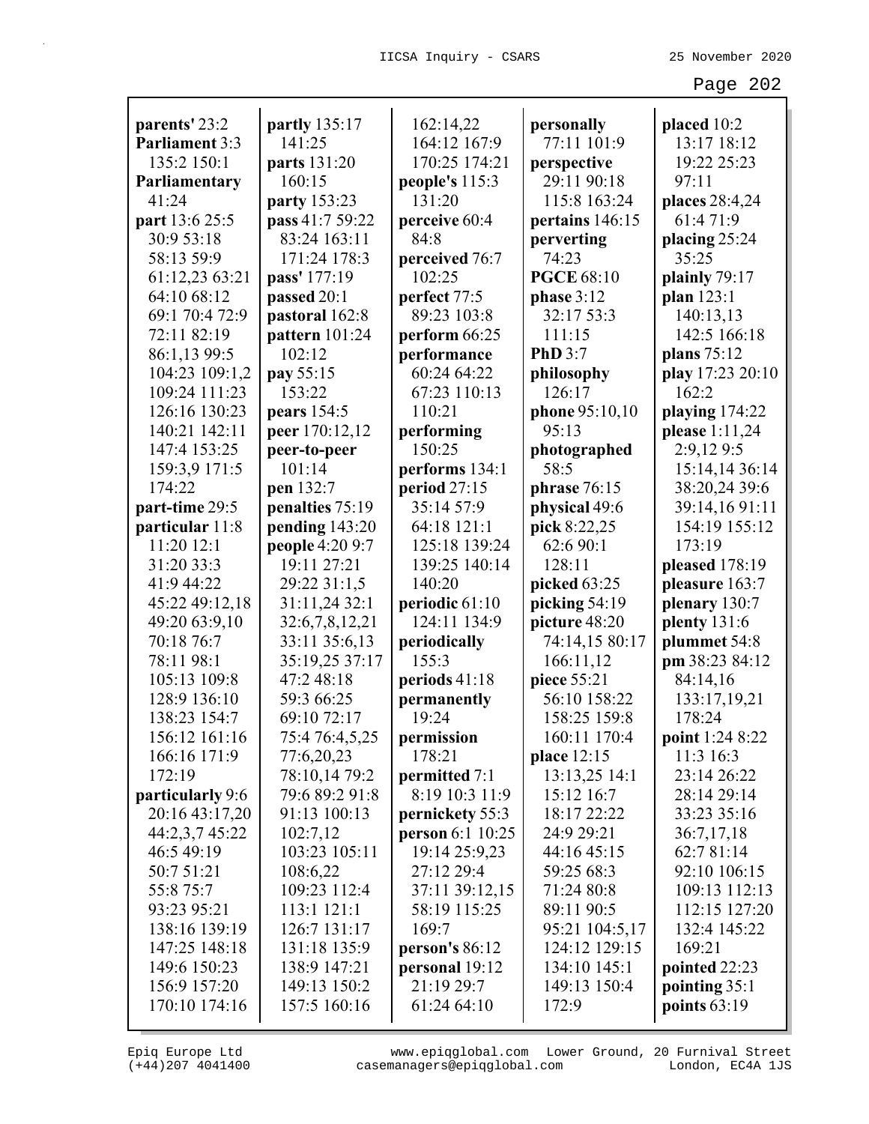| parents' 23:2         | <b>partly</b> 135:17 | 162:14,22        | personally            | placed 10:2      |
|-----------------------|----------------------|------------------|-----------------------|------------------|
| <b>Parliament 3:3</b> | 141:25               | 164:12 167:9     | 77:11 101:9           | 13:17 18:12      |
| 135:2 150:1           | parts 131:20         | 170:25 174:21    | perspective           | 19:22 25:23      |
| Parliamentary         | 160:15               | people's 115:3   | 29:11 90:18           | 97:11            |
| 41:24                 | party 153:23         | 131:20           | 115:8 163:24          | places 28:4,24   |
| part 13:6 25:5        | pass 41:7 59:22      | perceive 60:4    | pertains 146:15       | 61:4 71:9        |
| 30:9 53:18            | 83:24 163:11         | 84:8             | perverting            | placing $25:24$  |
| 58:13 59:9            | 171:24 178:3         | perceived 76:7   | 74:23                 | 35:25            |
| 61:12,23 63:21        | pass' 177:19         | 102:25           | <b>PGCE 68:10</b>     | plainly 79:17    |
| 64:10 68:12           | passed 20:1          | perfect 77:5     | phase $3:12$          | plan 123:1       |
| 69:1 70:4 72:9        | pastoral 162:8       | 89:23 103:8      | 32:17 53:3            | 140:13,13        |
| 72:11 82:19           | pattern 101:24       | perform 66:25    | 111:15                | 142:5 166:18     |
| 86:1,13 99:5          | 102:12               | performance      | <b>PhD</b> 3:7        | plans 75:12      |
| 104:23 109:1,2        | pay 55:15            | 60:24 64:22      | philosophy            | play 17:23 20:10 |
| 109:24 111:23         | 153:22               | 67:23 110:13     | 126:17                | 162:2            |
| 126:16 130:23         | pears 154:5          | 110:21           | <b>phone</b> 95:10,10 | playing 174:22   |
| 140:21 142:11         | peer 170:12,12       | performing       | 95:13                 | please 1:11,24   |
| 147:4 153:25          | peer-to-peer         | 150:25           | photographed          | 2:9,129:5        |
| 159:3,9 171:5         | 101:14               | performs 134:1   | 58:5                  | 15:14,14 36:14   |
| 174:22                | pen 132:7            | period $27:15$   | phrase $76:15$        | 38:20,24 39:6    |
| part-time 29:5        | penalties 75:19      | 35:14 57:9       | physical 49:6         | 39:14,1691:11    |
| particular 11:8       | pending 143:20       | 64:18 121:1      | pick 8:22,25          | 154:19 155:12    |
| 11:20 12:1            | people 4:20 9:7      | 125:18 139:24    | 62:6 90:1             | 173:19           |
| 31:20 33:3            | 19:11 27:21          | 139:25 140:14    | 128:11                | pleased 178:19   |
| 41:9 44:22            | 29:22 31:1,5         | 140:20           | picked 63:25          | pleasure 163:7   |
| 45:22 49:12,18        | 31:11,24 32:1        | periodic 61:10   | picking 54:19         | plenary 130:7    |
| 49:20 63:9,10         | 32:6,7,8,12,21       | 124:11 134:9     | picture 48:20         | plenty $131:6$   |
| 70:18 76:7            | 33:11 35:6,13        | periodically     | 74:14,15 80:17        | plummet 54:8     |
| 78:11 98:1            | 35:19,25 37:17       | 155:3            | 166:11,12             | pm 38:23 84:12   |
| 105:13 109:8          | 47:2 48:18           | periods 41:18    | piece 55:21           | 84:14,16         |
| 128:9 136:10          | 59:3 66:25           | permanently      | 56:10 158:22          | 133:17,19,21     |
| 138:23 154:7          | 69:10 72:17          | 19:24            | 158:25 159:8          | 178:24           |
| 156:12 161:16         | 75:4 76:4,5,25       | permission       | 160:11 170:4          | point 1:24 8:22  |
| 166:16 171:9          | 77:6,20,23           | 178:21           | place 12:15           | 11:3 16:3        |
| 172:19                | 78:10,14 79:2        | permitted 7:1    | 13:13,25 14:1         | 23:14 26:22      |
| particularly 9:6      | 79:6 89:2 91:8       | 8:19 10:3 11:9   | 15:12 16:7            | 28:14 29:14      |
| 20:16 43:17,20        | 91:13 100:13         | pernickety 55:3  | 18:17 22:22           | 33:23 35:16      |
| 44:2,3,7 45:22        | 102:7,12             | person 6:1 10:25 | 24:9 29:21            | 36:7,17,18       |
| 46:5 49:19            | 103:23 105:11        | 19:14 25:9,23    | 44:16 45:15           | 62:7 81:14       |
| 50:7 51:21            | 108:6,22             | 27:12 29:4       | 59:25 68:3            | 92:10 106:15     |
| 55:8 75:7             | 109:23 112:4         | 37:11 39:12,15   | 71:24 80:8            | 109:13 112:13    |
| 93:23 95:21           | 113:1 121:1          | 58:19 115:25     | 89:11 90:5            | 112:15 127:20    |
| 138:16 139:19         | 126:7 131:17         | 169:7            | 95:21 104:5,17        | 132:4 145:22     |
| 147:25 148:18         | 131:18 135:9         | person's $86:12$ | 124:12 129:15         | 169:21           |
| 149:6 150:23          | 138:9 147:21         | personal 19:12   | 134:10 145:1          | pointed 22:23    |
| 156:9 157:20          | 149:13 150:2         | 21:19 29:7       | 149:13 150:4          | pointing 35:1    |
| 170:10 174:16         | 157:5 160:16         | 61:24 64:10      | 172:9                 | points $63:19$   |
|                       |                      |                  |                       |                  |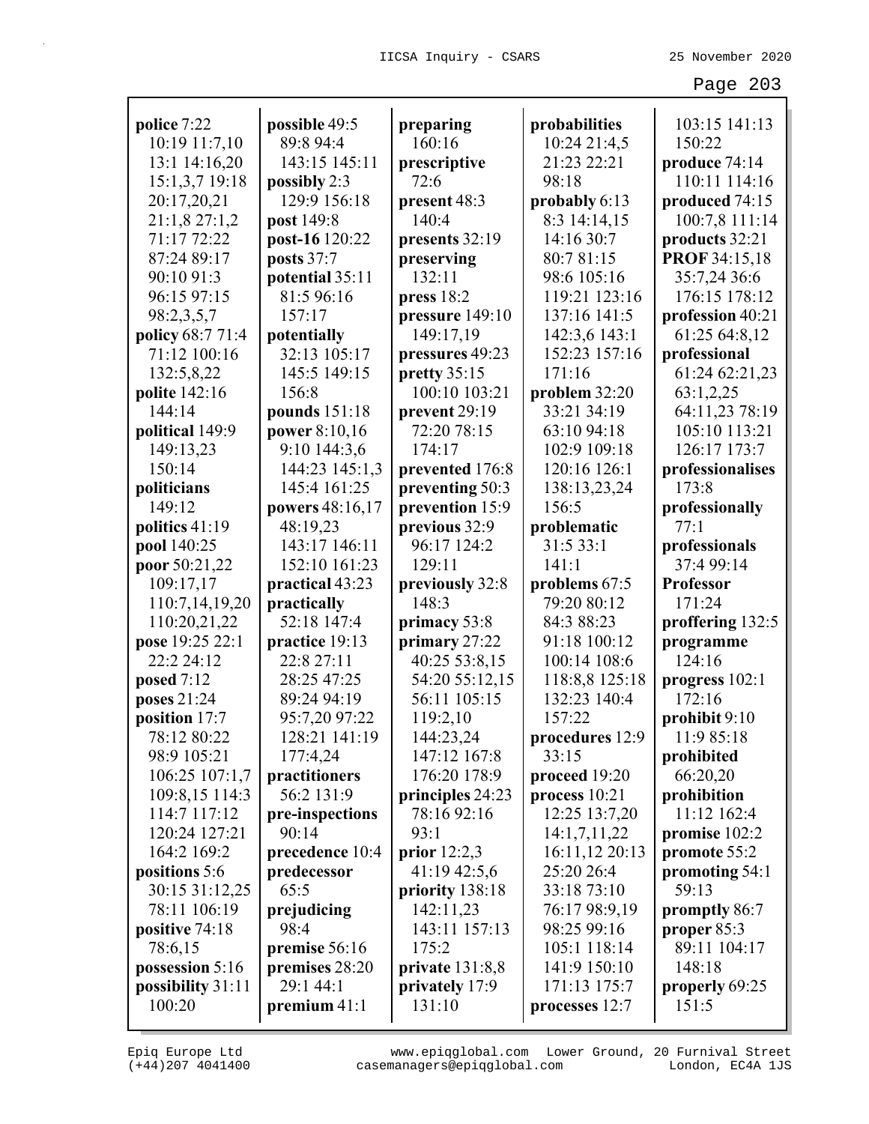| police 7:22          | possible 49:5   | preparing                       | probabilities   | 103:15 141:13        |
|----------------------|-----------------|---------------------------------|-----------------|----------------------|
| 10:19 11:7,10        | 89:8 94:4       | 160:16                          | 10:24 21:4,5    | 150:22               |
| 13:1 14:16,20        | 143:15 145:11   | prescriptive                    | 21:23 22:21     | produce 74:14        |
| 15:1,3,7 19:18       | possibly $2:3$  | 72:6                            | 98:18           | 110:11 114:16        |
| 20:17,20,21          | 129:9 156:18    | present 48:3                    | probably 6:13   | produced 74:15       |
| 21:1,8 27:1,2        | post 149:8      | 140:4                           | 8:3 14:14,15    | 100:7,8 111:14       |
| 71:17 72:22          | post-16 120:22  | presents 32:19                  | 14:16 30:7      | products 32:21       |
| 87:24 89:17          | posts 37:7      | preserving                      | 80:7 81:15      | <b>PROF 34:15,18</b> |
| 90:10 91:3           | potential 35:11 | 132:11                          | 98:6 105:16     | 35:7,24 36:6         |
| 96:15 97:15          | 81:5 96:16      | press $18:2$                    | 119:21 123:16   | 176:15 178:12        |
| 98:2,3,5,7           | 157:17          | pressure 149:10                 | 137:16 141:5    | profession 40:21     |
| policy 68:7 71:4     | potentially     | 149:17,19                       | 142:3,6 143:1   | 61:25 64:8,12        |
| 71:12 100:16         | 32:13 105:17    | pressures 49:23                 | 152:23 157:16   | professional         |
| 132:5,8,22           | 145:5 149:15    | pretty $35:15$                  | 171:16          | 61:24 62:21,23       |
| <b>polite</b> 142:16 | 156:8           | 100:10 103:21                   | problem 32:20   | 63:1,2,25            |
| 144:14               | pounds 151:18   | prevent 29:19                   | 33:21 34:19     | 64:11,23 78:19       |
| political 149:9      | power 8:10,16   | 72:20 78:15                     | 63:10 94:18     | 105:10 113:21        |
| 149:13,23            | 9:10 144:3,6    | 174:17                          | 102:9 109:18    | 126:17 173:7         |
| 150:14               | 144:23 145:1,3  | prevented 176:8                 | 120:16 126:1    | professionalises     |
| politicians          | 145:4 161:25    | preventing 50:3                 | 138:13,23,24    | 173:8                |
| 149:12               | powers 48:16,17 | prevention 15:9                 | 156:5           | professionally       |
| politics 41:19       | 48:19,23        | previous 32:9                   | problematic     | 77:1                 |
| pool 140:25          | 143:17 146:11   | 96:17 124:2                     | 31:5 33:1       | professionals        |
| poor 50:21,22        | 152:10 161:23   | 129:11                          | 141:1           | 37:4 99:14           |
| 109:17,17            | practical 43:23 | previously 32:8                 | problems 67:5   | <b>Professor</b>     |
| 110:7,14,19,20       | practically     | 148:3                           | 79:20 80:12     | 171:24               |
| 110:20,21,22         | 52:18 147:4     | primacy 53:8                    | 84:3 88:23      | proffering 132:5     |
| pose 19:25 22:1      | practice 19:13  | primary 27:22                   | 91:18 100:12    | programme            |
| 22:2 24:12           | 22:8 27:11      | 40:25 53:8,15                   | 100:14 108:6    | 124:16               |
| posed $7:12$         | 28:25 47:25     | 54:20 55:12,15                  | 118:8,8 125:18  | progress 102:1       |
| poses 21:24          | 89:24 94:19     | 56:11 105:15                    | 132:23 140:4    | 172:16               |
| position 17:7        | 95:7,20 97:22   | 119:2,10                        | 157:22          | prohibit 9:10        |
| 78:12 80:22          | 128:21 141:19   | 144:23,24                       | procedures 12:9 | 11:9 85:18           |
| 98:9 105:21          | 177:4,24        | 147:12 167:8                    | 33:15           |                      |
|                      |                 | 176:20 178:9                    |                 | prohibited           |
| 106:25 107:1,7       | practitioners   |                                 | proceed 19:20   | 66:20,20             |
| 109:8,15 114:3       | 56:2 131:9      | principles 24:23<br>78:16 92:16 | process $10:21$ | prohibition          |
| 114:7 117:12         | pre-inspections |                                 | 12:25 13:7,20   | 11:12 162:4          |
| 120:24 127:21        | 90:14           | 93:1                            | 14:1,7,11,22    | promise 102:2        |
| 164:2 169:2          | precedence 10:4 | prior $12:2,3$                  | 16:11,12 20:13  | promote 55:2         |
| positions 5:6        | predecessor     | 41:19 42:5,6                    | 25:20 26:4      | promoting 54:1       |
| 30:15 31:12,25       | 65:5            | priority 138:18                 | 33:18 73:10     | 59:13                |
| 78:11 106:19         | prejudicing     | 142:11,23                       | 76:17 98:9,19   | promptly 86:7        |
| positive 74:18       | 98:4            | 143:11 157:13                   | 98:25 99:16     | proper 85:3          |
| 78:6,15              | premise 56:16   | 175:2                           | 105:1 118:14    | 89:11 104:17         |
| possession 5:16      | premises 28:20  | private $131:8,8$               | 141:9 150:10    | 148:18               |
| possibility 31:11    | 29:1 44:1       | privately 17:9                  | 171:13 175:7    | properly 69:25       |
| 100:20               | premium $41:1$  | 131:10                          | processes 12:7  | 151:5                |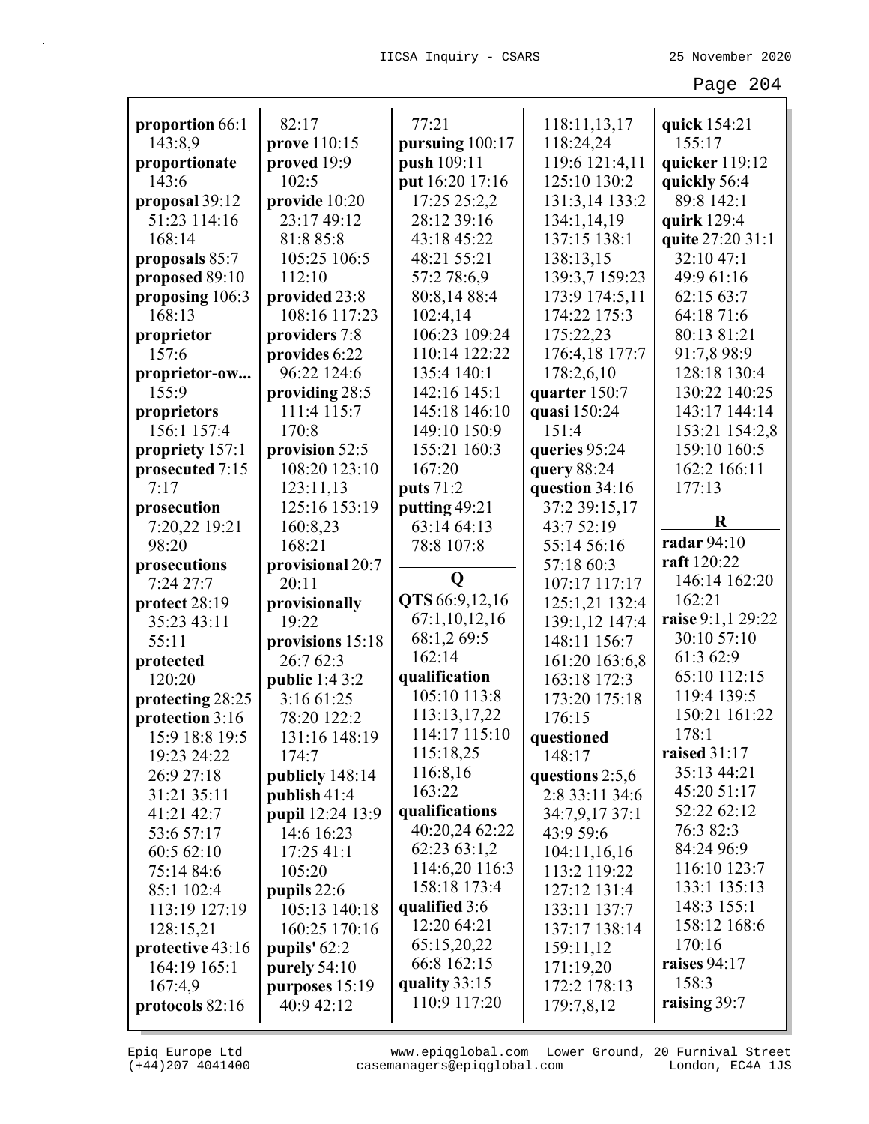| proportion 66:1                     | 82:17                           | 77:21           | 118:11,13,17                      | quick 154:21      |
|-------------------------------------|---------------------------------|-----------------|-----------------------------------|-------------------|
| 143:8,9                             | prove 110:15                    | pursuing 100:17 | 118:24,24                         | 155:17            |
| proportionate                       | proved 19:9                     | push 109:11     | 119:6 121:4,11                    | quicker 119:12    |
| 143:6                               | 102:5                           | put 16:20 17:16 | 125:10 130:2                      | quickly 56:4      |
| proposal 39:12                      | provide 10:20                   | 17:25 25:2,2    | 131:3,14 133:2                    | 89:8 142:1        |
| 51:23 114:16                        | 23:17 49:12                     | 28:12 39:16     | 134:1,14,19                       | quirk 129:4       |
| 168:14                              | 81:8 85:8                       | 43:18 45:22     | 137:15 138:1                      | quite 27:20 31:1  |
| proposals 85:7                      | 105:25 106:5                    | 48:21 55:21     | 138:13,15                         | 32:10 47:1        |
| proposed 89:10                      | 112:10                          | 57:2 78:6,9     | 139:3,7 159:23                    | 49:9 61:16        |
| proposing 106:3                     | provided 23:8                   | 80:8,14 88:4    | 173:9 174:5,11                    | 62:15 63:7        |
| 168:13                              | 108:16 117:23                   | 102:4,14        | 174:22 175:3                      | 64:18 71:6        |
| proprietor                          | providers 7:8                   | 106:23 109:24   | 175:22,23                         | 80:13 81:21       |
| 157:6                               | provides 6:22                   | 110:14 122:22   | 176:4,18 177:7                    | 91:7,8 98:9       |
| proprietor-ow                       | 96:22 124:6                     | 135:4 140:1     | 178:2,6,10                        | 128:18 130:4      |
| 155:9                               | providing 28:5                  | 142:16 145:1    | quarter 150:7                     | 130:22 140:25     |
| proprietors                         | 111:4 115:7                     | 145:18 146:10   | quasi 150:24                      | 143:17 144:14     |
| 156:1 157:4                         | 170:8                           | 149:10 150:9    | 151:4                             | 153:21 154:2,8    |
| propriety 157:1                     | provision 52:5                  | 155:21 160:3    | queries 95:24                     | 159:10 160:5      |
| prosecuted 7:15                     | 108:20 123:10                   | 167:20          | query 88:24                       | 162:2 166:11      |
| 7:17                                | 123:11,13                       | puts 71:2       | question 34:16                    | 177:13            |
| prosecution                         | 125:16 153:19                   | putting 49:21   | 37:2 39:15,17                     |                   |
| 7:20,22 19:21                       | 160:8,23                        | 63:14 64:13     | 43:7 52:19                        | $\bf R$           |
| 98:20                               | 168:21                          | 78:8 107:8      | 55:14 56:16                       | radar 94:10       |
| prosecutions                        | provisional 20:7                |                 | 57:18 60:3                        | raft 120:22       |
| 7:24 27:7                           | 20:11                           | $\mathbf 0$     | 107:17 117:17                     | 146:14 162:20     |
|                                     |                                 |                 |                                   |                   |
|                                     |                                 | QTS 66:9,12,16  |                                   | 162:21            |
| protect 28:19<br>35:23 43:11        | provisionally<br>19:22          | 67:1,10,12,16   | 125:1,21 132:4<br>139:1,12 147:4  | raise 9:1,1 29:22 |
| 55:11                               |                                 | 68:1,2 69:5     | 148:11 156:7                      | 30:10 57:10       |
|                                     | provisions 15:18<br>26:7 62:3   | 162:14          |                                   | 61:3 62:9         |
| protected<br>120:20                 |                                 | qualification   | 161:20 163:6,8<br>163:18 172:3    | 65:10 112:15      |
|                                     | public 1:4 3:2<br>3:16 61:25    | 105:10 113:8    | 173:20 175:18                     | 119:4 139:5       |
| protecting 28:25<br>protection 3:16 | 78:20 122:2                     | 113:13,17,22    | 176:15                            | 150:21 161:22     |
| 15:9 18:8 19:5                      | 131:16 148:19                   | 114:17 115:10   | questioned                        | 178:1             |
| 19:23 24:22                         | 174:7                           | 115:18,25       | 148:17                            | raised $31:17$    |
| 26:9 27:18                          |                                 | 116:8,16        |                                   | 35:13 44:21       |
| 31:21 35:11                         | publicly 148:14<br>publish 41:4 | 163:22          | questions 2:5,6<br>2:8 33:11 34:6 | 45:20 51:17       |
| 41:21 42:7                          |                                 | qualifications  | 34:7,9,17 37:1                    | 52:22 62:12       |
| 53:6 57:17                          | pupil 12:24 13:9<br>14:6 16:23  | 40:20,24 62:22  | 43:9 59:6                         | 76:3 82:3         |
| 60:5 62:10                          | 17:2541:1                       | 62:23 63:1,2    | 104:11,16,16                      | 84:24 96:9        |
| 75:14 84:6                          | 105:20                          | 114:6,20 116:3  |                                   | 116:10 123:7      |
| 85:1 102:4                          |                                 | 158:18 173:4    | 113:2 119:22<br>127:12 131:4      | 133:1 135:13      |
| 113:19 127:19                       | pupils $22:6$<br>105:13 140:18  | qualified 3:6   | 133:11 137:7                      | 148:3 155:1       |
| 128:15,21                           | 160:25 170:16                   | 12:20 64:21     | 137:17 138:14                     | 158:12 168:6      |
| protective 43:16                    | pupils' 62:2                    | 65:15,20,22     | 159:11,12                         | 170:16            |
| 164:19 165:1                        |                                 | 66:8 162:15     | 171:19,20                         | raises $94:17$    |
|                                     | purely $54:10$                  | quality 33:15   | 172:2 178:13                      | 158:3             |
| 167:4,9<br>protocols 82:16          | purposes 15:19<br>40:9 42:12    | 110:9 117:20    | 179:7,8,12                        | raising 39:7      |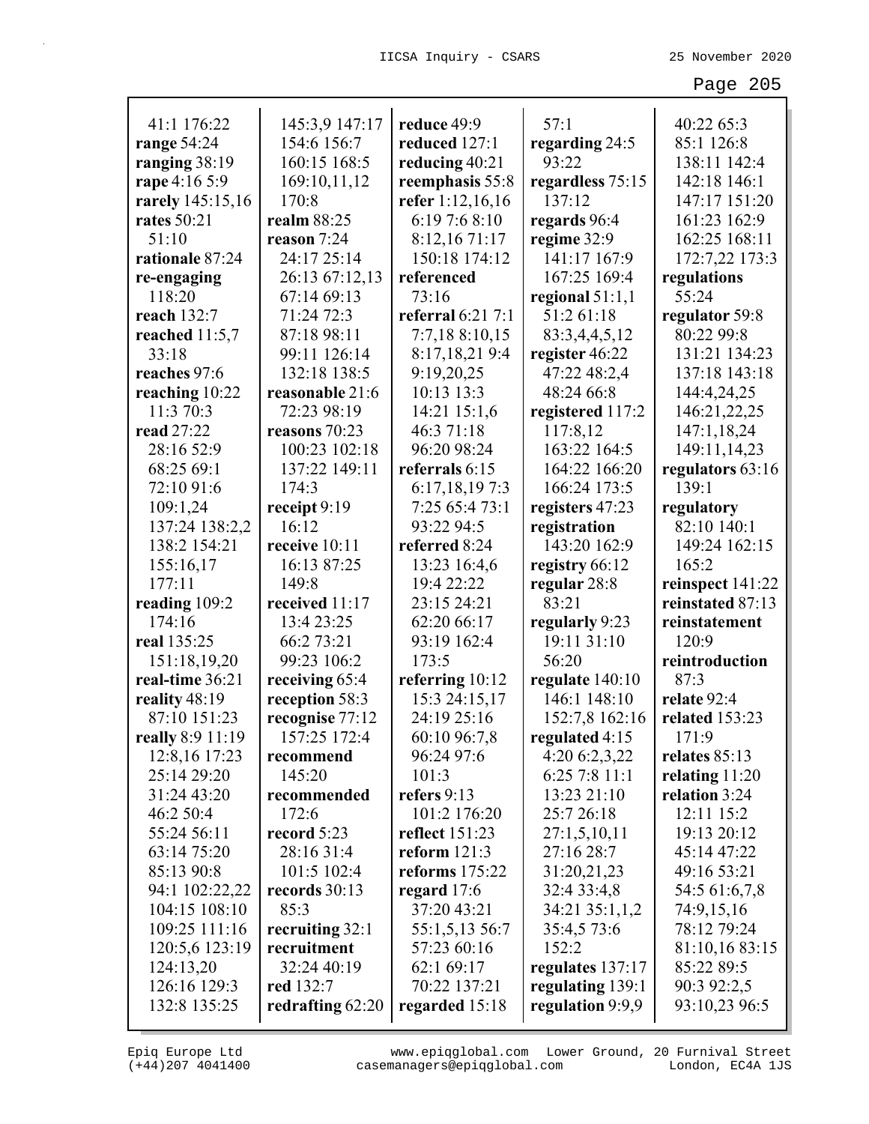| 41:1 176:22        | 145:3,9 147:17   | reduce 49:9           | 57:1              | 40:22 65:3       |
|--------------------|------------------|-----------------------|-------------------|------------------|
| range 54:24        | 154:6 156:7      | reduced 127:1         | regarding 24:5    | 85:1 126:8       |
| ranging 38:19      | 160:15 168:5     | reducing 40:21        | 93:22             | 138:11 142:4     |
| rape 4:16 5:9      | 169:10,11,12     | reemphasis 55:8       | regardless 75:15  | 142:18 146:1     |
| rarely 145:15,16   | 170:8            | refer 1:12,16,16      | 137:12            | 147:17 151:20    |
| <b>rates</b> 50:21 | realm 88:25      | 6:19 7:6 8:10         | regards 96:4      | 161:23 162:9     |
| 51:10              | reason 7:24      | 8:12,16 71:17         | regime 32:9       | 162:25 168:11    |
| rationale 87:24    | 24:17 25:14      | 150:18 174:12         | 141:17 167:9      | 172:7,22 173:3   |
| re-engaging        | 26:13 67:12,13   | referenced            | 167:25 169:4      | regulations      |
| 118:20             | 67:14 69:13      | 73:16                 | regional $51:1,1$ | 55:24            |
| reach 132:7        | 71:24 72:3       | referral 6:21 7:1     | 51:2 61:18        | regulator 59:8   |
| reached $11:5,7$   | 87:18 98:11      | 7:7,18 8:10,15        | 83:3,4,4,5,12     | 80:22 99:8       |
| 33:18              | 99:11 126:14     | 8:17,18,21 9:4        | register 46:22    | 131:21 134:23    |
| reaches 97:6       | 132:18 138:5     | 9:19,20,25            | 47:22 48:2,4      | 137:18 143:18    |
| reaching 10:22     | reasonable 21:6  | 10:13 13:3            | 48:24 66:8        | 144:4,24,25      |
| 11:3 70:3          | 72:23 98:19      | 14:21 15:1,6          | registered 117:2  | 146:21,22,25     |
| read 27:22         | reasons 70:23    | 46:3 71:18            | 117:8,12          | 147:1,18,24      |
| 28:16 52:9         | 100:23 102:18    | 96:20 98:24           | 163:22 164:5      | 149:11,14,23     |
| 68:25 69:1         | 137:22 149:11    | referrals 6:15        | 164:22 166:20     | regulators 63:16 |
| 72:10 91:6         | 174:3            | 6:17,18,197:3         | 166:24 173:5      | 139:1            |
| 109:1,24           | receipt 9:19     | 7:25 65:4 73:1        | registers 47:23   | regulatory       |
| 137:24 138:2,2     | 16:12            | 93:22 94:5            | registration      | 82:10 140:1      |
| 138:2 154:21       | receive 10:11    | referred 8:24         | 143:20 162:9      | 149:24 162:15    |
| 155:16,17          | 16:13 87:25      | 13:23 16:4,6          | registry 66:12    | 165:2            |
| 177:11             | 149:8            | 19:4 22:22            | regular 28:8      | reinspect 141:22 |
| reading 109:2      | received 11:17   | 23:15 24:21           | 83:21             | reinstated 87:13 |
| 174:16             | 13:4 23:25       | 62:20 66:17           | regularly 9:23    | reinstatement    |
| real 135:25        | 66:2 73:21       | 93:19 162:4           | 19:11 31:10       | 120:9            |
| 151:18,19,20       | 99:23 106:2      | 173:5                 | 56:20             | reintroduction   |
| real-time 36:21    | receiving 65:4   | referring 10:12       | regulate 140:10   | 87:3             |
| reality 48:19      | reception 58:3   | 15:3 24:15,17         | 146:1 148:10      | relate 92:4      |
| 87:10 151:23       | recognise 77:12  | 24:19 25:16           | 152:7,8 162:16    | related 153:23   |
| really 8:9 11:19   | 157:25 172:4     | 60:10 96:7,8          | regulated 4:15    | 171:9            |
| 12:8,16 17:23      | recommend        | 96:24 97:6            | 4:20 6:2,3,22     | relates $85:13$  |
| 25:14 29:20        | 145:20           | 101:3                 | 6:25 7:8 11:1     | relating $11:20$ |
| 31:24 43:20        | recommended      | refers 9:13           | 13:23 21:10       | relation 3:24    |
| 46:2 50:4          | 172:6            | 101:2 176:20          | 25:7 26:18        | 12:11 15:2       |
| 55:24 56:11        | record 5:23      | <b>reflect</b> 151:23 | 27:1,5,10,11      | 19:13 20:12      |
| 63:14 75:20        | 28:16 31:4       | reform $121:3$        | 27:16 28:7        | 45:14 47:22      |
| 85:13 90:8         | 101:5 102:4      | reforms $175:22$      | 31:20,21,23       | 49:16 53:21      |
| 94:1 102:22,22     | records 30:13    | regard $17:6$         | 32:4 33:4,8       | 54:5 61:6,7,8    |
| 104:15 108:10      | 85:3             | 37:20 43:21           | 34:21 35:1,1,2    | 74:9,15,16       |
| 109:25 111:16      | recruiting 32:1  | 55:1,5,13 56:7        | 35:4,5 73:6       | 78:12 79:24      |
| 120:5,6 123:19     | recruitment      | 57:23 60:16           | 152:2             | 81:10,16 83:15   |
| 124:13,20          | 32:24 40:19      | 62:1 69:17            | regulates 137:17  | 85:22 89:5       |
| 126:16 129:3       | <b>red</b> 132:7 | 70:22 137:21          | regulating 139:1  | 90:3 92:2,5      |
| 132:8 135:25       | redrafting 62:20 | regarded 15:18        | regulation 9:9,9  | 93:10,23 96:5    |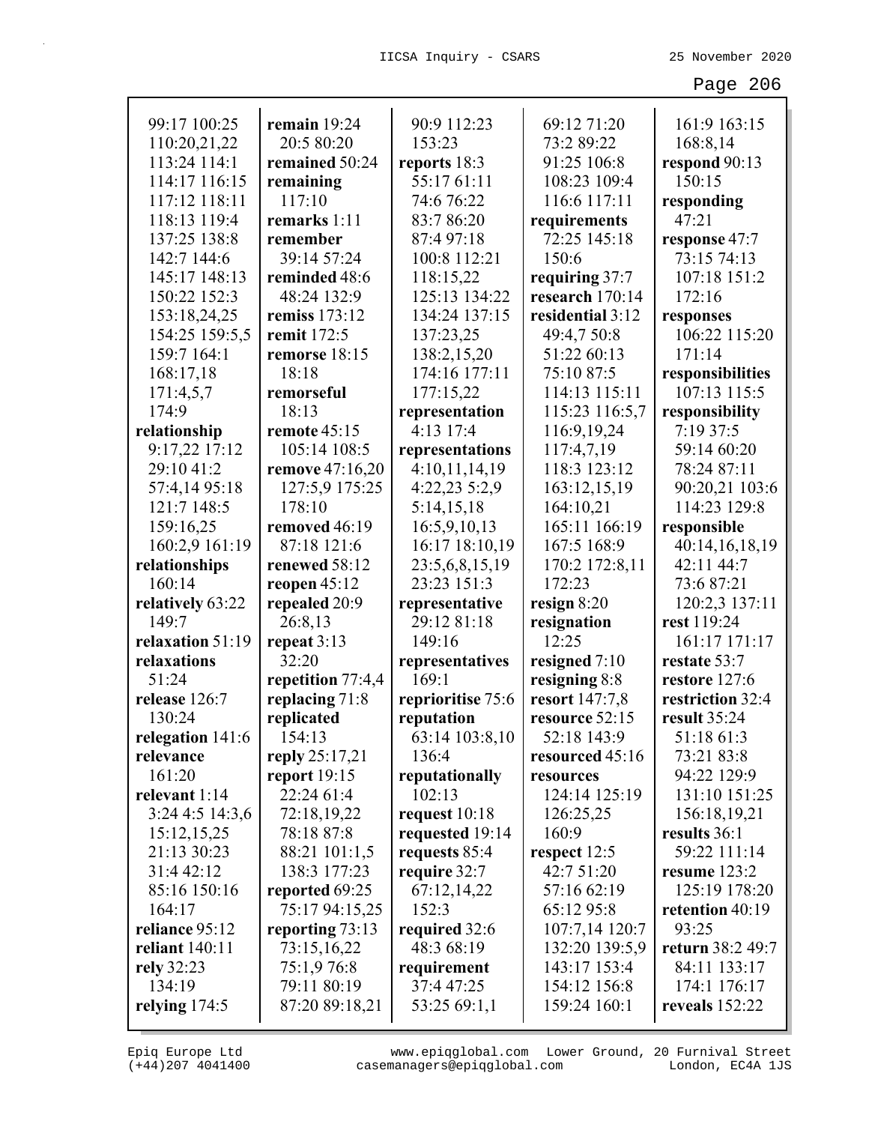| 99:17 100:25       | remain $19:24$    | 90:9 112:23       | 69:12 71:20      | 161:9 163:15     |
|--------------------|-------------------|-------------------|------------------|------------------|
| 110:20,21,22       | 20:5 80:20        | 153:23            | 73:2 89:22       | 168:8,14         |
| 113:24 114:1       | remained 50:24    | reports 18:3      | 91:25 106:8      | respond 90:13    |
| 114:17 116:15      | remaining         | 55:17 61:11       | 108:23 109:4     | 150:15           |
| 117:12 118:11      | 117:10            | 74:6 76:22        | 116:6 117:11     | responding       |
| 118:13 119:4       | remarks 1:11      | 83:7 86:20        | requirements     | 47:21            |
| 137:25 138:8       | remember          | 87:4 97:18        | 72:25 145:18     | response 47:7    |
| 142:7 144:6        | 39:14 57:24       | 100:8 112:21      | 150:6            | 73:15 74:13      |
| 145:17 148:13      | reminded 48:6     | 118:15,22         | requiring 37:7   | 107:18 151:2     |
| 150:22 152:3       | 48:24 132:9       | 125:13 134:22     | research 170:14  | 172:16           |
| 153:18,24,25       | remiss 173:12     | 134:24 137:15     | residential 3:12 | responses        |
| 154:25 159:5,5     | remit 172:5       | 137:23,25         | 49:4,7 50:8      | 106:22 115:20    |
| 159:7 164:1        | remorse 18:15     | 138:2,15,20       | 51:22 60:13      | 171:14           |
| 168:17,18          | 18:18             | 174:16 177:11     | 75:10 87:5       | responsibilities |
| 171:4,5,7          | remorseful        | 177:15,22         | 114:13 115:11    | 107:13 115:5     |
| 174:9              | 18:13             | representation    | 115:23 116:5,7   | responsibility   |
| relationship       | remote 45:15      | 4:13 17:4         | 116:9,19,24      | 7:19 37:5        |
| 9:17,22 17:12      | 105:14 108:5      | representations   | 117:4,7,19       | 59:14 60:20      |
| 29:10 41:2         | remove 47:16,20   | 4:10,11,14,19     | 118:3 123:12     | 78:24 87:11      |
| 57:4,14 95:18      | 127:5,9 175:25    | 4:22,23 5:2,9     | 163:12,15,19     | 90:20,21 103:6   |
| 121:7 148:5        | 178:10            | 5:14,15,18        | 164:10,21        | 114:23 129:8     |
| 159:16,25          | removed 46:19     | 16:5,9,10,13      | 165:11 166:19    | responsible      |
| 160:2,9 161:19     | 87:18 121:6       | 16:17 18:10,19    | 167:5 168:9      | 40:14,16,18,19   |
| relationships      | renewed 58:12     | 23:5,6,8,15,19    | 170:2 172:8,11   | 42:11 44:7       |
| 160:14             | reopen $45:12$    | 23:23 151:3       | 172:23           | 73:6 87:21       |
| relatively 63:22   | repealed 20:9     | representative    | resign $8:20$    | 120:2,3 137:11   |
| 149:7              | 26:8,13           | 29:12 81:18       | resignation      | rest 119:24      |
| relaxation 51:19   | repeat 3:13       | 149:16            | 12:25            | 161:17 171:17    |
| relaxations        | 32:20             | representatives   | resigned $7:10$  | restate 53:7     |
| 51:24              | repetition 77:4,4 | 169:1             | resigning 8:8    | restore 127:6    |
| release 126:7      | replacing 71:8    | reprioritise 75:6 | resort 147:7,8   | restriction 32:4 |
| 130:24             | replicated        | reputation        | resource 52:15   | result 35:24     |
| relegation $141:6$ | 154:13            | 63:14 103:8,10    | 52:18 143:9      | 51:18 61:3       |
| relevance          | reply $25:17,21$  | 136:4             | resourced 45:16  | 73:21 83:8       |
| 161:20             | report $19:15$    | reputationally    | resources        | 94:22 129:9      |
| relevant 1:14      | 22:24 61:4        | 102:13            | 124:14 125:19    | 131:10 151:25    |
| 3:244:514:3,6      | 72:18,19,22       | request 10:18     | 126:25,25        | 156:18,19,21     |
| 15:12,15,25        | 78:18 87:8        | requested 19:14   | 160:9            | results 36:1     |
| 21:13 30:23        | 88:21 101:1,5     | requests 85:4     | respect 12:5     | 59:22 111:14     |
| 31:4 42:12         | 138:3 177:23      | require 32:7      | 42:7 51:20       | resume 123:2     |
| 85:16 150:16       | reported 69:25    | 67:12,14,22       | 57:16 62:19      | 125:19 178:20    |
| 164:17             | 75:17 94:15,25    | 152:3             | 65:12 95:8       | retention 40:19  |
| reliance 95:12     | reporting 73:13   | required 32:6     | 107:7,14 120:7   | 93:25            |
| reliant 140:11     | 73:15,16,22       | 48:3 68:19        | 132:20 139:5,9   | return 38:2 49:7 |
| rely 32:23         | 75:1,976:8        | requirement       | 143:17 153:4     | 84:11 133:17     |
| 134:19             | 79:11 80:19       | 37:4 47:25        | 154:12 156:8     | 174:1 176:17     |
| relying 174:5      | 87:20 89:18,21    | 53:25 69:1,1      | 159:24 160:1     | reveals 152:22   |
|                    |                   |                   |                  |                  |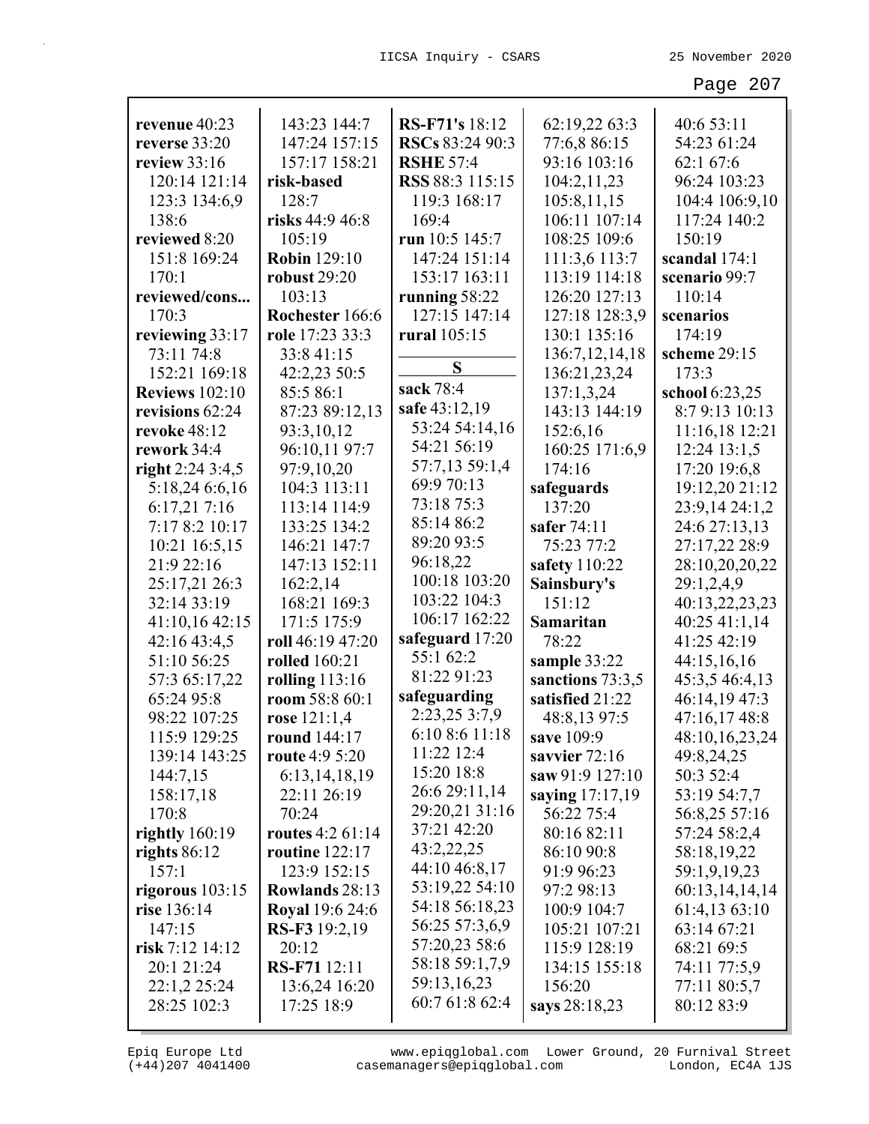| revenue 40:23         | 143:23 144:7            | RS-F71's 18:12   | 62:19,22 63:3     | 40:6 53:11     |
|-----------------------|-------------------------|------------------|-------------------|----------------|
| reverse 33:20         | 147:24 157:15           | RSCs 83:24 90:3  | 77:6,8 86:15      | 54:23 61:24    |
| review $33:16$        | 157:17 158:21           | <b>RSHE 57:4</b> | 93:16 103:16      | 62:1 67:6      |
| 120:14 121:14         | risk-based              | RSS 88:3 115:15  | 104:2,11,23       | 96:24 103:23   |
| 123:3 134:6,9         | 128:7                   | 119:3 168:17     | 105:8,11,15       | 104:4 106:9,10 |
| 138:6                 | risks 44:9 46:8         | 169:4            | 106:11 107:14     | 117:24 140:2   |
| reviewed 8:20         | 105:19                  | run 10:5 145:7   | 108:25 109:6      | 150:19         |
| 151:8 169:24          | <b>Robin</b> 129:10     | 147:24 151:14    | 111:3,6 113:7     | scandal 174:1  |
| 170:1                 | <b>robust 29:20</b>     | 153:17 163:11    | 113:19 114:18     | scenario 99:7  |
| reviewed/cons         | 103:13                  | running 58:22    | 126:20 127:13     | 110:14         |
| 170:3                 | Rochester 166:6         | 127:15 147:14    | 127:18 128:3,9    | scenarios      |
| reviewing 33:17       | role 17:23 33:3         | rural 105:15     | 130:1 135:16      | 174:19         |
| 73:11 74:8            | 33:8 41:15              |                  | 136:7, 12, 14, 18 | scheme 29:15   |
| 152:21 169:18         | 42:2,23 50:5            | S                | 136:21,23,24      | 173:3          |
| <b>Reviews</b> 102:10 | 85:5 86:1               | sack 78:4        | 137:1,3,24        | school 6:23,25 |
| revisions 62:24       | 87:23 89:12,13          | safe 43:12,19    | 143:13 144:19     | 8:7 9:13 10:13 |
| <b>revoke 48:12</b>   | 93:3,10,12              | 53:24 54:14,16   | 152:6,16          | 11:16,18 12:21 |
| rework 34:4           | 96:10,11 97:7           | 54:21 56:19      | 160:25 171:6,9    | 12:24 13:1,5   |
| right $2:243:4,5$     | 97:9,10,20              | 57:7,13 59:1,4   | 174:16            | 17:20 19:6,8   |
| 5:18,24 6:6,16        | 104:3 113:11            | 69:9 70:13       | safeguards        | 19:12,20 21:12 |
| 6:17,217:16           | 113:14 114:9            | 73:18 75:3       | 137:20            | 23:9,14 24:1,2 |
| 7:17 8:2 10:17        | 133:25 134:2            | 85:14 86:2       | safer 74:11       | 24:6 27:13,13  |
| 10:21 16:5,15         | 146:21 147:7            | 89:20 93:5       | 75:23 77:2        | 27:17,22 28:9  |
| 21:9 22:16            | 147:13 152:11           | 96:18,22         | safety 110:22     | 28:10,20,20,22 |
| 25:17,21 26:3         | 162:2,14                | 100:18 103:20    | Sainsbury's       | 29:1,2,4,9     |
| 32:14 33:19           | 168:21 169:3            | 103:22 104:3     | 151:12            | 40:13,22,23,23 |
| 41:10,16 42:15        | 171:5 175:9             | 106:17 162:22    | Samaritan         | 40:25 41:1,14  |
| 42:16 43:4,5          | roll 46:19 47:20        | safeguard 17:20  | 78:22             | 41:25 42:19    |
| 51:10 56:25           | <b>rolled</b> 160:21    | 55:1 62:2        | sample 33:22      | 44:15,16,16    |
| 57:3 65:17,22         | rolling 113:16          | 81:22 91:23      | sanctions 73:3,5  | 45:3,5 46:4,13 |
| 65:24 95:8            | room 58:8 60:1          | safeguarding     | satisfied 21:22   | 46:14,19 47:3  |
| 98:22 107:25          | rose $121:1,4$          | 2:23,25 3:7,9    | 48:8,13 97:5      | 47:16,17 48:8  |
| 115:9 129:25          | round 144:17            | 6:10 8:6 11:18   | save 109:9        | 48:10,16,23,24 |
| 139:14 143:25         | route 4:9 5:20          | 11:22 12:4       | savvier 72:16     | 49:8,24,25     |
| 144:7,15              | 6:13,14,18,19           | 15:20 18:8       | saw 91:9 127:10   | 50:3 52:4      |
| 158:17,18             | 22:11 26:19             | 26:6 29:11,14    | saying 17:17,19   | 53:19 54:7,7   |
| 170:8                 | 70:24                   | 29:20,21 31:16   | 56:22 75:4        | 56:8,25 57:16  |
| rightly $160:19$      | <b>routes</b> 4:2 61:14 | 37:21 42:20      | 80:16 82:11       | 57:24 58:2,4   |
| rights $86:12$        | routine $122:17$        | 43:2,22,25       | 86:10 90:8        | 58:18,19,22    |
| 157:1                 | 123:9 152:15            | 44:10 46:8,17    | 91:9 96:23        | 59:1,9,19,23   |
| rigorous $103:15$     | <b>Rowlands</b> 28:13   | 53:19,22 54:10   | 97:2 98:13        | 60:13,14,14,14 |
| rise 136:14           | <b>Royal</b> 19:6 24:6  | 54:18 56:18,23   | 100:9 104:7       | 61:4,13 63:10  |
| 147:15                | RS-F3 19:2,19           | 56:25 57:3,6,9   | 105:21 107:21     | 63:14 67:21    |
| risk 7:12 14:12       | 20:12                   | 57:20,23 58:6    | 115:9 128:19      | 68:21 69:5     |
| 20:1 21:24            | RS-F71 12:11            | 58:18 59:1,7,9   | 134:15 155:18     | 74:11 77:5,9   |
| 22:1,2 25:24          | 13:6,24 16:20           | 59:13,16,23      | 156:20            | 77:11 80:5,7   |
| 28:25 102:3           | 17:25 18:9              | 60:7 61:8 62:4   | says 28:18,23     | 80:12 83:9     |
|                       |                         |                  |                   |                |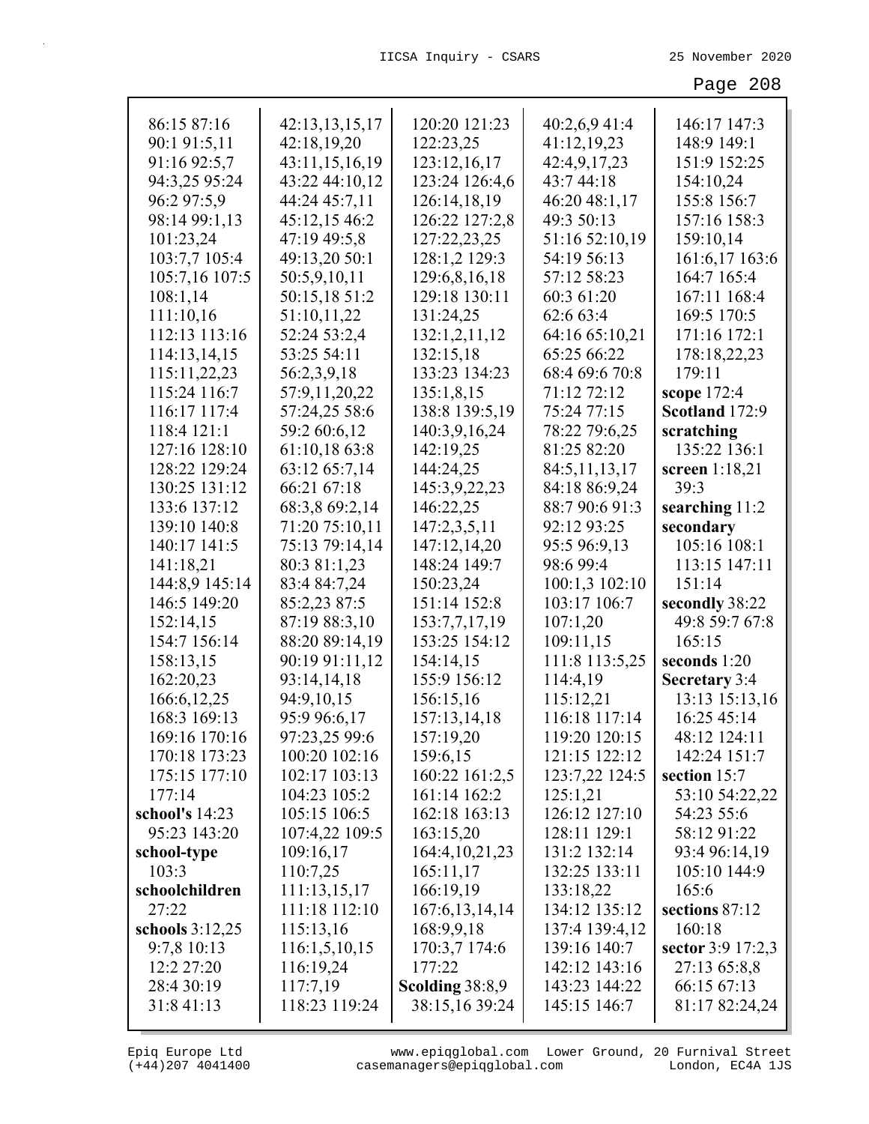| 86:15 87:16       | 42:13,13,15,17 | 120:20 121:23     | 40:2,6,9 41:4  | 146:17 147:3      |
|-------------------|----------------|-------------------|----------------|-------------------|
| 90:1 91:5,11      | 42:18,19,20    | 122:23,25         | 41:12,19,23    | 148:9 149:1       |
| 91:16 92:5,7      | 43:11,15,16,19 | 123:12,16,17      | 42:4,9,17,23   | 151:9 152:25      |
| 94:3,25 95:24     | 43:22 44:10,12 | 123:24 126:4,6    | 43:7 44:18     | 154:10,24         |
| 96:2 97:5,9       | 44:24 45:7,11  | 126:14,18,19      | 46:20 48:1,17  | 155:8 156:7       |
| 98:14 99:1,13     | 45:12,15 46:2  | 126:22 127:2,8    | 49:3 50:13     | 157:16 158:3      |
| 101:23,24         | 47:19 49:5,8   | 127:22,23,25      | 51:16 52:10,19 | 159:10,14         |
| 103:7,7 105:4     | 49:13,20 50:1  | 128:1,2 129:3     | 54:19 56:13    | 161:6,17 163:6    |
| 105:7,16 107:5    | 50:5,9,10,11   | 129:6,8,16,18     | 57:12 58:23    | 164:7 165:4       |
| 108:1,14          | 50:15,18 51:2  | 129:18 130:11     | 60:3 61:20     | 167:11 168:4      |
| 111:10,16         | 51:10,11,22    | 131:24,25         | 62:6 63:4      | 169:5 170:5       |
| 112:13 113:16     | 52:24 53:2,4   | 132:1,2,11,12     | 64:16 65:10,21 | 171:16 172:1      |
| 114:13,14,15      | 53:25 54:11    | 132:15,18         | 65:25 66:22    | 178:18,22,23      |
| 115:11,22,23      | 56:2,3,9,18    | 133:23 134:23     | 68:4 69:6 70:8 | 179:11            |
| 115:24 116:7      | 57:9,11,20,22  | 135:1,8,15        | 71:12 72:12    | scope 172:4       |
| 116:17 117:4      | 57:24,25 58:6  | 138:8 139:5,19    | 75:24 77:15    | Scotland 172:9    |
| 118:4 121:1       | 59:2 60:6,12   | 140:3,9,16,24     | 78:22 79:6,25  | scratching        |
| 127:16 128:10     | 61:10,18 63:8  | 142:19,25         | 81:25 82:20    | 135:22 136:1      |
| 128:22 129:24     | 63:12 65:7,14  | 144:24,25         | 84:5,11,13,17  | screen 1:18,21    |
| 130:25 131:12     | 66:21 67:18    | 145:3,9,22,23     | 84:18 86:9,24  | 39:3              |
| 133:6 137:12      | 68:3,8 69:2,14 | 146:22,25         | 88:7 90:6 91:3 | searching 11:2    |
| 139:10 140:8      | 71:20 75:10,11 | 147:2,3,5,11      | 92:12 93:25    | secondary         |
| 140:17 141:5      | 75:13 79:14,14 | 147:12,14,20      | 95:5 96:9,13   | 105:16 108:1      |
| 141:18,21         | 80:3 81:1,23   | 148:24 149:7      | 98:6 99:4      | 113:15 147:11     |
| 144:8,9 145:14    | 83:4 84:7,24   | 150:23,24         | 100:1,3 102:10 | 151:14            |
| 146:5 149:20      | 85:2,23 87:5   | 151:14 152:8      | 103:17 106:7   | secondly 38:22    |
| 152:14,15         | 87:19 88:3,10  | 153:7,7,17,19     | 107:1,20       | 49:8 59:7 67:8    |
| 154:7 156:14      | 88:20 89:14,19 | 153:25 154:12     | 109:11,15      | 165:15            |
| 158:13,15         | 90:19 91:11,12 | 154:14,15         | 111:8 113:5,25 | seconds 1:20      |
| 162:20,23         | 93:14,14,18    | 155:9 156:12      | 114:4,19       | Secretary 3:4     |
| 166:6, 12, 25     | 94:9,10,15     | 156:15,16         | 115:12,21      | 13:13 15:13,16    |
| 168:3 169:13      | 95:9 96:6,17   | 157:13,14,18      | 116:18 117:14  | 16:25 45:14       |
| 169:16 170:16     | 97:23,25 99:6  | 157:19,20         | 119:20 120:15  | 48:12 124:11      |
| 170:18 173:23     | 100:20 102:16  | 159:6,15          | 121:15 122:12  | 142:24 151:7      |
| 175:15 177:10     | 102:17 103:13  | 160:22 161:2,5    | 123:7,22 124:5 | section 15:7      |
| 177:14            | 104:23 105:2   | 161:14 162:2      | 125:1,21       | 53:10 54:22,22    |
| school's 14:23    | 105:15 106:5   | 162:18 163:13     | 126:12 127:10  | 54:23 55:6        |
| 95:23 143:20      | 107:4,22 109:5 | 163:15,20         | 128:11 129:1   | 58:12 91:22       |
| school-type       | 109:16,17      | 164:4, 10, 21, 23 | 131:2 132:14   | 93:4 96:14,19     |
| 103:3             | 110:7,25       | 165:11,17         | 132:25 133:11  | 105:10 144:9      |
| schoolchildren    | 111:13,15,17   | 166:19,19         | 133:18,22      | 165:6             |
| 27:22             | 111:18 112:10  | 167:6, 13, 14, 14 | 134:12 135:12  | sections 87:12    |
| schools $3:12,25$ | 115:13,16      | 168:9,9,18        | 137:4 139:4,12 | 160:18            |
| 9:7,8 10:13       | 116:1,5,10,15  | 170:3,7 174:6     | 139:16 140:7   | sector 3:9 17:2,3 |
| 12:2 27:20        | 116:19,24      | 177:22            | 142:12 143:16  | 27:13 65:8,8      |
| 28:4 30:19        | 117:7,19       | Scolding 38:8,9   | 143:23 144:22  | 66:15 67:13       |
| 31:8 41:13        | 118:23 119:24  | 38:15,16 39:24    | 145:15 146:7   | 81:17 82:24,24    |
|                   |                |                   |                |                   |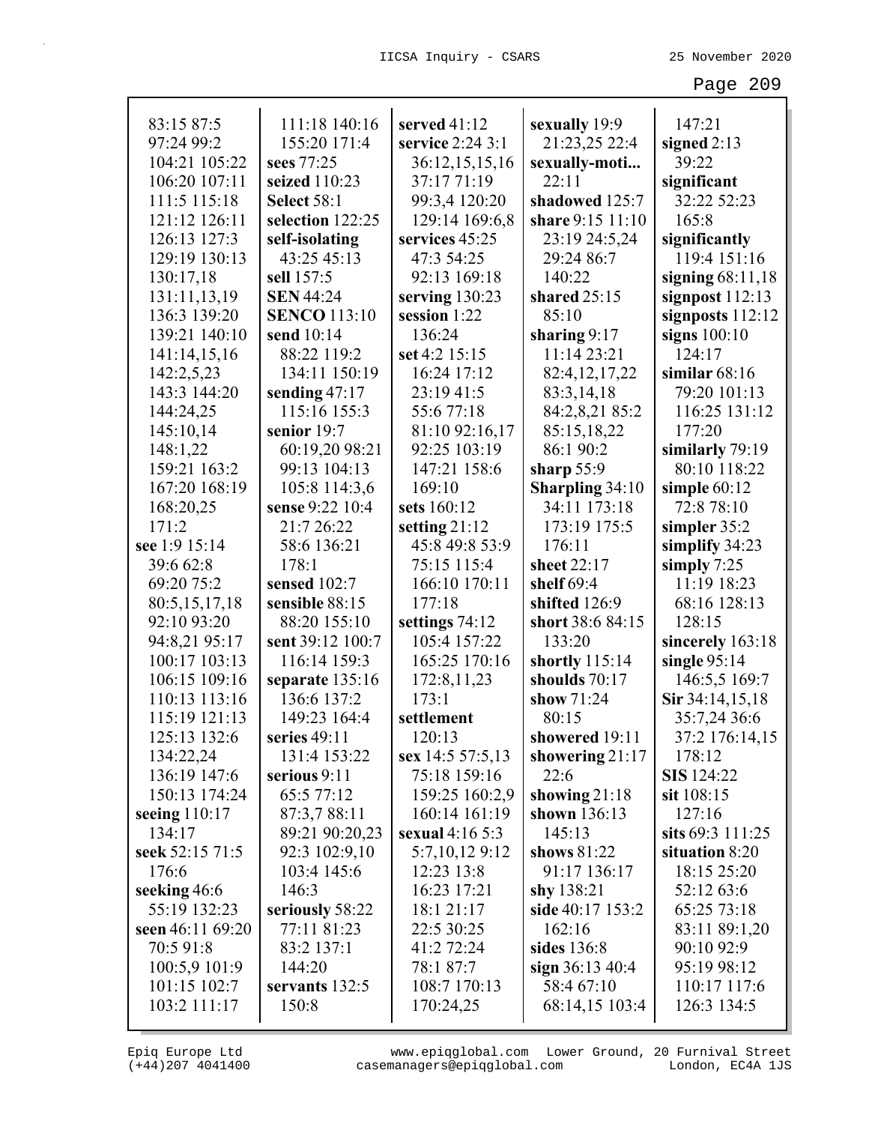| 83:15 87:5       | 111:18 140:16       | served $41:12$     | sexually 19:9          | 147:21             |
|------------------|---------------------|--------------------|------------------------|--------------------|
| 97:24 99:2       | 155:20 171:4        | service 2:24 3:1   | 21:23,25 22:4          | signed $2:13$      |
| 104:21 105:22    | sees 77:25          | 36:12,15,15,16     | sexually-moti          | 39:22              |
| 106:20 107:11    | seized 110:23       | 37:17 71:19        | 22:11                  | significant        |
| 111:5 115:18     | <b>Select 58:1</b>  | 99:3,4 120:20      | shadowed 125:7         | 32:22 52:23        |
| 121:12 126:11    | selection 122:25    | 129:14 169:6,8     | share 9:15 11:10       | 165:8              |
| 126:13 127:3     | self-isolating      | services 45:25     | 23:19 24:5,24          | significantly      |
| 129:19 130:13    | 43:25 45:13         | 47:3 54:25         | 29:24 86:7             | 119:4 151:16       |
| 130:17,18        | sell 157:5          | 92:13 169:18       | 140:22                 | signing $68:11,18$ |
| 131:11,13,19     | <b>SEN 44:24</b>    | serving 130:23     | shared $25:15$         | signpost $112:13$  |
| 136:3 139:20     | <b>SENCO</b> 113:10 | session 1:22       | 85:10                  | signposts $112:12$ |
| 139:21 140:10    | send 10:14          | 136:24             | sharing 9:17           | signs $100:10$     |
| 141:14,15,16     | 88:22 119:2         | set 4:2 15:15      | 11:14 23:21            | 124:17             |
| 142:2,5,23       | 134:11 150:19       | 16:24 17:12        | 82:4, 12, 17, 22       | similar $68:16$    |
| 143:3 144:20     | sending $47:17$     | 23:19 41:5         | 83:3,14,18             | 79:20 101:13       |
| 144:24,25        | 115:16 155:3        | 55:677:18          | 84:2,8,21 85:2         | 116:25 131:12      |
| 145:10,14        | senior 19:7         | 81:10 92:16,17     | 85:15,18,22            | 177:20             |
| 148:1,22         | 60:19,20 98:21      | 92:25 103:19       | 86:1 90:2              | similarly 79:19    |
| 159:21 163:2     | 99:13 104:13        | 147:21 158:6       | sharp $55:9$           | 80:10 118:22       |
| 167:20 168:19    | 105:8 114:3,6       | 169:10             | <b>Sharpling 34:10</b> | simple $60:12$     |
| 168:20,25        | sense 9:22 10:4     | sets 160:12        | 34:11 173:18           | 72:8 78:10         |
| 171:2            | 21:7 26:22          | setting $21:12$    | 173:19 175:5           | simpler 35:2       |
| see 1:9 15:14    | 58:6 136:21         | 45:8 49:8 53:9     | 176:11                 | simplify 34:23     |
| 39:6 62:8        | 178:1               | 75:15 115:4        | sheet 22:17            | simply $7:25$      |
| 69:20 75:2       | sensed 102:7        | 166:10 170:11      | shelf 69:4             | 11:19 18:23        |
| 80:5,15,17,18    | sensible 88:15      | 177:18             | shifted 126:9          | 68:16 128:13       |
| 92:10 93:20      | 88:20 155:10        | settings 74:12     | short 38:6 84:15       | 128:15             |
| 94:8,21 95:17    | sent 39:12 100:7    | 105:4 157:22       | 133:20                 | sincerely 163:18   |
| 100:17 103:13    | 116:14 159:3        | 165:25 170:16      | shortly $115:14$       | single $95:14$     |
| 106:15 109:16    | separate $135:16$   | 172:8, 11, 23      | shoulds 70:17          | 146:5,5 169:7      |
| 110:13 113:16    | 136:6 137:2         | 173:1              | show $71:24$           | Sir 34:14,15,18    |
| 115:19 121:13    | 149:23 164:4        | settlement         | 80:15                  | 35:7,24 36:6       |
| 125:13 132:6     | series 49:11        | 120:13             | showered 19:11         | 37:2 176:14,15     |
| 134:22,24        | 131:4 153:22        | sex $14:557:5,13$  | showering $21:17$      | 178:12             |
| 136:19 147:6     | serious 9:11        | 75:18 159:16       | 22:6                   | <b>SIS</b> 124:22  |
| 150:13 174:24    | 65:5 77:12          | 159:25 160:2,9     | showing $21:18$        | $s$ it $108:15$    |
| seeing $110:17$  | 87:3,7 88:11        | 160:14 161:19      | shown 136:13           | 127:16             |
| 134:17           | 89:21 90:20,23      | sexual $4:16\,5:3$ | 145:13                 | sits 69:3 111:25   |
| seek 52:15 71:5  | 92:3 102:9,10       | 5:7,10,12 9:12     | shows 81:22            | situation 8:20     |
| 176:6            | 103:4 145:6         | 12:23 13:8         | 91:17 136:17           | 18:15 25:20        |
| seeking 46:6     | 146:3               | 16:23 17:21        | shy 138:21             | 52:12 63:6         |
| 55:19 132:23     | seriously 58:22     | 18:1 21:17         | side 40:17 153:2       | 65:25 73:18        |
| seen 46:11 69:20 | 77:11 81:23         | 22:5 30:25         | 162:16                 | 83:11 89:1,20      |
| 70:5 91:8        | 83:2 137:1          | 41:2 72:24         | sides 136:8            | 90:10 92:9         |
| 100:5,9 101:9    | 144:20              | 78:1 87:7          | sign $36:13\,40:4$     | 95:19 98:12        |
| 101:15 102:7     | servants 132:5      | 108:7 170:13       | 58:4 67:10             | 110:17 117:6       |
| 103:2 111:17     | 150:8               | 170:24,25          | 68:14,15 103:4         | 126:3 134:5        |
|                  |                     |                    |                        |                    |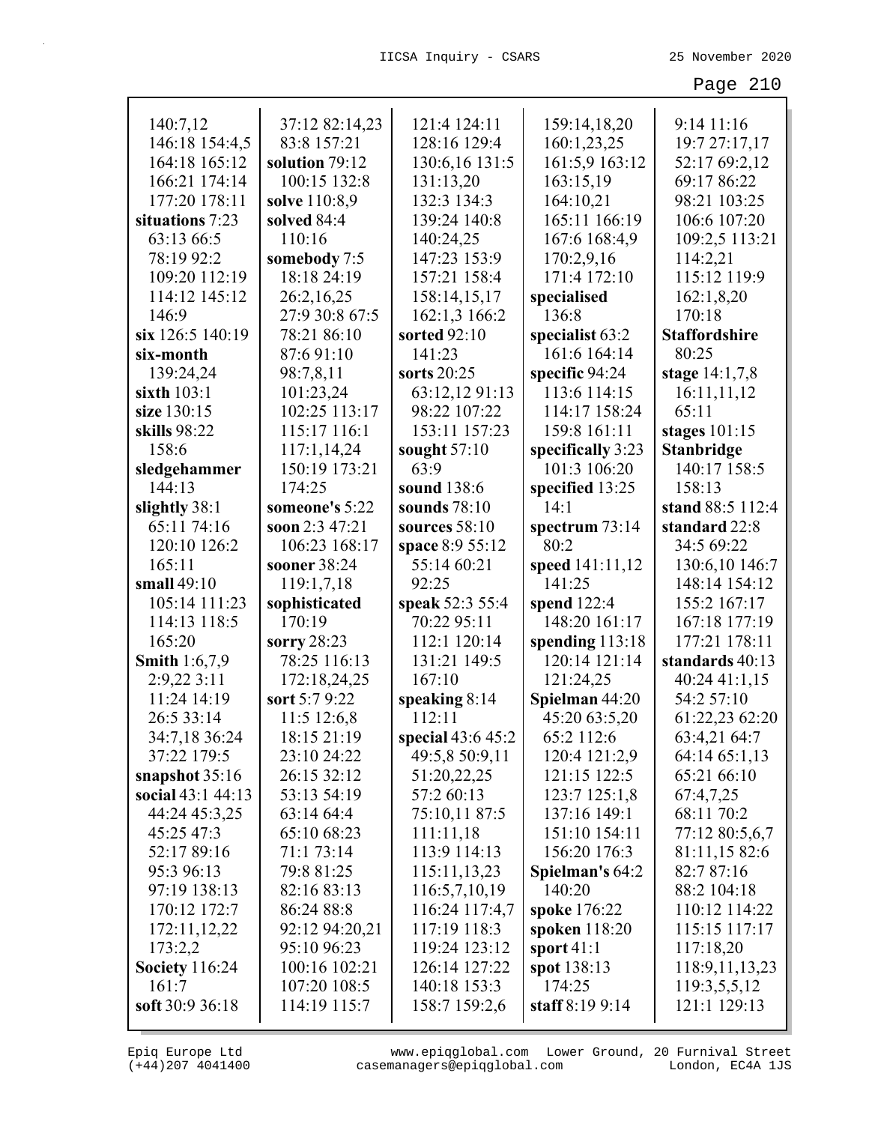| 140:7,12              | 37:12 82:14,23 | 121:4 124:11      | 159:14,18,20      | 9:14 11:16           |
|-----------------------|----------------|-------------------|-------------------|----------------------|
| 146:18 154:4,5        | 83:8 157:21    | 128:16 129:4      | 160:1,23,25       | 19:7 27:17,17        |
| 164:18 165:12         | solution 79:12 | 130:6,16 131:5    | 161:5,9 163:12    | 52:17 69:2,12        |
| 166:21 174:14         | 100:15 132:8   | 131:13,20         | 163:15,19         | 69:17 86:22          |
| 177:20 178:11         | solve 110:8,9  | 132:3 134:3       | 164:10,21         | 98:21 103:25         |
| situations 7:23       | solved 84:4    | 139:24 140:8      | 165:11 166:19     | 106:6 107:20         |
| 63:13 66:5            | 110:16         | 140:24,25         | 167:6 168:4,9     | 109:2,5 113:21       |
| 78:19 92:2            | somebody 7:5   | 147:23 153:9      | 170:2,9,16        | 114:2,21             |
| 109:20 112:19         | 18:18 24:19    | 157:21 158:4      | 171:4 172:10      | 115:12 119:9         |
| 114:12 145:12         | 26:2,16,25     | 158:14,15,17      | specialised       | 162:1,8,20           |
| 146:9                 | 27:9 30:8 67:5 | 162:1,3 166:2     | 136:8             | 170:18               |
| six 126:5 140:19      | 78:21 86:10    | sorted 92:10      | specialist 63:2   | <b>Staffordshire</b> |
| six-month             | 87:691:10      | 141:23            | 161:6 164:14      | 80:25                |
| 139:24,24             | 98:7,8,11      | sorts 20:25       | specific 94:24    | stage 14:1,7,8       |
| sixth 103:1           | 101:23,24      | 63:12,12 91:13    | 113:6 114:15      | 16:11,11,12          |
| size 130:15           | 102:25 113:17  | 98:22 107:22      | 114:17 158:24     | 65:11                |
| skills 98:22          | 115:17 116:1   | 153:11 157:23     | 159:8 161:11      | stages $101:15$      |
| 158:6                 | 117:1,14,24    | sought $57:10$    | specifically 3:23 | <b>Stanbridge</b>    |
| sledgehammer          | 150:19 173:21  | 63:9              | 101:3 106:20      | 140:17 158:5         |
| 144:13                | 174:25         | sound 138:6       | specified 13:25   | 158:13               |
| slightly 38:1         | someone's 5:22 | sounds 78:10      | 14:1              | stand 88:5 112:4     |
| 65:11 74:16           | soon 2:3 47:21 | sources $58:10$   | spectrum 73:14    | standard 22:8        |
| 120:10 126:2          | 106:23 168:17  | space 8:9 55:12   | 80:2              | 34:5 69:22           |
| 165:11                | sooner 38:24   | 55:14 60:21       | speed 141:11,12   | 130:6,10 146:7       |
| small 49:10           | 119:1,7,18     | 92:25             | 141:25            | 148:14 154:12        |
| 105:14 111:23         | sophisticated  | speak 52:3 55:4   | spend 122:4       | 155:2 167:17         |
| 114:13 118:5          | 170:19         | 70:22 95:11       | 148:20 161:17     | 167:18 177:19        |
| 165:20                | sorry 28:23    | 112:1 120:14      | spending $113:18$ | 177:21 178:11        |
| <b>Smith 1:6,7,9</b>  | 78:25 116:13   | 131:21 149:5      | 120:14 121:14     | standards 40:13      |
| 2:9,22 3:11           | 172:18,24,25   | 167:10            | 121:24,25         | 40:24 41:1,15        |
| 11:24 14:19           | sort 5:7 9:22  | speaking $8:14$   | Spielman 44:20    | 54:2 57:10           |
| 26:5 33:14            | 11:5 12:6,8    | 112:11            | 45:20 63:5,20     | 61:22,23 62:20       |
| 34:7,18 36:24         | 18:15 21:19    | special 43:6 45:2 | 65:2 112:6        | 63:4,21 64:7         |
| 37:22 179:5           | 23:10 24:22    | 49:5,8 50:9,11    | 120:4 121:2,9     | 64:14 65:1,13        |
| snapshot $35:16$      | 26:15 32:12    | 51:20,22,25       | 121:15 122:5      | 65:21 66:10          |
| social 43:1 44:13     | 53:13 54:19    | 57:2 60:13        | 123:7 125:1,8     | 67:4,7,25            |
| 44:24 45:3,25         | 63:14 64:4     | 75:10,11 87:5     | 137:16 149:1      | 68:11 70:2           |
| 45:25 47:3            | 65:10 68:23    | 111:11,18         | 151:10 154:11     | 77:12 80:5,6,7       |
| 52:17 89:16           | 71:1 73:14     | 113:9 114:13      | 156:20 176:3      | 81:11,15 82:6        |
| 95:3 96:13            | 79:8 81:25     | 115:11,13,23      | Spielman's 64:2   | 82:7 87:16           |
| 97:19 138:13          | 82:16 83:13    | 116:5,7,10,19     | 140:20            | 88:2 104:18          |
| 170:12 172:7          | 86:24 88:8     | 116:24 117:4,7    | spoke 176:22      | 110:12 114:22        |
| 172:11,12,22          | 92:12 94:20,21 | 117:19 118:3      | spoken $118:20$   | 115:15 117:17        |
| 173:2,2               | 95:10 96:23    | 119:24 123:12     | sport $41:1$      | 117:18,20            |
| <b>Society</b> 116:24 | 100:16 102:21  | 126:14 127:22     | spot 138:13       | 118:9, 11, 13, 23    |
| 161:7                 | 107:20 108:5   | 140:18 153:3      | 174:25            | 119:3,5,5,12         |
| soft 30:9 36:18       | 114:19 115:7   | 158:7 159:2,6     | staff 8:19 9:14   | 121:1 129:13         |
|                       |                |                   |                   |                      |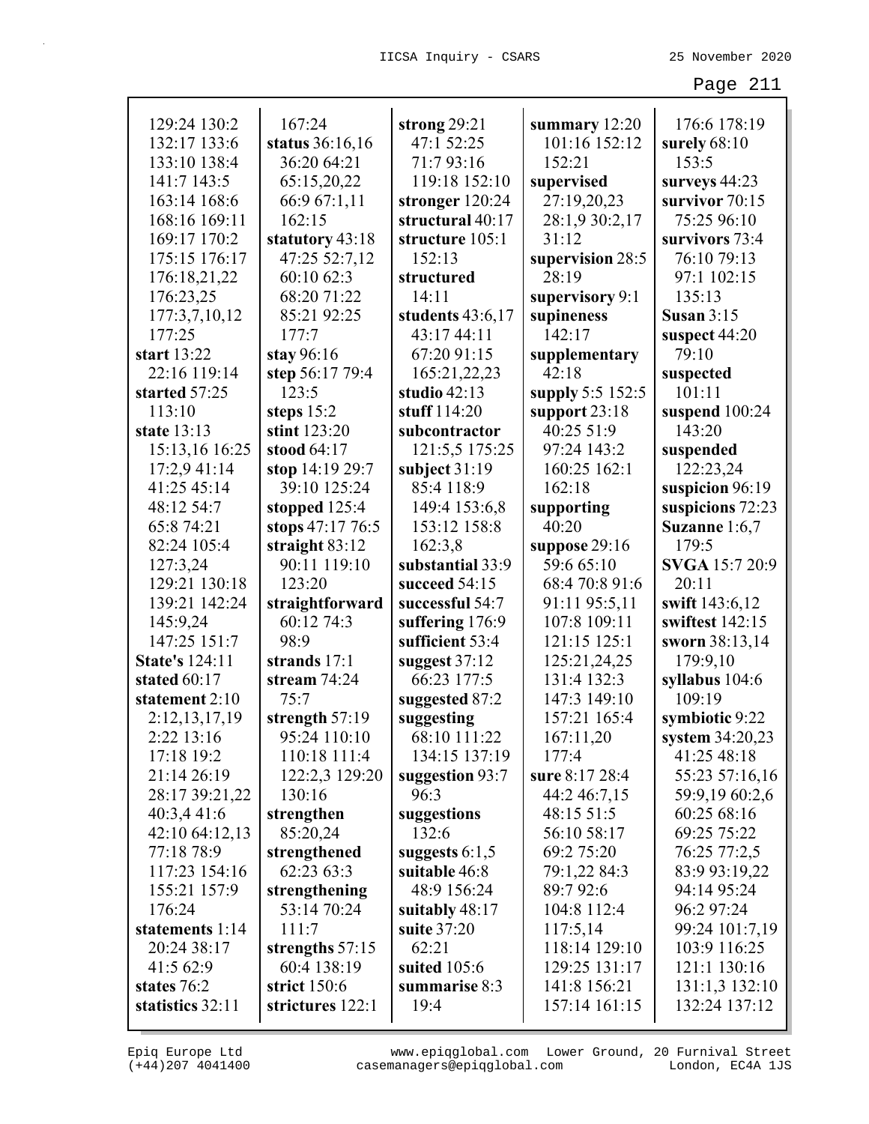| 129:24 130:2          | 167:24            | strong $29:21$   | summary 12:20    | 176:6 178:19      |
|-----------------------|-------------------|------------------|------------------|-------------------|
| 132:17 133:6          | status 36:16,16   | 47:1 52:25       | 101:16 152:12    | surely $68:10$    |
| 133:10 138:4          | 36:20 64:21       | 71:793:16        | 152:21           | 153:5             |
| 141:7 143:5           | 65:15,20,22       | 119:18 152:10    | supervised       | surveys 44:23     |
| 163:14 168:6          | 66:9 67:1,11      | stronger 120:24  | 27:19,20,23      | survivor 70:15    |
| 168:16 169:11         | 162:15            | structural 40:17 | 28:1,9 30:2,17   | 75:25 96:10       |
| 169:17 170:2          | statutory 43:18   | structure 105:1  | 31:12            | survivors 73:4    |
| 175:15 176:17         | 47:25 52:7,12     | 152:13           | supervision 28:5 | 76:10 79:13       |
| 176:18,21,22          | 60:10 62:3        | structured       | 28:19            | 97:1 102:15       |
| 176:23,25             | 68:20 71:22       | 14:11            | supervisory 9:1  | 135:13            |
| 177:3,7,10,12         | 85:21 92:25       | students 43:6,17 | supineness       | Susan $3:15$      |
| 177:25                | 177:7             | 43:17 44:11      | 142:17           | suspect 44:20     |
| start 13:22           | stay 96:16        | 67:20 91:15      | supplementary    | 79:10             |
| 22:16 119:14          | step 56:17 79:4   | 165:21,22,23     | 42:18            | suspected         |
| started 57:25         | 123:5             | studio 42:13     | supply 5:5 152:5 | 101:11            |
| 113:10                | steps $15:2$      | stuff 114:20     | support $23:18$  | suspend $100:24$  |
| state 13:13           | stint 123:20      | subcontractor    | 40:25 51:9       | 143:20            |
| 15:13,16 16:25        | stood 64:17       | 121:5,5 175:25   | 97:24 143:2      | suspended         |
| 17:2,9 41:14          | stop 14:19 29:7   | subject $31:19$  | 160:25 162:1     | 122:23,24         |
| 41:25 45:14           | 39:10 125:24      | 85:4 118:9       | 162:18           | suspicion 96:19   |
| 48:12 54:7            | stopped 125:4     | 149:4 153:6,8    | supporting       | suspicions 72:23  |
| 65:8 74:21            | stops 47:17 76:5  | 153:12 158:8     | 40:20            | Suzanne 1:6,7     |
| 82:24 105:4           | straight 83:12    | 162:3,8          | suppose $29:16$  | 179:5             |
| 127:3,24              | 90:11 119:10      | substantial 33:9 | 59:6 65:10       | SVGA 15:7 20:9    |
| 129:21 130:18         | 123:20            | succeed 54:15    | 68:4 70:8 91:6   | 20:11             |
| 139:21 142:24         | straightforward   | successful 54:7  | 91:11 95:5,11    | swift 143:6,12    |
| 145:9,24              | 60:12 74:3        | suffering 176:9  | 107:8 109:11     | swiftest 142:15   |
| 147:25 151:7          | 98:9              | sufficient 53:4  | 121:15 125:1     | sworn 38:13,14    |
| <b>State's 124:11</b> | strands 17:1      | suggest $37:12$  | 125:21,24,25     | 179:9,10          |
| stated 60:17          | stream 74:24      | 66:23 177:5      | 131:4 132:3      | syllabus 104:6    |
| statement 2:10        | 75:7              | suggested 87:2   | 147:3 149:10     | 109:19            |
| 2:12,13,17,19         | strength 57:19    | suggesting       | 157:21 165:4     | symbiotic 9:22    |
| 2:22 13:16            | 95:24 110:10      | 68:10 111:22     | 167:11,20        | system $34:20,23$ |
| 17:18 19:2            | 110:18 111:4      | 134:15 137:19    | 177:4            | 41:25 48:18       |
| 21:14 26:19           | 122:2,3 129:20    | suggestion 93:7  | sure 8:17 28:4   | 55:23 57:16,16    |
| 28:17 39:21,22        | 130:16            | 96:3             | 44:2 46:7,15     | 59:9,19 60:2,6    |
| 40:3,4 41:6           | strengthen        | suggestions      | 48:15 51:5       | 60:25 68:16       |
| 42:10 64:12,13        | 85:20,24          | 132:6            | 56:10 58:17      | 69:25 75:22       |
| 77:18 78:9            | strengthened      | suggests $6:1,5$ | 69:2 75:20       | 76:25 77:2,5      |
| 117:23 154:16         | 62:23 63:3        | suitable 46:8    | 79:1,22 84:3     | 83:9 93:19,22     |
| 155:21 157:9          | strengthening     | 48:9 156:24      | 89:7 92:6        | 94:14 95:24       |
| 176:24                | 53:14 70:24       | suitably $48:17$ | 104:8 112:4      | 96:2 97:24        |
| statements 1:14       | 111:7             | suite 37:20      | 117:5,14         | 99:24 101:7,19    |
| 20:24 38:17           | strengths $57:15$ | 62:21            | 118:14 129:10    | 103:9 116:25      |
| 41:5 62:9             | 60:4 138:19       | suited $105:6$   | 129:25 131:17    | 121:1 130:16      |
| states 76:2           | strict 150:6      | summarise 8:3    | 141:8 156:21     | 131:1,3 132:10    |
| statistics 32:11      | strictures 122:1  | 19:4             | 157:14 161:15    | 132:24 137:12     |
|                       |                   |                  |                  |                   |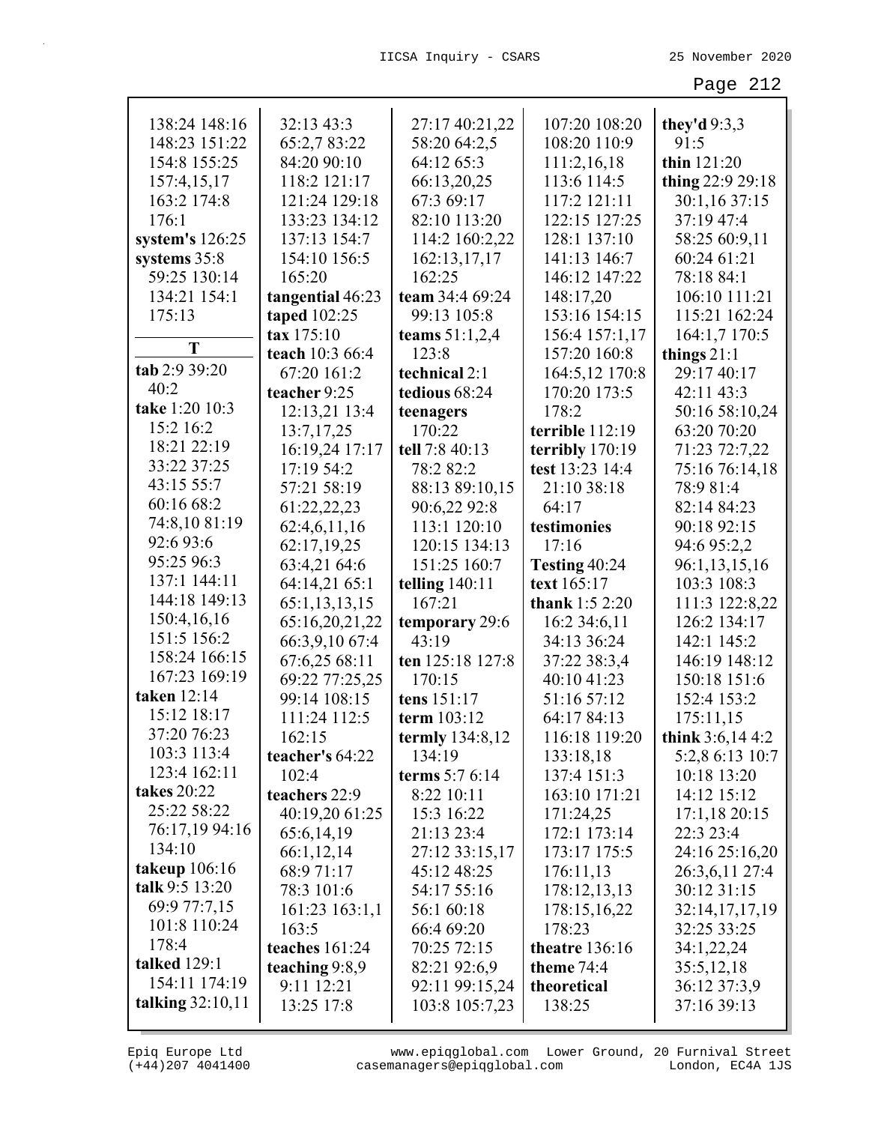| 138:24 148:16      | 32:13 43:3       | 27:17 40:21,22   | 107:20 108:20    | they'd $9:3,3$   |
|--------------------|------------------|------------------|------------------|------------------|
| 148:23 151:22      | 65:2,7 83:22     | 58:20 64:2,5     | 108:20 110:9     | 91:5             |
| 154:8 155:25       | 84:20 90:10      | 64:12 65:3       | 111:2,16,18      | thin 121:20      |
| 157:4,15,17        | 118:2 121:17     | 66:13,20,25      | 113:6 114:5      | thing 22:9 29:18 |
| 163:2 174:8        | 121:24 129:18    | 67:3 69:17       | 117:2 121:11     | 30:1,16 37:15    |
| 176:1              | 133:23 134:12    | 82:10 113:20     | 122:15 127:25    | 37:19 47:4       |
| system's $126:25$  | 137:13 154:7     | 114:2 160:2,22   | 128:1 137:10     | 58:25 60:9,11    |
| systems 35:8       | 154:10 156:5     | 162:13,17,17     | 141:13 146:7     | 60:24 61:21      |
| 59:25 130:14       | 165:20           | 162:25           | 146:12 147:22    | 78:18 84:1       |
| 134:21 154:1       | tangential 46:23 | team 34:4 69:24  | 148:17,20        | 106:10 111:21    |
| 175:13             | taped 102:25     | 99:13 105:8      | 153:16 154:15    | 115:21 162:24    |
|                    | tax 175:10       | teams $51:1,2,4$ | 156:4 157:1,17   | 164:1,7 170:5    |
| T                  | teach 10:3 66:4  | 123:8            | 157:20 160:8     | things $21:1$    |
| tab 2:9 39:20      | 67:20 161:2      | technical 2:1    | 164:5,12 170:8   | 29:17 40:17      |
| 40:2               | teacher 9:25     | tedious 68:24    | 170:20 173:5     | 42:11 43:3       |
| take 1:20 10:3     | 12:13,21 13:4    | teenagers        | 178:2            | 50:16 58:10,24   |
| 15:2 16:2          | 13:7,17,25       | 170:22           | terrible 112:19  | 63:20 70:20      |
| 18:21 22:19        | 16:19,24 17:17   | tell 7:8 40:13   | terribly 170:19  | 71:23 72:7,22    |
| 33:22 37:25        | 17:19 54:2       | 78:2 82:2        | test 13:23 14:4  | 75:16 76:14,18   |
| 43:15 55:7         | 57:21 58:19      | 88:13 89:10,15   | 21:10 38:18      | 78:9 81:4        |
| 60:16 68:2         | 61:22,22,23      | 90:6,22 92:8     | 64:17            | 82:14 84:23      |
| 74:8,10 81:19      | 62:4,6,11,16     | 113:1 120:10     | testimonies      | 90:18 92:15      |
| 92:6 93:6          | 62:17,19,25      | 120:15 134:13    | 17:16            | 94:6 95:2,2      |
| 95:25 96:3         | 63:4,21 64:6     | 151:25 160:7     | Testing 40:24    | 96:1,13,15,16    |
| 137:1 144:11       | 64:14,21 65:1    | telling $140:11$ | text 165:17      | 103:3 108:3      |
| 144:18 149:13      | 65:1,13,13,15    | 167:21           | thank $1:52:20$  | 111:3 122:8,22   |
| 150:4,16,16        | 65:16,20,21,22   | temporary 29:6   | 16:2 34:6,11     | 126:2 134:17     |
| 151:5 156:2        | 66:3,9,10 67:4   | 43:19            | 34:13 36:24      | 142:1 145:2      |
| 158:24 166:15      | 67:6,25 68:11    | ten 125:18 127:8 | 37:22 38:3,4     | 146:19 148:12    |
| 167:23 169:19      | 69:22 77:25,25   | 170:15           | 40:10 41:23      | 150:18 151:6     |
| taken 12:14        | 99:14 108:15     | tens 151:17      | 51:16 57:12      | 152:4 153:2      |
| 15:12 18:17        | 111:24 112:5     | term 103:12      | 64:17 84:13      | 175:11,15        |
| 37:20 76:23        | 162:15           | termly 134:8,12  | 116:18 119:20    | think 3:6,14 4:2 |
| 103:3 113:4        | teacher's 64:22  | 134:19           | 133:18,18        | 5:2,8 6:13 10:7  |
| 123:4 162:11       | 102:4            | terms 5:7 6:14   | 137:4 151:3      | 10:18 13:20      |
| <b>takes</b> 20:22 | teachers 22:9    | 8:22 10:11       | 163:10 171:21    | 14:12 15:12      |
| 25:22 58:22        | 40:19,20 61:25   | 15:3 16:22       | 171:24,25        | 17:1,1820:15     |
| 76:17,19 94:16     | 65:6,14,19       | 21:13 23:4       | 172:1 173:14     | 22:3 23:4        |
| 134:10             | 66:1,12,14       | 27:12 33:15,17   | 173:17 175:5     | 24:16 25:16,20   |
| takeup 106:16      | 68:9 71:17       | 45:12 48:25      | 176:11,13        | 26:3,6,11 27:4   |
| talk 9:5 13:20     | 78:3 101:6       | 54:17 55:16      | 178:12,13,13     | 30:12 31:15      |
| 69:9 77:7,15       | 161:23 163:1,1   | 56:1 60:18       | 178:15,16,22     | 32:14,17,17,19   |
| 101:8 110:24       | 163:5            | 66:4 69:20       | 178:23           | 32:25 33:25      |
| 178:4              | teaches 161:24   | 70:25 72:15      | theatre $136:16$ | 34:1,22,24       |
| talked 129:1       | teaching $9:8,9$ | 82:21 92:6,9     | theme $74:4$     | 35:5,12,18       |
| 154:11 174:19      | 9:11 12:21       | 92:11 99:15,24   | theoretical      | 36:12 37:3,9     |
| talking $32:10,11$ | 13:25 17:8       | 103:8 105:7,23   | 138:25           | 37:16 39:13      |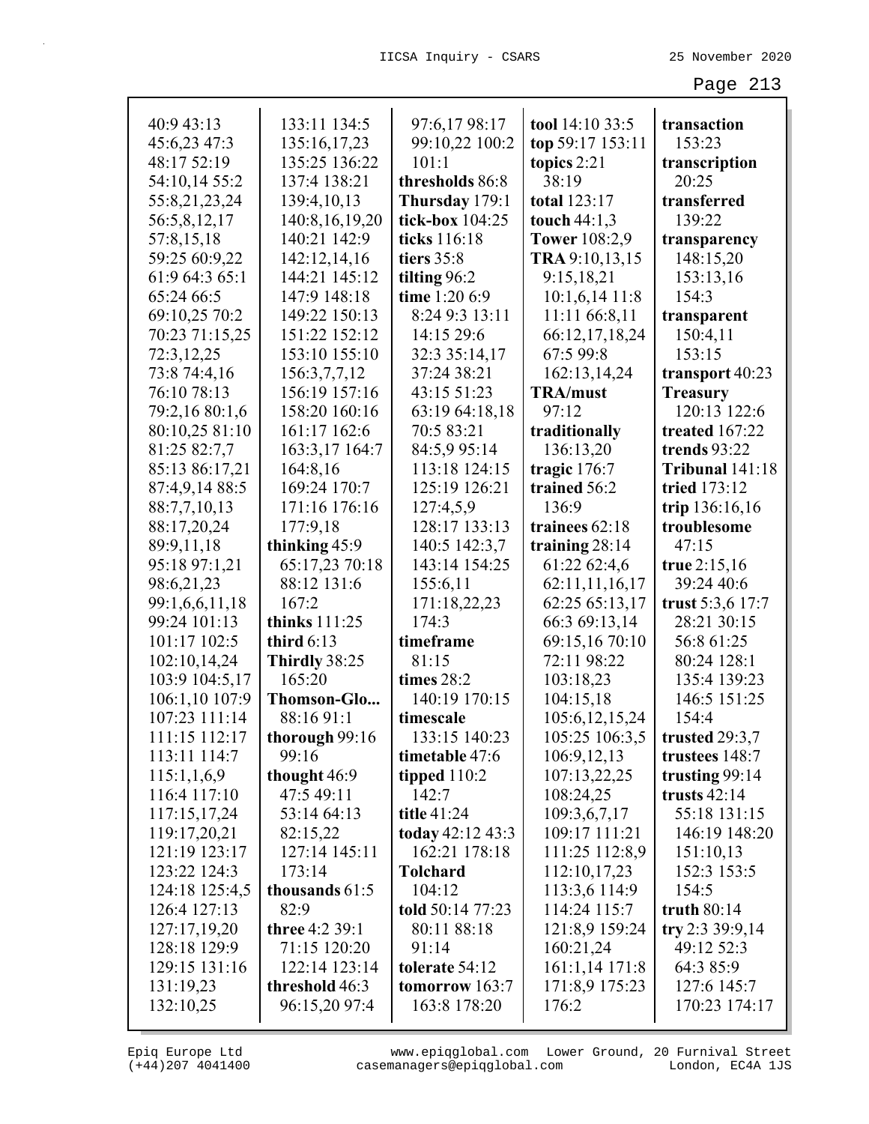| 40:9 43:13     | 133:11 134:5      | 97:6,17 98:17    | tool 14:10 33:5      | transaction      |
|----------------|-------------------|------------------|----------------------|------------------|
| 45:6,23 47:3   | 135:16,17,23      | 99:10,22 100:2   | top 59:17 153:11     | 153:23           |
| 48:17 52:19    | 135:25 136:22     | 101:1            | topics 2:21          | transcription    |
| 54:10,14 55:2  | 137:4 138:21      | thresholds 86:8  | 38:19                | 20:25            |
| 55:8,21,23,24  | 139:4,10,13       | Thursday 179:1   | total 123:17         | transferred      |
| 56:5,8,12,17   | 140:8, 16, 19, 20 | tick-box 104:25  | touch 44:1,3         | 139:22           |
| 57:8,15,18     | 140:21 142:9      | ticks 116:18     | <b>Tower</b> 108:2,9 | transparency     |
| 59:25 60:9,22  | 142:12,14,16      | tiers 35:8       | TRA 9:10,13,15       | 148:15,20        |
| 61:9 64:3 65:1 | 144:21 145:12     | tilting 96:2     | 9:15,18,21           | 153:13,16        |
| 65:24 66:5     | 147:9 148:18      | time 1:20 6:9    | 10:1,6,14 11:8       | 154:3            |
| 69:10,25 70:2  | 149:22 150:13     | 8:24 9:3 13:11   | 11:11 66:8,11        | transparent      |
| 70:23 71:15,25 | 151:22 152:12     | 14:15 29:6       | 66:12,17,18,24       | 150:4,11         |
| 72:3,12,25     | 153:10 155:10     | 32:3 35:14,17    | 67:5 99:8            | 153:15           |
| 73:8 74:4,16   | 156:3,7,7,12      | 37:24 38:21      | 162:13,14,24         | transport 40:23  |
| 76:10 78:13    | 156:19 157:16     | 43:15 51:23      | <b>TRA/must</b>      | <b>Treasury</b>  |
| 79:2,16 80:1,6 | 158:20 160:16     | 63:19 64:18,18   | 97:12                | 120:13 122:6     |
| 80:10,25 81:10 | 161:17 162:6      | 70:5 83:21       | traditionally        | treated 167:22   |
| 81:25 82:7,7   | 163:3,17 164:7    | 84:5,9 95:14     | 136:13,20            | trends 93:22     |
| 85:13 86:17,21 | 164:8,16          | 113:18 124:15    | tragic 176:7         | Tribunal 141:18  |
| 87:4,9,14 88:5 | 169:24 170:7      | 125:19 126:21    | trained 56:2         | tried 173:12     |
| 88:7,7,10,13   | 171:16 176:16     | 127:4,5,9        | 136:9                | trip 136:16,16   |
| 88:17,20,24    | 177:9,18          | 128:17 133:13    | trainees 62:18       | troublesome      |
| 89:9,11,18     | thinking 45:9     | 140:5 142:3,7    | training 28:14       | 47:15            |
| 95:18 97:1,21  | 65:17,23 70:18    | 143:14 154:25    | 61:22 62:4,6         | true 2:15,16     |
| 98:6,21,23     | 88:12 131:6       | 155:6,11         | 62:11,11,16,17       | 39:24 40:6       |
| 99:1,6,6,11,18 | 167:2             | 171:18,22,23     | 62:25 65:13,17       | trust 5:3,6 17:7 |
| 99:24 101:13   | thinks 111:25     | 174:3            | 66:3 69:13,14        | 28:21 30:15      |
| 101:17 102:5   | third $6:13$      | timeframe        | 69:15,16 70:10       | 56:8 61:25       |
| 102:10,14,24   | Thirdly 38:25     | 81:15            | 72:11 98:22          | 80:24 128:1      |
| 103:9 104:5,17 | 165:20            | times 28:2       | 103:18,23            | 135:4 139:23     |
| 106:1,10 107:9 | Thomson-Glo       | 140:19 170:15    | 104:15,18            | 146:5 151:25     |
| 107:23 111:14  | 88:16 91:1        | timescale        | 105:6, 12, 15, 24    | 154:4            |
| 111:15 112:17  | thorough 99:16    | 133:15 140:23    | 105:25 106:3,5       | trusted $29:3,7$ |
| 113:11 114:7   | 99:16             | timetable 47:6   | 106:9,12,13          | trustees 148:7   |
| 115:1,1,6,9    | thought 46:9      | tipped $110:2$   | 107:13,22,25         | trusting 99:14   |
| 116:4 117:10   | 47:5 49:11        | 142:7            | 108:24,25            | trusts $42:14$   |
| 117:15,17,24   | 53:14 64:13       | title 41:24      | 109:3,6,7,17         | 55:18 131:15     |
| 119:17,20,21   | 82:15,22          | today 42:12 43:3 | 109:17 111:21        | 146:19 148:20    |
| 121:19 123:17  | 127:14 145:11     | 162:21 178:18    | 111:25 112:8,9       | 151:10,13        |
| 123:22 124:3   | 173:14            | <b>Tolchard</b>  | 112:10,17,23         | 152:3 153:5      |
| 124:18 125:4,5 | thousands 61:5    | 104:12           | 113:3,6 114:9        | 154:5            |
| 126:4 127:13   | 82:9              | told 50:14 77:23 | 114:24 115:7         | truth $80:14$    |
| 127:17,19,20   | three 4:2 39:1    | 80:11 88:18      | 121:8,9 159:24       | try 2:3 39:9,14  |
| 128:18 129:9   | 71:15 120:20      | 91:14            | 160:21,24            | 49:12 52:3       |
| 129:15 131:16  | 122:14 123:14     | tolerate 54:12   | 161:1,14 171:8       | 64:3 85:9        |
| 131:19,23      | threshold 46:3    | tomorrow $163:7$ | 171:8,9 175:23       | 127:6 145:7      |
| 132:10,25      | 96:15,20 97:4     | 163:8 178:20     | 176:2                | 170:23 174:17    |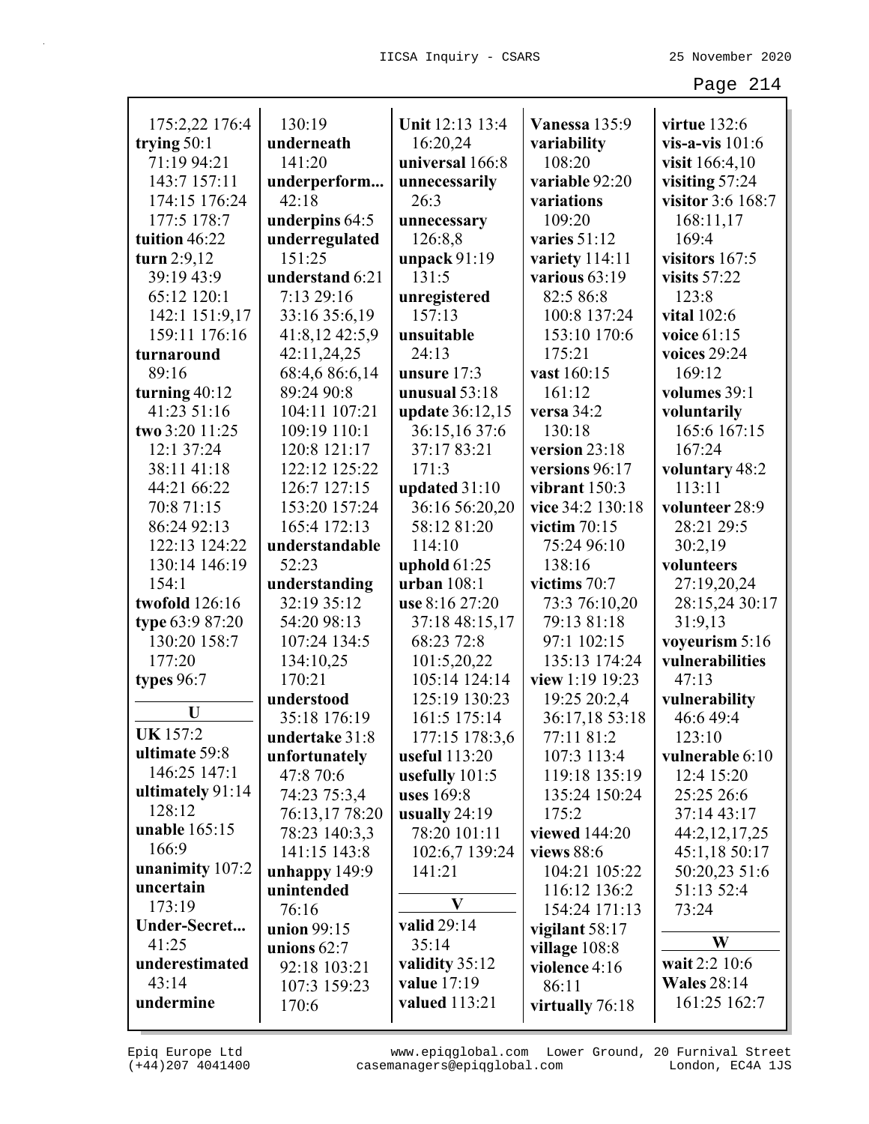| 175:2,22 176:4   | 130:19          | Unit 12:13 13:4  | Vanessa 135:9    | virtue 132:6       |
|------------------|-----------------|------------------|------------------|--------------------|
| trying $50:1$    | underneath      | 16:20,24         | variability      | vis-a-vis $101:6$  |
| 71:19 94:21      | 141:20          | universal 166:8  | 108:20           | visit 166:4,10     |
| 143:7 157:11     | underperform    | unnecessarily    | variable 92:20   | visiting 57:24     |
| 174:15 176:24    | 42:18           | 26:3             | variations       | visitor 3:6 168:7  |
| 177:5 178:7      | underpins 64:5  | unnecessary      | 109:20           | 168:11,17          |
| tuition 46:22    | underregulated  | 126:8,8          | varies 51:12     | 169:4              |
| turn 2:9,12      | 151:25          | unpack $91:19$   | variety 114:11   | visitors 167:5     |
| 39:19 43:9       | understand 6:21 | 131:5            | various $63:19$  | visits $57:22$     |
| 65:12 120:1      | 7:13 29:16      | unregistered     | 82:5 86:8        | 123:8              |
| 142:1 151:9,17   | 33:16 35:6,19   | 157:13           | 100:8 137:24     | vital 102:6        |
| 159:11 176:16    | 41:8,12 42:5,9  | unsuitable       | 153:10 170:6     | voice 61:15        |
| turnaround       | 42:11,24,25     | 24:13            | 175:21           | voices 29:24       |
| 89:16            | 68:4,6 86:6,14  | unsure 17:3      | vast 160:15      | 169:12             |
| turning $40:12$  | 89:24 90:8      | unusual $53:18$  | 161:12           | volumes 39:1       |
| 41:23 51:16      | 104:11 107:21   | update 36:12,15  | versa $34:2$     | voluntarily        |
| two 3:20 11:25   | 109:19 110:1    | 36:15,16 37:6    | 130:18           | 165:6 167:15       |
| 12:1 37:24       | 120:8 121:17    | 37:17 83:21      | version 23:18    | 167:24             |
| 38:11 41:18      | 122:12 125:22   | 171:3            | versions 96:17   | voluntary 48:2     |
| 44:21 66:22      | 126:7 127:15    | updated 31:10    | vibrant 150:3    | 113:11             |
| 70:8 71:15       | 153:20 157:24   | 36:16 56:20,20   | vice 34:2 130:18 | volunteer 28:9     |
| 86:24 92:13      | 165:4 172:13    | 58:12 81:20      | victim $70:15$   | 28:21 29:5         |
| 122:13 124:22    | understandable  | 114:10           | 75:24 96:10      | 30:2,19            |
| 130:14 146:19    | 52:23           | uphold $61:25$   | 138:16           | volunteers         |
| 154:1            | understanding   | urban 108:1      | victims 70:7     | 27:19,20,24        |
| twofold 126:16   | 32:19 35:12     | use 8:16 27:20   | 73:3 76:10,20    | 28:15,24 30:17     |
| type 63:9 87:20  | 54:20 98:13     | 37:18 48:15,17   | 79:13 81:18      | 31:9,13            |
| 130:20 158:7     | 107:24 134:5    | 68:23 72:8       | 97:1 102:15      | voyeurism 5:16     |
| 177:20           | 134:10,25       | 101:5,20,22      | 135:13 174:24    | vulnerabilities    |
| types 96:7       | 170:21          | 105:14 124:14    | view 1:19 19:23  | 47:13              |
|                  | understood      | 125:19 130:23    | 19:25 20:2,4     | vulnerability      |
| U                | 35:18 176:19    | 161:5 175:14     | 36:17,18 53:18   | 46:6 49:4          |
| <b>UK</b> 157:2  | undertake 31:8  | 177:15 178:3,6   | 77:11 81:2       | 123:10             |
| ultimate 59:8    | unfortunately   | useful 113:20    | 107:3 113:4      | vulnerable 6:10    |
| 146:25 147:1     | 47:8 70:6       | usefully $101:5$ | 119:18 135:19    | 12:4 15:20         |
| ultimately 91:14 | 74:23 75:3,4    | uses 169:8       | 135:24 150:24    | 25:25 26:6         |
| 128:12           | 76:13,17 78:20  | usually $24:19$  | 175:2            | 37:14 43:17        |
| unable 165:15    | 78:23 140:3,3   | 78:20 101:11     | viewed 144:20    | 44:2,12,17,25      |
| 166:9            | 141:15 143:8    | 102:6,7 139:24   | views 88:6       | 45:1,18 50:17      |
| unanimity 107:2  | unhappy $149:9$ | 141:21           | 104:21 105:22    | 50:20,23 51:6      |
| uncertain        | unintended      |                  | 116:12 136:2     | 51:13 52:4         |
| 173:19           | 76:16           | $\mathbf{V}$     | 154:24 171:13    | 73:24              |
| Under-Secret     | union 99:15     | valid 29:14      | vigilant $58:17$ |                    |
| 41:25            | unions $62:7$   | 35:14            | village 108:8    | W                  |
| underestimated   | 92:18 103:21    | validity 35:12   | violence 4:16    | wait 2:2 10:6      |
| 43:14            | 107:3 159:23    | value 17:19      | 86:11            | <b>Wales</b> 28:14 |
| undermine        | 170:6           | valued 113:21    | virtually 76:18  | 161:25 162:7       |
|                  |                 |                  |                  |                    |

(+44)207 4041400 casemanagers@epiqglobal.com London, EC4A 1JS www.epiqglobal.com Lower Ground, 20 Furnival Street

л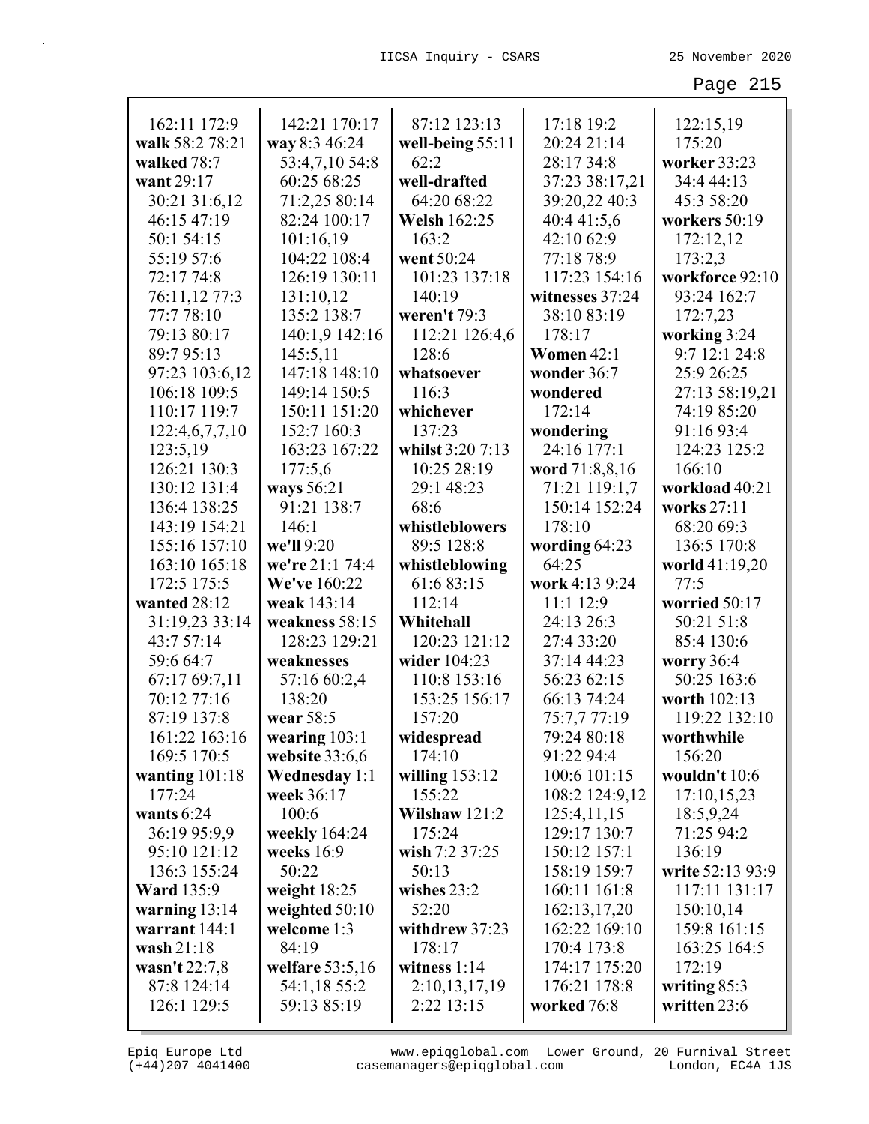| 162:11 172:9      | 142:21 170:17        | 87:12 123:13        | 17:18 19:2      | 122:15,19        |
|-------------------|----------------------|---------------------|-----------------|------------------|
| walk 58:2 78:21   | way 8:3 46:24        | well-being 55:11    | 20:24 21:14     | 175:20           |
| walked 78:7       | 53:4,7,10 54:8       | 62:2                | 28:17 34:8      | worker 33:23     |
| want 29:17        | 60:25 68:25          | well-drafted        | 37:23 38:17,21  | 34:4 44:13       |
| 30:21 31:6,12     | 71:2,25 80:14        | 64:20 68:22         | 39:20,22 40:3   | 45:3 58:20       |
| 46:15 47:19       | 82:24 100:17         | <b>Welsh 162:25</b> | 40:4 41:5,6     | workers 50:19    |
| 50:1 54:15        | 101:16,19            | 163:2               | 42:10 62:9      | 172:12,12        |
| 55:19 57:6        | 104:22 108:4         | went 50:24          | 77:18 78:9      | 173:2,3          |
| 72:17 74:8        | 126:19 130:11        | 101:23 137:18       | 117:23 154:16   | workforce 92:10  |
| 76:11,12 77:3     | 131:10,12            | 140:19              | witnesses 37:24 | 93:24 162:7      |
| 77:778:10         | 135:2 138:7          | weren't 79:3        | 38:10 83:19     | 172:7,23         |
| 79:13 80:17       | 140:1,9 142:16       | 112:21 126:4,6      | 178:17          | working 3:24     |
| 89:7 95:13        | 145:5,11             | 128:6               | Women 42:1      | 9:7 12:1 24:8    |
| 97:23 103:6,12    | 147:18 148:10        | whatsoever          | wonder 36:7     | 25:9 26:25       |
| 106:18 109:5      | 149:14 150:5         | 116:3               | wondered        | 27:13 58:19,21   |
| 110:17 119:7      | 150:11 151:20        | whichever           | 172:14          | 74:19 85:20      |
| 122:4,6,7,7,10    | 152:7 160:3          | 137:23              | wondering       | 91:16 93:4       |
| 123:5,19          | 163:23 167:22        | whilst 3:20 7:13    | 24:16 177:1     | 124:23 125:2     |
| 126:21 130:3      |                      | 10:25 28:19         | word 71:8,8,16  | 166:10           |
| 130:12 131:4      | 177:5,6              | 29:1 48:23          |                 |                  |
|                   | ways 56:21           |                     | 71:21 119:1,7   | workload 40:21   |
| 136:4 138:25      | 91:21 138:7          | 68:6                | 150:14 152:24   | works 27:11      |
| 143:19 154:21     | 146:1                | whistleblowers      | 178:10          | 68:20 69:3       |
| 155:16 157:10     | we'll 9:20           | 89:5 128:8          | wording 64:23   | 136:5 170:8      |
| 163:10 165:18     | we're 21:1 74:4      | whistleblowing      | 64:25           | world 41:19,20   |
| 172:5 175:5       | We've 160:22         | 61:6 83:15          | work 4:13 9:24  | 77:5             |
| wanted 28:12      | weak 143:14          | 112:14              | 11:1 12:9       | worried 50:17    |
| 31:19,23 33:14    | weakness 58:15       | Whitehall           | 24:13 26:3      | 50:21 51:8       |
| 43:7 57:14        | 128:23 129:21        | 120:23 121:12       | 27:4 33:20      | 85:4 130:6       |
| 59:6 64:7         | weaknesses           | wider 104:23        | 37:14 44:23     | worry 36:4       |
| 67:17 69:7,11     | 57:16 60:2,4         | 110:8 153:16        | 56:23 62:15     | 50:25 163:6      |
| 70:12 77:16       | 138:20               | 153:25 156:17       | 66:13 74:24     | worth 102:13     |
| 87:19 137:8       | wear 58:5            | 157:20              | 75:7,7 77:19    | 119:22 132:10    |
| 161:22 163:16     | wearing $103:1$      | widespread          | 79:24 80:18     | worthwhile       |
| 169:5 170:5       | website 33:6,6       | 174:10              | 91:22 94:4      | 156:20           |
| wanting $101:18$  | <b>Wednesday 1:1</b> | willing $153:12$    | 100:6 101:15    | wouldn't 10:6    |
| 177:24            | week 36:17           | 155:22              | 108:2 124:9,12  | 17:10,15,23      |
| wants $6:24$      | 100:6                | Wilshaw $121:2$     | 125:4,11,15     | 18:5,9,24        |
| 36:19 95:9,9      | weekly 164:24        | 175:24              | 129:17 130:7    | 71:25 94:2       |
| 95:10 121:12      | weeks $16:9$         | wish 7:2 37:25      | 150:12 157:1    | 136:19           |
| 136:3 155:24      | 50:22                | 50:13               | 158:19 159:7    | write 52:13 93:9 |
| <b>Ward</b> 135:9 | weight $18:25$       | wishes 23:2         | 160:11 161:8    | 117:11 131:17    |
| warning $13:14$   | weighted $50:10$     | 52:20               | 162:13,17,20    | 150:10,14        |
| warrant 144:1     | welcome 1:3          | withdrew 37:23      | 162:22 169:10   | 159:8 161:15     |
| wash 21:18        | 84:19                | 178:17              | 170:4 173:8     | 163:25 164:5     |
| wasn't 22:7,8     | welfare $53:5,16$    | witness $1:14$      | 174:17 175:20   | 172:19           |
| 87:8 124:14       | 54:1,18 55:2         | 2:10,13,17,19       | 176:21 178:8    | writing 85:3     |
| 126:1 129:5       | 59:13 85:19          | 2:22 13:15          | worked 76:8     | written 23:6     |

(+44)207 4041400 casemanagers@epiqglobal.com London, EC4A 1JS www.epiqglobal.com Lower Ground, 20 Furnival Street

┚